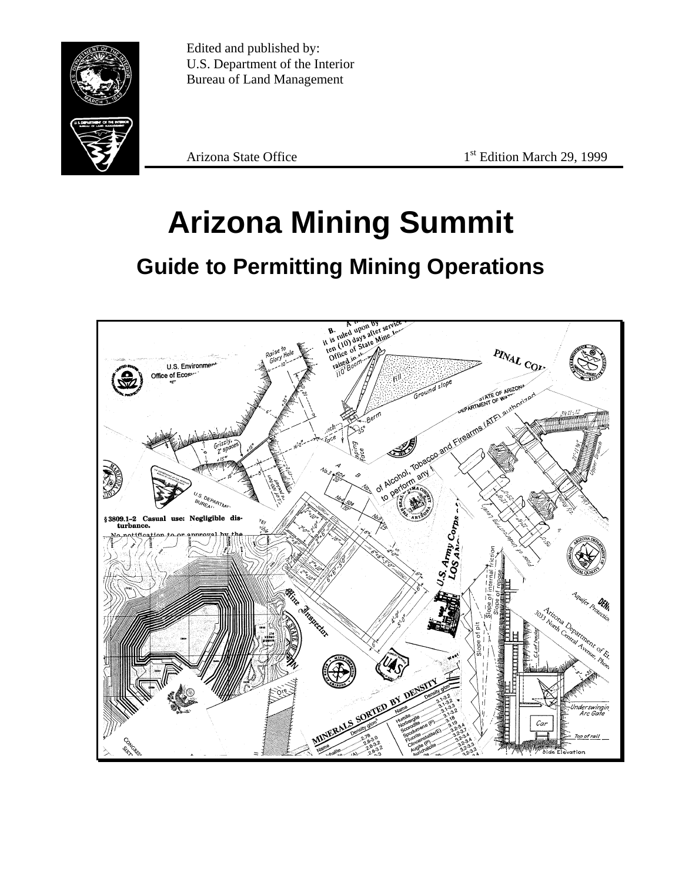

Edited and published by: U.S. Department of the Interior Bureau of Land Management

Arizona State Office 1st Edition March 29, 1999

# **Arizona Mining Summit**

**Guide to Permitting Mining Operations** 

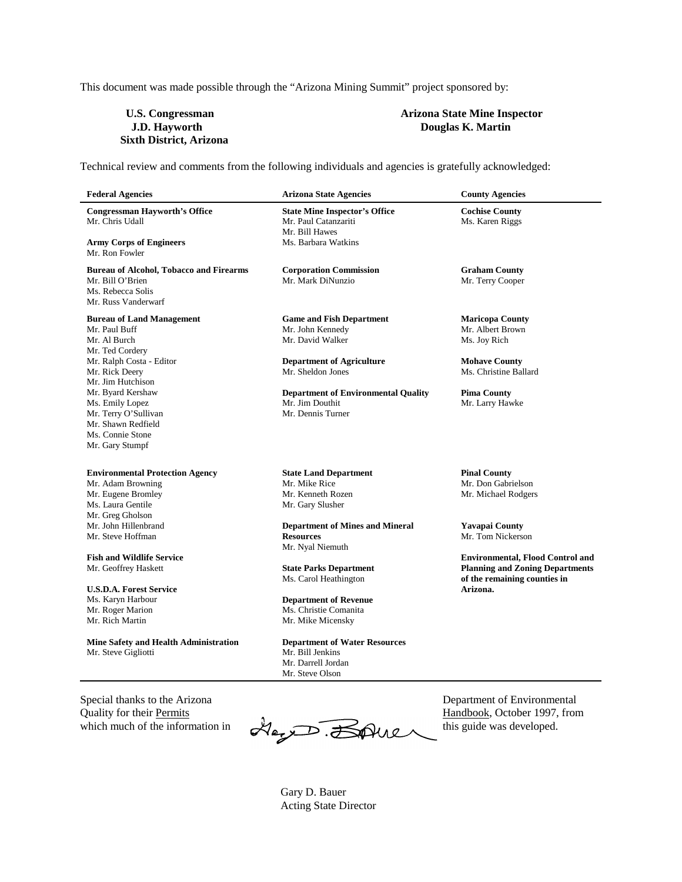This document was made possible through the "Arizona Mining Summit" project sponsored by:

# **Sixth District, Arizona**

#### **U.S. Congressman Arizona State Mine Inspector J.D. Hayworth Douglas K. Martin**

Technical review and comments from the following individuals and agencies is gratefully acknowledged:

| <b>Federal Agencies</b>                                                                                                   | <b>Arizona State Agencies</b>                                                                     | <b>County Agencies</b>                                                                                            |
|---------------------------------------------------------------------------------------------------------------------------|---------------------------------------------------------------------------------------------------|-------------------------------------------------------------------------------------------------------------------|
| <b>Congressman Hayworth's Office</b><br>Mr. Chris Udall                                                                   | <b>State Mine Inspector's Office</b><br>Mr. Paul Catanzariti<br>Mr. Bill Hawes                    | <b>Cochise County</b><br>Ms. Karen Riggs                                                                          |
| <b>Army Corps of Engineers</b><br>Mr. Ron Fowler                                                                          | Ms. Barbara Watkins                                                                               |                                                                                                                   |
| <b>Bureau of Alcohol, Tobacco and Firearms</b><br>Mr. Bill O'Brien<br>Ms. Rebecca Solis<br>Mr. Russ Vanderwarf            | <b>Corporation Commission</b><br>Mr. Mark DiNunzio                                                | <b>Graham County</b><br>Mr. Terry Cooper                                                                          |
| <b>Bureau of Land Management</b><br>Mr. Paul Buff<br>Mr. Al Burch<br>Mr. Ted Cordery                                      | <b>Game and Fish Department</b><br>Mr. John Kennedy<br>Mr. David Walker                           | <b>Maricopa County</b><br>Mr. Albert Brown<br>Ms. Joy Rich                                                        |
| Mr. Ralph Costa - Editor<br>Mr. Rick Deery<br>Mr. Jim Hutchison                                                           | <b>Department of Agriculture</b><br>Mr. Sheldon Jones                                             | <b>Mohave County</b><br>Ms. Christine Ballard                                                                     |
| Mr. Byard Kershaw<br>Ms. Emily Lopez<br>Mr. Terry O'Sullivan<br>Mr. Shawn Redfield<br>Ms. Connie Stone<br>Mr. Gary Stumpf | <b>Department of Environmental Quality</b><br>Mr. Jim Douthit<br>Mr. Dennis Turner                | <b>Pima County</b><br>Mr. Larry Hawke                                                                             |
| <b>Environmental Protection Agency</b><br>Mr. Adam Browning<br>Mr. Eugene Bromley<br>Ms. Laura Gentile                    | <b>State Land Department</b><br>Mr. Mike Rice<br>Mr. Kenneth Rozen<br>Mr. Gary Slusher            | <b>Pinal County</b><br>Mr. Don Gabrielson<br>Mr. Michael Rodgers                                                  |
| Mr. Greg Gholson<br>Mr. John Hillenbrand<br>Mr. Steve Hoffman                                                             | <b>Department of Mines and Mineral</b><br><b>Resources</b><br>Mr. Nyal Niemuth                    | <b>Yavapai County</b><br>Mr. Tom Nickerson                                                                        |
| <b>Fish and Wildlife Service</b><br>Mr. Geoffrey Haskett                                                                  | <b>State Parks Department</b><br>Ms. Carol Heathington                                            | <b>Environmental, Flood Control and</b><br><b>Planning and Zoning Departments</b><br>of the remaining counties in |
| <b>U.S.D.A. Forest Service</b><br>Ms. Karyn Harbour<br>Mr. Roger Marion<br>Mr. Rich Martin                                | <b>Department of Revenue</b><br>Ms. Christie Comanita<br>Mr. Mike Micensky                        | Arizona.                                                                                                          |
| Mine Safety and Health Administration<br>Mr. Steve Gigliotti                                                              | <b>Department of Water Resources</b><br>Mr. Bill Jenkins<br>Mr. Darrell Jordan<br>Mr. Steve Olson |                                                                                                                   |
| Special thanks to the Arizona<br>Quality for their Permits<br>which much of the information in                            | Hay D.E                                                                                           | Department of Environmental<br>Handbook, October 1997, from<br>this guide was developed.                          |

Gary D. Bauer Acting State Director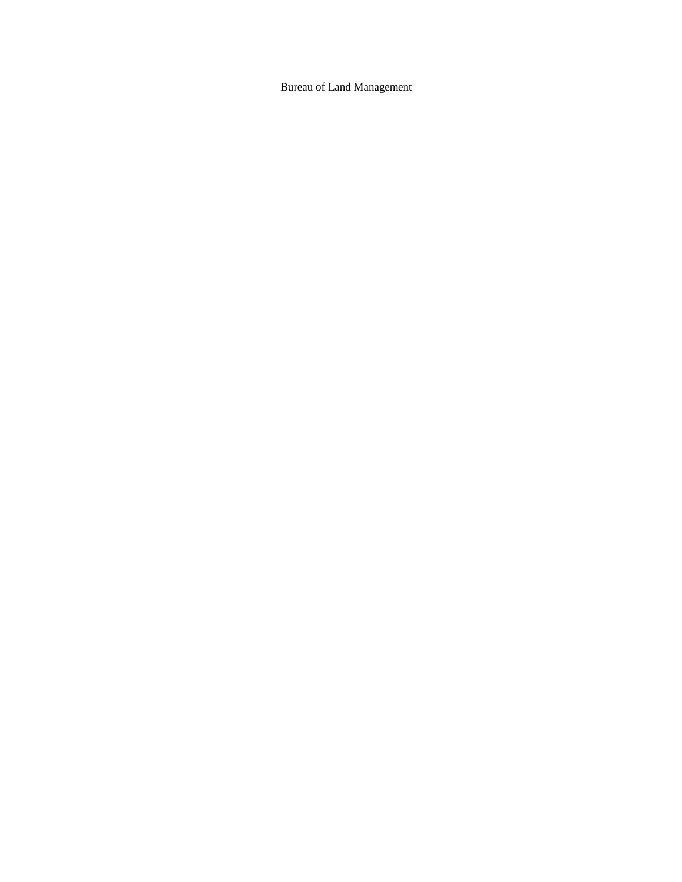Bureau of Land Management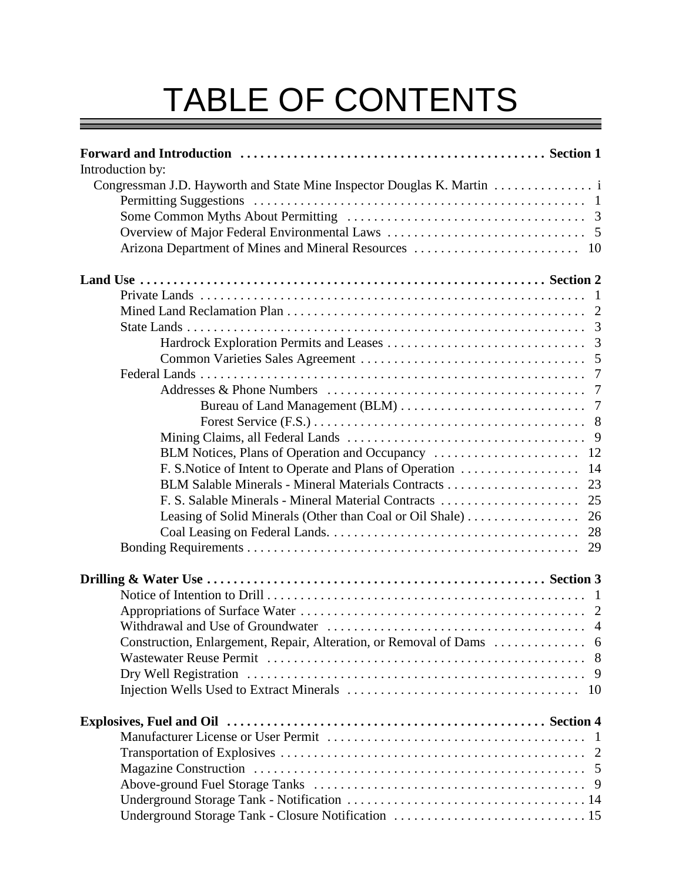# TABLE OF CONTENTS

| Introduction by:                                                          |  |
|---------------------------------------------------------------------------|--|
| Congressman J.D. Hayworth and State Mine Inspector Douglas K. Martin      |  |
|                                                                           |  |
|                                                                           |  |
|                                                                           |  |
|                                                                           |  |
|                                                                           |  |
|                                                                           |  |
|                                                                           |  |
|                                                                           |  |
|                                                                           |  |
|                                                                           |  |
|                                                                           |  |
|                                                                           |  |
|                                                                           |  |
|                                                                           |  |
|                                                                           |  |
|                                                                           |  |
|                                                                           |  |
| BLM Notices, Plans of Operation and Occupancy<br>12                       |  |
| F. S. Notice of Intent to Operate and Plans of Operation<br>14            |  |
| 23                                                                        |  |
|                                                                           |  |
| 26                                                                        |  |
|                                                                           |  |
|                                                                           |  |
|                                                                           |  |
|                                                                           |  |
|                                                                           |  |
|                                                                           |  |
|                                                                           |  |
|                                                                           |  |
|                                                                           |  |
|                                                                           |  |
|                                                                           |  |
| Explosives, Fuel and Oil (all increases) and the setting of the Section 4 |  |
|                                                                           |  |
|                                                                           |  |
|                                                                           |  |
|                                                                           |  |
|                                                                           |  |
|                                                                           |  |
|                                                                           |  |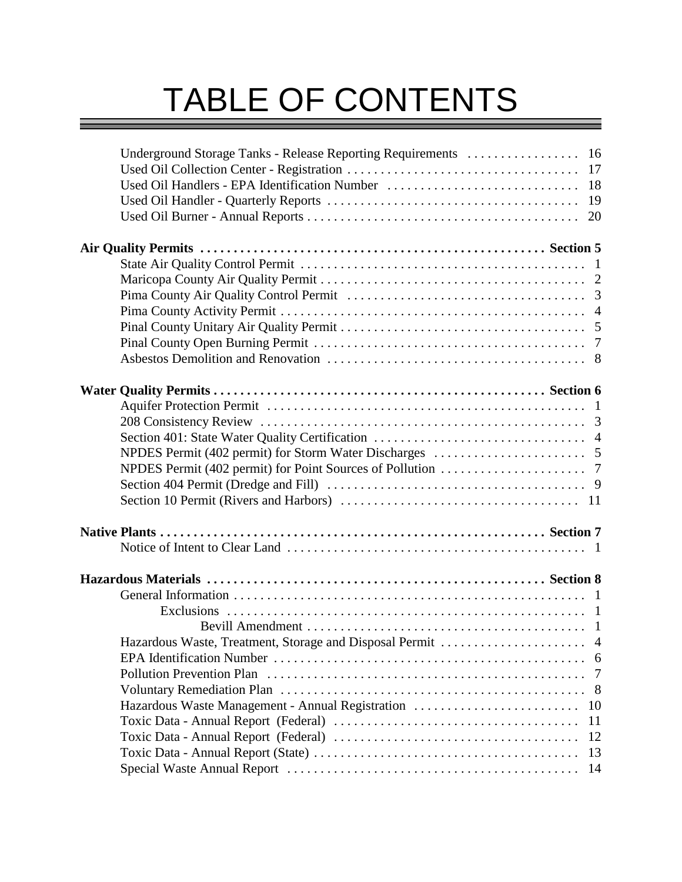# TABLE OF CONTENTS

| Underground Storage Tanks - Release Reporting Requirements  16<br>Used Oil Handlers - EPA Identification Number<br>18 |
|-----------------------------------------------------------------------------------------------------------------------|
|                                                                                                                       |
|                                                                                                                       |
|                                                                                                                       |
|                                                                                                                       |
|                                                                                                                       |
|                                                                                                                       |
|                                                                                                                       |
|                                                                                                                       |
|                                                                                                                       |
|                                                                                                                       |
|                                                                                                                       |
|                                                                                                                       |
|                                                                                                                       |
|                                                                                                                       |
|                                                                                                                       |
|                                                                                                                       |
|                                                                                                                       |
|                                                                                                                       |
|                                                                                                                       |
|                                                                                                                       |
|                                                                                                                       |
|                                                                                                                       |
|                                                                                                                       |
|                                                                                                                       |
|                                                                                                                       |
| -7                                                                                                                    |
|                                                                                                                       |
| Hazardous Waste Management - Annual Registration<br>10                                                                |
| 11                                                                                                                    |
| 12                                                                                                                    |
| 13                                                                                                                    |
|                                                                                                                       |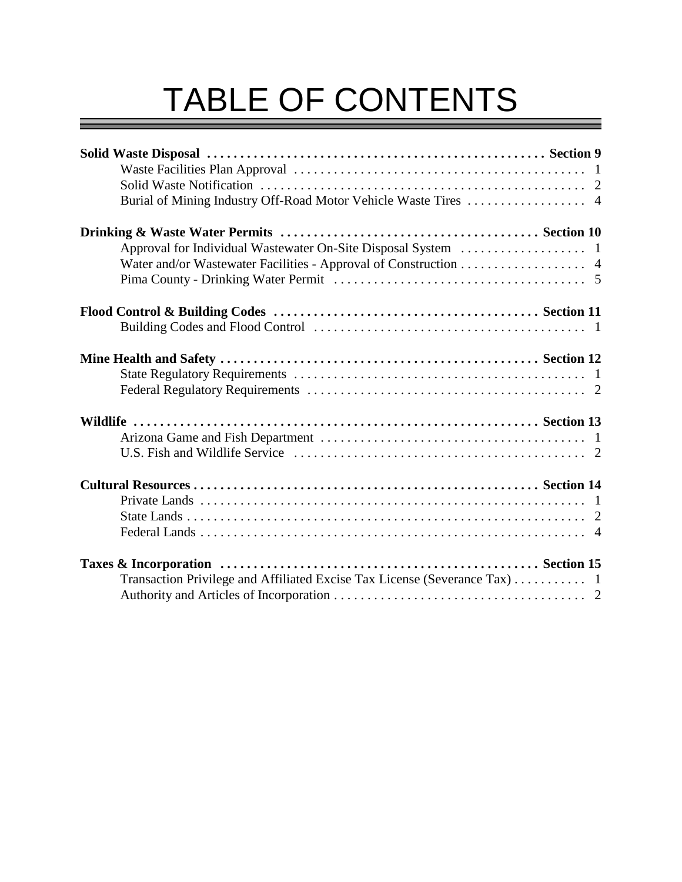# TABLE OF CONTENTS

| Water and/or Wastewater Facilities - Approval of Construction 4 |  |
|-----------------------------------------------------------------|--|
|                                                                 |  |
|                                                                 |  |
|                                                                 |  |
|                                                                 |  |
|                                                                 |  |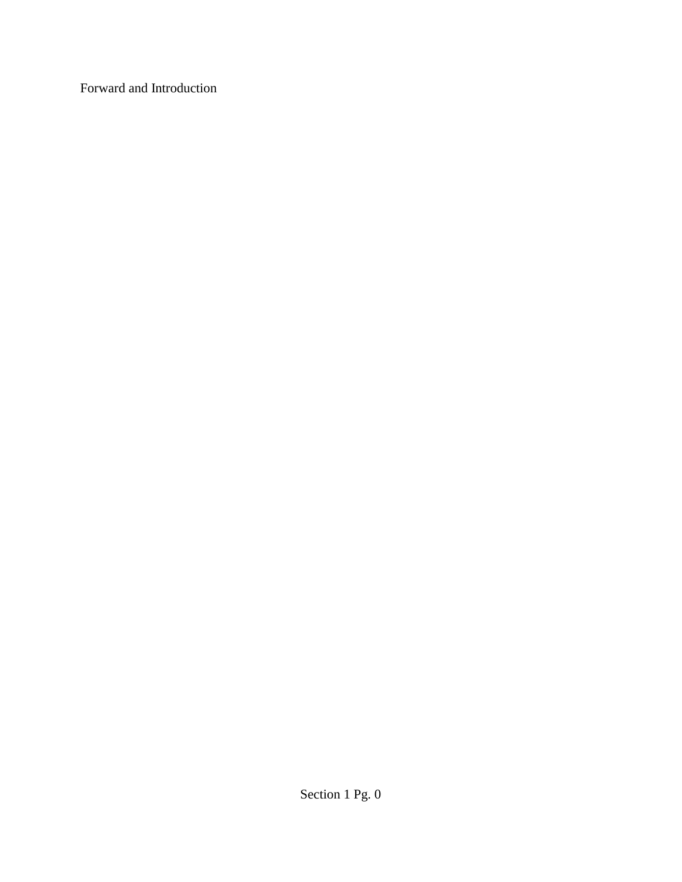Forward and Introduction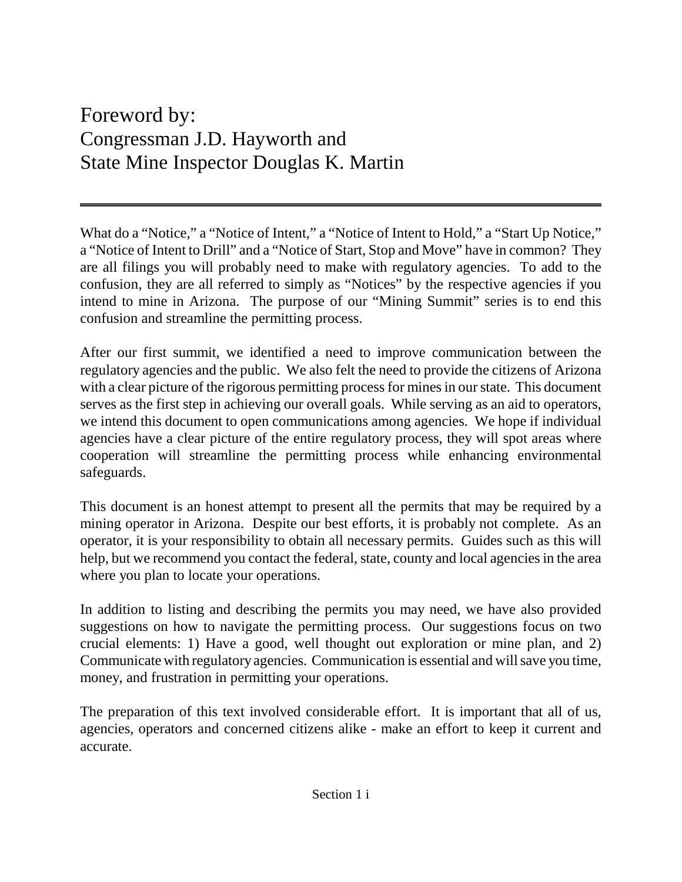# Foreword by: Congressman J.D. Hayworth and State Mine Inspector Douglas K. Martin

What do a "Notice," a "Notice of Intent," a "Notice of Intent to Hold," a "Start Up Notice," a "Notice of Intent to Drill" and a "Notice of Start, Stop and Move" have in common? They are all filings you will probably need to make with regulatory agencies. To add to the confusion, they are all referred to simply as "Notices" by the respective agencies if you intend to mine in Arizona. The purpose of our "Mining Summit" series is to end this confusion and streamline the permitting process.

After our first summit, we identified a need to improve communication between the regulatory agencies and the public. We also felt the need to provide the citizens of Arizona with a clear picture of the rigorous permitting process for mines in our state. This document serves as the first step in achieving our overall goals. While serving as an aid to operators, we intend this document to open communications among agencies. We hope if individual agencies have a clear picture of the entire regulatory process, they will spot areas where cooperation will streamline the permitting process while enhancing environmental safeguards.

This document is an honest attempt to present all the permits that may be required by a mining operator in Arizona. Despite our best efforts, it is probably not complete. As an operator, it is your responsibility to obtain all necessary permits. Guides such as this will help, but we recommend you contact the federal, state, county and local agencies in the area where you plan to locate your operations.

In addition to listing and describing the permits you may need, we have also provided suggestions on how to navigate the permitting process. Our suggestions focus on two crucial elements: 1) Have a good, well thought out exploration or mine plan, and 2) Communicate with regulatory agencies. Communication is essential and will save you time, money, and frustration in permitting your operations.

The preparation of this text involved considerable effort. It is important that all of us, agencies, operators and concerned citizens alike - make an effort to keep it current and accurate.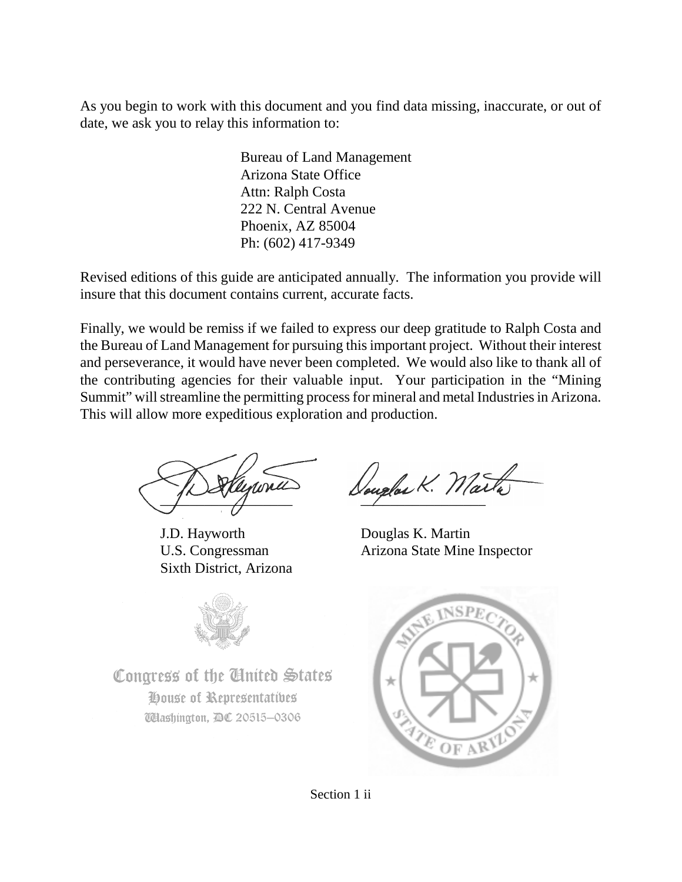As you begin to work with this document and you find data missing, inaccurate, or out of date, we ask you to relay this information to:

> Bureau of Land Management Arizona State Office Attn: Ralph Costa 222 N. Central Avenue Phoenix, AZ 85004 Ph: (602) 417-9349

Revised editions of this guide are anticipated annually. The information you provide will insure that this document contains current, accurate facts.

Finally, we would be remiss if we failed to express our deep gratitude to Ralph Costa and the Bureau of Land Management for pursuing this important project. Without their interest and perseverance, it would have never been completed. We would also like to thank all of the contributing agencies for their valuable input. Your participation in the "Mining Summit" will streamline the permitting process for mineral and metal Industries in Arizona. This will allow more expeditious exploration and production.

J.D. Hayworth Douglas K. Martin Sixth District, Arizona



U.S. Congressman Arizona State Mine Inspector



Congress of the United States House of Representatives **Washington, DC 20515-0306** 



Section 1 ii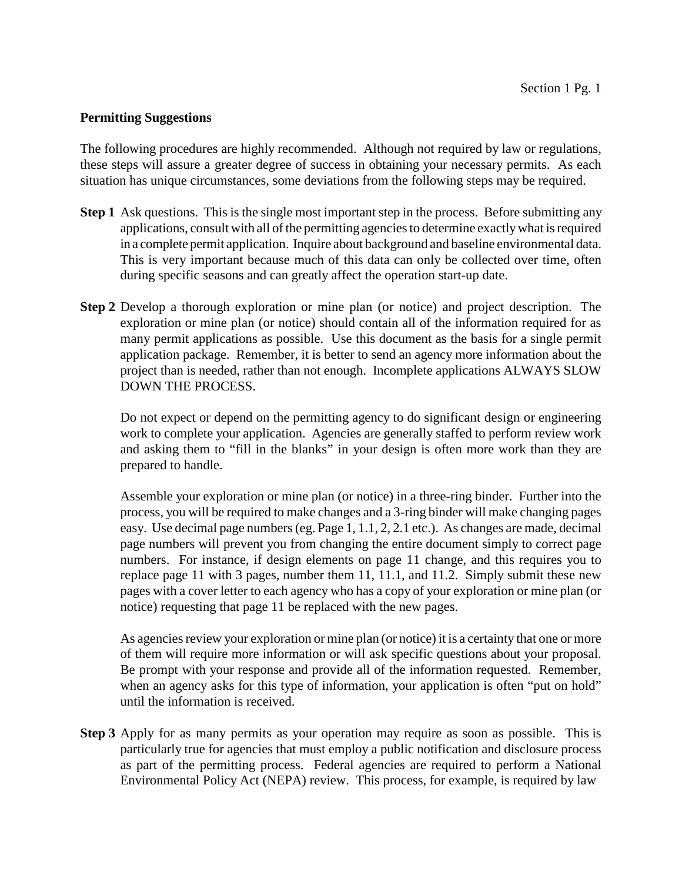# **Permitting Suggestions**

The following procedures are highly recommended. Although not required by law or regulations, these steps will assure a greater degree of success in obtaining your necessary permits. As each situation has unique circumstances, some deviations from the following steps may be required.

- **Step 1** Ask questions. This is the single most important step in the process. Before submitting any applications, consult with all of the permitting agencies to determine exactly what is required in a complete permit application. Inquire about background and baseline environmental data. This is very important because much of this data can only be collected over time, often during specific seasons and can greatly affect the operation start-up date.
- **Step 2** Develop a thorough exploration or mine plan (or notice) and project description. The exploration or mine plan (or notice) should contain all of the information required for as many permit applications as possible. Use this document as the basis for a single permit application package. Remember, it is better to send an agency more information about the project than is needed, rather than not enough. Incomplete applications ALWAYS SLOW DOWN THE PROCESS.

Do not expect or depend on the permitting agency to do significant design or engineering work to complete your application. Agencies are generally staffed to perform review work and asking them to "fill in the blanks" in your design is often more work than they are prepared to handle.

Assemble your exploration or mine plan (or notice) in a three-ring binder. Further into the process, you will be required to make changes and a 3-ring binder will make changing pages easy. Use decimal page numbers (eg. Page 1, 1.1, 2, 2.1 etc.). As changes are made, decimal page numbers will prevent you from changing the entire document simply to correct page numbers. For instance, if design elements on page 11 change, and this requires you to replace page 11 with 3 pages, number them 11, 11.1, and 11.2. Simply submit these new pages with a cover letter to each agency who has a copy of your exploration or mine plan (or notice) requesting that page 11 be replaced with the new pages.

As agencies review your exploration or mine plan (or notice) it is a certainty that one or more of them will require more information or will ask specific questions about your proposal. Be prompt with your response and provide all of the information requested. Remember, when an agency asks for this type of information, your application is often "put on hold" until the information is received.

**Step 3** Apply for as many permits as your operation may require as soon as possible. This is particularly true for agencies that must employ a public notification and disclosure process as part of the permitting process. Federal agencies are required to perform a National Environmental Policy Act (NEPA) review. This process, for example, is required by law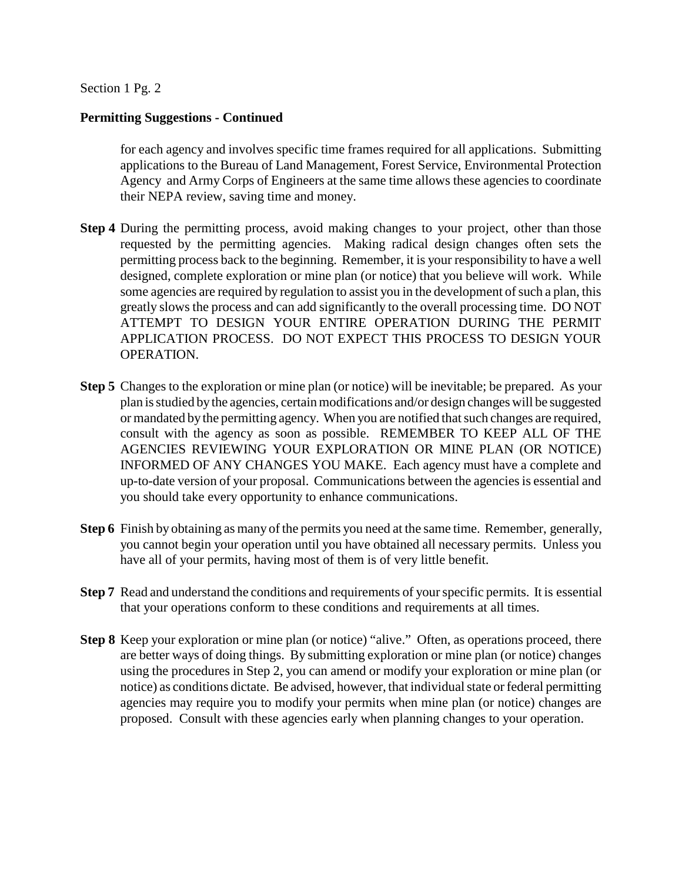Section 1 Pg. 2

# **Permitting Suggestions - Continued**

for each agency and involves specific time frames required for all applications. Submitting applications to the Bureau of Land Management, Forest Service, Environmental Protection Agency and Army Corps of Engineers at the same time allows these agencies to coordinate their NEPA review, saving time and money.

- **Step 4** During the permitting process, avoid making changes to your project, other than those requested by the permitting agencies. Making radical design changes often sets the permitting process back to the beginning. Remember, it is your responsibility to have a well designed, complete exploration or mine plan (or notice) that you believe will work. While some agencies are required by regulation to assist you in the development of such a plan, this greatly slows the process and can add significantly to the overall processing time. DO NOT ATTEMPT TO DESIGN YOUR ENTIRE OPERATION DURING THE PERMIT APPLICATION PROCESS. DO NOT EXPECT THIS PROCESS TO DESIGN YOUR OPERATION.
- **Step 5** Changes to the exploration or mine plan (or notice) will be inevitable; be prepared. As your plan is studied by the agencies, certain modifications and/or design changes will be suggested or mandated by the permitting agency. When you are notified that such changes are required, consult with the agency as soon as possible. REMEMBER TO KEEP ALL OF THE AGENCIES REVIEWING YOUR EXPLORATION OR MINE PLAN (OR NOTICE) INFORMED OF ANY CHANGES YOU MAKE. Each agency must have a complete and up-to-date version of your proposal. Communications between the agencies is essential and you should take every opportunity to enhance communications.
- **Step 6** Finish by obtaining as many of the permits you need at the same time. Remember, generally, you cannot begin your operation until you have obtained all necessary permits. Unless you have all of your permits, having most of them is of very little benefit.
- **Step 7** Read and understand the conditions and requirements of your specific permits. It is essential that your operations conform to these conditions and requirements at all times.
- **Step 8** Keep your exploration or mine plan (or notice) "alive." Often, as operations proceed, there are better ways of doing things. By submitting exploration or mine plan (or notice) changes using the procedures in Step 2, you can amend or modify your exploration or mine plan (or notice) as conditions dictate. Be advised, however, that individual state or federal permitting agencies may require you to modify your permits when mine plan (or notice) changes are proposed. Consult with these agencies early when planning changes to your operation.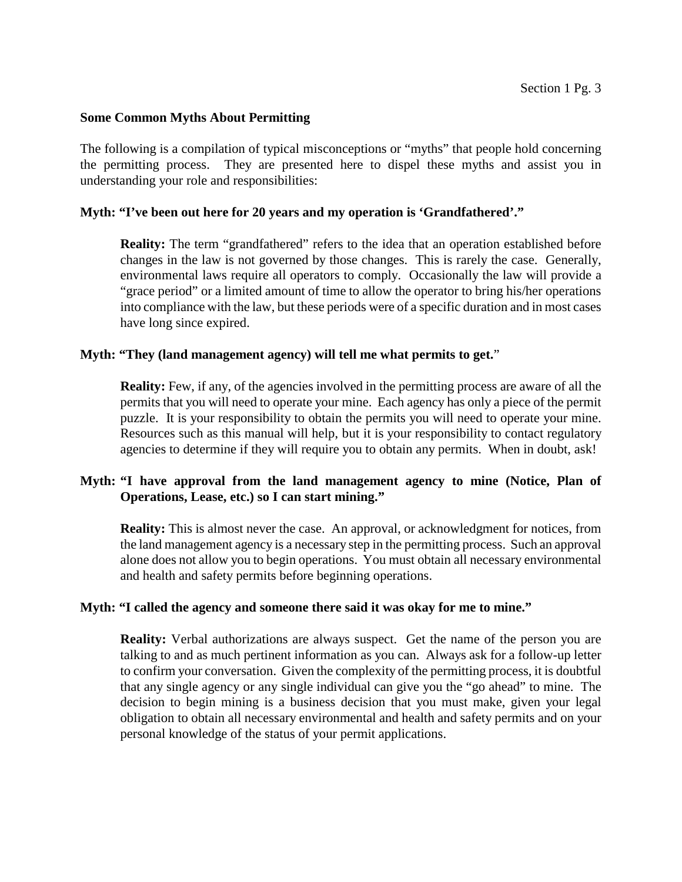#### **Some Common Myths About Permitting**

The following is a compilation of typical misconceptions or "myths" that people hold concerning the permitting process. They are presented here to dispel these myths and assist you in understanding your role and responsibilities:

#### **Myth: "I've been out here for 20 years and my operation is 'Grandfathered'."**

**Reality:** The term "grandfathered" refers to the idea that an operation established before changes in the law is not governed by those changes. This is rarely the case. Generally, environmental laws require all operators to comply. Occasionally the law will provide a "grace period" or a limited amount of time to allow the operator to bring his/her operations into compliance with the law, but these periods were of a specific duration and in most cases have long since expired.

#### **Myth: "They (land management agency) will tell me what permits to get.**"

**Reality:** Few, if any, of the agencies involved in the permitting process are aware of all the permits that you will need to operate your mine. Each agency has only a piece of the permit puzzle. It is your responsibility to obtain the permits you will need to operate your mine. Resources such as this manual will help, but it is your responsibility to contact regulatory agencies to determine if they will require you to obtain any permits. When in doubt, ask!

# **Myth: "I have approval from the land management agency to mine (Notice, Plan of Operations, Lease, etc.) so I can start mining."**

**Reality:** This is almost never the case. An approval, or acknowledgment for notices, from the land management agency is a necessary step in the permitting process. Such an approval alone does not allow you to begin operations. You must obtain all necessary environmental and health and safety permits before beginning operations.

#### **Myth: "I called the agency and someone there said it was okay for me to mine."**

**Reality:** Verbal authorizations are always suspect. Get the name of the person you are talking to and as much pertinent information as you can. Always ask for a follow-up letter to confirm your conversation. Given the complexity of the permitting process, it is doubtful that any single agency or any single individual can give you the "go ahead" to mine. The decision to begin mining is a business decision that you must make, given your legal obligation to obtain all necessary environmental and health and safety permits and on your personal knowledge of the status of your permit applications.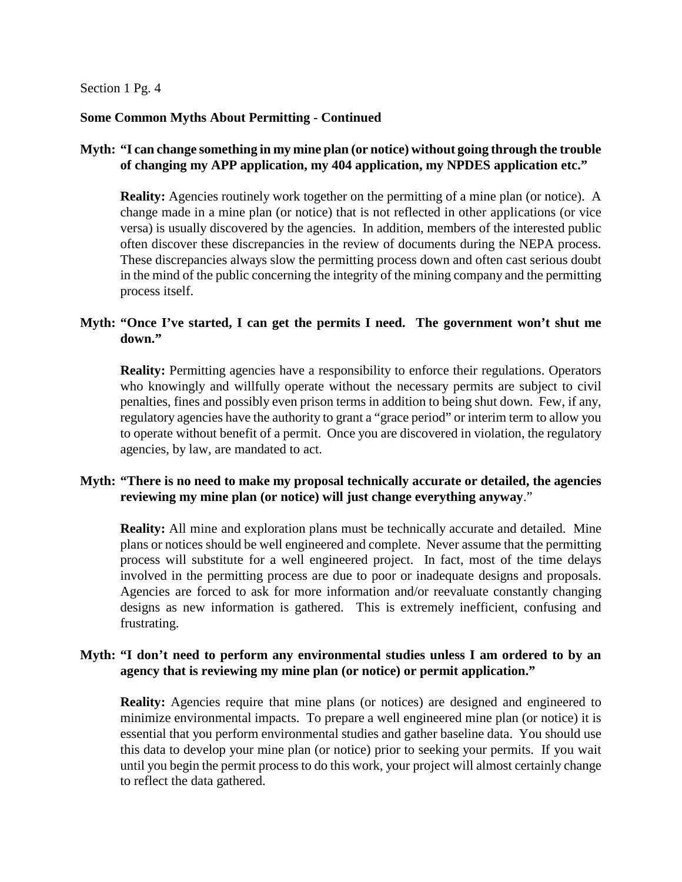Section 1 Pg. 4

# **Some Common Myths About Permitting - Continued**

# **Myth: "I can change something in my mine plan (or notice) without going through the trouble of changing my APP application, my 404 application, my NPDES application etc."**

**Reality:** Agencies routinely work together on the permitting of a mine plan (or notice). A change made in a mine plan (or notice) that is not reflected in other applications (or vice versa) is usually discovered by the agencies. In addition, members of the interested public often discover these discrepancies in the review of documents during the NEPA process. These discrepancies always slow the permitting process down and often cast serious doubt in the mind of the public concerning the integrity of the mining company and the permitting process itself.

# **Myth: "Once I've started, I can get the permits I need. The government won't shut me down."**

**Reality:** Permitting agencies have a responsibility to enforce their regulations. Operators who knowingly and willfully operate without the necessary permits are subject to civil penalties, fines and possibly even prison terms in addition to being shut down. Few, if any, regulatory agencies have the authority to grant a "grace period" or interim term to allow you to operate without benefit of a permit. Once you are discovered in violation, the regulatory agencies, by law, are mandated to act.

# **Myth: "There is no need to make my proposal technically accurate or detailed, the agencies reviewing my mine plan (or notice) will just change everything anyway**."

**Reality:** All mine and exploration plans must be technically accurate and detailed. Mine plans or notices should be well engineered and complete. Never assume that the permitting process will substitute for a well engineered project. In fact, most of the time delays involved in the permitting process are due to poor or inadequate designs and proposals. Agencies are forced to ask for more information and/or reevaluate constantly changing designs as new information is gathered. This is extremely inefficient, confusing and frustrating.

# **Myth: "I don't need to perform any environmental studies unless I am ordered to by an agency that is reviewing my mine plan (or notice) or permit application."**

**Reality:** Agencies require that mine plans (or notices) are designed and engineered to minimize environmental impacts. To prepare a well engineered mine plan (or notice) it is essential that you perform environmental studies and gather baseline data. You should use this data to develop your mine plan (or notice) prior to seeking your permits. If you wait until you begin the permit process to do this work, your project will almost certainly change to reflect the data gathered.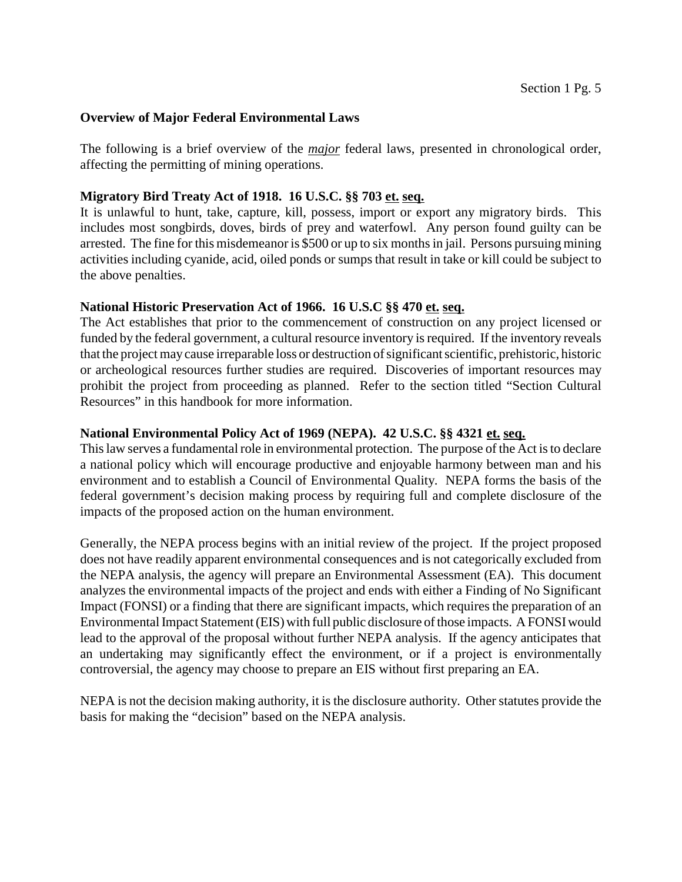### **Overview of Major Federal Environmental Laws**

The following is a brief overview of the *major* federal laws, presented in chronological order, affecting the permitting of mining operations.

#### **Migratory Bird Treaty Act of 1918. 16 U.S.C. §§ 703 et. seq.**

It is unlawful to hunt, take, capture, kill, possess, import or export any migratory birds. This includes most songbirds, doves, birds of prey and waterfowl. Any person found guilty can be arrested. The fine for this misdemeanor is \$500 or up to six months in jail. Persons pursuing mining activities including cyanide, acid, oiled ponds or sumps that result in take or kill could be subject to the above penalties.

#### **National Historic Preservation Act of 1966. 16 U.S.C §§ 470 et. seq.**

The Act establishes that prior to the commencement of construction on any project licensed or funded by the federal government, a cultural resource inventory is required. If the inventory reveals that the project may cause irreparable loss or destruction of significant scientific, prehistoric, historic or archeological resources further studies are required. Discoveries of important resources may prohibit the project from proceeding as planned. Refer to the section titled "Section Cultural Resources" in this handbook for more information.

#### **National Environmental Policy Act of 1969 (NEPA). 42 U.S.C. §§ 4321 et. seq.**

This law serves a fundamental role in environmental protection. The purpose of the Act is to declare a national policy which will encourage productive and enjoyable harmony between man and his environment and to establish a Council of Environmental Quality. NEPA forms the basis of the federal government's decision making process by requiring full and complete disclosure of the impacts of the proposed action on the human environment.

Generally, the NEPA process begins with an initial review of the project. If the project proposed does not have readily apparent environmental consequences and is not categorically excluded from the NEPA analysis, the agency will prepare an Environmental Assessment (EA). This document analyzes the environmental impacts of the project and ends with either a Finding of No Significant Impact (FONSI) or a finding that there are significant impacts, which requires the preparation of an Environmental Impact Statement (EIS) with full public disclosure of those impacts. A FONSI would lead to the approval of the proposal without further NEPA analysis. If the agency anticipates that an undertaking may significantly effect the environment, or if a project is environmentally controversial, the agency may choose to prepare an EIS without first preparing an EA.

NEPA is not the decision making authority, it is the disclosure authority. Other statutes provide the basis for making the "decision" based on the NEPA analysis.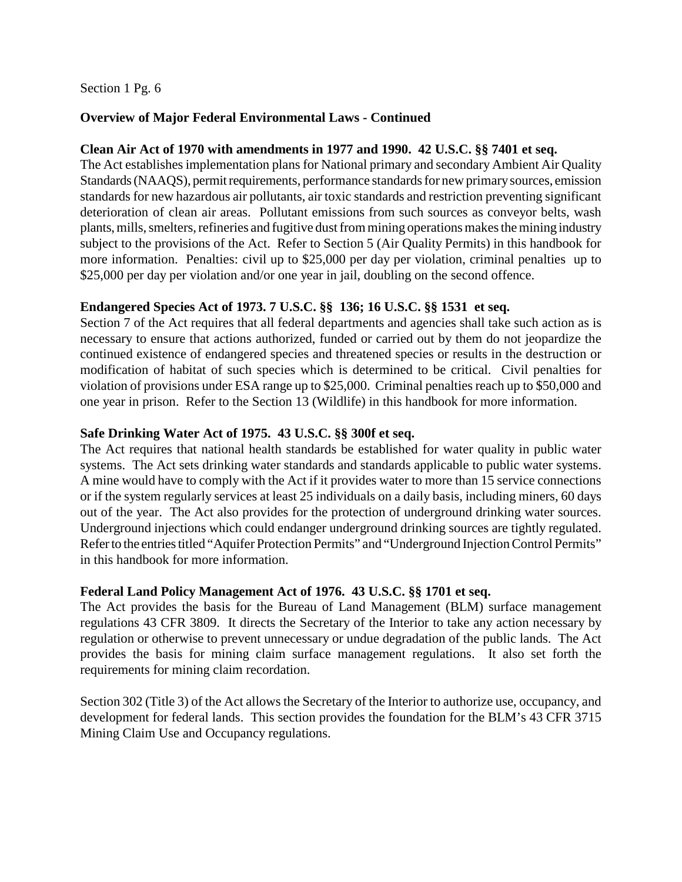# Section 1 Pg. 6

# **Overview of Major Federal Environmental Laws - Continued**

# **Clean Air Act of 1970 with amendments in 1977 and 1990. 42 U.S.C. §§ 7401 et seq.**

The Act establishes implementation plans for National primary and secondary Ambient Air Quality Standards (NAAQS), permit requirements, performance standards for new primary sources, emission standards for new hazardous air pollutants, air toxic standards and restriction preventing significant deterioration of clean air areas. Pollutant emissions from such sources as conveyor belts, wash plants, mills, smelters, refineries and fugitive dust from mining operations makes the mining industry subject to the provisions of the Act. Refer to Section 5 (Air Quality Permits) in this handbook for more information. Penalties: civil up to \$25,000 per day per violation, criminal penalties up to \$25,000 per day per violation and/or one year in jail, doubling on the second offence.

# **Endangered Species Act of 1973. 7 U.S.C. §§ 136; 16 U.S.C. §§ 1531 et seq.**

Section 7 of the Act requires that all federal departments and agencies shall take such action as is necessary to ensure that actions authorized, funded or carried out by them do not jeopardize the continued existence of endangered species and threatened species or results in the destruction or modification of habitat of such species which is determined to be critical. Civil penalties for violation of provisions under ESA range up to \$25,000. Criminal penalties reach up to \$50,000 and one year in prison. Refer to the Section 13 (Wildlife) in this handbook for more information.

# **Safe Drinking Water Act of 1975. 43 U.S.C. §§ 300f et seq.**

The Act requires that national health standards be established for water quality in public water systems. The Act sets drinking water standards and standards applicable to public water systems. A mine would have to comply with the Act if it provides water to more than 15 service connections or if the system regularly services at least 25 individuals on a daily basis, including miners, 60 days out of the year. The Act also provides for the protection of underground drinking water sources. Underground injections which could endanger underground drinking sources are tightly regulated. Refer to the entries titled "Aquifer Protection Permits" and "Underground Injection Control Permits" in this handbook for more information.

# **Federal Land Policy Management Act of 1976. 43 U.S.C. §§ 1701 et seq.**

The Act provides the basis for the Bureau of Land Management (BLM) surface management regulations 43 CFR 3809. It directs the Secretary of the Interior to take any action necessary by regulation or otherwise to prevent unnecessary or undue degradation of the public lands. The Act provides the basis for mining claim surface management regulations. It also set forth the requirements for mining claim recordation.

Section 302 (Title 3) of the Act allows the Secretary of the Interior to authorize use, occupancy, and development for federal lands. This section provides the foundation for the BLM's 43 CFR 3715 Mining Claim Use and Occupancy regulations.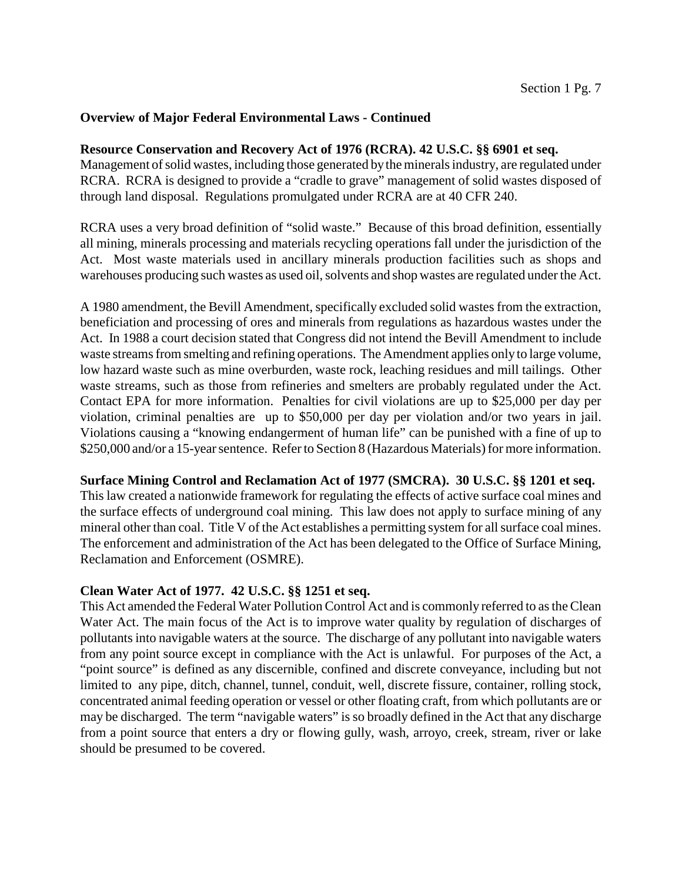# **Overview of Major Federal Environmental Laws - Continued**

#### **Resource Conservation and Recovery Act of 1976 (RCRA). 42 U.S.C. §§ 6901 et seq.**

Management of solid wastes, including those generated by the minerals industry, are regulated under RCRA. RCRA is designed to provide a "cradle to grave" management of solid wastes disposed of through land disposal. Regulations promulgated under RCRA are at 40 CFR 240.

RCRA uses a very broad definition of "solid waste." Because of this broad definition, essentially all mining, minerals processing and materials recycling operations fall under the jurisdiction of the Act. Most waste materials used in ancillary minerals production facilities such as shops and warehouses producing such wastes as used oil, solvents and shop wastes are regulated under the Act.

A 1980 amendment, the Bevill Amendment, specifically excluded solid wastes from the extraction, beneficiation and processing of ores and minerals from regulations as hazardous wastes under the Act. In 1988 a court decision stated that Congress did not intend the Bevill Amendment to include waste streams from smelting and refining operations. The Amendment applies only to large volume, low hazard waste such as mine overburden, waste rock, leaching residues and mill tailings. Other waste streams, such as those from refineries and smelters are probably regulated under the Act. Contact EPA for more information. Penalties for civil violations are up to \$25,000 per day per violation, criminal penalties are up to \$50,000 per day per violation and/or two years in jail. Violations causing a "knowing endangerment of human life" can be punished with a fine of up to \$250,000 and/or a 15-year sentence. Refer to Section 8 (Hazardous Materials) for more information.

# **Surface Mining Control and Reclamation Act of 1977 (SMCRA). 30 U.S.C. §§ 1201 et seq.**

This law created a nationwide framework for regulating the effects of active surface coal mines and the surface effects of underground coal mining. This law does not apply to surface mining of any mineral other than coal. Title V of the Act establishes a permitting system for all surface coal mines. The enforcement and administration of the Act has been delegated to the Office of Surface Mining, Reclamation and Enforcement (OSMRE).

# **Clean Water Act of 1977. 42 U.S.C. §§ 1251 et seq.**

This Act amended the Federal Water Pollution Control Act and is commonly referred to as the Clean Water Act. The main focus of the Act is to improve water quality by regulation of discharges of pollutants into navigable waters at the source. The discharge of any pollutant into navigable waters from any point source except in compliance with the Act is unlawful. For purposes of the Act, a "point source" is defined as any discernible, confined and discrete conveyance, including but not limited to any pipe, ditch, channel, tunnel, conduit, well, discrete fissure, container, rolling stock, concentrated animal feeding operation or vessel or other floating craft, from which pollutants are or may be discharged. The term "navigable waters" is so broadly defined in the Act that any discharge from a point source that enters a dry or flowing gully, wash, arroyo, creek, stream, river or lake should be presumed to be covered.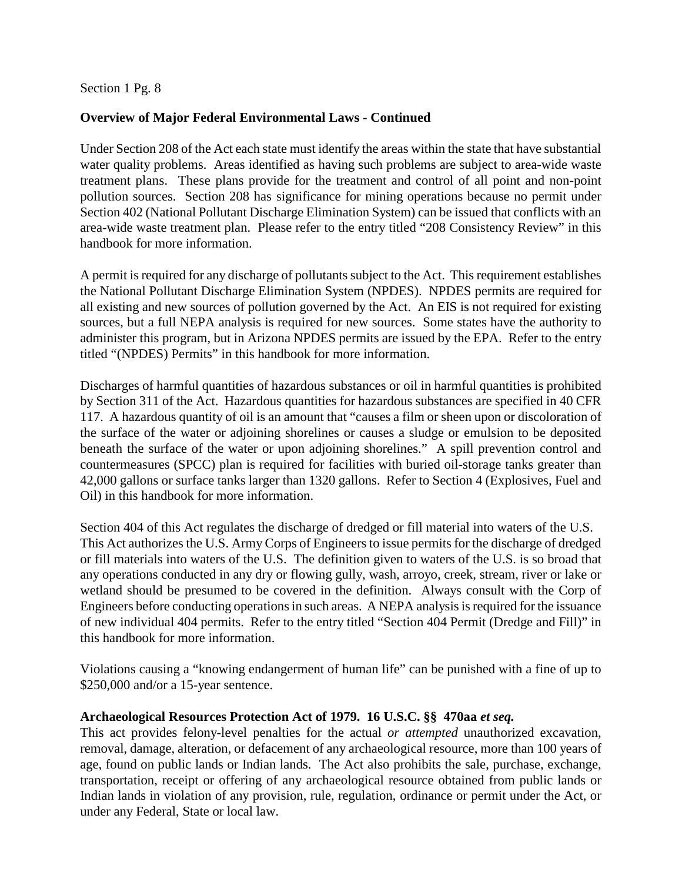# Section 1 Pg. 8

# **Overview of Major Federal Environmental Laws - Continued**

Under Section 208 of the Act each state must identify the areas within the state that have substantial water quality problems. Areas identified as having such problems are subject to area-wide waste treatment plans. These plans provide for the treatment and control of all point and non-point pollution sources. Section 208 has significance for mining operations because no permit under Section 402 (National Pollutant Discharge Elimination System) can be issued that conflicts with an area-wide waste treatment plan. Please refer to the entry titled "208 Consistency Review" in this handbook for more information.

A permit is required for any discharge of pollutants subject to the Act. This requirement establishes the National Pollutant Discharge Elimination System (NPDES). NPDES permits are required for all existing and new sources of pollution governed by the Act. An EIS is not required for existing sources, but a full NEPA analysis is required for new sources. Some states have the authority to administer this program, but in Arizona NPDES permits are issued by the EPA. Refer to the entry titled "(NPDES) Permits" in this handbook for more information.

Discharges of harmful quantities of hazardous substances or oil in harmful quantities is prohibited by Section 311 of the Act. Hazardous quantities for hazardous substances are specified in 40 CFR 117. A hazardous quantity of oil is an amount that "causes a film or sheen upon or discoloration of the surface of the water or adjoining shorelines or causes a sludge or emulsion to be deposited beneath the surface of the water or upon adjoining shorelines." A spill prevention control and countermeasures (SPCC) plan is required for facilities with buried oil-storage tanks greater than 42,000 gallons or surface tanks larger than 1320 gallons. Refer to Section 4 (Explosives, Fuel and Oil) in this handbook for more information.

Section 404 of this Act regulates the discharge of dredged or fill material into waters of the U.S. This Act authorizes the U.S. Army Corps of Engineers to issue permits for the discharge of dredged or fill materials into waters of the U.S. The definition given to waters of the U.S. is so broad that any operations conducted in any dry or flowing gully, wash, arroyo, creek, stream, river or lake or wetland should be presumed to be covered in the definition. Always consult with the Corp of Engineers before conducting operations in such areas. A NEPA analysis is required for the issuance of new individual 404 permits. Refer to the entry titled "Section 404 Permit (Dredge and Fill)" in this handbook for more information.

Violations causing a "knowing endangerment of human life" can be punished with a fine of up to \$250,000 and/or a 15-year sentence.

# **Archaeological Resources Protection Act of 1979. 16 U.S.C. §§ 470aa** *et seq.*

This act provides felony-level penalties for the actual *or attempted* unauthorized excavation, removal, damage, alteration, or defacement of any archaeological resource, more than 100 years of age, found on public lands or Indian lands. The Act also prohibits the sale, purchase, exchange, transportation, receipt or offering of any archaeological resource obtained from public lands or Indian lands in violation of any provision, rule, regulation, ordinance or permit under the Act, or under any Federal, State or local law.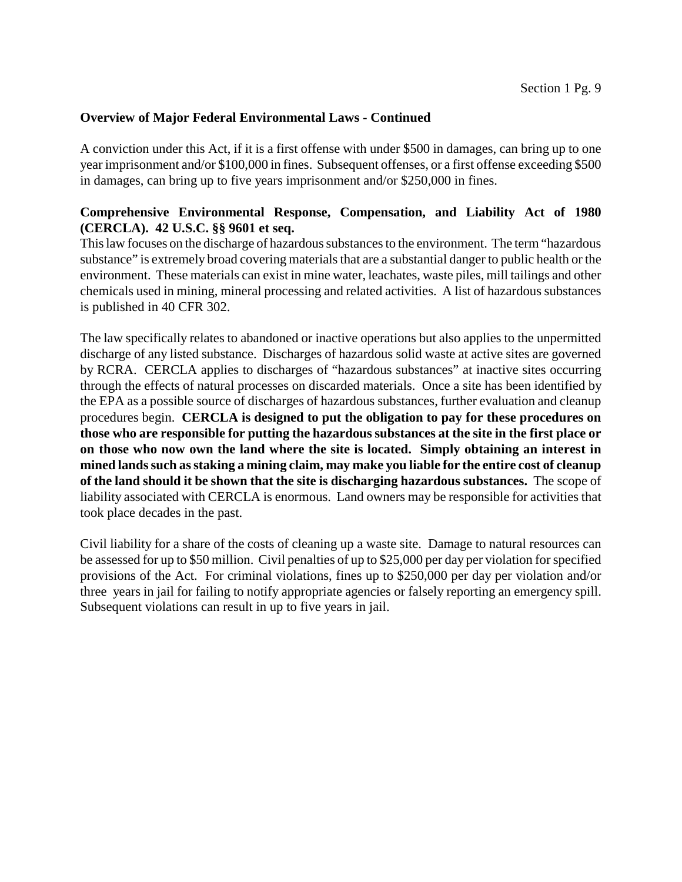# **Overview of Major Federal Environmental Laws - Continued**

A conviction under this Act, if it is a first offense with under \$500 in damages, can bring up to one year imprisonment and/or \$100,000 in fines. Subsequent offenses, or a first offense exceeding \$500 in damages, can bring up to five years imprisonment and/or \$250,000 in fines.

# **Comprehensive Environmental Response, Compensation, and Liability Act of 1980 (CERCLA). 42 U.S.C. §§ 9601 et seq.**

This law focuses on the discharge of hazardous substances to the environment. The term "hazardous substance" is extremely broad covering materials that are a substantial danger to public health or the environment. These materials can exist in mine water, leachates, waste piles, mill tailings and other chemicals used in mining, mineral processing and related activities. A list of hazardous substances is published in 40 CFR 302.

The law specifically relates to abandoned or inactive operations but also applies to the unpermitted discharge of any listed substance. Discharges of hazardous solid waste at active sites are governed by RCRA. CERCLA applies to discharges of "hazardous substances" at inactive sites occurring through the effects of natural processes on discarded materials. Once a site has been identified by the EPA as a possible source of discharges of hazardous substances, further evaluation and cleanup procedures begin. **CERCLA is designed to put the obligation to pay for these procedures on those who are responsible for putting the hazardous substances at the site in the first place or on those who now own the land where the site is located. Simply obtaining an interest in mined lands such as staking a mining claim, may make you liable for the entire cost of cleanup of the land should it be shown that the site is discharging hazardous substances.** The scope of liability associated with CERCLA is enormous. Land owners may be responsible for activities that took place decades in the past.

Civil liability for a share of the costs of cleaning up a waste site. Damage to natural resources can be assessed for up to \$50 million. Civil penalties of up to \$25,000 per day per violation for specified provisions of the Act. For criminal violations, fines up to \$250,000 per day per violation and/or three years in jail for failing to notify appropriate agencies or falsely reporting an emergency spill. Subsequent violations can result in up to five years in jail.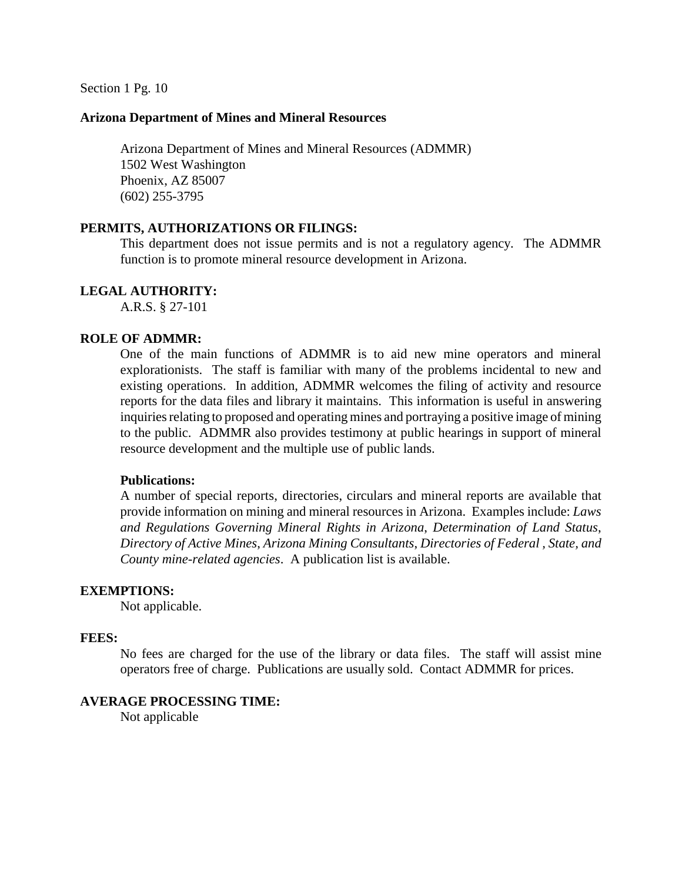Section 1 Pg. 10

#### **Arizona Department of Mines and Mineral Resources**

Arizona Department of Mines and Mineral Resources (ADMMR) 1502 West Washington Phoenix, AZ 85007 (602) 255-3795

#### **PERMITS, AUTHORIZATIONS OR FILINGS:**

This department does not issue permits and is not a regulatory agency. The ADMMR function is to promote mineral resource development in Arizona.

#### **LEGAL AUTHORITY:**

A.R.S. § 27-101

### **ROLE OF ADMMR:**

One of the main functions of ADMMR is to aid new mine operators and mineral explorationists. The staff is familiar with many of the problems incidental to new and existing operations. In addition, ADMMR welcomes the filing of activity and resource reports for the data files and library it maintains. This information is useful in answering inquiries relating to proposed and operating mines and portraying a positive image of mining to the public. ADMMR also provides testimony at public hearings in support of mineral resource development and the multiple use of public lands.

#### **Publications:**

A number of special reports, directories, circulars and mineral reports are available that provide information on mining and mineral resources in Arizona. Examples include: *Laws and Regulations Governing Mineral Rights in Arizona*, *Determination of Land Status*, *Directory of Active Mines*, *Arizona Mining Consultants*, *Directories of Federal , State, and County mine-related agencies*. A publication list is available.

#### **EXEMPTIONS:**

Not applicable.

#### **FEES:**

No fees are charged for the use of the library or data files. The staff will assist mine operators free of charge. Publications are usually sold. Contact ADMMR for prices.

#### **AVERAGE PROCESSING TIME:**

Not applicable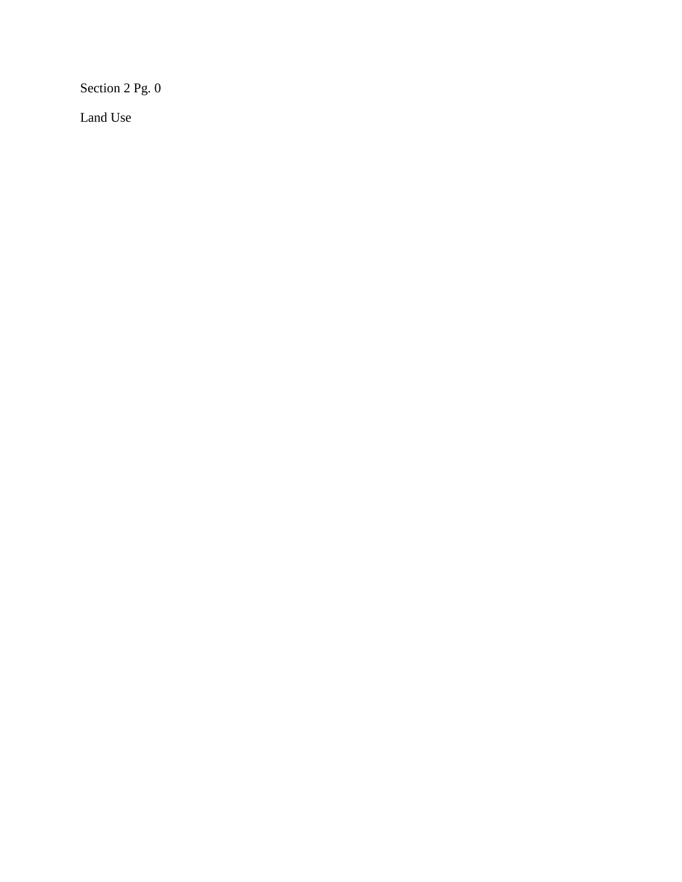Section 2 Pg. 0

Land Use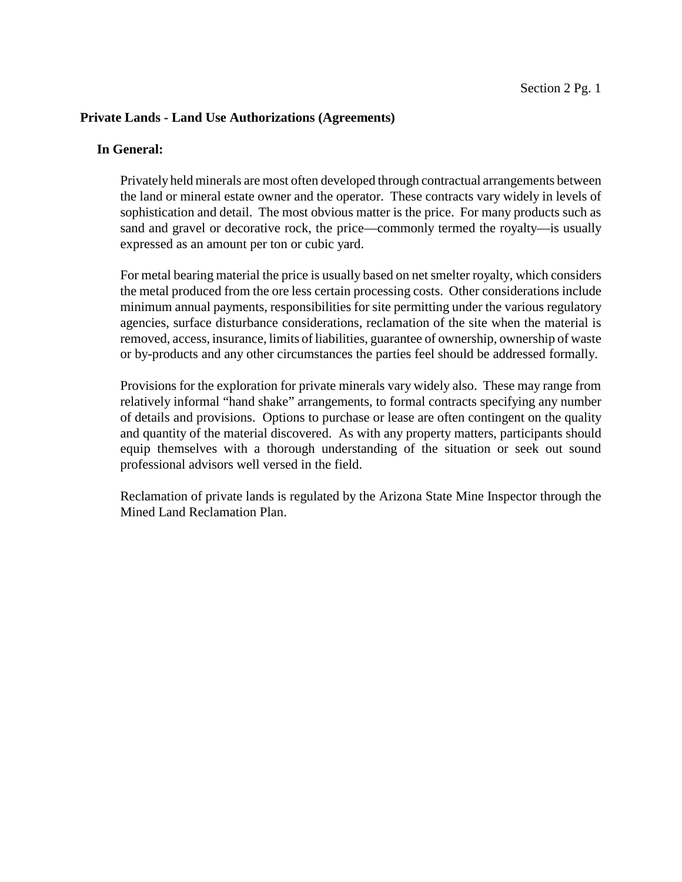#### **Private Lands - Land Use Authorizations (Agreements)**

# **In General:**

Privately held minerals are most often developed through contractual arrangements between the land or mineral estate owner and the operator. These contracts vary widely in levels of sophistication and detail. The most obvious matter is the price. For many products such as sand and gravel or decorative rock, the price—commonly termed the royalty—is usually expressed as an amount per ton or cubic yard.

For metal bearing material the price is usually based on net smelter royalty, which considers the metal produced from the ore less certain processing costs. Other considerations include minimum annual payments, responsibilities for site permitting under the various regulatory agencies, surface disturbance considerations, reclamation of the site when the material is removed, access, insurance, limits of liabilities, guarantee of ownership, ownership of waste or by-products and any other circumstances the parties feel should be addressed formally.

Provisions for the exploration for private minerals vary widely also. These may range from relatively informal "hand shake" arrangements, to formal contracts specifying any number of details and provisions. Options to purchase or lease are often contingent on the quality and quantity of the material discovered. As with any property matters, participants should equip themselves with a thorough understanding of the situation or seek out sound professional advisors well versed in the field.

Reclamation of private lands is regulated by the Arizona State Mine Inspector through the Mined Land Reclamation Plan.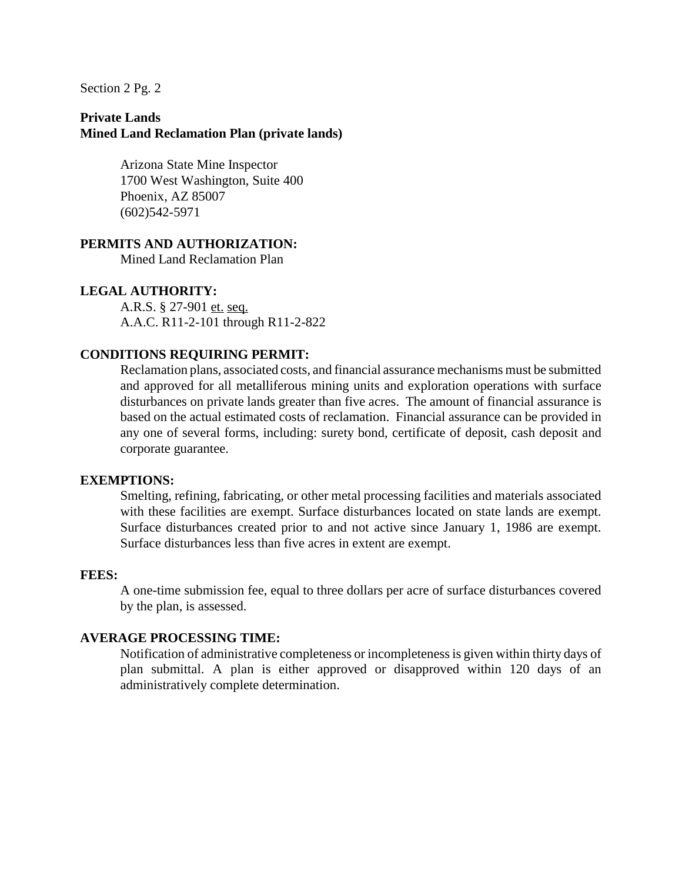Section 2 Pg. 2

# **Private Lands Mined Land Reclamation Plan (private lands)**

Arizona State Mine Inspector 1700 West Washington, Suite 400 Phoenix, AZ 85007 (602)542-5971

#### **PERMITS AND AUTHORIZATION:**

Mined Land Reclamation Plan

#### **LEGAL AUTHORITY:**

A.R.S. § 27-901 et. seq. A.A.C. R11-2-101 through R11-2-822

#### **CONDITIONS REQUIRING PERMIT:**

Reclamation plans, associated costs, and financial assurance mechanisms must be submitted and approved for all metalliferous mining units and exploration operations with surface disturbances on private lands greater than five acres. The amount of financial assurance is based on the actual estimated costs of reclamation. Financial assurance can be provided in any one of several forms, including: surety bond, certificate of deposit, cash deposit and corporate guarantee.

#### **EXEMPTIONS:**

Smelting, refining, fabricating, or other metal processing facilities and materials associated with these facilities are exempt. Surface disturbances located on state lands are exempt. Surface disturbances created prior to and not active since January 1, 1986 are exempt. Surface disturbances less than five acres in extent are exempt.

#### **FEES:**

A one-time submission fee, equal to three dollars per acre of surface disturbances covered by the plan, is assessed.

# **AVERAGE PROCESSING TIME:**

Notification of administrative completeness or incompleteness is given within thirty days of plan submittal. A plan is either approved or disapproved within 120 days of an administratively complete determination.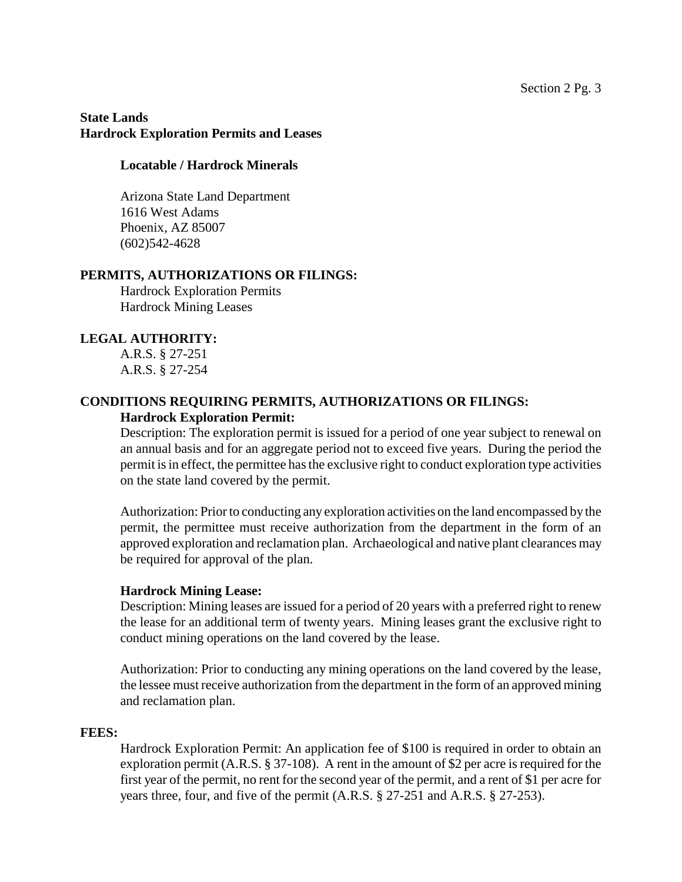# **State Lands Hardrock Exploration Permits and Leases**

#### **Locatable / Hardrock Minerals**

Arizona State Land Department 1616 West Adams Phoenix, AZ 85007 (602)542-4628

#### **PERMITS, AUTHORIZATIONS OR FILINGS:**

Hardrock Exploration Permits Hardrock Mining Leases

# **LEGAL AUTHORITY:**

A.R.S. § 27-251 A.R.S. § 27-254

# **CONDITIONS REQUIRING PERMITS, AUTHORIZATIONS OR FILINGS: Hardrock Exploration Permit:**

Description: The exploration permit is issued for a period of one year subject to renewal on an annual basis and for an aggregate period not to exceed five years. During the period the permit is in effect, the permittee has the exclusive right to conduct exploration type activities on the state land covered by the permit.

Authorization: Prior to conducting any exploration activities on the land encompassed by the permit, the permittee must receive authorization from the department in the form of an approved exploration and reclamation plan. Archaeological and native plant clearances may be required for approval of the plan.

# **Hardrock Mining Lease:**

Description: Mining leases are issued for a period of 20 years with a preferred right to renew the lease for an additional term of twenty years. Mining leases grant the exclusive right to conduct mining operations on the land covered by the lease.

Authorization: Prior to conducting any mining operations on the land covered by the lease, the lessee must receive authorization from the department in the form of an approved mining and reclamation plan.

#### **FEES:**

Hardrock Exploration Permit: An application fee of \$100 is required in order to obtain an exploration permit (A.R.S. § 37-108). A rent in the amount of \$2 per acre is required for the first year of the permit, no rent for the second year of the permit, and a rent of \$1 per acre for years three, four, and five of the permit (A.R.S. § 27-251 and A.R.S. § 27-253).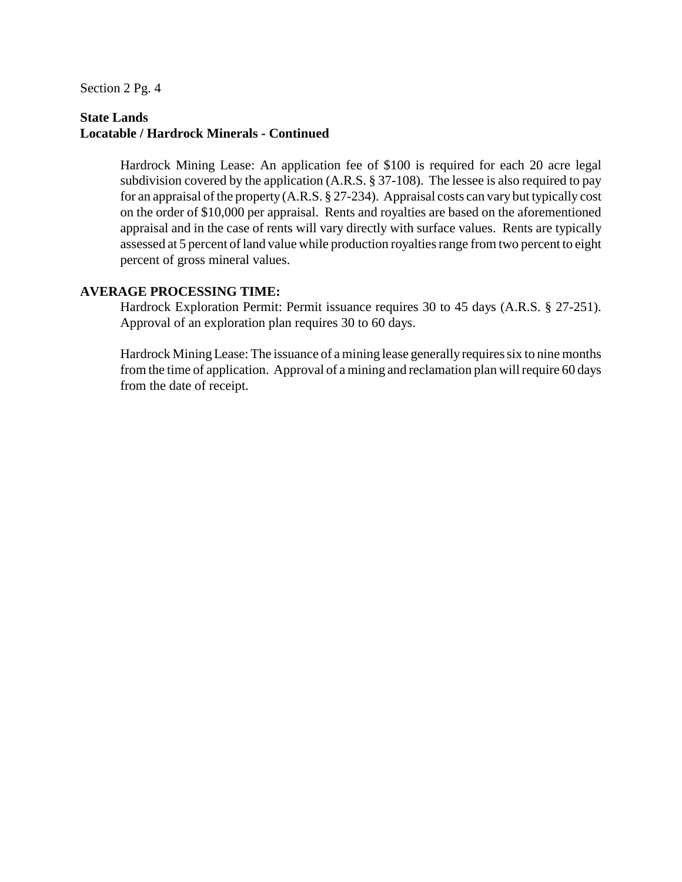Section 2 Pg. 4

# **State Lands Locatable / Hardrock Minerals - Continued**

Hardrock Mining Lease: An application fee of \$100 is required for each 20 acre legal subdivision covered by the application (A.R.S. § 37-108). The lessee is also required to pay for an appraisal of the property (A.R.S. § 27-234). Appraisal costs can vary but typically cost on the order of \$10,000 per appraisal. Rents and royalties are based on the aforementioned appraisal and in the case of rents will vary directly with surface values. Rents are typically assessed at 5 percent of land value while production royalties range from two percent to eight percent of gross mineral values.

#### **AVERAGE PROCESSING TIME:**

Hardrock Exploration Permit: Permit issuance requires 30 to 45 days (A.R.S. § 27-251). Approval of an exploration plan requires 30 to 60 days.

Hardrock Mining Lease: The issuance of a mining lease generally requires six to nine months from the time of application. Approval of a mining and reclamation plan will require 60 days from the date of receipt.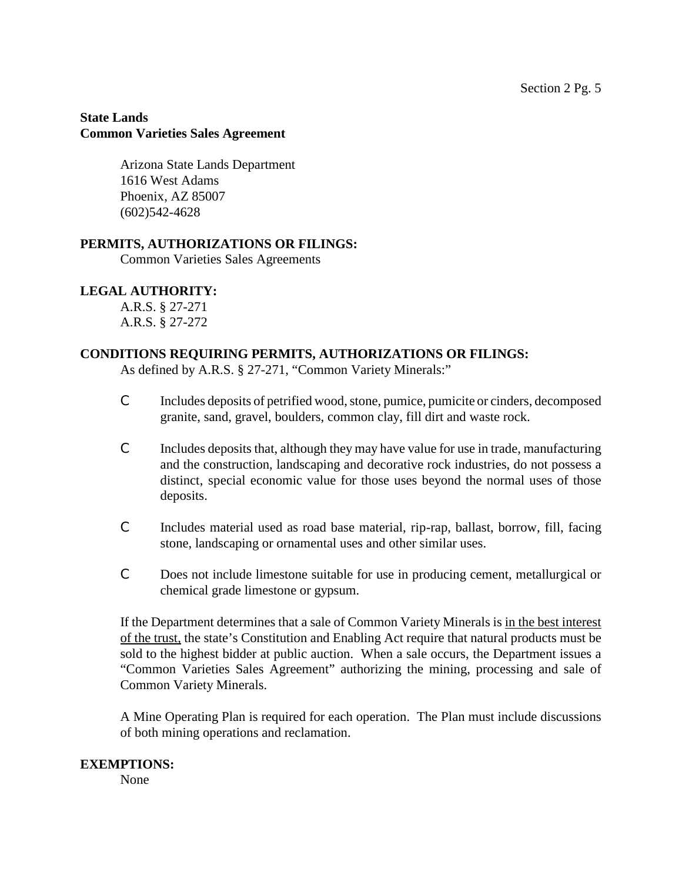# **State Lands Common Varieties Sales Agreement**

Arizona State Lands Department 1616 West Adams Phoenix, AZ 85007 (602)542-4628

# **PERMITS, AUTHORIZATIONS OR FILINGS:**

Common Varieties Sales Agreements

# **LEGAL AUTHORITY:**

A.R.S. § 27-271 A.R.S. § 27-272

# **CONDITIONS REQUIRING PERMITS, AUTHORIZATIONS OR FILINGS:**

As defined by A.R.S. § 27-271, "Common Variety Minerals:"

- C Includes deposits of petrified wood, stone, pumice, pumicite or cinders, decomposed granite, sand, gravel, boulders, common clay, fill dirt and waste rock.
- C Includes deposits that, although they may have value for use in trade, manufacturing and the construction, landscaping and decorative rock industries, do not possess a distinct, special economic value for those uses beyond the normal uses of those deposits.
- C Includes material used as road base material, rip-rap, ballast, borrow, fill, facing stone, landscaping or ornamental uses and other similar uses.
- C Does not include limestone suitable for use in producing cement, metallurgical or chemical grade limestone or gypsum.

If the Department determines that a sale of Common Variety Minerals is in the best interest of the trust, the state's Constitution and Enabling Act require that natural products must be sold to the highest bidder at public auction. When a sale occurs, the Department issues a "Common Varieties Sales Agreement" authorizing the mining, processing and sale of Common Variety Minerals.

A Mine Operating Plan is required for each operation. The Plan must include discussions of both mining operations and reclamation.

# **EXEMPTIONS:**

None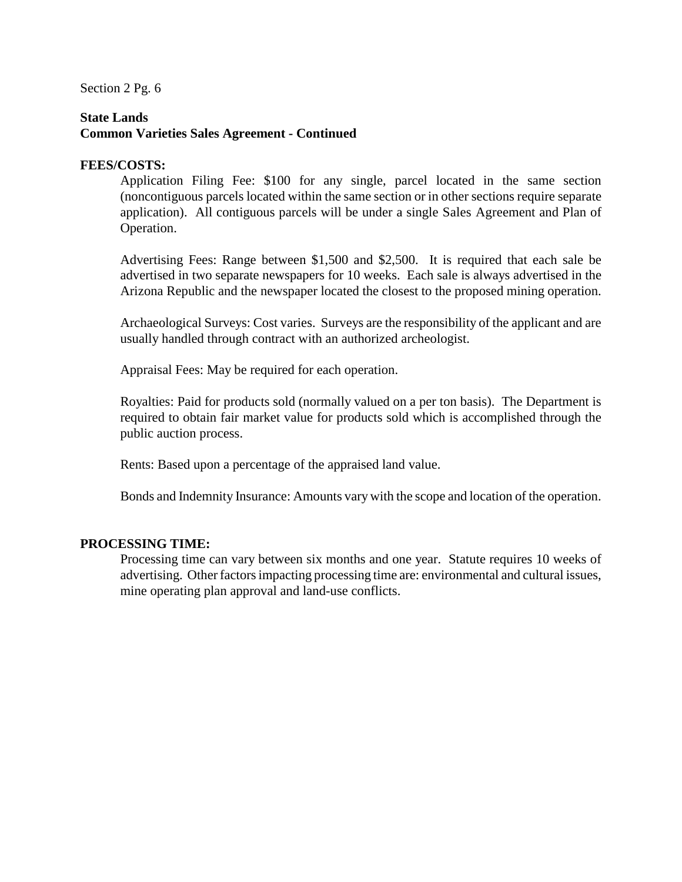Section 2 Pg. 6

# **State Lands Common Varieties Sales Agreement - Continued**

# **FEES/COSTS:**

Application Filing Fee: \$100 for any single, parcel located in the same section (noncontiguous parcels located within the same section or in other sections require separate application). All contiguous parcels will be under a single Sales Agreement and Plan of Operation.

Advertising Fees: Range between \$1,500 and \$2,500. It is required that each sale be advertised in two separate newspapers for 10 weeks. Each sale is always advertised in the Arizona Republic and the newspaper located the closest to the proposed mining operation.

Archaeological Surveys: Cost varies. Surveys are the responsibility of the applicant and are usually handled through contract with an authorized archeologist.

Appraisal Fees: May be required for each operation.

Royalties: Paid for products sold (normally valued on a per ton basis). The Department is required to obtain fair market value for products sold which is accomplished through the public auction process.

Rents: Based upon a percentage of the appraised land value.

Bonds and Indemnity Insurance: Amounts vary with the scope and location of the operation.

# **PROCESSING TIME:**

Processing time can vary between six months and one year. Statute requires 10 weeks of advertising. Other factors impacting processing time are: environmental and cultural issues, mine operating plan approval and land-use conflicts.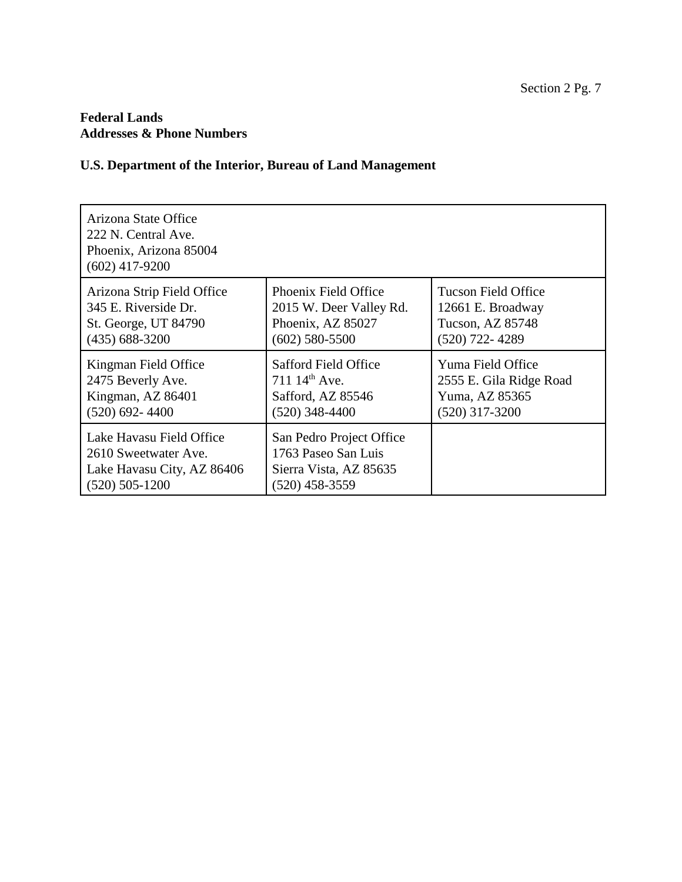# **Federal Lands Addresses & Phone Numbers**

# **U.S. Department of the Interior, Bureau of Land Management**

| Arizona State Office<br>222 N. Central Ave.<br>Phoenix, Arizona 85004<br>$(602)$ 417-9200            |                                                                                             |                            |
|------------------------------------------------------------------------------------------------------|---------------------------------------------------------------------------------------------|----------------------------|
| Arizona Strip Field Office                                                                           | Phoenix Field Office                                                                        | <b>Tucson Field Office</b> |
| 345 E. Riverside Dr.                                                                                 | 2015 W. Deer Valley Rd.                                                                     | 12661 E. Broadway          |
| St. George, UT 84790                                                                                 | Phoenix, AZ 85027                                                                           | Tucson, AZ 85748           |
| $(435) 688 - 3200$                                                                                   | $(602)$ 580-5500                                                                            | $(520)$ 722-4289           |
| Kingman Field Office                                                                                 | <b>Safford Field Office</b>                                                                 | Yuma Field Office          |
| 2475 Beverly Ave.                                                                                    | 711 $14^{\text{th}}$ Ave.                                                                   | 2555 E. Gila Ridge Road    |
| Kingman, AZ 86401                                                                                    | Safford, AZ 85546                                                                           | Yuma, AZ 85365             |
| $(520)$ 692-4400                                                                                     | $(520)$ 348-4400                                                                            | $(520)$ 317-3200           |
| Lake Havasu Field Office<br>2610 Sweetwater Ave.<br>Lake Havasu City, AZ 86406<br>$(520) 505 - 1200$ | San Pedro Project Office<br>1763 Paseo San Luis<br>Sierra Vista, AZ 85635<br>(520) 458-3559 |                            |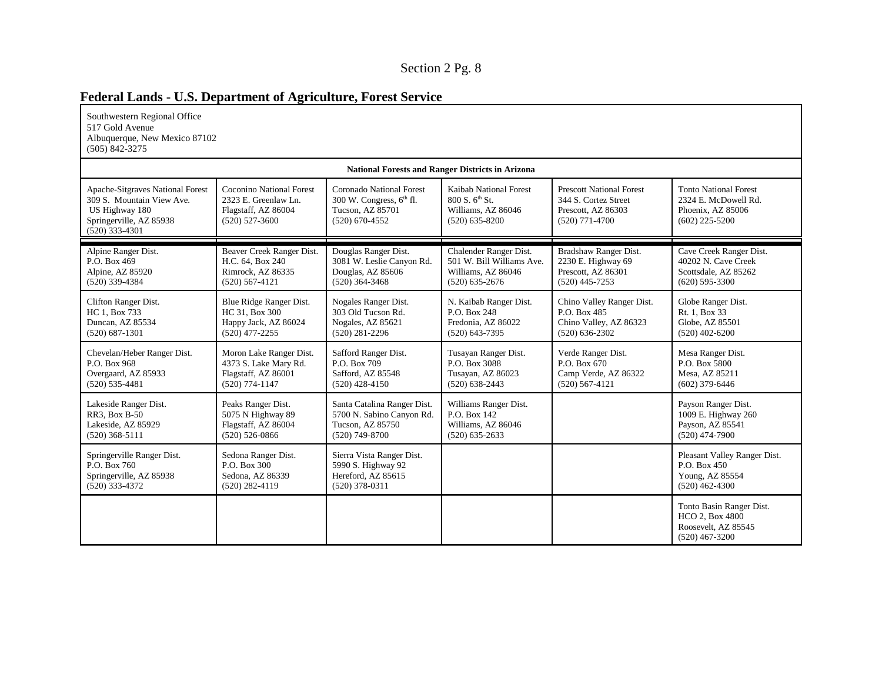| Section 2 Pg. 8 |  |  |  |
|-----------------|--|--|--|
|-----------------|--|--|--|

# **Federal Lands - U.S. Department of Agriculture, Forest Service**

| Southwestern Regional Office<br>517 Gold Avenue<br>Albuquerque, New Mexico 87102<br>$(505)$ 842-3275                           |                                                                                                      |                                                                                                     |                                                                                                |                                                                                                   |                                                                                               |
|--------------------------------------------------------------------------------------------------------------------------------|------------------------------------------------------------------------------------------------------|-----------------------------------------------------------------------------------------------------|------------------------------------------------------------------------------------------------|---------------------------------------------------------------------------------------------------|-----------------------------------------------------------------------------------------------|
|                                                                                                                                |                                                                                                      |                                                                                                     | <b>National Forests and Ranger Districts in Arizona</b>                                        |                                                                                                   |                                                                                               |
| Apache-Sitgraves National Forest<br>309 S. Mountain View Ave.<br>US Highway 180<br>Springerville, AZ 85938<br>$(520)$ 333-4301 | <b>Coconino National Forest</b><br>2323 E. Greenlaw Ln.<br>Flagstaff, AZ 86004<br>$(520) 527 - 3600$ | <b>Coronado National Forest</b><br>300 W. Congress, 6th fl.<br>Tucson, AZ 85701<br>$(520)$ 670-4552 | Kaibab National Forest<br>800 S. 6 <sup>th</sup> St.<br>Williams, AZ 86046<br>$(520)$ 635-8200 | <b>Prescott National Forest</b><br>344 S. Cortez Street<br>Prescott, AZ 86303<br>$(520)$ 771-4700 | <b>Tonto National Forest</b><br>2324 E. McDowell Rd.<br>Phoenix, AZ 85006<br>$(602)$ 225-5200 |
| Alpine Ranger Dist.<br>P.O. Box 469<br>Alpine, AZ 85920<br>$(520)$ 339-4384                                                    | Beaver Creek Ranger Dist.<br>H.C. 64, Box 240<br>Rimrock, AZ 86335<br>$(520) 567 - 4121$             | Douglas Ranger Dist.<br>3081 W. Leslie Canyon Rd.<br>Douglas, AZ 85606<br>$(520)$ 364-3468          | Chalender Ranger Dist.<br>501 W. Bill Williams Ave.<br>Williams, AZ 86046<br>$(520)$ 635-2676  | Bradshaw Ranger Dist.<br>2230 E. Highway 69<br>Prescott, AZ 86301<br>$(520)$ 445-7253             | Cave Creek Ranger Dist.<br>40202 N. Cave Creek<br>Scottsdale, AZ 85262<br>$(620)$ 595-3300    |
| Clifton Ranger Dist.<br>HC 1. Box 733<br>Duncan, AZ 85534<br>$(520) 687 - 1301$                                                | Blue Ridge Ranger Dist.<br>HC 31, Box 300<br>Happy Jack, AZ 86024<br>$(520)$ 477-2255                | Nogales Ranger Dist.<br>303 Old Tucson Rd.<br>Nogales, AZ 85621<br>$(520)$ 281-2296                 | N. Kaibab Ranger Dist.<br>P.O. Box 248<br>Fredonia, AZ 86022<br>$(520)$ 643-7395               | Chino Valley Ranger Dist.<br>P.O. Box 485<br>Chino Valley, AZ 86323<br>$(520) 636 - 2302$         | Globe Ranger Dist.<br>Rt. 1, Box 33<br>Globe, AZ 85501<br>$(520)$ 402-6200                    |
| Chevelan/Heber Ranger Dist.<br>P.O. Box 968<br>Overgaard, AZ 85933<br>$(520) 535 - 4481$                                       | Moron Lake Ranger Dist.<br>4373 S. Lake Mary Rd.<br>Flagstaff, AZ 86001<br>$(520)$ 774-1147          | Safford Ranger Dist.<br>P.O. Box 709<br>Safford, AZ 85548<br>$(520)$ 428-4150                       | Tusayan Ranger Dist.<br>P.O. Box 3088<br>Tusayan, AZ 86023<br>$(520)$ 638-2443                 | Verde Ranger Dist.<br>P.O. Box 670<br>Camp Verde, AZ 86322<br>$(520) 567 - 4121$                  | Mesa Ranger Dist.<br>P.O. Box 5800<br>Mesa, AZ 85211<br>$(602)$ 379-6446                      |
| Lakeside Ranger Dist.<br>RR3, Box B-50<br>Lakeside, AZ 85929<br>$(520)$ 368-5111                                               | Peaks Ranger Dist.<br>5075 N Highway 89<br>Flagstaff, AZ 86004<br>$(520) 526 - 0866$                 | Santa Catalina Ranger Dist.<br>5700 N. Sabino Canyon Rd.<br>Tucson, AZ 85750<br>$(520)$ 749-8700    | Williams Ranger Dist.<br>P.O. Box 142<br>Williams, AZ 86046<br>$(520)$ 635-2633                |                                                                                                   | Payson Ranger Dist.<br>1009 E. Highway 260<br>Payson, AZ 85541<br>$(520)$ 474-7900            |
| Springerville Ranger Dist.<br>P.O. Box 760<br>Springerville, AZ 85938<br>$(520)$ 333-4372                                      | Sedona Ranger Dist.<br>P.O. Box 300<br>Sedona, AZ 86339<br>$(520)$ 282-4119                          | Sierra Vista Ranger Dist.<br>5990 S. Highway 92<br>Hereford, AZ 85615<br>$(520)$ 378-0311           |                                                                                                |                                                                                                   | Pleasant Valley Ranger Dist.<br>P.O. Box 450<br>Young, AZ 85554<br>$(520)$ 462-4300           |
|                                                                                                                                |                                                                                                      |                                                                                                     |                                                                                                |                                                                                                   | Tonto Basin Ranger Dist.<br><b>HCO 2, Box 4800</b><br>Roosevelt, AZ 85545<br>$(520)$ 467-3200 |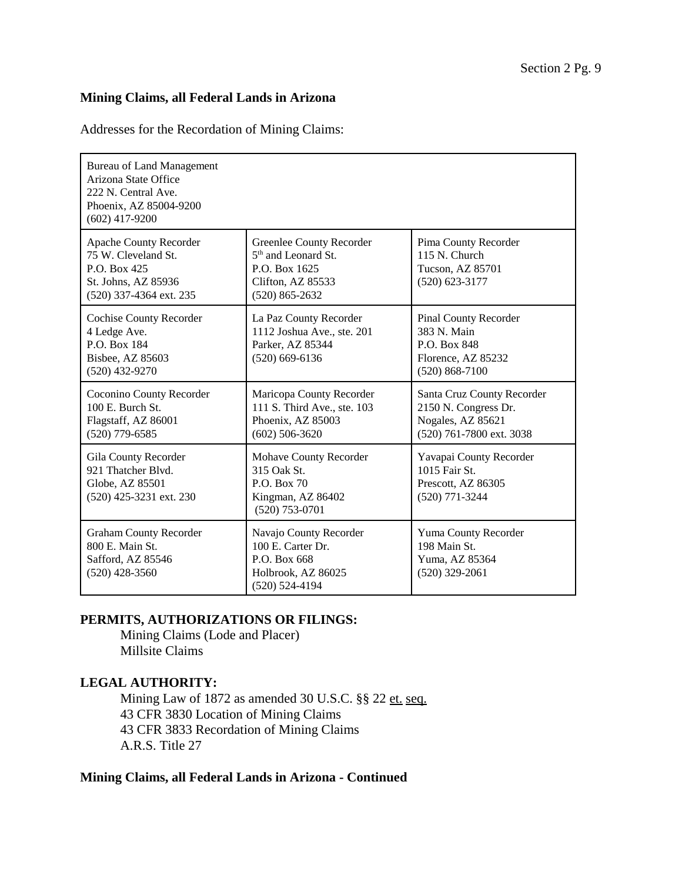#### **Mining Claims, all Federal Lands in Arizona**

Addresses for the Recordation of Mining Claims:

| <b>Bureau of Land Management</b><br>Arizona State Office<br>222 N. Central Ave.<br>Phoenix, AZ 85004-9200<br>$(602)$ 417-9200 |                                                                                                                         |                                                                                                         |
|-------------------------------------------------------------------------------------------------------------------------------|-------------------------------------------------------------------------------------------------------------------------|---------------------------------------------------------------------------------------------------------|
| Apache County Recorder<br>75 W. Cleveland St.<br>P.O. Box 425<br>St. Johns, AZ 85936<br>(520) 337-4364 ext. 235               | Greenlee County Recorder<br>5 <sup>th</sup> and Leonard St.<br>P.O. Box 1625<br>Clifton, AZ 85533<br>$(520) 865 - 2632$ | Pima County Recorder<br>115 N. Church<br>Tucson, AZ 85701<br>$(520)$ 623-3177                           |
| Cochise County Recorder<br>4 Ledge Ave.<br>P.O. Box 184<br>Bisbee, AZ 85603<br>$(520)$ 432-9270                               | La Paz County Recorder<br>1112 Joshua Ave., ste. 201<br>Parker, AZ 85344<br>$(520)$ 669-6136                            | <b>Pinal County Recorder</b><br>383 N. Main<br>P.O. Box 848<br>Florence, AZ 85232<br>$(520) 868 - 7100$ |
| Coconino County Recorder<br>100 E. Burch St.<br>Flagstaff, AZ 86001<br>$(520)$ 779-6585                                       | Maricopa County Recorder<br>111 S. Third Ave., ste. 103<br>Phoenix, AZ 85003<br>$(602) 506 - 3620$                      | Santa Cruz County Recorder<br>2150 N. Congress Dr.<br>Nogales, AZ 85621<br>(520) 761-7800 ext. 3038     |
| Gila County Recorder<br>921 Thatcher Blvd.<br>Globe, AZ 85501<br>(520) 425-3231 ext. 230                                      | Mohave County Recorder<br>315 Oak St.<br>P.O. Box 70<br>Kingman, AZ 86402<br>$(520)$ 753-0701                           | Yavapai County Recorder<br>1015 Fair St.<br>Prescott, AZ 86305<br>(520) 771-3244                        |
| <b>Graham County Recorder</b><br>800 E. Main St.<br>Safford, AZ 85546<br>$(520)$ 428-3560                                     | Navajo County Recorder<br>100 E. Carter Dr.<br>P.O. Box 668<br>Holbrook, AZ 86025<br>$(520) 524 - 4194$                 | Yuma County Recorder<br>198 Main St.<br>Yuma, AZ 85364<br>$(520)$ 329-2061                              |

# **PERMITS, AUTHORIZATIONS OR FILINGS:**

Mining Claims (Lode and Placer) Millsite Claims

# **LEGAL AUTHORITY:**

Mining Law of 1872 as amended 30 U.S.C. §§ 22 et. seq. 43 CFR 3830 Location of Mining Claims 43 CFR 3833 Recordation of Mining Claims A.R.S. Title 27

# **Mining Claims, all Federal Lands in Arizona - Continued**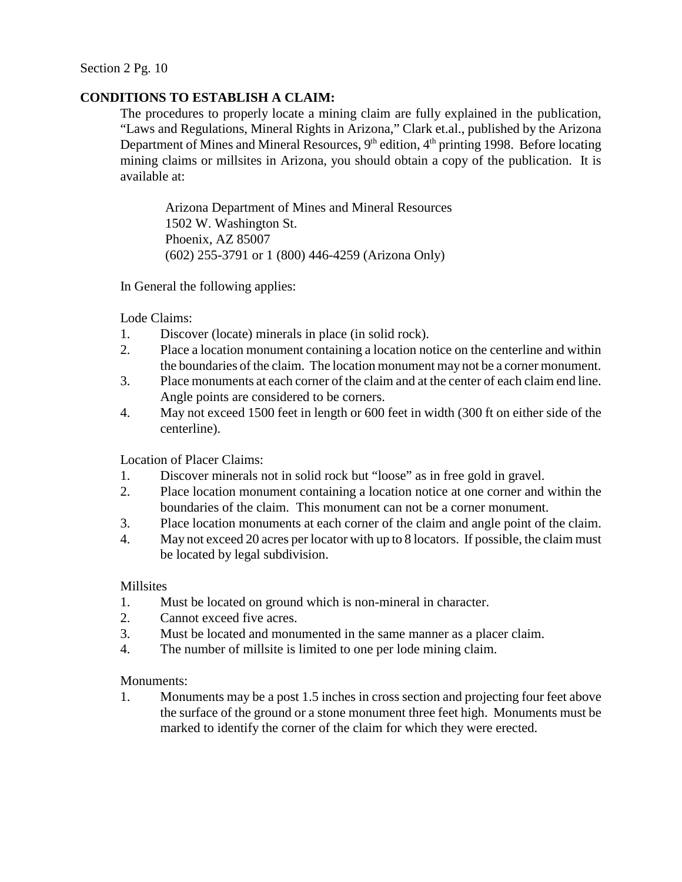# **CONDITIONS TO ESTABLISH A CLAIM:**

The procedures to properly locate a mining claim are fully explained in the publication, "Laws and Regulations, Mineral Rights in Arizona," Clark et.al., published by the Arizona Department of Mines and Mineral Resources,  $9<sup>th</sup>$  edition,  $4<sup>th</sup>$  printing 1998. Before locating mining claims or millsites in Arizona, you should obtain a copy of the publication. It is available at:

Arizona Department of Mines and Mineral Resources 1502 W. Washington St. Phoenix, AZ 85007 (602) 255-3791 or 1 (800) 446-4259 (Arizona Only)

In General the following applies:

Lode Claims:

- 1. Discover (locate) minerals in place (in solid rock).
- 2. Place a location monument containing a location notice on the centerline and within the boundaries of the claim. The location monument may not be a corner monument.
- 3. Place monuments at each corner of the claim and at the center of each claim end line. Angle points are considered to be corners.
- 4. May not exceed 1500 feet in length or 600 feet in width (300 ft on either side of the centerline).

Location of Placer Claims:

- 1. Discover minerals not in solid rock but "loose" as in free gold in gravel.
- 2. Place location monument containing a location notice at one corner and within the boundaries of the claim. This monument can not be a corner monument.
- 3. Place location monuments at each corner of the claim and angle point of the claim.
- 4. May not exceed 20 acres per locator with up to 8 locators. If possible, the claim must be located by legal subdivision.

Millsites

- 1. Must be located on ground which is non-mineral in character.
- 2. Cannot exceed five acres.
- 3. Must be located and monumented in the same manner as a placer claim.
- 4. The number of millsite is limited to one per lode mining claim.

Monuments:

1. Monuments may be a post 1.5 inches in cross section and projecting four feet above the surface of the ground or a stone monument three feet high. Monuments must be marked to identify the corner of the claim for which they were erected.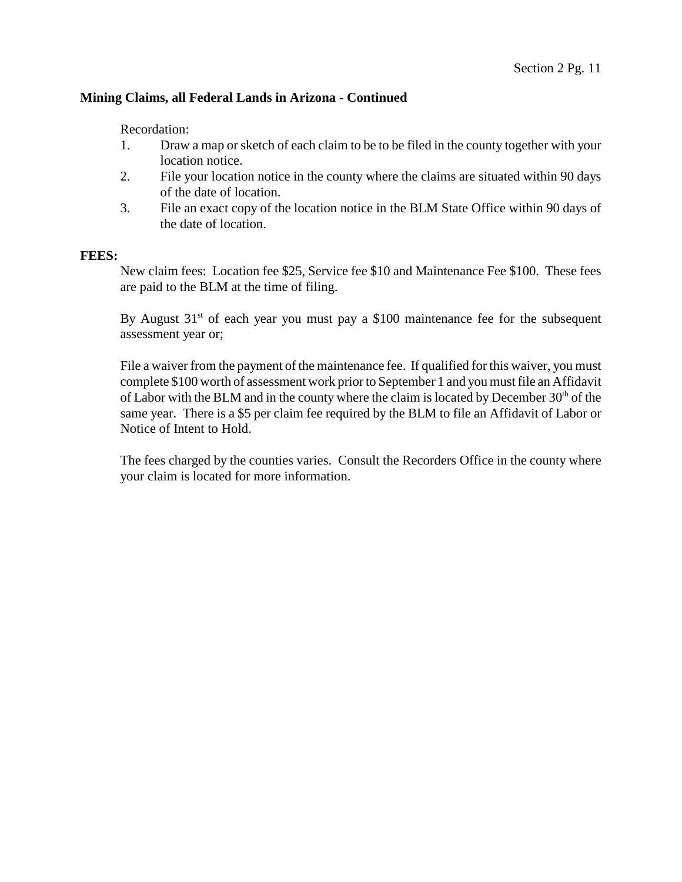# **Mining Claims, all Federal Lands in Arizona - Continued**

Recordation:

- 1. Draw a map or sketch of each claim to be to be filed in the county together with your location notice.
- 2. File your location notice in the county where the claims are situated within 90 days of the date of location.
- 3. File an exact copy of the location notice in the BLM State Office within 90 days of the date of location.

#### **FEES:**

New claim fees: Location fee \$25, Service fee \$10 and Maintenance Fee \$100. These fees are paid to the BLM at the time of filing.

By August  $31<sup>st</sup>$  of each year you must pay a \$100 maintenance fee for the subsequent assessment year or;

File a waiver from the payment of the maintenance fee. If qualified for this waiver, you must complete \$100 worth of assessment work prior to September 1 and you must file an Affidavit of Labor with the BLM and in the county where the claim is located by December  $30<sup>th</sup>$  of the same year. There is a \$5 per claim fee required by the BLM to file an Affidavit of Labor or Notice of Intent to Hold.

The fees charged by the counties varies. Consult the Recorders Office in the county where your claim is located for more information.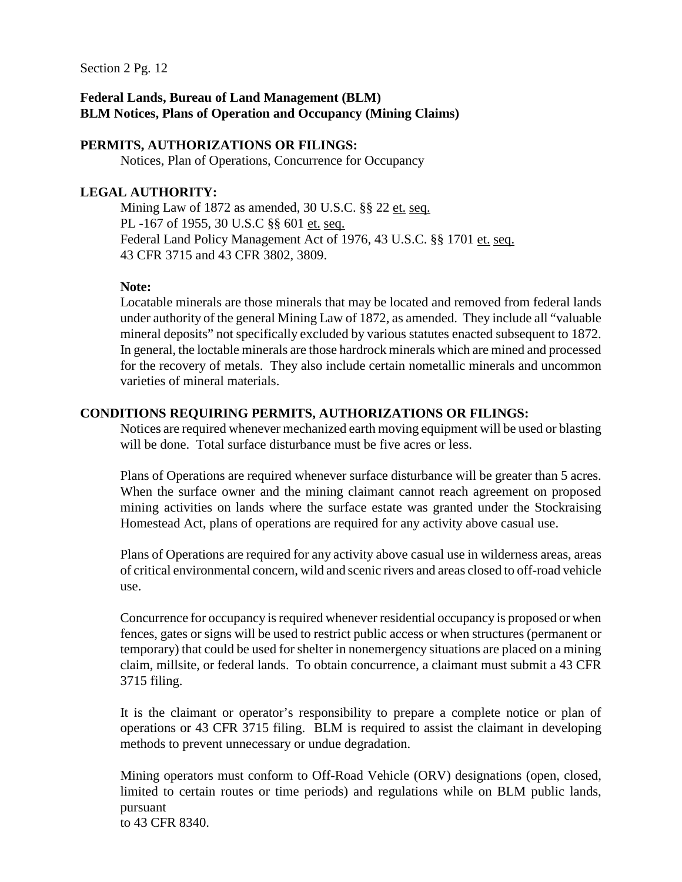# Section 2 Pg. 12

# **Federal Lands, Bureau of Land Management (BLM) BLM Notices, Plans of Operation and Occupancy (Mining Claims)**

# **PERMITS, AUTHORIZATIONS OR FILINGS:**

Notices, Plan of Operations, Concurrence for Occupancy

# **LEGAL AUTHORITY:**

Mining Law of 1872 as amended, 30 U.S.C. §§ 22 et. seq. PL -167 of 1955, 30 U.S.C §§ 601 et. seq. Federal Land Policy Management Act of 1976, 43 U.S.C. §§ 1701 et. seq. 43 CFR 3715 and 43 CFR 3802, 3809.

# **Note:**

Locatable minerals are those minerals that may be located and removed from federal lands under authority of the general Mining Law of 1872, as amended. They include all "valuable mineral deposits" not specifically excluded by various statutes enacted subsequent to 1872. In general, the loctable minerals are those hardrock minerals which are mined and processed for the recovery of metals. They also include certain nometallic minerals and uncommon varieties of mineral materials.

# **CONDITIONS REQUIRING PERMITS, AUTHORIZATIONS OR FILINGS:**

Notices are required whenever mechanized earth moving equipment will be used or blasting will be done. Total surface disturbance must be five acres or less.

Plans of Operations are required whenever surface disturbance will be greater than 5 acres. When the surface owner and the mining claimant cannot reach agreement on proposed mining activities on lands where the surface estate was granted under the Stockraising Homestead Act, plans of operations are required for any activity above casual use.

Plans of Operations are required for any activity above casual use in wilderness areas, areas of critical environmental concern, wild and scenic rivers and areas closed to off-road vehicle use.

Concurrence for occupancy is required whenever residential occupancy is proposed or when fences, gates or signs will be used to restrict public access or when structures (permanent or temporary) that could be used for shelter in nonemergency situations are placed on a mining claim, millsite, or federal lands. To obtain concurrence, a claimant must submit a 43 CFR 3715 filing.

It is the claimant or operator's responsibility to prepare a complete notice or plan of operations or 43 CFR 3715 filing. BLM is required to assist the claimant in developing methods to prevent unnecessary or undue degradation.

Mining operators must conform to Off-Road Vehicle (ORV) designations (open, closed, limited to certain routes or time periods) and regulations while on BLM public lands, pursuant to 43 CFR 8340.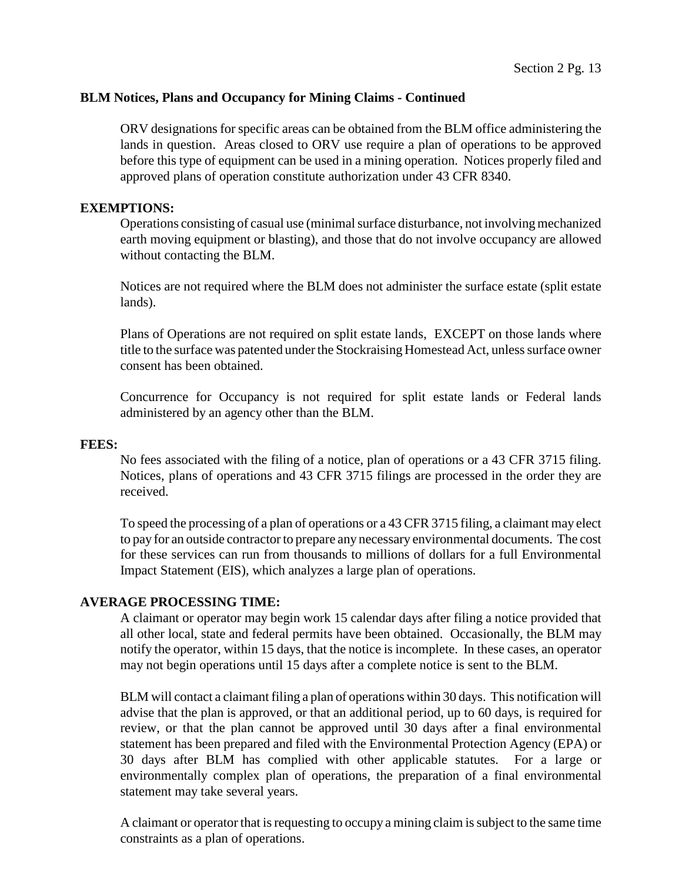# **BLM Notices, Plans and Occupancy for Mining Claims - Continued**

ORV designations for specific areas can be obtained from the BLM office administering the lands in question. Areas closed to ORV use require a plan of operations to be approved before this type of equipment can be used in a mining operation. Notices properly filed and approved plans of operation constitute authorization under 43 CFR 8340.

# **EXEMPTIONS:**

Operations consisting of casual use (minimal surface disturbance, not involving mechanized earth moving equipment or blasting), and those that do not involve occupancy are allowed without contacting the BLM.

Notices are not required where the BLM does not administer the surface estate (split estate lands).

Plans of Operations are not required on split estate lands, EXCEPT on those lands where title to the surface was patented under the Stockraising Homestead Act, unless surface owner consent has been obtained.

Concurrence for Occupancy is not required for split estate lands or Federal lands administered by an agency other than the BLM.

#### **FEES:**

No fees associated with the filing of a notice, plan of operations or a 43 CFR 3715 filing. Notices, plans of operations and 43 CFR 3715 filings are processed in the order they are received.

To speed the processing of a plan of operations or a 43 CFR 3715 filing, a claimant may elect to pay for an outside contractor to prepare any necessary environmental documents. The cost for these services can run from thousands to millions of dollars for a full Environmental Impact Statement (EIS), which analyzes a large plan of operations.

# **AVERAGE PROCESSING TIME:**

A claimant or operator may begin work 15 calendar days after filing a notice provided that all other local, state and federal permits have been obtained. Occasionally, the BLM may notify the operator, within 15 days, that the notice is incomplete. In these cases, an operator may not begin operations until 15 days after a complete notice is sent to the BLM.

BLM will contact a claimant filing a plan of operations within 30 days. This notification will advise that the plan is approved, or that an additional period, up to 60 days, is required for review, or that the plan cannot be approved until 30 days after a final environmental statement has been prepared and filed with the Environmental Protection Agency (EPA) or 30 days after BLM has complied with other applicable statutes. For a large or environmentally complex plan of operations, the preparation of a final environmental statement may take several years.

A claimant or operator that is requesting to occupy a mining claim is subject to the same time constraints as a plan of operations.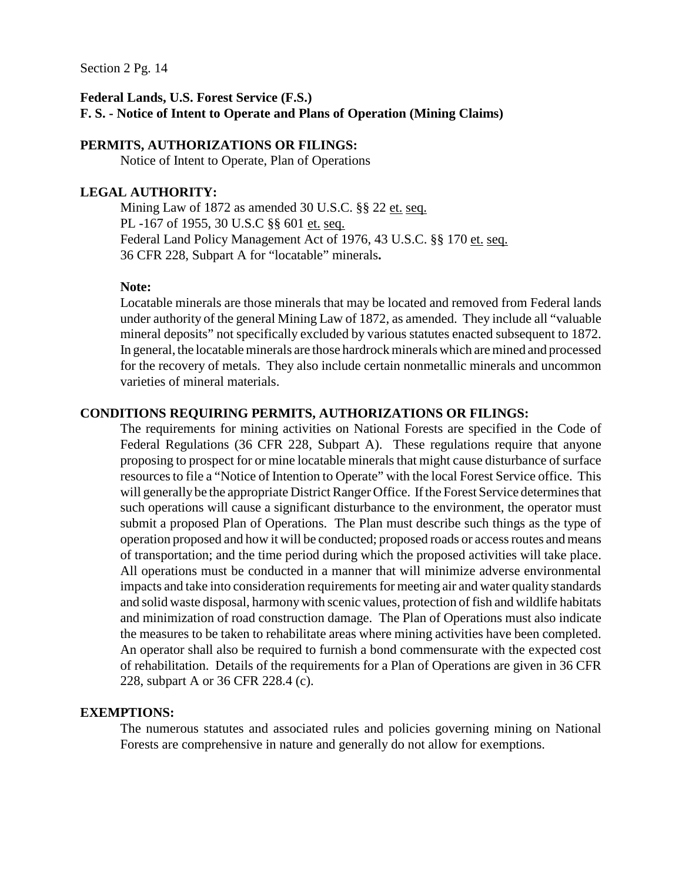**Federal Lands, U.S. Forest Service (F.S.) F. S. - Notice of Intent to Operate and Plans of Operation (Mining Claims)**

# **PERMITS, AUTHORIZATIONS OR FILINGS:**

Notice of Intent to Operate, Plan of Operations

# **LEGAL AUTHORITY:**

Mining Law of 1872 as amended 30 U.S.C. §§ 22 et. seq. PL -167 of 1955, 30 U.S.C §§ 601 et. seq. Federal Land Policy Management Act of 1976, 43 U.S.C. §§ 170 et. seq. 36 CFR 228, Subpart A for "locatable" minerals**.**

# **Note:**

Locatable minerals are those minerals that may be located and removed from Federal lands under authority of the general Mining Law of 1872, as amended. They include all "valuable mineral deposits" not specifically excluded by various statutes enacted subsequent to 1872. In general, the locatable minerals are those hardrock minerals which are mined and processed for the recovery of metals. They also include certain nonmetallic minerals and uncommon varieties of mineral materials.

# **CONDITIONS REQUIRING PERMITS, AUTHORIZATIONS OR FILINGS:**

The requirements for mining activities on National Forests are specified in the Code of Federal Regulations (36 CFR 228, Subpart A). These regulations require that anyone proposing to prospect for or mine locatable minerals that might cause disturbance of surface resources to file a "Notice of Intention to Operate" with the local Forest Service office. This will generally be the appropriate District Ranger Office. If the Forest Service determines that such operations will cause a significant disturbance to the environment, the operator must submit a proposed Plan of Operations. The Plan must describe such things as the type of operation proposed and how it will be conducted; proposed roads or access routes and means of transportation; and the time period during which the proposed activities will take place. All operations must be conducted in a manner that will minimize adverse environmental impacts and take into consideration requirements for meeting air and water quality standards and solid waste disposal, harmony with scenic values, protection of fish and wildlife habitats and minimization of road construction damage. The Plan of Operations must also indicate the measures to be taken to rehabilitate areas where mining activities have been completed. An operator shall also be required to furnish a bond commensurate with the expected cost of rehabilitation. Details of the requirements for a Plan of Operations are given in 36 CFR 228, subpart A or 36 CFR 228.4 (c).

# **EXEMPTIONS:**

The numerous statutes and associated rules and policies governing mining on National Forests are comprehensive in nature and generally do not allow for exemptions.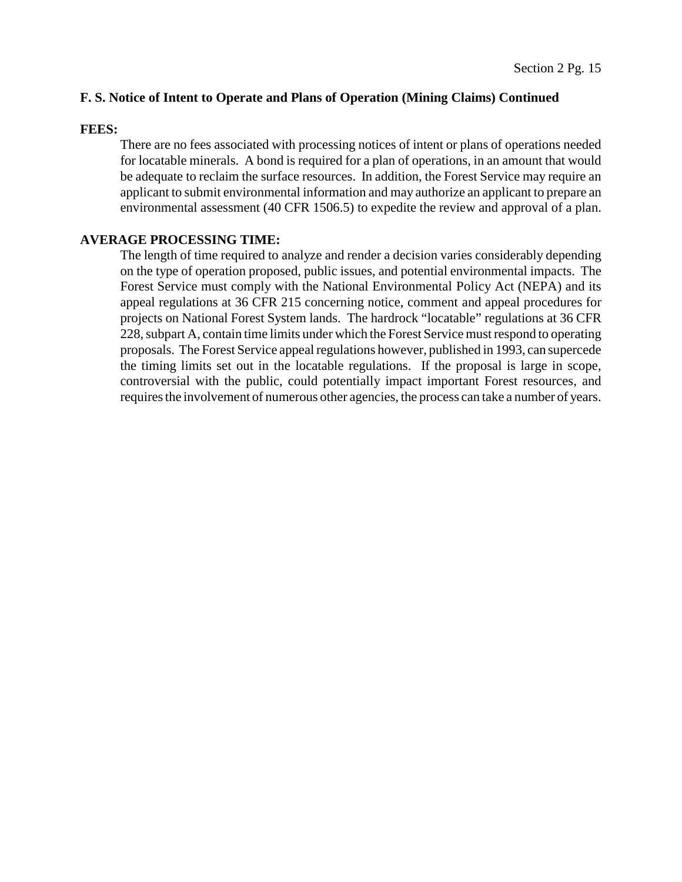# **F. S. Notice of Intent to Operate and Plans of Operation (Mining Claims) Continued**

#### **FEES:**

There are no fees associated with processing notices of intent or plans of operations needed for locatable minerals. A bond is required for a plan of operations, in an amount that would be adequate to reclaim the surface resources. In addition, the Forest Service may require an applicant to submit environmental information and may authorize an applicant to prepare an environmental assessment (40 CFR 1506.5) to expedite the review and approval of a plan.

#### **AVERAGE PROCESSING TIME:**

The length of time required to analyze and render a decision varies considerably depending on the type of operation proposed, public issues, and potential environmental impacts. The Forest Service must comply with the National Environmental Policy Act (NEPA) and its appeal regulations at 36 CFR 215 concerning notice, comment and appeal procedures for projects on National Forest System lands. The hardrock "locatable" regulations at 36 CFR 228, subpart A, contain time limits under which the Forest Service must respond to operating proposals. The Forest Service appeal regulations however, published in 1993, can supercede the timing limits set out in the locatable regulations. If the proposal is large in scope, controversial with the public, could potentially impact important Forest resources, and requires the involvement of numerous other agencies, the process can take a number of years.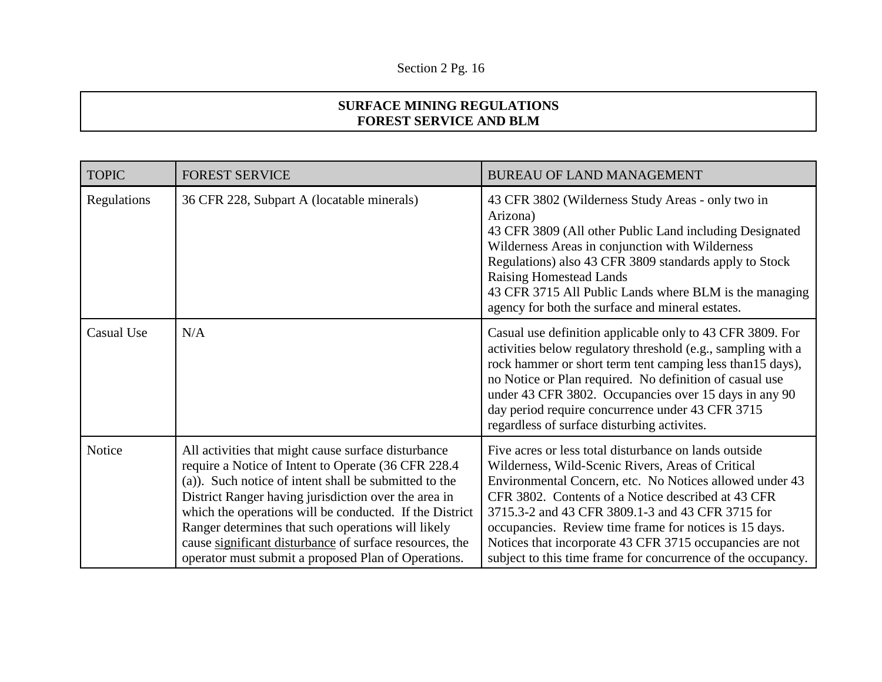# Section 2 Pg. 16

# **SURFACE MINING REGULATIONS FOREST SERVICE AND BLM**

| <b>TOPIC</b> | <b>FOREST SERVICE</b>                                                                                                                                                                                                                                                                                                                                                                                                                                           | <b>BUREAU OF LAND MANAGEMENT</b>                                                                                                                                                                                                                                                                                                                                                                                                                                      |
|--------------|-----------------------------------------------------------------------------------------------------------------------------------------------------------------------------------------------------------------------------------------------------------------------------------------------------------------------------------------------------------------------------------------------------------------------------------------------------------------|-----------------------------------------------------------------------------------------------------------------------------------------------------------------------------------------------------------------------------------------------------------------------------------------------------------------------------------------------------------------------------------------------------------------------------------------------------------------------|
| Regulations  | 36 CFR 228, Subpart A (locatable minerals)                                                                                                                                                                                                                                                                                                                                                                                                                      | 43 CFR 3802 (Wilderness Study Areas - only two in<br>Arizona)<br>43 CFR 3809 (All other Public Land including Designated<br>Wilderness Areas in conjunction with Wilderness<br>Regulations) also 43 CFR 3809 standards apply to Stock<br><b>Raising Homestead Lands</b><br>43 CFR 3715 All Public Lands where BLM is the managing<br>agency for both the surface and mineral estates.                                                                                 |
| Casual Use   | N/A                                                                                                                                                                                                                                                                                                                                                                                                                                                             | Casual use definition applicable only to 43 CFR 3809. For<br>activities below regulatory threshold (e.g., sampling with a<br>rock hammer or short term tent camping less than 15 days),<br>no Notice or Plan required. No definition of casual use<br>under 43 CFR 3802. Occupancies over 15 days in any 90<br>day period require concurrence under 43 CFR 3715<br>regardless of surface disturbing activites.                                                        |
| Notice       | All activities that might cause surface disturbance<br>require a Notice of Intent to Operate (36 CFR 228.4)<br>(a)). Such notice of intent shall be submitted to the<br>District Ranger having jurisdiction over the area in<br>which the operations will be conducted. If the District<br>Ranger determines that such operations will likely<br>cause significant disturbance of surface resources, the<br>operator must submit a proposed Plan of Operations. | Five acres or less total disturbance on lands outside<br>Wilderness, Wild-Scenic Rivers, Areas of Critical<br>Environmental Concern, etc. No Notices allowed under 43<br>CFR 3802. Contents of a Notice described at 43 CFR<br>3715.3-2 and 43 CFR 3809.1-3 and 43 CFR 3715 for<br>occupancies. Review time frame for notices is 15 days.<br>Notices that incorporate 43 CFR 3715 occupancies are not<br>subject to this time frame for concurrence of the occupancy. |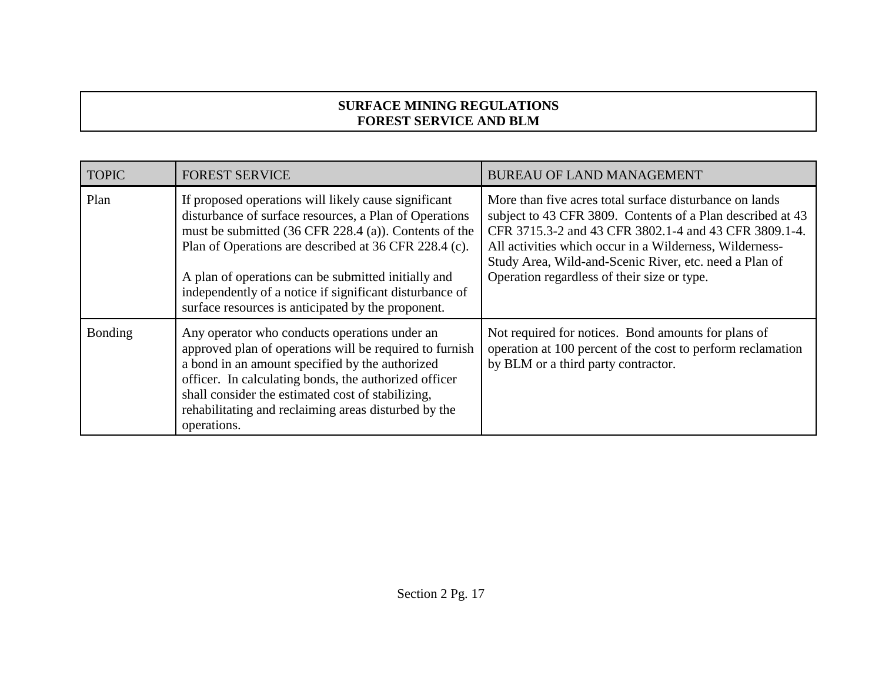| <b>TOPIC</b>   | <b>FOREST SERVICE</b>                                                                                                                                                                                                                                                                                                                                                                                    | <b>BUREAU OF LAND MANAGEMENT</b>                                                                                                                                                                                                                                                                                                                   |
|----------------|----------------------------------------------------------------------------------------------------------------------------------------------------------------------------------------------------------------------------------------------------------------------------------------------------------------------------------------------------------------------------------------------------------|----------------------------------------------------------------------------------------------------------------------------------------------------------------------------------------------------------------------------------------------------------------------------------------------------------------------------------------------------|
| Plan           | If proposed operations will likely cause significant<br>disturbance of surface resources, a Plan of Operations<br>must be submitted (36 CFR 228.4 (a)). Contents of the<br>Plan of Operations are described at 36 CFR 228.4 (c).<br>A plan of operations can be submitted initially and<br>independently of a notice if significant disturbance of<br>surface resources is anticipated by the proponent. | More than five acres total surface disturbance on lands<br>subject to 43 CFR 3809. Contents of a Plan described at 43<br>CFR 3715.3-2 and 43 CFR 3802.1-4 and 43 CFR 3809.1-4.<br>All activities which occur in a Wilderness, Wilderness-<br>Study Area, Wild-and-Scenic River, etc. need a Plan of<br>Operation regardless of their size or type. |
| <b>Bonding</b> | Any operator who conducts operations under an<br>approved plan of operations will be required to furnish<br>a bond in an amount specified by the authorized<br>officer. In calculating bonds, the authorized officer<br>shall consider the estimated cost of stabilizing,<br>rehabilitating and reclaiming areas disturbed by the<br>operations.                                                         | Not required for notices. Bond amounts for plans of<br>operation at 100 percent of the cost to perform reclamation<br>by BLM or a third party contractor.                                                                                                                                                                                          |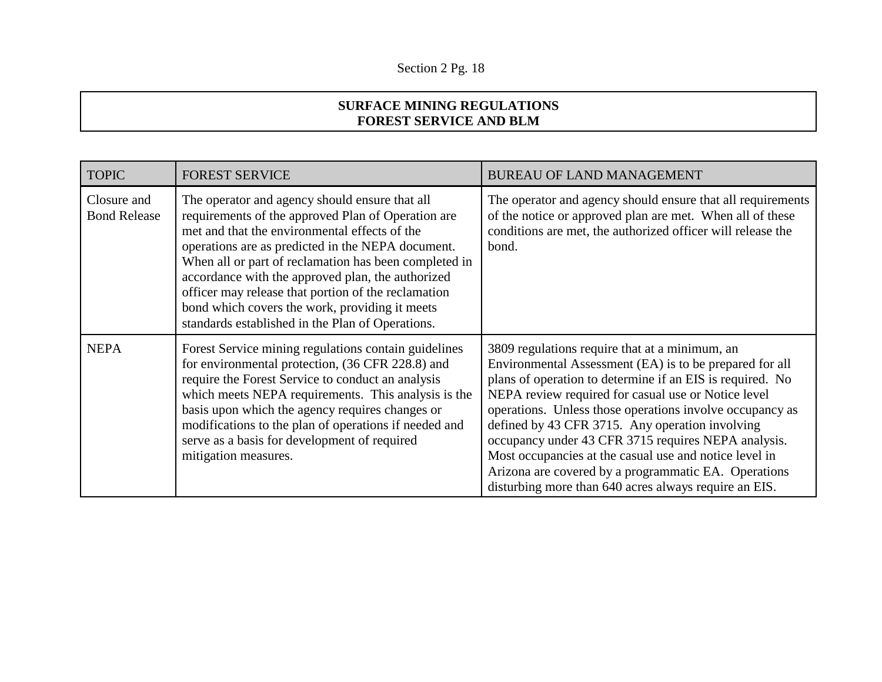# Section 2 Pg. 18

| <b>TOPIC</b>                       | <b>FOREST SERVICE</b>                                                                                                                                                                                                                                                                                                                                                                                                                                                                 | <b>BUREAU OF LAND MANAGEMENT</b>                                                                                                                                                                                                                                                                                                                                                                                                                                                                                                                                               |
|------------------------------------|---------------------------------------------------------------------------------------------------------------------------------------------------------------------------------------------------------------------------------------------------------------------------------------------------------------------------------------------------------------------------------------------------------------------------------------------------------------------------------------|--------------------------------------------------------------------------------------------------------------------------------------------------------------------------------------------------------------------------------------------------------------------------------------------------------------------------------------------------------------------------------------------------------------------------------------------------------------------------------------------------------------------------------------------------------------------------------|
| Closure and<br><b>Bond Release</b> | The operator and agency should ensure that all<br>requirements of the approved Plan of Operation are<br>met and that the environmental effects of the<br>operations are as predicted in the NEPA document.<br>When all or part of reclamation has been completed in<br>accordance with the approved plan, the authorized<br>officer may release that portion of the reclamation<br>bond which covers the work, providing it meets<br>standards established in the Plan of Operations. | The operator and agency should ensure that all requirements<br>of the notice or approved plan are met. When all of these<br>conditions are met, the authorized officer will release the<br>bond.                                                                                                                                                                                                                                                                                                                                                                               |
| <b>NEPA</b>                        | Forest Service mining regulations contain guidelines<br>for environmental protection, (36 CFR 228.8) and<br>require the Forest Service to conduct an analysis<br>which meets NEPA requirements. This analysis is the<br>basis upon which the agency requires changes or<br>modifications to the plan of operations if needed and<br>serve as a basis for development of required<br>mitigation measures.                                                                              | 3809 regulations require that at a minimum, an<br>Environmental Assessment (EA) is to be prepared for all<br>plans of operation to determine if an EIS is required. No<br>NEPA review required for casual use or Notice level<br>operations. Unless those operations involve occupancy as<br>defined by 43 CFR 3715. Any operation involving<br>occupancy under 43 CFR 3715 requires NEPA analysis.<br>Most occupancies at the casual use and notice level in<br>Arizona are covered by a programmatic EA. Operations<br>disturbing more than 640 acres always require an EIS. |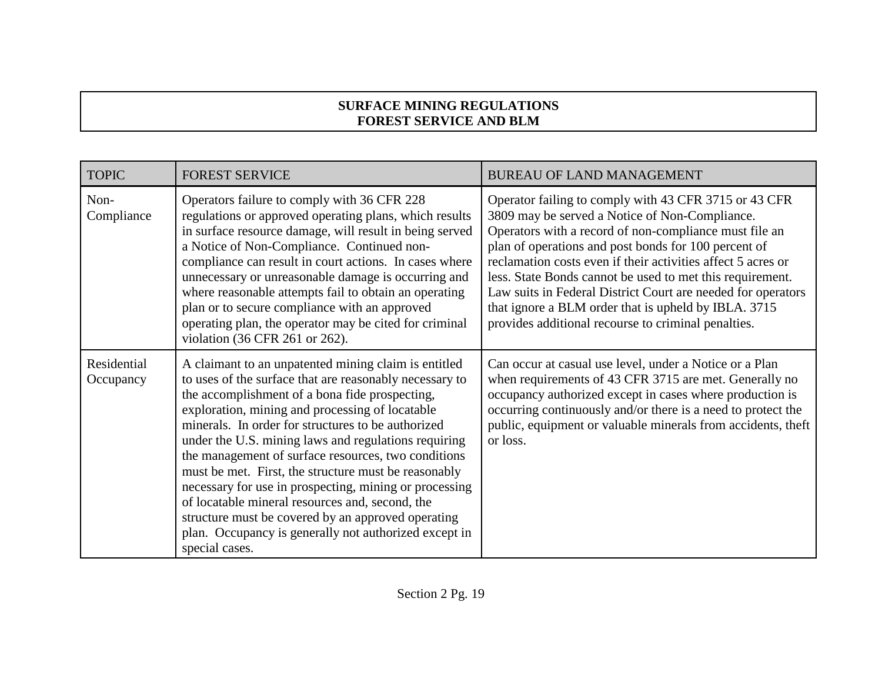| <b>TOPIC</b>             | <b>FOREST SERVICE</b>                                                                                                                                                                                                                                                                                                                                                                                                                                                                                                                                                                                                                                                                           | <b>BUREAU OF LAND MANAGEMENT</b>                                                                                                                                                                                                                                                                                                                                                                                                                                                                                                      |
|--------------------------|-------------------------------------------------------------------------------------------------------------------------------------------------------------------------------------------------------------------------------------------------------------------------------------------------------------------------------------------------------------------------------------------------------------------------------------------------------------------------------------------------------------------------------------------------------------------------------------------------------------------------------------------------------------------------------------------------|---------------------------------------------------------------------------------------------------------------------------------------------------------------------------------------------------------------------------------------------------------------------------------------------------------------------------------------------------------------------------------------------------------------------------------------------------------------------------------------------------------------------------------------|
| Non-<br>Compliance       | Operators failure to comply with 36 CFR 228<br>regulations or approved operating plans, which results<br>in surface resource damage, will result in being served<br>a Notice of Non-Compliance. Continued non-<br>compliance can result in court actions. In cases where<br>unnecessary or unreasonable damage is occurring and<br>where reasonable attempts fail to obtain an operating<br>plan or to secure compliance with an approved<br>operating plan, the operator may be cited for criminal<br>violation (36 CFR 261 or 262).                                                                                                                                                           | Operator failing to comply with 43 CFR 3715 or 43 CFR<br>3809 may be served a Notice of Non-Compliance.<br>Operators with a record of non-compliance must file an<br>plan of operations and post bonds for 100 percent of<br>reclamation costs even if their activities affect 5 acres or<br>less. State Bonds cannot be used to met this requirement.<br>Law suits in Federal District Court are needed for operators<br>that ignore a BLM order that is upheld by IBLA. 3715<br>provides additional recourse to criminal penalties. |
| Residential<br>Occupancy | A claimant to an unpatented mining claim is entitled<br>to uses of the surface that are reasonably necessary to<br>the accomplishment of a bona fide prospecting,<br>exploration, mining and processing of locatable<br>minerals. In order for structures to be authorized<br>under the U.S. mining laws and regulations requiring<br>the management of surface resources, two conditions<br>must be met. First, the structure must be reasonably<br>necessary for use in prospecting, mining or processing<br>of locatable mineral resources and, second, the<br>structure must be covered by an approved operating<br>plan. Occupancy is generally not authorized except in<br>special cases. | Can occur at casual use level, under a Notice or a Plan<br>when requirements of 43 CFR 3715 are met. Generally no<br>occupancy authorized except in cases where production is<br>occurring continuously and/or there is a need to protect the<br>public, equipment or valuable minerals from accidents, theft<br>or loss.                                                                                                                                                                                                             |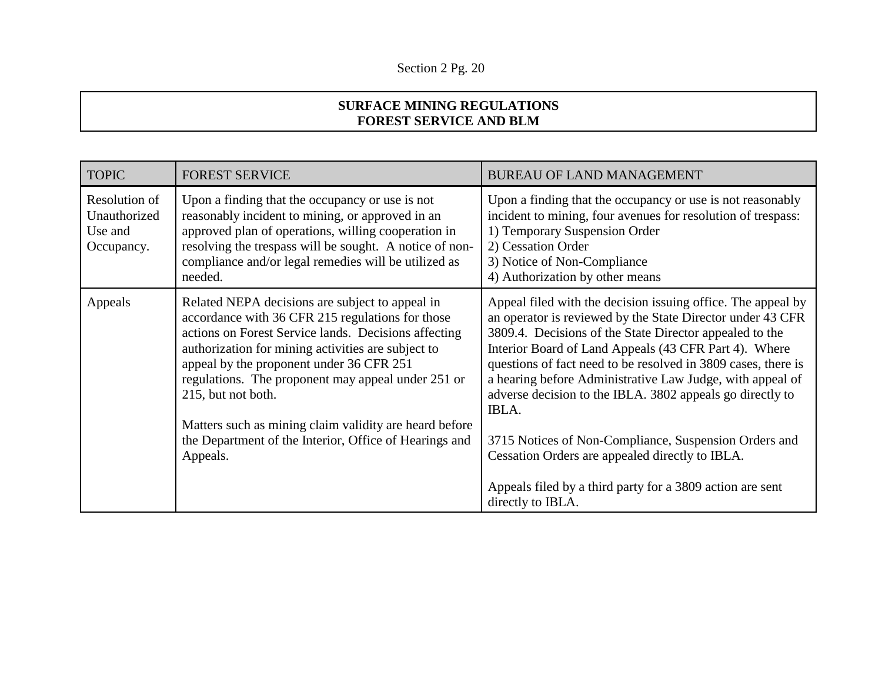# Section 2 Pg. 20

| <b>TOPIC</b>                                           | <b>FOREST SERVICE</b>                                                                                                                                                                                                                                                                                                                                                                                                                                                     | <b>BUREAU OF LAND MANAGEMENT</b>                                                                                                                                                                                                                                                                                                                                                                                                                                                                                                                                                                                                                 |
|--------------------------------------------------------|---------------------------------------------------------------------------------------------------------------------------------------------------------------------------------------------------------------------------------------------------------------------------------------------------------------------------------------------------------------------------------------------------------------------------------------------------------------------------|--------------------------------------------------------------------------------------------------------------------------------------------------------------------------------------------------------------------------------------------------------------------------------------------------------------------------------------------------------------------------------------------------------------------------------------------------------------------------------------------------------------------------------------------------------------------------------------------------------------------------------------------------|
| Resolution of<br>Unauthorized<br>Use and<br>Occupancy. | Upon a finding that the occupancy or use is not<br>reasonably incident to mining, or approved in an<br>approved plan of operations, willing cooperation in<br>resolving the trespass will be sought. A notice of non-<br>compliance and/or legal remedies will be utilized as<br>needed.                                                                                                                                                                                  | Upon a finding that the occupancy or use is not reasonably<br>incident to mining, four avenues for resolution of trespass:<br>1) Temporary Suspension Order<br>2) Cessation Order<br>3) Notice of Non-Compliance<br>4) Authorization by other means                                                                                                                                                                                                                                                                                                                                                                                              |
| Appeals                                                | Related NEPA decisions are subject to appeal in<br>accordance with 36 CFR 215 regulations for those<br>actions on Forest Service lands. Decisions affecting<br>authorization for mining activities are subject to<br>appeal by the proponent under 36 CFR 251<br>regulations. The proponent may appeal under 251 or<br>215, but not both.<br>Matters such as mining claim validity are heard before<br>the Department of the Interior, Office of Hearings and<br>Appeals. | Appeal filed with the decision issuing office. The appeal by<br>an operator is reviewed by the State Director under 43 CFR<br>3809.4. Decisions of the State Director appealed to the<br>Interior Board of Land Appeals (43 CFR Part 4). Where<br>questions of fact need to be resolved in 3809 cases, there is<br>a hearing before Administrative Law Judge, with appeal of<br>adverse decision to the IBLA. 3802 appeals go directly to<br>IBLA.<br>3715 Notices of Non-Compliance, Suspension Orders and<br>Cessation Orders are appealed directly to IBLA.<br>Appeals filed by a third party for a 3809 action are sent<br>directly to IBLA. |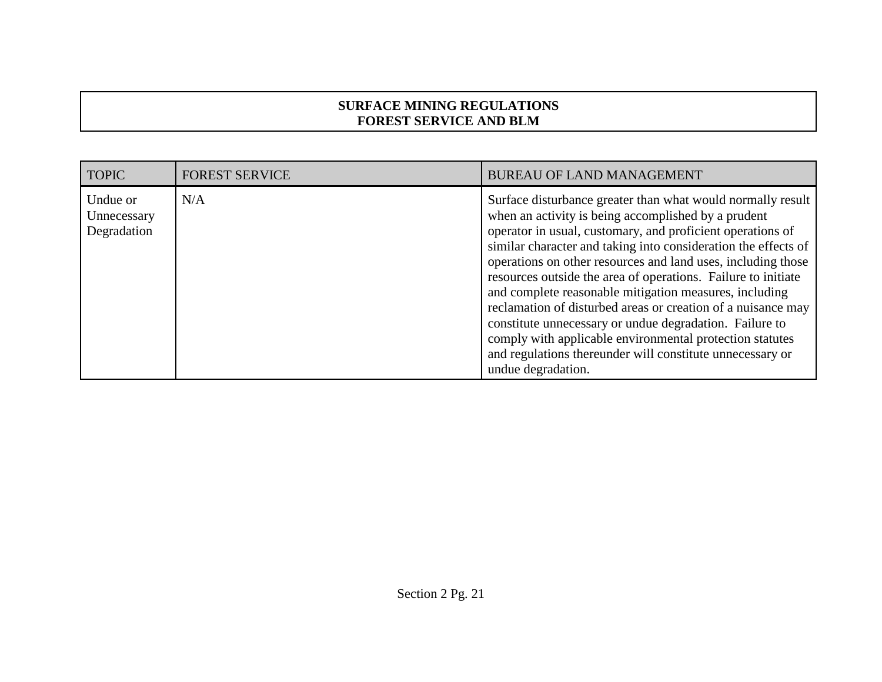| <b>TOPIC</b>                           | <b>FOREST SERVICE</b> | <b>BUREAU OF LAND MANAGEMENT</b>                                                                                                                                                                                                                                                                                                                                                                                                                                                                                                                                                                                                                                                                                        |
|----------------------------------------|-----------------------|-------------------------------------------------------------------------------------------------------------------------------------------------------------------------------------------------------------------------------------------------------------------------------------------------------------------------------------------------------------------------------------------------------------------------------------------------------------------------------------------------------------------------------------------------------------------------------------------------------------------------------------------------------------------------------------------------------------------------|
| Undue or<br>Unnecessary<br>Degradation | N/A                   | Surface disturbance greater than what would normally result<br>when an activity is being accomplished by a prudent<br>operator in usual, customary, and proficient operations of<br>similar character and taking into consideration the effects of<br>operations on other resources and land uses, including those<br>resources outside the area of operations. Failure to initiate<br>and complete reasonable mitigation measures, including<br>reclamation of disturbed areas or creation of a nuisance may<br>constitute unnecessary or undue degradation. Failure to<br>comply with applicable environmental protection statutes<br>and regulations thereunder will constitute unnecessary or<br>undue degradation. |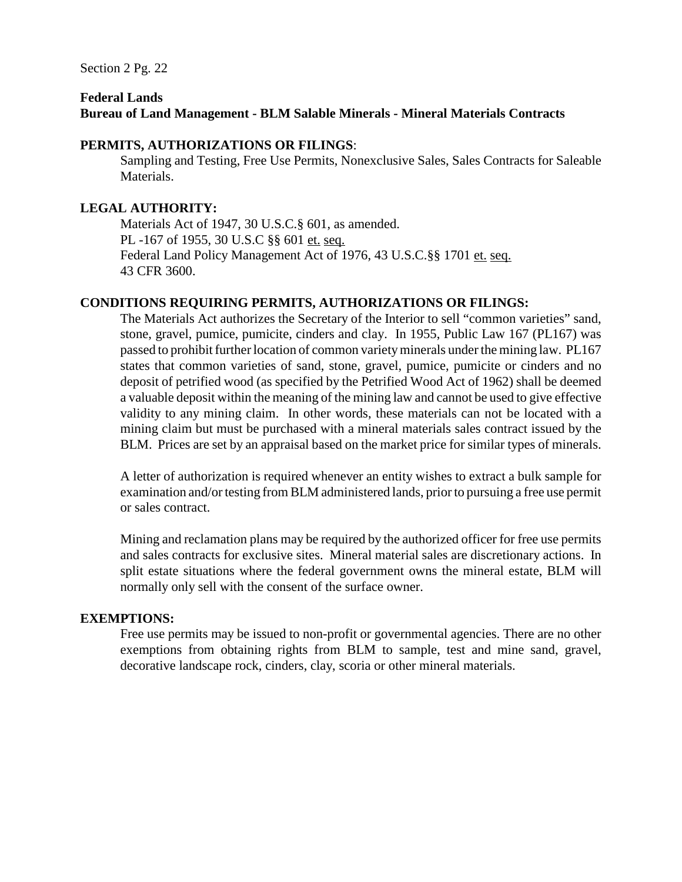Section 2 Pg. 22

#### **Federal Lands**

**Bureau of Land Management - BLM Salable Minerals - Mineral Materials Contracts**

#### **PERMITS, AUTHORIZATIONS OR FILINGS**:

Sampling and Testing, Free Use Permits, Nonexclusive Sales, Sales Contracts for Saleable Materials.

#### **LEGAL AUTHORITY:**

Materials Act of 1947, 30 U.S.C.§ 601, as amended. PL -167 of 1955, 30 U.S.C §§ 601 et. seq. Federal Land Policy Management Act of 1976, 43 U.S.C.§§ 1701 et. seq. 43 CFR 3600.

#### **CONDITIONS REQUIRING PERMITS, AUTHORIZATIONS OR FILINGS:**

The Materials Act authorizes the Secretary of the Interior to sell "common varieties" sand, stone, gravel, pumice, pumicite, cinders and clay. In 1955, Public Law 167 (PL167) was passed to prohibit further location of common variety minerals under the mining law. PL167 states that common varieties of sand, stone, gravel, pumice, pumicite or cinders and no deposit of petrified wood (as specified by the Petrified Wood Act of 1962) shall be deemed a valuable deposit within the meaning of the mining law and cannot be used to give effective validity to any mining claim. In other words, these materials can not be located with a mining claim but must be purchased with a mineral materials sales contract issued by the BLM. Prices are set by an appraisal based on the market price for similar types of minerals.

A letter of authorization is required whenever an entity wishes to extract a bulk sample for examination and/or testing from BLM administered lands, prior to pursuing a free use permit or sales contract.

Mining and reclamation plans may be required by the authorized officer for free use permits and sales contracts for exclusive sites. Mineral material sales are discretionary actions. In split estate situations where the federal government owns the mineral estate, BLM will normally only sell with the consent of the surface owner.

#### **EXEMPTIONS:**

Free use permits may be issued to non-profit or governmental agencies. There are no other exemptions from obtaining rights from BLM to sample, test and mine sand, gravel, decorative landscape rock, cinders, clay, scoria or other mineral materials.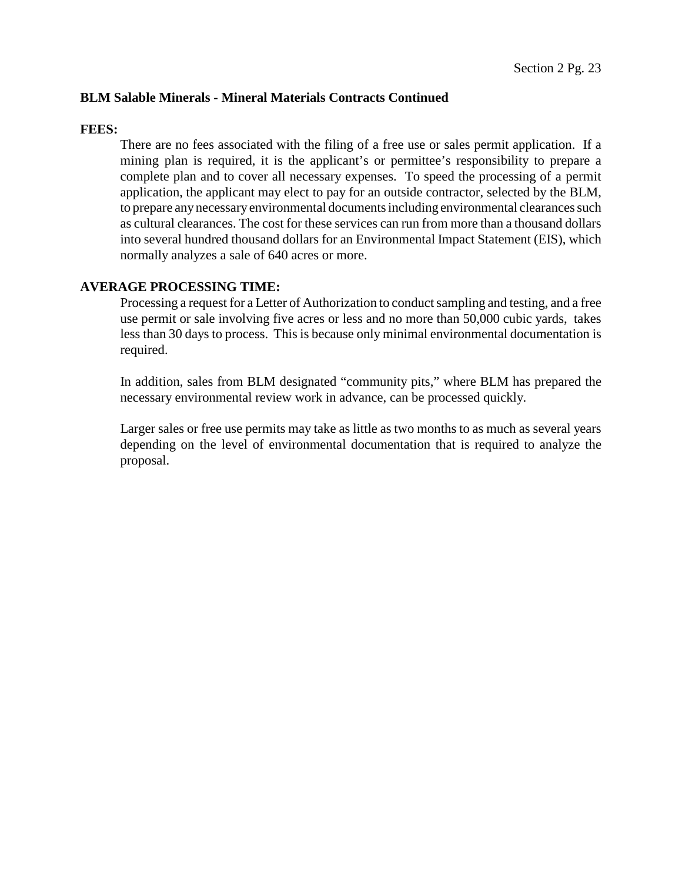## **BLM Salable Minerals - Mineral Materials Contracts Continued**

## **FEES:**

There are no fees associated with the filing of a free use or sales permit application. If a mining plan is required, it is the applicant's or permittee's responsibility to prepare a complete plan and to cover all necessary expenses. To speed the processing of a permit application, the applicant may elect to pay for an outside contractor, selected by the BLM, to prepare any necessary environmental documents including environmental clearances such as cultural clearances. The cost for these services can run from more than a thousand dollars into several hundred thousand dollars for an Environmental Impact Statement (EIS), which normally analyzes a sale of 640 acres or more.

## **AVERAGE PROCESSING TIME:**

Processing a request for a Letter of Authorization to conduct sampling and testing, and a free use permit or sale involving five acres or less and no more than 50,000 cubic yards, takes less than 30 days to process. This is because only minimal environmental documentation is required.

In addition, sales from BLM designated "community pits," where BLM has prepared the necessary environmental review work in advance, can be processed quickly.

Larger sales or free use permits may take as little as two months to as much as several years depending on the level of environmental documentation that is required to analyze the proposal.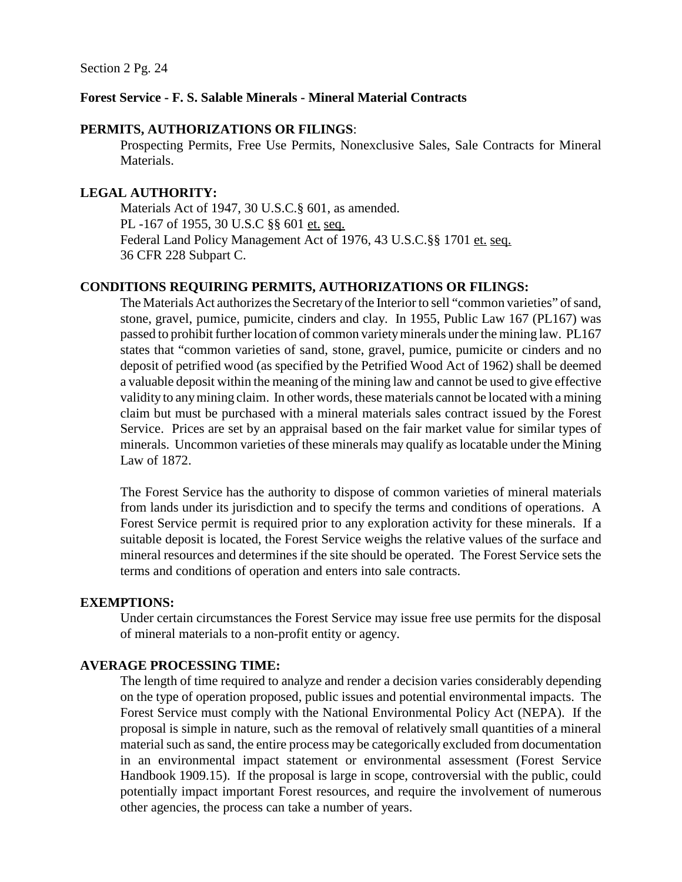#### **Forest Service - F. S. Salable Minerals - Mineral Material Contracts**

#### **PERMITS, AUTHORIZATIONS OR FILINGS**:

Prospecting Permits, Free Use Permits, Nonexclusive Sales, Sale Contracts for Mineral Materials.

## **LEGAL AUTHORITY:**

Materials Act of 1947, 30 U.S.C.§ 601, as amended. PL -167 of 1955, 30 U.S.C §§ 601 et. seq. Federal Land Policy Management Act of 1976, 43 U.S.C.§§ 1701 et. seq. 36 CFR 228 Subpart C.

#### **CONDITIONS REQUIRING PERMITS, AUTHORIZATIONS OR FILINGS:**

The Materials Act authorizes the Secretary of the Interior to sell "common varieties" of sand, stone, gravel, pumice, pumicite, cinders and clay. In 1955, Public Law 167 (PL167) was passed to prohibit further location of common variety minerals under the mining law. PL167 states that "common varieties of sand, stone, gravel, pumice, pumicite or cinders and no deposit of petrified wood (as specified by the Petrified Wood Act of 1962) shall be deemed a valuable deposit within the meaning of the mining law and cannot be used to give effective validity to any mining claim. In other words, these materials cannot be located with a mining claim but must be purchased with a mineral materials sales contract issued by the Forest Service. Prices are set by an appraisal based on the fair market value for similar types of minerals. Uncommon varieties of these minerals may qualify as locatable under the Mining Law of 1872.

The Forest Service has the authority to dispose of common varieties of mineral materials from lands under its jurisdiction and to specify the terms and conditions of operations. A Forest Service permit is required prior to any exploration activity for these minerals. If a suitable deposit is located, the Forest Service weighs the relative values of the surface and mineral resources and determines if the site should be operated. The Forest Service sets the terms and conditions of operation and enters into sale contracts.

#### **EXEMPTIONS:**

Under certain circumstances the Forest Service may issue free use permits for the disposal of mineral materials to a non-profit entity or agency.

#### **AVERAGE PROCESSING TIME:**

The length of time required to analyze and render a decision varies considerably depending on the type of operation proposed, public issues and potential environmental impacts. The Forest Service must comply with the National Environmental Policy Act (NEPA). If the proposal is simple in nature, such as the removal of relatively small quantities of a mineral material such as sand, the entire process may be categorically excluded from documentation in an environmental impact statement or environmental assessment (Forest Service Handbook 1909.15). If the proposal is large in scope, controversial with the public, could potentially impact important Forest resources, and require the involvement of numerous other agencies, the process can take a number of years.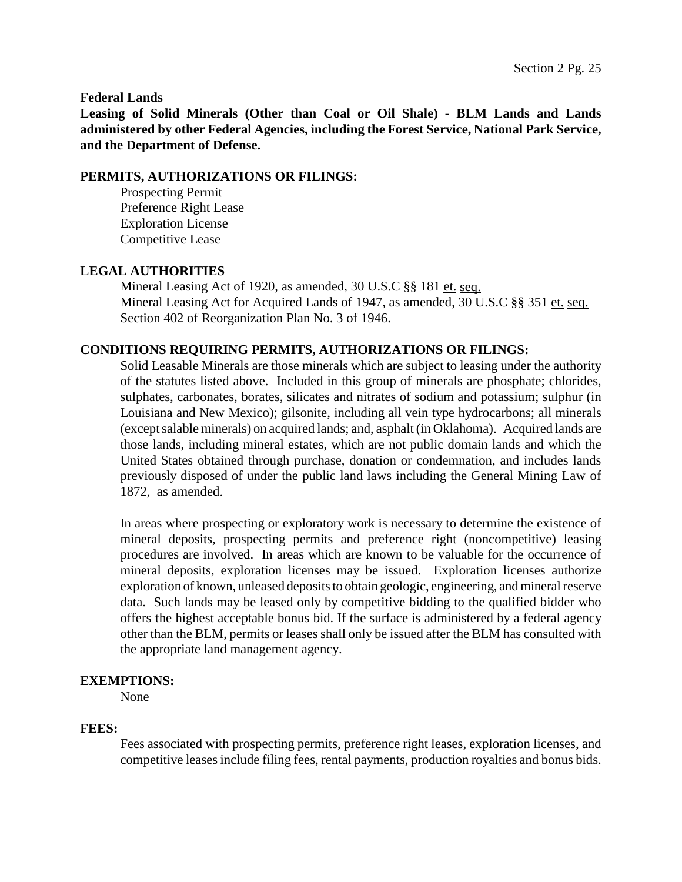#### **Federal Lands**

**Leasing of Solid Minerals (Other than Coal or Oil Shale) - BLM Lands and Lands administered by other Federal Agencies, including the Forest Service, National Park Service, and the Department of Defense.**

#### **PERMITS, AUTHORIZATIONS OR FILINGS:**

Prospecting Permit Preference Right Lease Exploration License Competitive Lease

## **LEGAL AUTHORITIES**

Mineral Leasing Act of 1920, as amended, 30 U.S.C §§ 181 et. seq. Mineral Leasing Act for Acquired Lands of 1947, as amended, 30 U.S.C §§ 351 et. seq. Section 402 of Reorganization Plan No. 3 of 1946.

## **CONDITIONS REQUIRING PERMITS, AUTHORIZATIONS OR FILINGS:**

Solid Leasable Minerals are those minerals which are subject to leasing under the authority of the statutes listed above. Included in this group of minerals are phosphate; chlorides, sulphates, carbonates, borates, silicates and nitrates of sodium and potassium; sulphur (in Louisiana and New Mexico); gilsonite, including all vein type hydrocarbons; all minerals (except salable minerals) on acquired lands; and, asphalt (in Oklahoma). Acquired lands are those lands, including mineral estates, which are not public domain lands and which the United States obtained through purchase, donation or condemnation, and includes lands previously disposed of under the public land laws including the General Mining Law of 1872, as amended.

In areas where prospecting or exploratory work is necessary to determine the existence of mineral deposits, prospecting permits and preference right (noncompetitive) leasing procedures are involved. In areas which are known to be valuable for the occurrence of mineral deposits, exploration licenses may be issued. Exploration licenses authorize exploration of known, unleased deposits to obtain geologic, engineering, and mineral reserve data. Such lands may be leased only by competitive bidding to the qualified bidder who offers the highest acceptable bonus bid. If the surface is administered by a federal agency other than the BLM, permits or leases shall only be issued after the BLM has consulted with the appropriate land management agency.

#### **EXEMPTIONS:**

None

#### **FEES:**

Fees associated with prospecting permits, preference right leases, exploration licenses, and competitive leases include filing fees, rental payments, production royalties and bonus bids.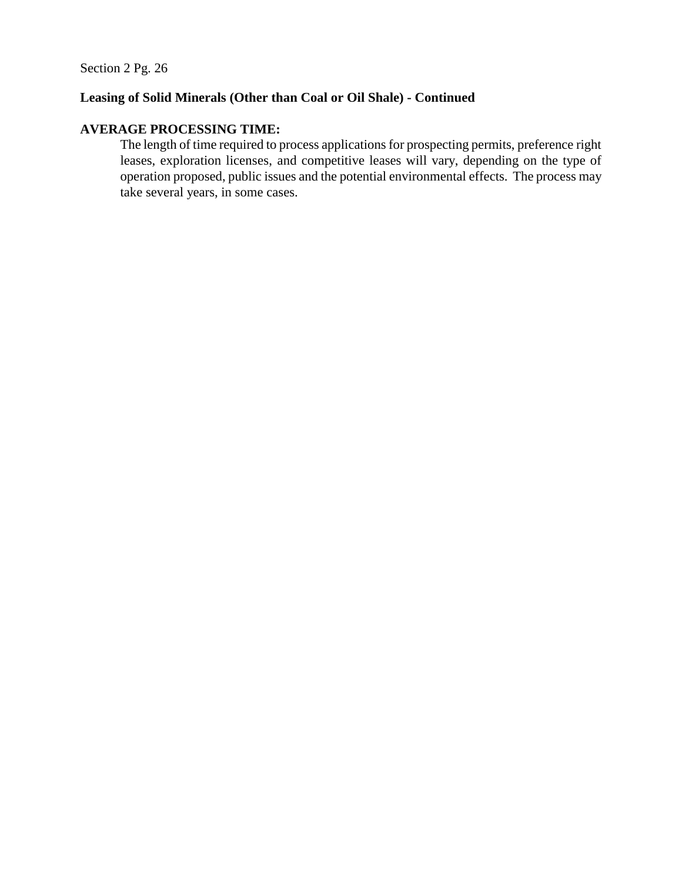Section 2 Pg. 26

# **Leasing of Solid Minerals (Other than Coal or Oil Shale) - Continued**

# **AVERAGE PROCESSING TIME:**

The length of time required to process applications for prospecting permits, preference right leases, exploration licenses, and competitive leases will vary, depending on the type of operation proposed, public issues and the potential environmental effects. The process may take several years, in some cases.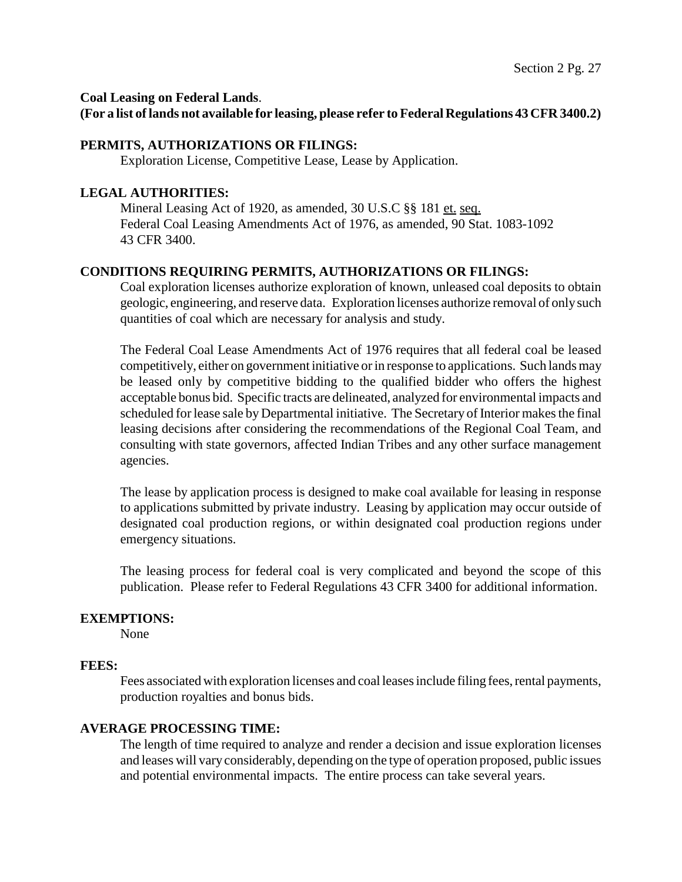#### **Coal Leasing on Federal Lands**.

**(For a list of lands not available for leasing, please refer to Federal Regulations 43 CFR 3400.2)**

## **PERMITS, AUTHORIZATIONS OR FILINGS:**

Exploration License, Competitive Lease, Lease by Application.

## **LEGAL AUTHORITIES:**

Mineral Leasing Act of 1920, as amended, 30 U.S.C §§ 181 et. seq. Federal Coal Leasing Amendments Act of 1976, as amended, 90 Stat. 1083-1092 43 CFR 3400.

## **CONDITIONS REQUIRING PERMITS, AUTHORIZATIONS OR FILINGS:**

Coal exploration licenses authorize exploration of known, unleased coal deposits to obtain geologic, engineering, and reserve data. Exploration licenses authorize removal of only such quantities of coal which are necessary for analysis and study.

The Federal Coal Lease Amendments Act of 1976 requires that all federal coal be leased competitively, either on government initiative or in response to applications. Such lands may be leased only by competitive bidding to the qualified bidder who offers the highest acceptable bonus bid. Specific tracts are delineated, analyzed for environmental impacts and scheduled for lease sale by Departmental initiative. The Secretary of Interior makes the final leasing decisions after considering the recommendations of the Regional Coal Team, and consulting with state governors, affected Indian Tribes and any other surface management agencies.

The lease by application process is designed to make coal available for leasing in response to applications submitted by private industry. Leasing by application may occur outside of designated coal production regions, or within designated coal production regions under emergency situations.

The leasing process for federal coal is very complicated and beyond the scope of this publication. Please refer to Federal Regulations 43 CFR 3400 for additional information.

## **EXEMPTIONS:**

None

#### **FEES:**

Fees associated with exploration licenses and coal leases include filing fees, rental payments, production royalties and bonus bids.

## **AVERAGE PROCESSING TIME:**

The length of time required to analyze and render a decision and issue exploration licenses and leases will vary considerably, depending on the type of operation proposed, public issues and potential environmental impacts. The entire process can take several years.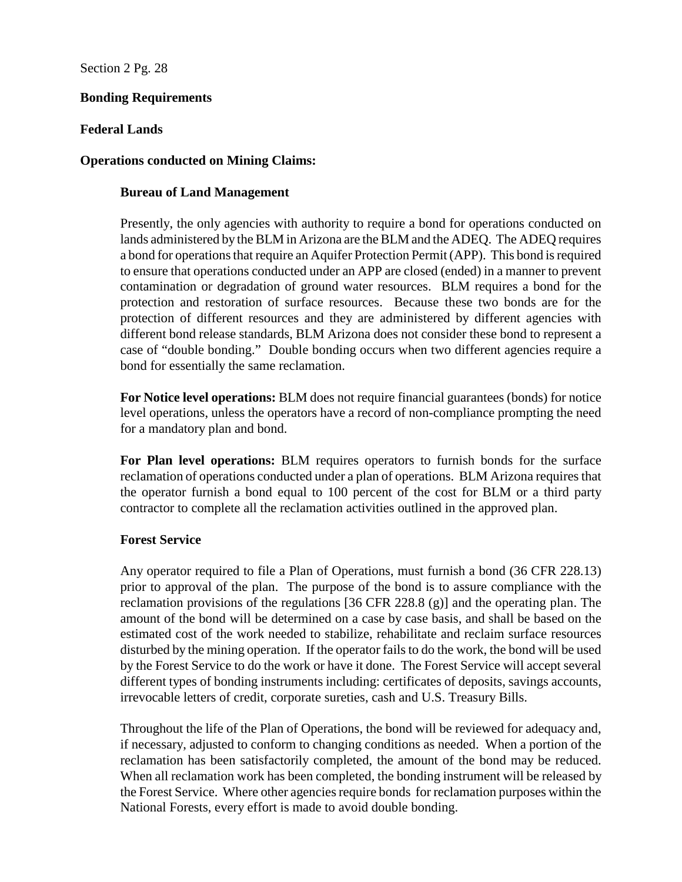Section 2 Pg. 28

# **Bonding Requirements**

## **Federal Lands**

## **Operations conducted on Mining Claims:**

## **Bureau of Land Management**

Presently, the only agencies with authority to require a bond for operations conducted on lands administered by the BLM in Arizona are the BLM and the ADEQ. The ADEQ requires a bond for operations that require an Aquifer Protection Permit (APP). This bond is required to ensure that operations conducted under an APP are closed (ended) in a manner to prevent contamination or degradation of ground water resources. BLM requires a bond for the protection and restoration of surface resources. Because these two bonds are for the protection of different resources and they are administered by different agencies with different bond release standards, BLM Arizona does not consider these bond to represent a case of "double bonding." Double bonding occurs when two different agencies require a bond for essentially the same reclamation.

**For Notice level operations:** BLM does not require financial guarantees (bonds) for notice level operations, unless the operators have a record of non-compliance prompting the need for a mandatory plan and bond.

**For Plan level operations:** BLM requires operators to furnish bonds for the surface reclamation of operations conducted under a plan of operations. BLM Arizona requires that the operator furnish a bond equal to 100 percent of the cost for BLM or a third party contractor to complete all the reclamation activities outlined in the approved plan.

## **Forest Service**

Any operator required to file a Plan of Operations, must furnish a bond (36 CFR 228.13) prior to approval of the plan. The purpose of the bond is to assure compliance with the reclamation provisions of the regulations [36 CFR 228.8 (g)] and the operating plan. The amount of the bond will be determined on a case by case basis, and shall be based on the estimated cost of the work needed to stabilize, rehabilitate and reclaim surface resources disturbed by the mining operation. If the operator fails to do the work, the bond will be used by the Forest Service to do the work or have it done. The Forest Service will accept several different types of bonding instruments including: certificates of deposits, savings accounts, irrevocable letters of credit, corporate sureties, cash and U.S. Treasury Bills.

Throughout the life of the Plan of Operations, the bond will be reviewed for adequacy and, if necessary, adjusted to conform to changing conditions as needed. When a portion of the reclamation has been satisfactorily completed, the amount of the bond may be reduced. When all reclamation work has been completed, the bonding instrument will be released by the Forest Service. Where other agencies require bonds for reclamation purposes within the National Forests, every effort is made to avoid double bonding.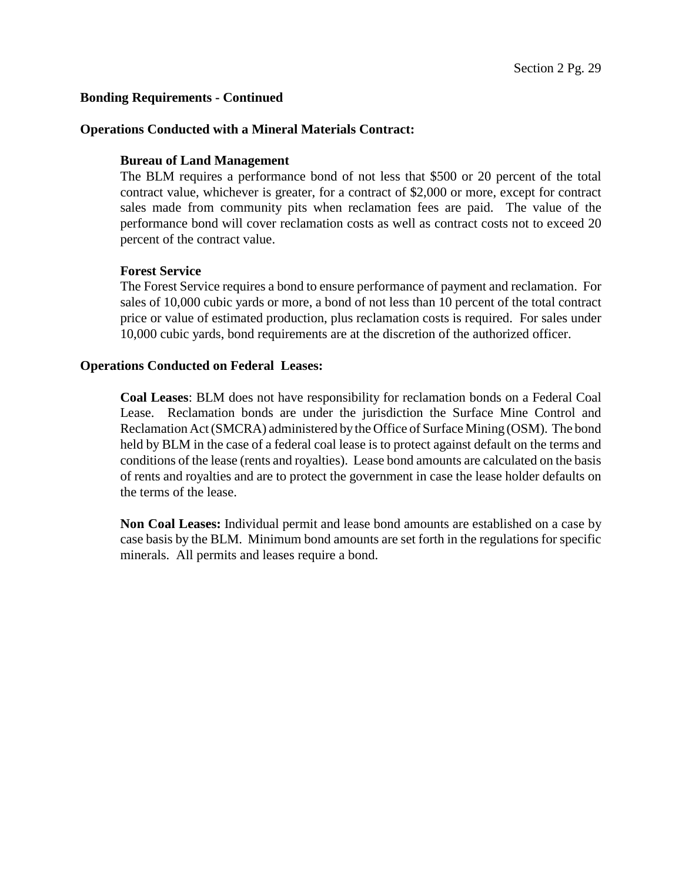## **Bonding Requirements - Continued**

#### **Operations Conducted with a Mineral Materials Contract:**

#### **Bureau of Land Management**

The BLM requires a performance bond of not less that \$500 or 20 percent of the total contract value, whichever is greater, for a contract of \$2,000 or more, except for contract sales made from community pits when reclamation fees are paid. The value of the performance bond will cover reclamation costs as well as contract costs not to exceed 20 percent of the contract value.

#### **Forest Service**

The Forest Service requires a bond to ensure performance of payment and reclamation. For sales of 10,000 cubic yards or more, a bond of not less than 10 percent of the total contract price or value of estimated production, plus reclamation costs is required. For sales under 10,000 cubic yards, bond requirements are at the discretion of the authorized officer.

#### **Operations Conducted on Federal Leases:**

**Coal Leases**: BLM does not have responsibility for reclamation bonds on a Federal Coal Lease. Reclamation bonds are under the jurisdiction the Surface Mine Control and Reclamation Act (SMCRA) administered by the Office of Surface Mining (OSM). The bond held by BLM in the case of a federal coal lease is to protect against default on the terms and conditions of the lease (rents and royalties). Lease bond amounts are calculated on the basis of rents and royalties and are to protect the government in case the lease holder defaults on the terms of the lease.

**Non Coal Leases:** Individual permit and lease bond amounts are established on a case by case basis by the BLM. Minimum bond amounts are set forth in the regulations for specific minerals. All permits and leases require a bond.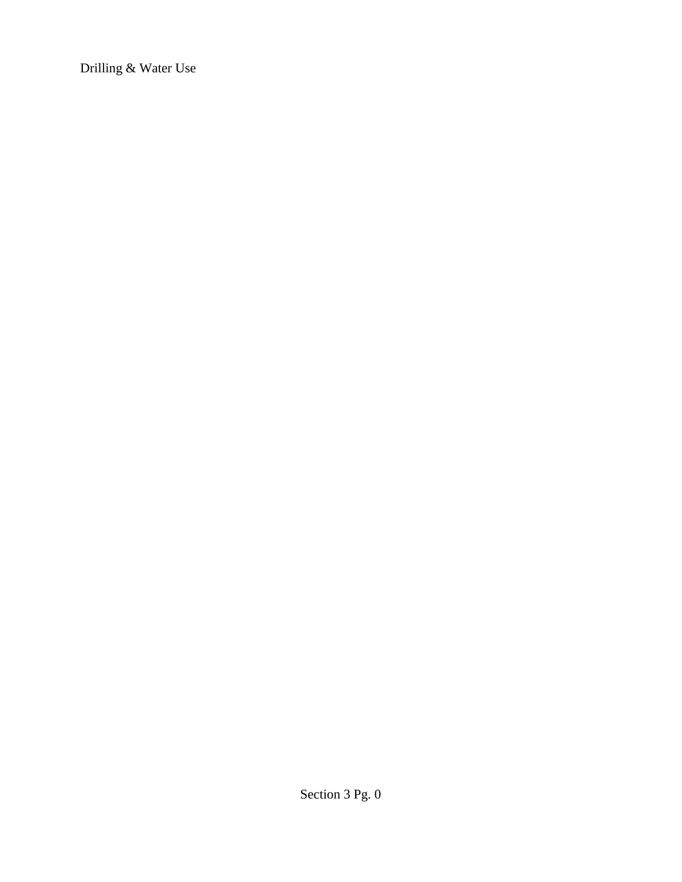Drilling & Water Use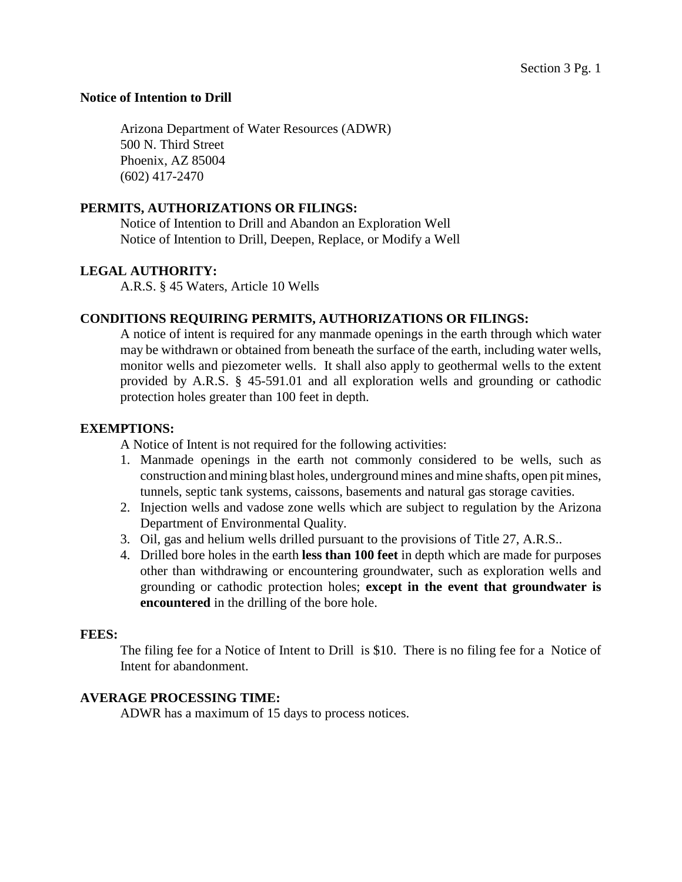## **Notice of Intention to Drill**

Arizona Department of Water Resources (ADWR) 500 N. Third Street Phoenix, AZ 85004 (602) 417-2470

#### **PERMITS, AUTHORIZATIONS OR FILINGS:**

Notice of Intention to Drill and Abandon an Exploration Well Notice of Intention to Drill, Deepen, Replace, or Modify a Well

## **LEGAL AUTHORITY:**

A.R.S. § 45 Waters, Article 10 Wells

## **CONDITIONS REQUIRING PERMITS, AUTHORIZATIONS OR FILINGS:**

A notice of intent is required for any manmade openings in the earth through which water may be withdrawn or obtained from beneath the surface of the earth, including water wells, monitor wells and piezometer wells. It shall also apply to geothermal wells to the extent provided by A.R.S. § 45-591.01 and all exploration wells and grounding or cathodic protection holes greater than 100 feet in depth.

## **EXEMPTIONS:**

A Notice of Intent is not required for the following activities:

- 1. Manmade openings in the earth not commonly considered to be wells, such as construction and mining blast holes, underground mines and mine shafts, open pit mines, tunnels, septic tank systems, caissons, basements and natural gas storage cavities.
- 2. Injection wells and vadose zone wells which are subject to regulation by the Arizona Department of Environmental Quality.
- 3. Oil, gas and helium wells drilled pursuant to the provisions of Title 27, A.R.S..
- 4. Drilled bore holes in the earth **less than 100 feet** in depth which are made for purposes other than withdrawing or encountering groundwater, such as exploration wells and grounding or cathodic protection holes; **except in the event that groundwater is encountered** in the drilling of the bore hole.

#### **FEES:**

The filing fee for a Notice of Intent to Drill is \$10. There is no filing fee for a Notice of Intent for abandonment.

## **AVERAGE PROCESSING TIME:**

ADWR has a maximum of 15 days to process notices.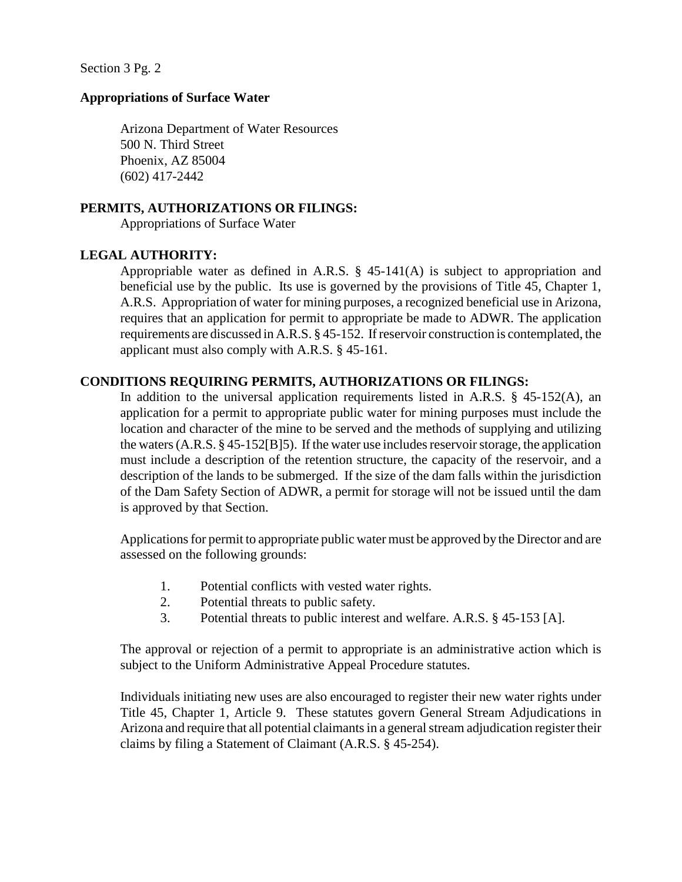Section 3 Pg. 2

## **Appropriations of Surface Water**

Arizona Department of Water Resources 500 N. Third Street Phoenix, AZ 85004 (602) 417-2442

## **PERMITS, AUTHORIZATIONS OR FILINGS:**

Appropriations of Surface Water

## **LEGAL AUTHORITY:**

Appropriable water as defined in A.R.S.  $\S$  45-141(A) is subject to appropriation and beneficial use by the public. Its use is governed by the provisions of Title 45, Chapter 1, A.R.S. Appropriation of water for mining purposes, a recognized beneficial use in Arizona, requires that an application for permit to appropriate be made to ADWR. The application requirements are discussed in A.R.S. § 45-152. If reservoir construction is contemplated, the applicant must also comply with A.R.S. § 45-161.

## **CONDITIONS REQUIRING PERMITS, AUTHORIZATIONS OR FILINGS:**

In addition to the universal application requirements listed in A.R.S.  $\S$  45-152(A), an application for a permit to appropriate public water for mining purposes must include the location and character of the mine to be served and the methods of supplying and utilizing the waters (A.R.S. § 45-152[B]5). If the water use includes reservoir storage, the application must include a description of the retention structure, the capacity of the reservoir, and a description of the lands to be submerged. If the size of the dam falls within the jurisdiction of the Dam Safety Section of ADWR, a permit for storage will not be issued until the dam is approved by that Section.

Applications for permit to appropriate public water must be approved by the Director and are assessed on the following grounds:

- 1. Potential conflicts with vested water rights.
- 2. Potential threats to public safety.
- 3. Potential threats to public interest and welfare. A.R.S. § 45-153 [A].

The approval or rejection of a permit to appropriate is an administrative action which is subject to the Uniform Administrative Appeal Procedure statutes.

Individuals initiating new uses are also encouraged to register their new water rights under Title 45, Chapter 1, Article 9. These statutes govern General Stream Adjudications in Arizona and require that all potential claimants in a general stream adjudication register their claims by filing a Statement of Claimant (A.R.S. § 45-254).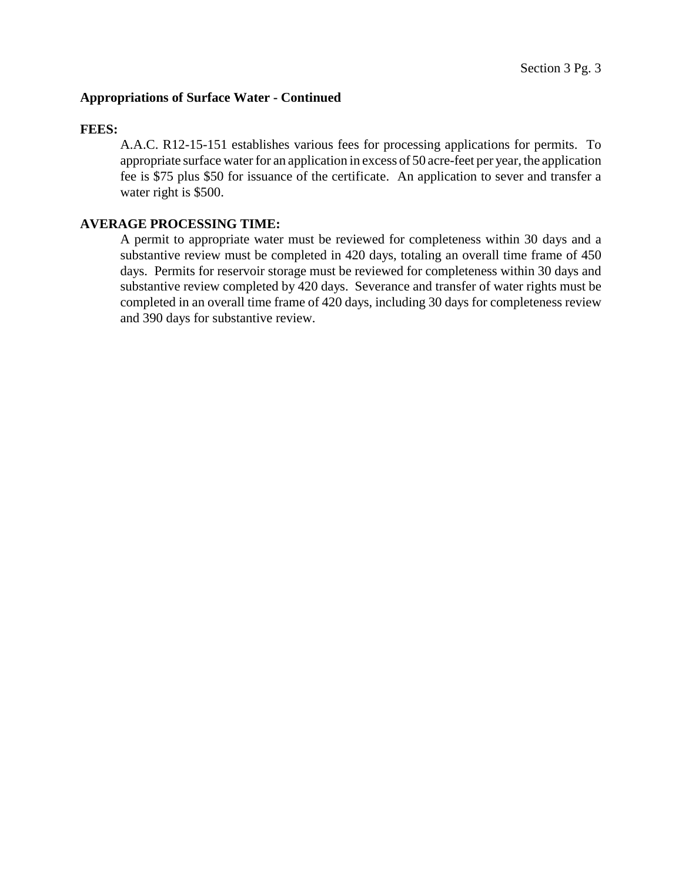## **Appropriations of Surface Water - Continued**

#### **FEES:**

A.A.C. R12-15-151 establishes various fees for processing applications for permits. To appropriate surface water for an application in excess of 50 acre-feet per year, the application fee is \$75 plus \$50 for issuance of the certificate. An application to sever and transfer a water right is \$500.

#### **AVERAGE PROCESSING TIME:**

A permit to appropriate water must be reviewed for completeness within 30 days and a substantive review must be completed in 420 days, totaling an overall time frame of 450 days. Permits for reservoir storage must be reviewed for completeness within 30 days and substantive review completed by 420 days. Severance and transfer of water rights must be completed in an overall time frame of 420 days, including 30 days for completeness review and 390 days for substantive review.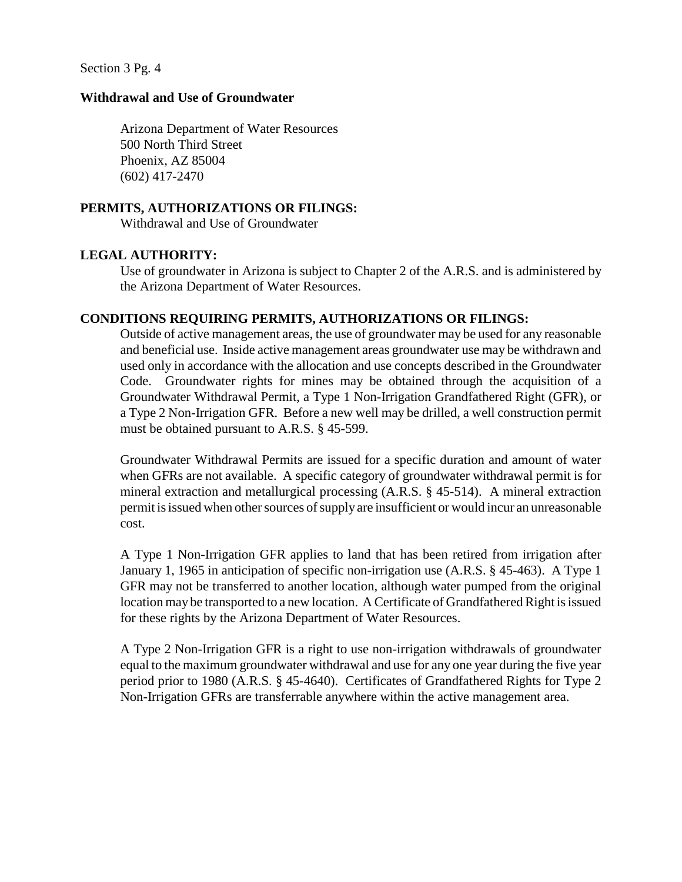Section 3 Pg. 4

#### **Withdrawal and Use of Groundwater**

Arizona Department of Water Resources 500 North Third Street Phoenix, AZ 85004 (602) 417-2470

## **PERMITS, AUTHORIZATIONS OR FILINGS:**

Withdrawal and Use of Groundwater

## **LEGAL AUTHORITY:**

Use of groundwater in Arizona is subject to Chapter 2 of the A.R.S. and is administered by the Arizona Department of Water Resources.

#### **CONDITIONS REQUIRING PERMITS, AUTHORIZATIONS OR FILINGS:**

Outside of active management areas, the use of groundwater may be used for any reasonable and beneficial use. Inside active management areas groundwater use may be withdrawn and used only in accordance with the allocation and use concepts described in the Groundwater Code. Groundwater rights for mines may be obtained through the acquisition of a Groundwater Withdrawal Permit, a Type 1 Non-Irrigation Grandfathered Right (GFR), or a Type 2 Non-Irrigation GFR. Before a new well may be drilled, a well construction permit must be obtained pursuant to A.R.S. § 45-599.

Groundwater Withdrawal Permits are issued for a specific duration and amount of water when GFRs are not available. A specific category of groundwater withdrawal permit is for mineral extraction and metallurgical processing (A.R.S. § 45-514). A mineral extraction permit is issued when other sources of supply are insufficient or would incur an unreasonable cost.

A Type 1 Non-Irrigation GFR applies to land that has been retired from irrigation after January 1, 1965 in anticipation of specific non-irrigation use (A.R.S. § 45-463). A Type 1 GFR may not be transferred to another location, although water pumped from the original location may be transported to a new location. A Certificate of Grandfathered Right is issued for these rights by the Arizona Department of Water Resources.

A Type 2 Non-Irrigation GFR is a right to use non-irrigation withdrawals of groundwater equal to the maximum groundwater withdrawal and use for any one year during the five year period prior to 1980 (A.R.S. § 45-4640). Certificates of Grandfathered Rights for Type 2 Non-Irrigation GFRs are transferrable anywhere within the active management area.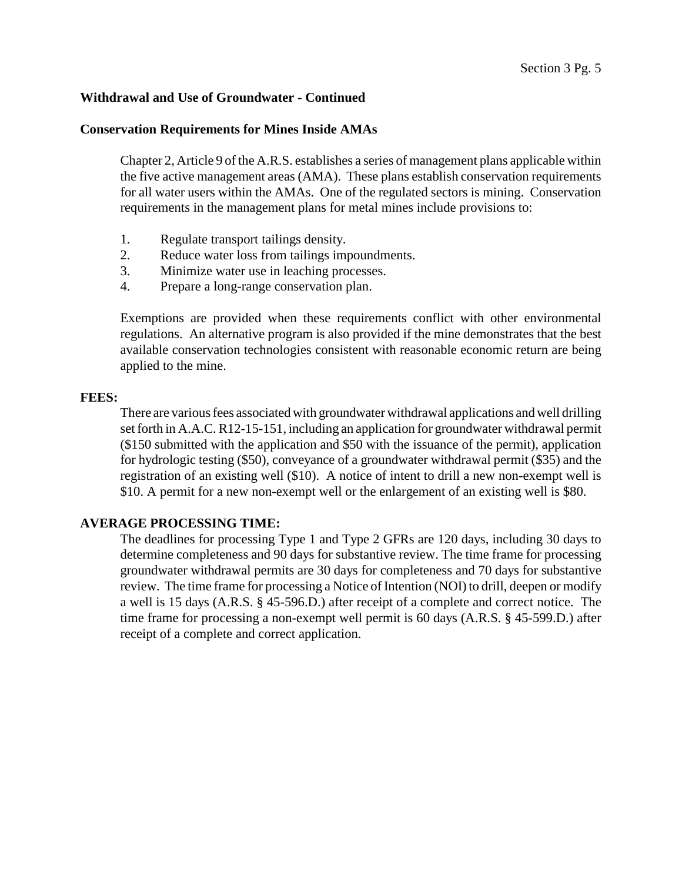## **Withdrawal and Use of Groundwater - Continued**

## **Conservation Requirements for Mines Inside AMAs**

Chapter 2, Article 9 of the A.R.S. establishes a series of management plans applicable within the five active management areas (AMA). These plans establish conservation requirements for all water users within the AMAs. One of the regulated sectors is mining. Conservation requirements in the management plans for metal mines include provisions to:

- 1. Regulate transport tailings density.
- 2. Reduce water loss from tailings impoundments.
- 3. Minimize water use in leaching processes.
- 4. Prepare a long-range conservation plan.

Exemptions are provided when these requirements conflict with other environmental regulations. An alternative program is also provided if the mine demonstrates that the best available conservation technologies consistent with reasonable economic return are being applied to the mine.

#### **FEES:**

There are various fees associated with groundwater withdrawal applications and well drilling set forth in A.A.C. R12-15-151, including an application for groundwater withdrawal permit (\$150 submitted with the application and \$50 with the issuance of the permit), application for hydrologic testing (\$50), conveyance of a groundwater withdrawal permit (\$35) and the registration of an existing well (\$10). A notice of intent to drill a new non-exempt well is \$10. A permit for a new non-exempt well or the enlargement of an existing well is \$80.

## **AVERAGE PROCESSING TIME:**

The deadlines for processing Type 1 and Type 2 GFRs are 120 days, including 30 days to determine completeness and 90 days for substantive review. The time frame for processing groundwater withdrawal permits are 30 days for completeness and 70 days for substantive review. The time frame for processing a Notice of Intention (NOI) to drill, deepen or modify a well is 15 days (A.R.S. § 45-596.D.) after receipt of a complete and correct notice. The time frame for processing a non-exempt well permit is 60 days (A.R.S. § 45-599.D.) after receipt of a complete and correct application.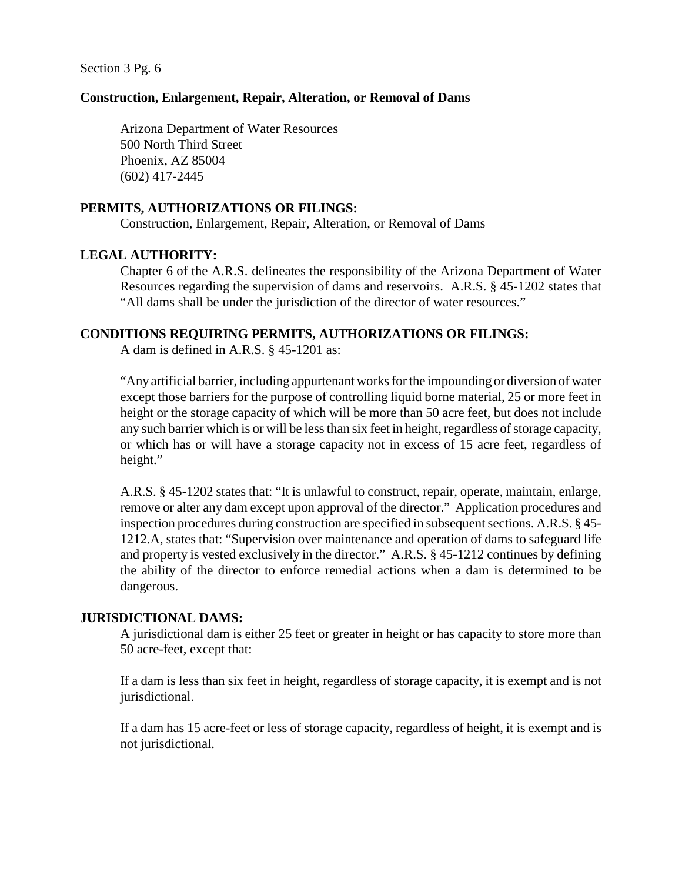Section 3 Pg. 6

## **Construction, Enlargement, Repair, Alteration, or Removal of Dams**

Arizona Department of Water Resources 500 North Third Street Phoenix, AZ 85004 (602) 417-2445

## **PERMITS, AUTHORIZATIONS OR FILINGS:**

Construction, Enlargement, Repair, Alteration, or Removal of Dams

## **LEGAL AUTHORITY:**

Chapter 6 of the A.R.S. delineates the responsibility of the Arizona Department of Water Resources regarding the supervision of dams and reservoirs. A.R.S. § 45-1202 states that "All dams shall be under the jurisdiction of the director of water resources."

## **CONDITIONS REQUIRING PERMITS, AUTHORIZATIONS OR FILINGS:**

A dam is defined in A.R.S. § 45-1201 as:

"Any artificial barrier, including appurtenant works for the impounding or diversion of water except those barriers for the purpose of controlling liquid borne material, 25 or more feet in height or the storage capacity of which will be more than 50 acre feet, but does not include any such barrier which is or will be less than six feet in height, regardless of storage capacity, or which has or will have a storage capacity not in excess of 15 acre feet, regardless of height."

A.R.S. § 45-1202 states that: "It is unlawful to construct, repair, operate, maintain, enlarge, remove or alter any dam except upon approval of the director." Application procedures and inspection procedures during construction are specified in subsequent sections. A.R.S. § 45- 1212.A, states that: "Supervision over maintenance and operation of dams to safeguard life and property is vested exclusively in the director." A.R.S. § 45-1212 continues by defining the ability of the director to enforce remedial actions when a dam is determined to be dangerous.

#### **JURISDICTIONAL DAMS:**

A jurisdictional dam is either 25 feet or greater in height or has capacity to store more than 50 acre-feet, except that:

If a dam is less than six feet in height, regardless of storage capacity, it is exempt and is not jurisdictional.

If a dam has 15 acre-feet or less of storage capacity, regardless of height, it is exempt and is not jurisdictional.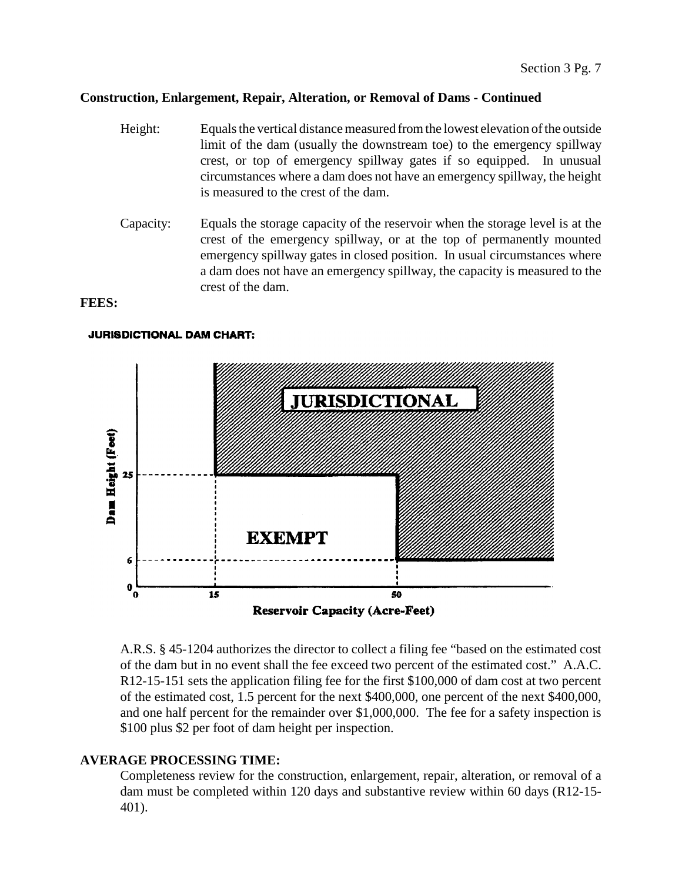## **Construction, Enlargement, Repair, Alteration, or Removal of Dams - Continued**

- Height: Equals the vertical distance measured from the lowest elevation of the outside limit of the dam (usually the downstream toe) to the emergency spillway crest, or top of emergency spillway gates if so equipped. In unusual circumstances where a dam does not have an emergency spillway, the height is measured to the crest of the dam.
- Capacity: Equals the storage capacity of the reservoir when the storage level is at the crest of the emergency spillway, or at the top of permanently mounted emergency spillway gates in closed position. In usual circumstances where a dam does not have an emergency spillway, the capacity is measured to the crest of the dam.

## **FEES:**

#### **JURISDICTIONAL DAM CHART:**



A.R.S. § 45-1204 authorizes the director to collect a filing fee "based on the estimated cost of the dam but in no event shall the fee exceed two percent of the estimated cost." A.A.C. R12-15-151 sets the application filing fee for the first \$100,000 of dam cost at two percent of the estimated cost, 1.5 percent for the next \$400,000, one percent of the next \$400,000, and one half percent for the remainder over \$1,000,000. The fee for a safety inspection is \$100 plus \$2 per foot of dam height per inspection.

## **AVERAGE PROCESSING TIME:**

Completeness review for the construction, enlargement, repair, alteration, or removal of a dam must be completed within 120 days and substantive review within 60 days (R12-15- 401).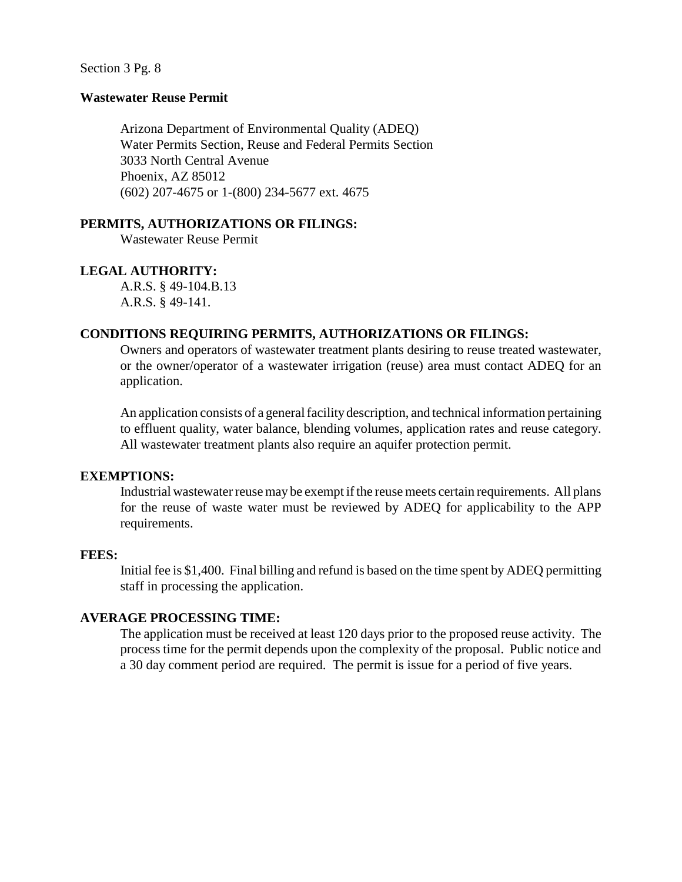Section 3 Pg. 8

#### **Wastewater Reuse Permit**

Arizona Department of Environmental Quality (ADEQ) Water Permits Section, Reuse and Federal Permits Section 3033 North Central Avenue Phoenix, AZ 85012 (602) 207-4675 or 1-(800) 234-5677 ext. 4675

## **PERMITS, AUTHORIZATIONS OR FILINGS:**

Wastewater Reuse Permit

# **LEGAL AUTHORITY:**

A.R.S. § 49-104.B.13 A.R.S. § 49-141.

#### **CONDITIONS REQUIRING PERMITS, AUTHORIZATIONS OR FILINGS:**

Owners and operators of wastewater treatment plants desiring to reuse treated wastewater, or the owner/operator of a wastewater irrigation (reuse) area must contact ADEQ for an application.

An application consists of a general facility description, and technical information pertaining to effluent quality, water balance, blending volumes, application rates and reuse category. All wastewater treatment plants also require an aquifer protection permit.

#### **EXEMPTIONS:**

Industrial wastewater reuse may be exempt if the reuse meets certain requirements. All plans for the reuse of waste water must be reviewed by ADEQ for applicability to the APP requirements.

#### **FEES:**

Initial fee is \$1,400. Final billing and refund is based on the time spent by ADEQ permitting staff in processing the application.

#### **AVERAGE PROCESSING TIME:**

The application must be received at least 120 days prior to the proposed reuse activity. The process time for the permit depends upon the complexity of the proposal. Public notice and a 30 day comment period are required. The permit is issue for a period of five years.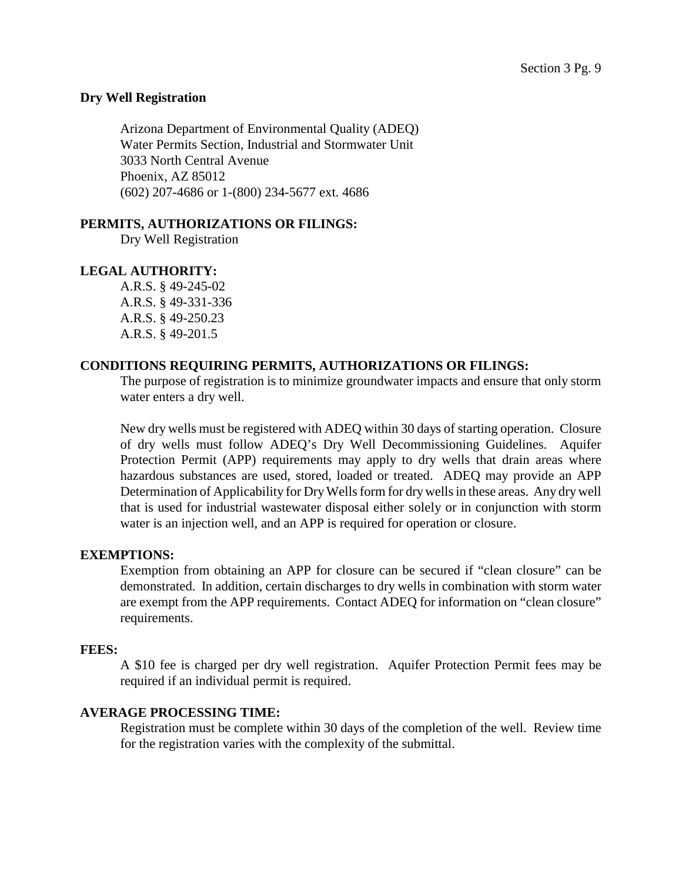#### **Dry Well Registration**

Arizona Department of Environmental Quality (ADEQ) Water Permits Section, Industrial and Stormwater Unit 3033 North Central Avenue Phoenix, AZ 85012 (602) 207-4686 or 1-(800) 234-5677 ext. 4686

#### **PERMITS, AUTHORIZATIONS OR FILINGS:**

Dry Well Registration

## **LEGAL AUTHORITY:**

A.R.S. § 49-245-02 A.R.S. § 49-331-336 A.R.S. § 49-250.23 A.R.S. § 49-201.5

#### **CONDITIONS REQUIRING PERMITS, AUTHORIZATIONS OR FILINGS:**

The purpose of registration is to minimize groundwater impacts and ensure that only storm water enters a dry well.

New dry wells must be registered with ADEQ within 30 days of starting operation. Closure of dry wells must follow ADEQ's Dry Well Decommissioning Guidelines. Aquifer Protection Permit (APP) requirements may apply to dry wells that drain areas where hazardous substances are used, stored, loaded or treated. ADEQ may provide an APP Determination of Applicability for Dry Wells form for dry wells in these areas. Any dry well that is used for industrial wastewater disposal either solely or in conjunction with storm water is an injection well, and an APP is required for operation or closure.

#### **EXEMPTIONS:**

Exemption from obtaining an APP for closure can be secured if "clean closure" can be demonstrated. In addition, certain discharges to dry wells in combination with storm water are exempt from the APP requirements. Contact ADEQ for information on "clean closure" requirements.

#### **FEES:**

A \$10 fee is charged per dry well registration. Aquifer Protection Permit fees may be required if an individual permit is required.

## **AVERAGE PROCESSING TIME:**

Registration must be complete within 30 days of the completion of the well. Review time for the registration varies with the complexity of the submittal.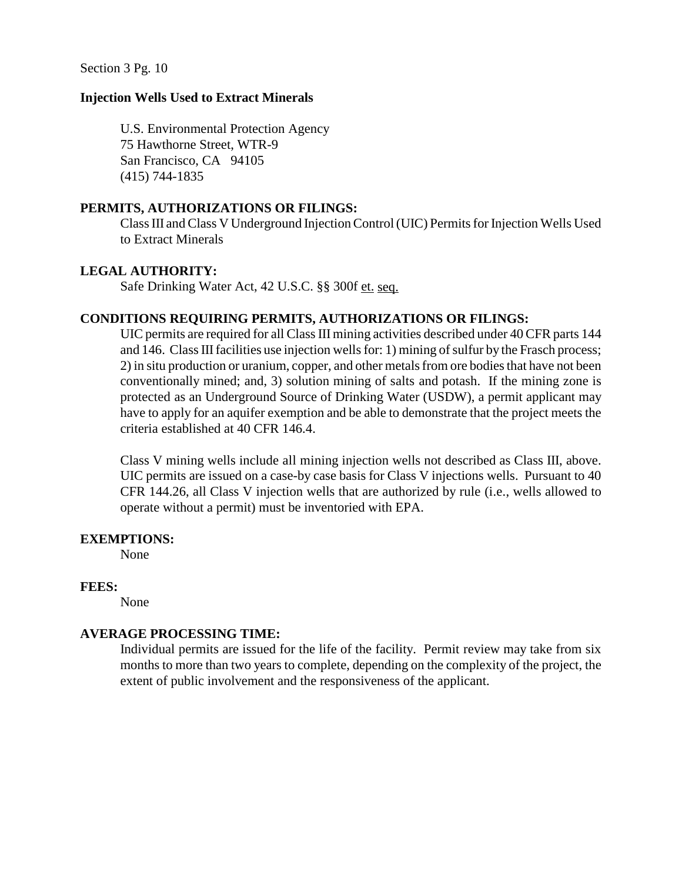Section 3 Pg. 10

#### **Injection Wells Used to Extract Minerals**

U.S. Environmental Protection Agency 75 Hawthorne Street, WTR-9 San Francisco, CA 94105 (415) 744-1835

#### **PERMITS, AUTHORIZATIONS OR FILINGS:**

Class III and Class V Underground Injection Control (UIC) Permits for Injection Wells Used to Extract Minerals

## **LEGAL AUTHORITY:**

Safe Drinking Water Act, 42 U.S.C. §§ 300f et. seq.

#### **CONDITIONS REQUIRING PERMITS, AUTHORIZATIONS OR FILINGS:**

UIC permits are required for all Class III mining activities described under 40 CFR parts 144 and 146. Class III facilities use injection wells for: 1) mining of sulfur by the Frasch process; 2) in situ production or uranium, copper, and other metals from ore bodies that have not been conventionally mined; and, 3) solution mining of salts and potash. If the mining zone is protected as an Underground Source of Drinking Water (USDW), a permit applicant may have to apply for an aquifer exemption and be able to demonstrate that the project meets the criteria established at 40 CFR 146.4.

Class V mining wells include all mining injection wells not described as Class III, above. UIC permits are issued on a case-by case basis for Class V injections wells. Pursuant to 40 CFR 144.26, all Class V injection wells that are authorized by rule (i.e., wells allowed to operate without a permit) must be inventoried with EPA.

## **EXEMPTIONS:**

None

#### **FEES:**

None

## **AVERAGE PROCESSING TIME:**

Individual permits are issued for the life of the facility. Permit review may take from six months to more than two years to complete, depending on the complexity of the project, the extent of public involvement and the responsiveness of the applicant.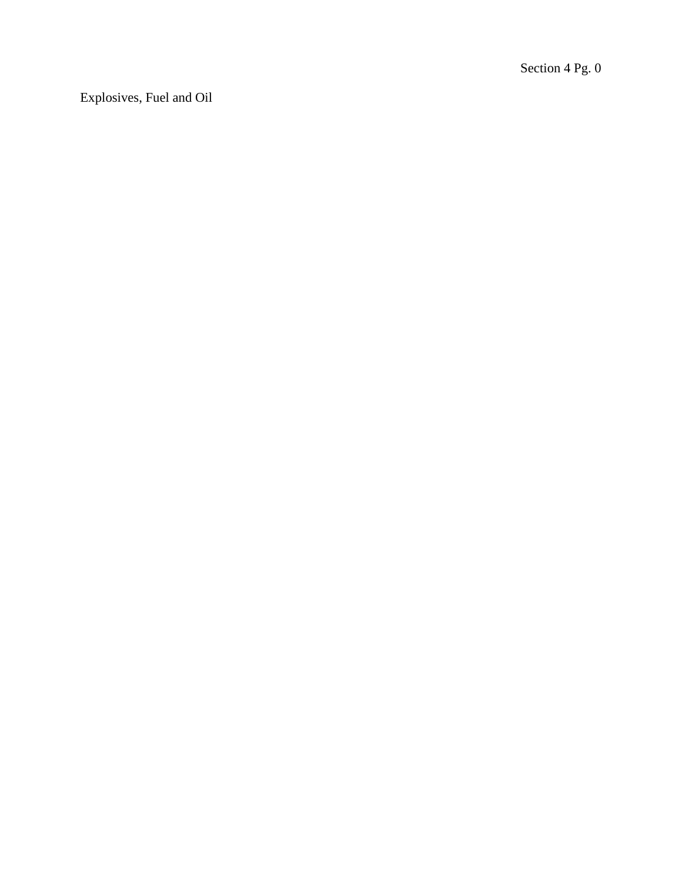Section 4 Pg. 0

Explosives, Fuel and Oil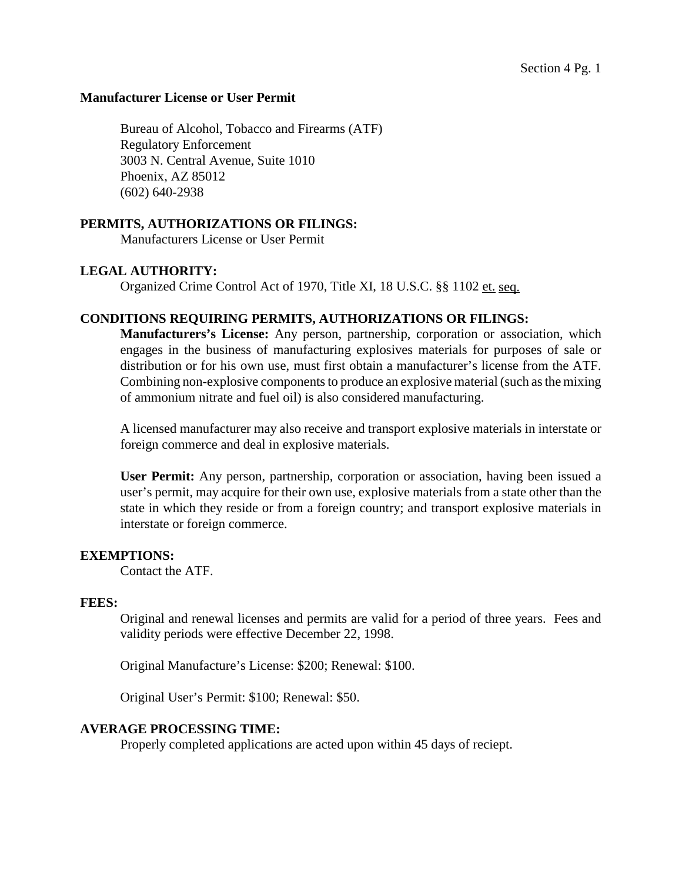#### **Manufacturer License or User Permit**

Bureau of Alcohol, Tobacco and Firearms (ATF) Regulatory Enforcement 3003 N. Central Avenue, Suite 1010 Phoenix, AZ 85012 (602) 640-2938

## **PERMITS, AUTHORIZATIONS OR FILINGS:**

Manufacturers License or User Permit

## **LEGAL AUTHORITY:**

Organized Crime Control Act of 1970, Title XI, 18 U.S.C. §§ 1102 et. seq.

## **CONDITIONS REQUIRING PERMITS, AUTHORIZATIONS OR FILINGS:**

**Manufacturers's License:** Any person, partnership, corporation or association, which engages in the business of manufacturing explosives materials for purposes of sale or distribution or for his own use, must first obtain a manufacturer's license from the ATF. Combining non-explosive components to produce an explosive material (such as the mixing of ammonium nitrate and fuel oil) is also considered manufacturing.

A licensed manufacturer may also receive and transport explosive materials in interstate or foreign commerce and deal in explosive materials.

**User Permit:** Any person, partnership, corporation or association, having been issued a user's permit, may acquire for their own use, explosive materials from a state other than the state in which they reside or from a foreign country; and transport explosive materials in interstate or foreign commerce.

## **EXEMPTIONS:**

Contact the ATF.

#### **FEES:**

Original and renewal licenses and permits are valid for a period of three years. Fees and validity periods were effective December 22, 1998.

Original Manufacture's License: \$200; Renewal: \$100.

Original User's Permit: \$100; Renewal: \$50.

## **AVERAGE PROCESSING TIME:**

Properly completed applications are acted upon within 45 days of reciept.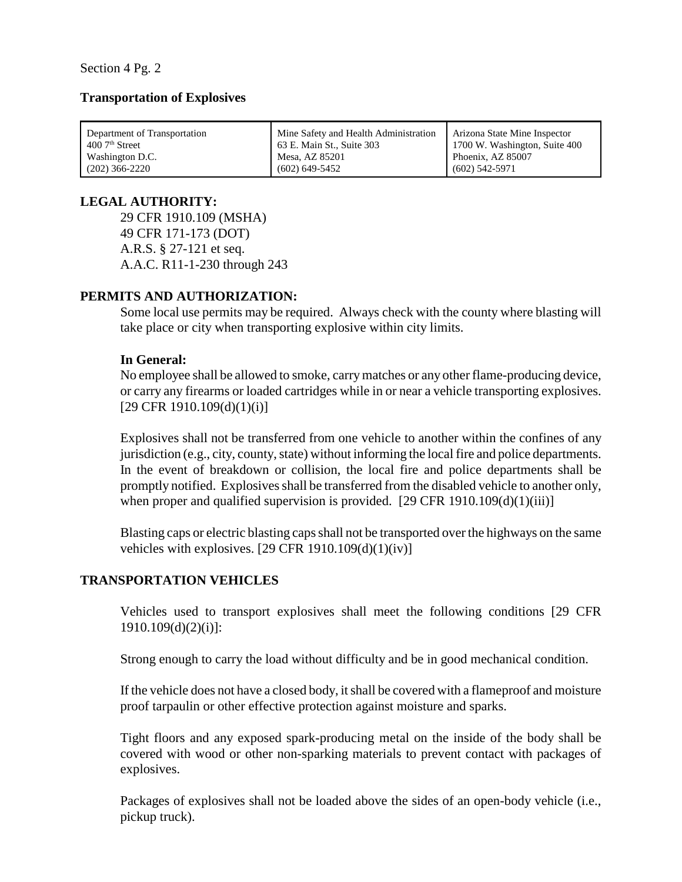Section 4 Pg. 2

## **Transportation of Explosives**

| Department of Transportation | Mine Safety and Health Administration | Arizona State Mine Inspector  |
|------------------------------|---------------------------------------|-------------------------------|
| 4007 <sup>th</sup> Street    | 63 E. Main St., Suite 303             | 1700 W. Washington, Suite 400 |
| Washington D.C.              | Mesa, AZ 85201                        | Phoenix, AZ 85007             |
| $(202)$ 366-2220             | $(602)$ 649-5452                      | $(602)$ 542-5971              |

# **LEGAL AUTHORITY:**

29 CFR 1910.109 (MSHA) 49 CFR 171-173 (DOT) A.R.S. § 27-121 et seq. A.A.C. R11-1-230 through 243

## **PERMITS AND AUTHORIZATION:**

Some local use permits may be required. Always check with the county where blasting will take place or city when transporting explosive within city limits.

#### **In General:**

No employee shall be allowed to smoke, carry matches or any other flame-producing device, or carry any firearms or loaded cartridges while in or near a vehicle transporting explosives. [29 CFR 1910.109(d)(1)(i)]

Explosives shall not be transferred from one vehicle to another within the confines of any jurisdiction (e.g., city, county, state) without informing the local fire and police departments. In the event of breakdown or collision, the local fire and police departments shall be promptly notified. Explosives shall be transferred from the disabled vehicle to another only, when proper and qualified supervision is provided.  $[29 \text{ CFR } 1910.109(d)(1)(iii)]$ 

Blasting caps or electric blasting caps shall not be transported over the highways on the same vehicles with explosives.  $[29 \text{ CFR } 1910.109 \text{ (d)}(1) \text{ (iv)}]$ 

## **TRANSPORTATION VEHICLES**

Vehicles used to transport explosives shall meet the following conditions [29 CFR 1910.109(d)(2)(i)]:

Strong enough to carry the load without difficulty and be in good mechanical condition.

If the vehicle does not have a closed body, it shall be covered with a flameproof and moisture proof tarpaulin or other effective protection against moisture and sparks.

Tight floors and any exposed spark-producing metal on the inside of the body shall be covered with wood or other non-sparking materials to prevent contact with packages of explosives.

Packages of explosives shall not be loaded above the sides of an open-body vehicle (i.e., pickup truck).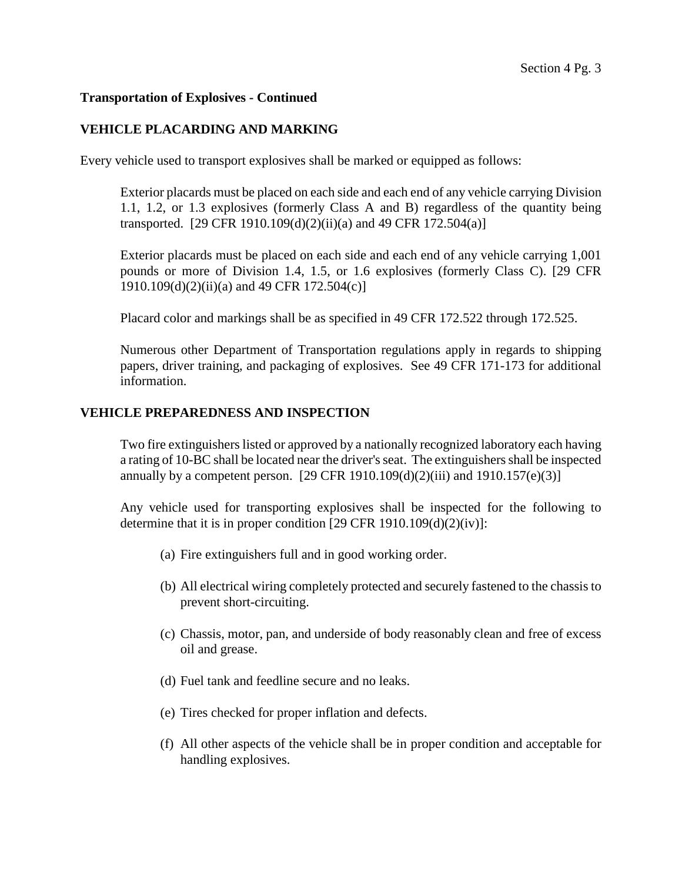## **Transportation of Explosives - Continued**

# **VEHICLE PLACARDING AND MARKING**

Every vehicle used to transport explosives shall be marked or equipped as follows:

Exterior placards must be placed on each side and each end of any vehicle carrying Division 1.1, 1.2, or 1.3 explosives (formerly Class A and B) regardless of the quantity being transported. [29 CFR 1910.109(d)(2)(ii)(a) and 49 CFR 172.504(a)]

Exterior placards must be placed on each side and each end of any vehicle carrying 1,001 pounds or more of Division 1.4, 1.5, or 1.6 explosives (formerly Class C). [29 CFR 1910.109(d)(2)(ii)(a) and 49 CFR 172.504(c)]

Placard color and markings shall be as specified in 49 CFR 172.522 through 172.525.

Numerous other Department of Transportation regulations apply in regards to shipping papers, driver training, and packaging of explosives. See 49 CFR 171-173 for additional information.

#### **VEHICLE PREPAREDNESS AND INSPECTION**

Two fire extinguishers listed or approved by a nationally recognized laboratory each having a rating of 10-BC shall be located near the driver's seat. The extinguishers shall be inspected annually by a competent person. [29 CFR 1910.109(d)(2)(iii) and 1910.157(e)(3)]

Any vehicle used for transporting explosives shall be inspected for the following to determine that it is in proper condition  $[29 \text{ CFR } 1910.109(d)(2)(iv)]$ :

- (a) Fire extinguishers full and in good working order.
- (b) All electrical wiring completely protected and securely fastened to the chassis to prevent short-circuiting.
- (c) Chassis, motor, pan, and underside of body reasonably clean and free of excess oil and grease.
- (d) Fuel tank and feedline secure and no leaks.
- (e) Tires checked for proper inflation and defects.
- (f) All other aspects of the vehicle shall be in proper condition and acceptable for handling explosives.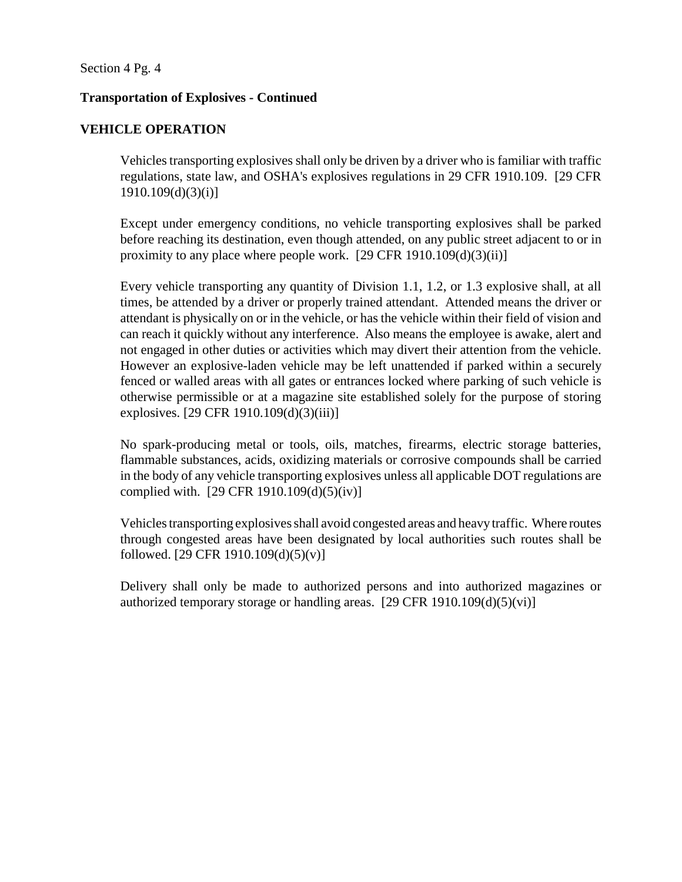## Section 4 Pg. 4

# **Transportation of Explosives - Continued**

# **VEHICLE OPERATION**

Vehicles transporting explosives shall only be driven by a driver who is familiar with traffic regulations, state law, and OSHA's explosives regulations in 29 CFR 1910.109. [29 CFR 1910.109(d)(3)(i)]

Except under emergency conditions, no vehicle transporting explosives shall be parked before reaching its destination, even though attended, on any public street adjacent to or in proximity to any place where people work. [29 CFR 1910.109 $(d)(3)(ii)$ ]

Every vehicle transporting any quantity of Division 1.1, 1.2, or 1.3 explosive shall, at all times, be attended by a driver or properly trained attendant. Attended means the driver or attendant is physically on or in the vehicle, or has the vehicle within their field of vision and can reach it quickly without any interference. Also means the employee is awake, alert and not engaged in other duties or activities which may divert their attention from the vehicle. However an explosive-laden vehicle may be left unattended if parked within a securely fenced or walled areas with all gates or entrances locked where parking of such vehicle is otherwise permissible or at a magazine site established solely for the purpose of storing explosives. [29 CFR 1910.109(d)(3)(iii)]

No spark-producing metal or tools, oils, matches, firearms, electric storage batteries, flammable substances, acids, oxidizing materials or corrosive compounds shall be carried in the body of any vehicle transporting explosives unless all applicable DOT regulations are complied with.  $[29 \text{ CFR } 1910.109 \text{ (d)}(5) \text{ (iv)}]$ 

Vehicles transporting explosives shall avoid congested areas and heavy traffic. Where routes through congested areas have been designated by local authorities such routes shall be followed. [29 CFR 1910.109(d)(5)(v)]

Delivery shall only be made to authorized persons and into authorized magazines or authorized temporary storage or handling areas.  $[29 \text{ CFR } 1910.109(d)(5)(vi)]$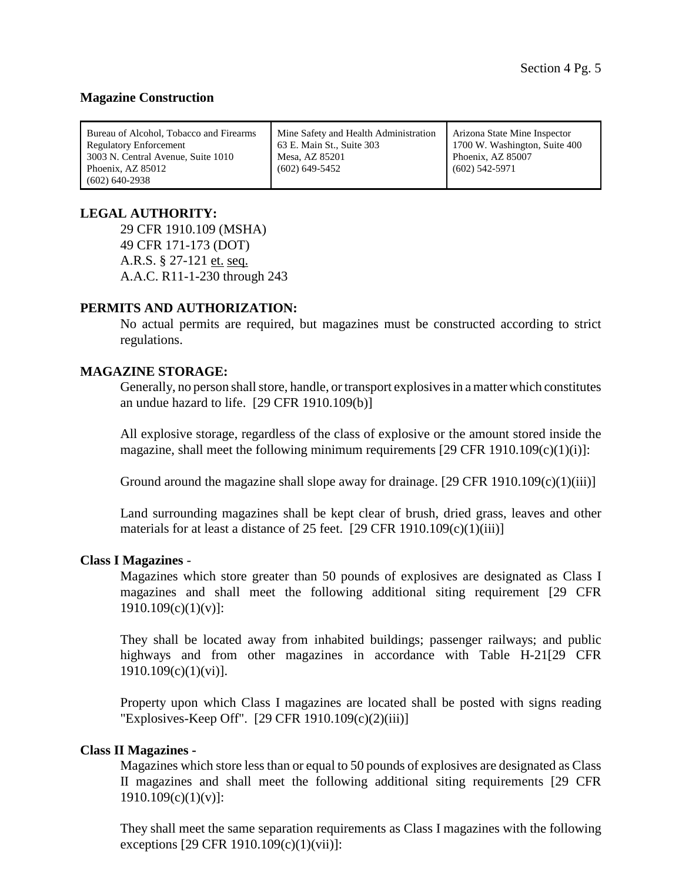# **Magazine Construction**

| Bureau of Alcohol, Tobacco and Firearms<br><b>Regulatory Enforcement</b><br>3003 N. Central Avenue, Suite 1010 | Mine Safety and Health Administration<br>63 E. Main St., Suite 303<br>Mesa, AZ 85201 | Arizona State Mine Inspector<br>1700 W. Washington, Suite 400<br>Phoenix, AZ 85007 |
|----------------------------------------------------------------------------------------------------------------|--------------------------------------------------------------------------------------|------------------------------------------------------------------------------------|
| Phoenix. AZ 85012<br>$(602)$ 640-2938                                                                          | $(602)$ 649-5452                                                                     | (602) 542-5971                                                                     |
|                                                                                                                |                                                                                      |                                                                                    |

## **LEGAL AUTHORITY:**

29 CFR 1910.109 (MSHA) 49 CFR 171-173 (DOT) A.R.S. § 27-121 et. seq. A.A.C. R11-1-230 through 243

## **PERMITS AND AUTHORIZATION:**

No actual permits are required, but magazines must be constructed according to strict regulations.

#### **MAGAZINE STORAGE:**

Generally, no person shall store, handle, or transport explosives in a matter which constitutes an undue hazard to life. [29 CFR 1910.109(b)]

All explosive storage, regardless of the class of explosive or the amount stored inside the magazine, shall meet the following minimum requirements  $[29 \text{ CFR } 1910.109(c)(1)(i)]$ :

Ground around the magazine shall slope away for drainage. [29 CFR 1910.109 $(c)(1)(iii)$ ]

Land surrounding magazines shall be kept clear of brush, dried grass, leaves and other materials for at least a distance of 25 feet.  $[29 \text{ CFR } 1910.109(c)(1)(iii)]$ 

## **Class I Magazines** -

Magazines which store greater than 50 pounds of explosives are designated as Class I magazines and shall meet the following additional siting requirement [29 CFR  $1910.109(c)(1)(v)$ :

They shall be located away from inhabited buildings; passenger railways; and public highways and from other magazines in accordance with Table H-21[29 CFR 1910.109(c)(1)(vi)].

Property upon which Class I magazines are located shall be posted with signs reading "Explosives-Keep Off". [29 CFR 1910.109 $(c)(2)(iii)$ ]

## **Class II Magazines -**

Magazines which store less than or equal to 50 pounds of explosives are designated as Class II magazines and shall meet the following additional siting requirements [29 CFR 1910.109(c)(1)(v)]:

They shall meet the same separation requirements as Class I magazines with the following exceptions [29 CFR 1910.109(c)(1)(vii)]: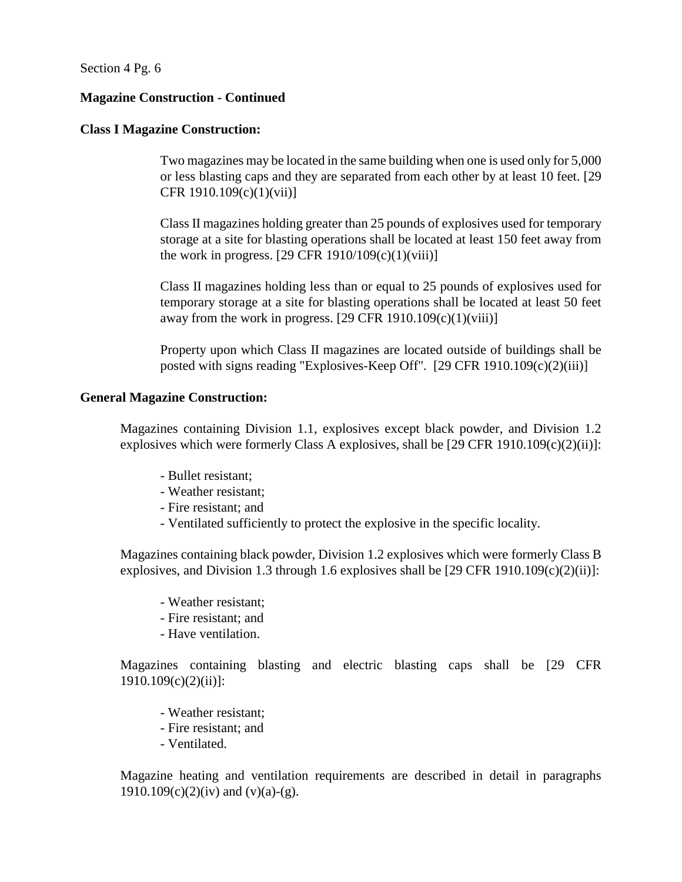Section 4 Pg. 6

## **Magazine Construction - Continued**

## **Class I Magazine Construction:**

Two magazines may be located in the same building when one is used only for 5,000 or less blasting caps and they are separated from each other by at least 10 feet. [29 CFR 1910.109(c)(1)(vii)]

Class II magazines holding greater than 25 pounds of explosives used for temporary storage at a site for blasting operations shall be located at least 150 feet away from the work in progress.  $[29 \text{ CFR } 1910/109(c)(1)(viii)]$ 

Class II magazines holding less than or equal to 25 pounds of explosives used for temporary storage at a site for blasting operations shall be located at least 50 feet away from the work in progress.  $[29 \text{ CFR } 1910.109(c)(1)(viii)]$ 

Property upon which Class II magazines are located outside of buildings shall be posted with signs reading "Explosives-Keep Off". [29 CFR 1910.109(c)(2)(iii)]

#### **General Magazine Construction:**

Magazines containing Division 1.1, explosives except black powder, and Division 1.2 explosives which were formerly Class A explosives, shall be  $[29 \text{ CFR } 1910.109(c)(2)(ii)]$ :

- Bullet resistant;
- Weather resistant;
- Fire resistant; and
- Ventilated sufficiently to protect the explosive in the specific locality.

Magazines containing black powder, Division 1.2 explosives which were formerly Class B explosives, and Division 1.3 through 1.6 explosives shall be  $[29 \text{ CFR } 1910.109(c)(2)(ii)]$ :

- Weather resistant;
- Fire resistant; and
- Have ventilation.

Magazines containing blasting and electric blasting caps shall be [29 CFR 1910.109(c)(2)(ii)]:

- Weather resistant;
- Fire resistant; and
- Ventilated.

Magazine heating and ventilation requirements are described in detail in paragraphs 1910.109(c)(2)(iv) and (v)(a)-(g).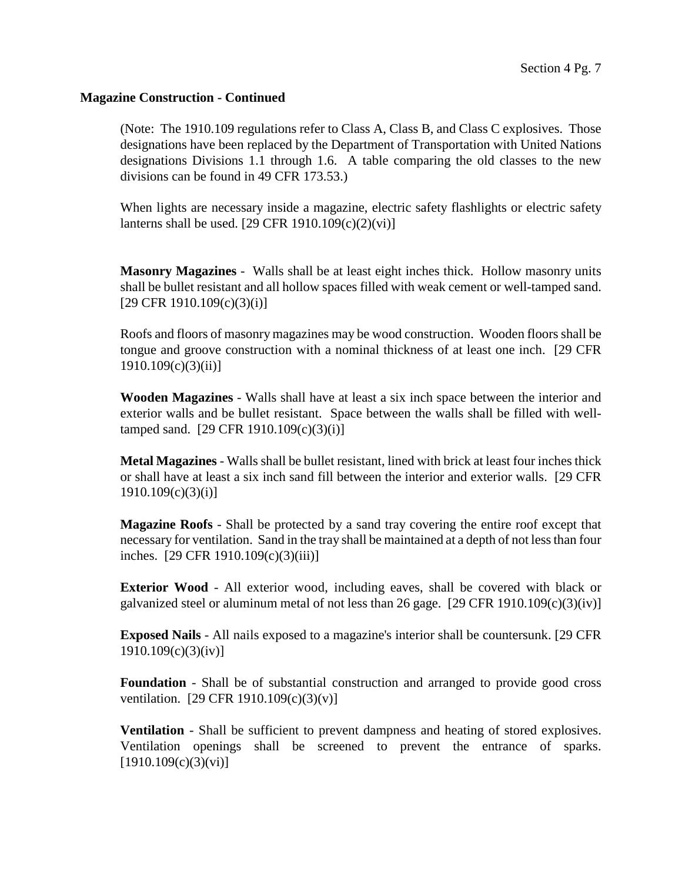## **Magazine Construction - Continued**

(Note: The 1910.109 regulations refer to Class A, Class B, and Class C explosives. Those designations have been replaced by the Department of Transportation with United Nations designations Divisions 1.1 through 1.6. A table comparing the old classes to the new divisions can be found in 49 CFR 173.53.)

When lights are necessary inside a magazine, electric safety flashlights or electric safety lanterns shall be used. [29 CFR 1910.109(c)(2)(vi)]

**Masonry Magazines** - Walls shall be at least eight inches thick. Hollow masonry units shall be bullet resistant and all hollow spaces filled with weak cement or well-tamped sand.  $[29 \text{ CFR } 1910.109 \text{(c)} \text{(3)} \text{(i)}]$ 

Roofs and floors of masonry magazines may be wood construction. Wooden floors shall be tongue and groove construction with a nominal thickness of at least one inch. [29 CFR  $1910.109(c)(3)(ii)$ ]

**Wooden Magazines** - Walls shall have at least a six inch space between the interior and exterior walls and be bullet resistant. Space between the walls shall be filled with welltamped sand. [29 CFR 1910.109 $(c)(3)(i)$ ]

**Metal Magazines** - Walls shall be bullet resistant, lined with brick at least four inches thick or shall have at least a six inch sand fill between the interior and exterior walls. [29 CFR 1910.109(c)(3)(i)]

**Magazine Roofs** - Shall be protected by a sand tray covering the entire roof except that necessary for ventilation. Sand in the tray shall be maintained at a depth of not less than four inches. [29 CFR 1910.109(c)(3)(iii)]

**Exterior Wood** - All exterior wood, including eaves, shall be covered with black or galvanized steel or aluminum metal of not less than 26 gage. [29 CFR 1910.109(c)(3)(iv)]

**Exposed Nails** - All nails exposed to a magazine's interior shall be countersunk. [29 CFR  $1910.109(c)(3)(iv)$ ]

**Foundation** - Shall be of substantial construction and arranged to provide good cross ventilation. [29 CFR 1910.109(c)(3)(v)]

**Ventilation** - Shall be sufficient to prevent dampness and heating of stored explosives. Ventilation openings shall be screened to prevent the entrance of sparks.  $[1910.109(c)(3)(vi)]$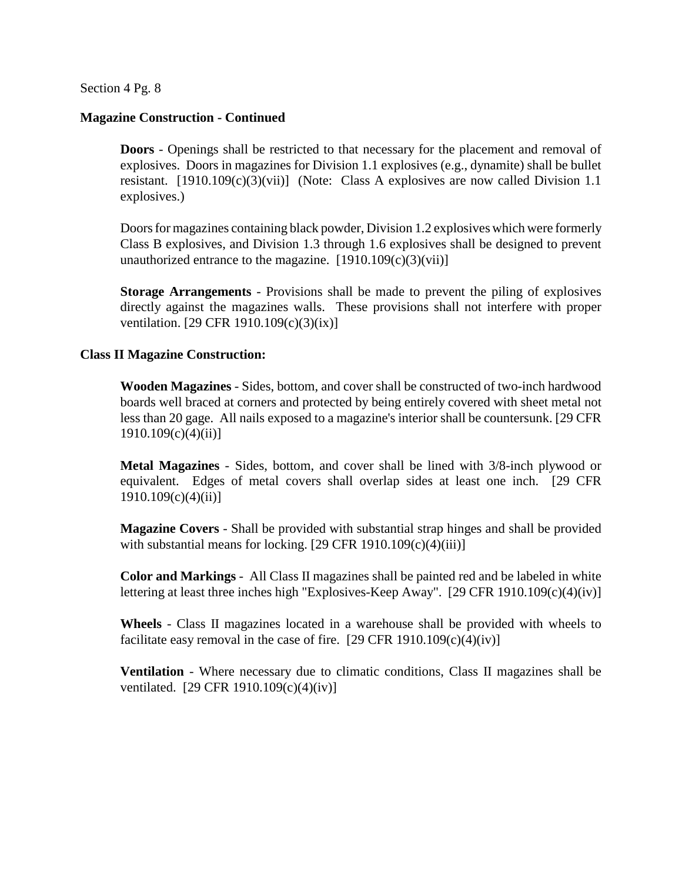Section 4 Pg. 8

## **Magazine Construction - Continued**

**Doors** - Openings shall be restricted to that necessary for the placement and removal of explosives. Doors in magazines for Division 1.1 explosives (e.g., dynamite) shall be bullet resistant. [1910.109(c)(3)(vii)] (Note: Class A explosives are now called Division 1.1 explosives.)

Doors for magazines containing black powder, Division 1.2 explosives which were formerly Class B explosives, and Division 1.3 through 1.6 explosives shall be designed to prevent unauthorized entrance to the magazine.  $[1910.109(c)(3)(vii)]$ 

**Storage Arrangements** - Provisions shall be made to prevent the piling of explosives directly against the magazines walls. These provisions shall not interfere with proper ventilation. [29 CFR 1910.109(c)(3)(ix)]

#### **Class II Magazine Construction:**

**Wooden Magazines** - Sides, bottom, and cover shall be constructed of two-inch hardwood boards well braced at corners and protected by being entirely covered with sheet metal not less than 20 gage. All nails exposed to a magazine's interior shall be countersunk. [29 CFR  $1910.109(c)(4)(ii)$ ]

**Metal Magazines** - Sides, bottom, and cover shall be lined with 3/8-inch plywood or equivalent. Edges of metal covers shall overlap sides at least one inch. [29 CFR  $1910.109(c)(4)(ii)$ ]

**Magazine Covers** - Shall be provided with substantial strap hinges and shall be provided with substantial means for locking.  $[29 \text{ CFR } 1910.109(c)(4)(iii)]$ 

**Color and Markings** - All Class II magazines shall be painted red and be labeled in white lettering at least three inches high "Explosives-Keep Away". [29 CFR 1910.109(c)(4)(iv)]

**Wheels** - Class II magazines located in a warehouse shall be provided with wheels to facilitate easy removal in the case of fire.  $[29 \text{ CFR } 1910.109(c)(4)(iv)]$ 

**Ventilation** - Where necessary due to climatic conditions, Class II magazines shall be ventilated. [29 CFR 1910.109(c)(4)(iv)]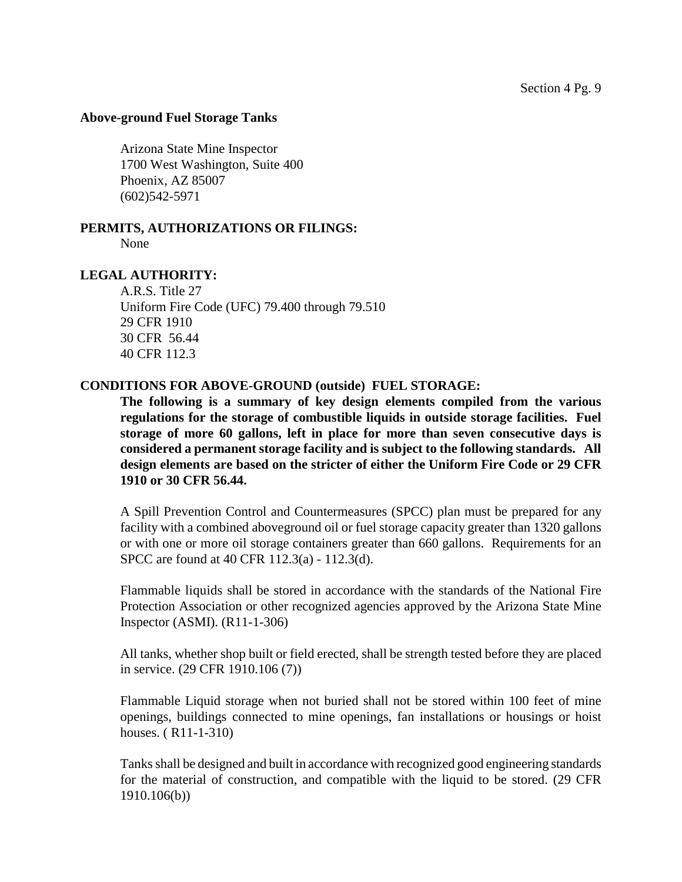#### **Above-ground Fuel Storage Tanks**

Arizona State Mine Inspector 1700 West Washington, Suite 400 Phoenix, AZ 85007 (602)542-5971

#### **PERMITS, AUTHORIZATIONS OR FILINGS:**

None

#### **LEGAL AUTHORITY:**

A.R.S. Title 27 Uniform Fire Code (UFC) 79.400 through 79.510 29 CFR 1910 30 CFR 56.44 40 CFR 112.3

#### **CONDITIONS FOR ABOVE-GROUND (outside) FUEL STORAGE:**

**The following is a summary of key design elements compiled from the various regulations for the storage of combustible liquids in outside storage facilities. Fuel storage of more 60 gallons, left in place for more than seven consecutive days is considered a permanent storage facility and is subject to the following standards. All design elements are based on the stricter of either the Uniform Fire Code or 29 CFR 1910 or 30 CFR 56.44.**

A Spill Prevention Control and Countermeasures (SPCC) plan must be prepared for any facility with a combined aboveground oil or fuel storage capacity greater than 1320 gallons or with one or more oil storage containers greater than 660 gallons. Requirements for an SPCC are found at 40 CFR 112.3(a) - 112.3(d).

Flammable liquids shall be stored in accordance with the standards of the National Fire Protection Association or other recognized agencies approved by the Arizona State Mine Inspector (ASMI). (R11-1-306)

All tanks, whether shop built or field erected, shall be strength tested before they are placed in service. (29 CFR 1910.106 (7))

Flammable Liquid storage when not buried shall not be stored within 100 feet of mine openings, buildings connected to mine openings, fan installations or housings or hoist houses. ( R11-1-310)

Tanks shall be designed and built in accordance with recognized good engineering standards for the material of construction, and compatible with the liquid to be stored. (29 CFR 1910.106(b))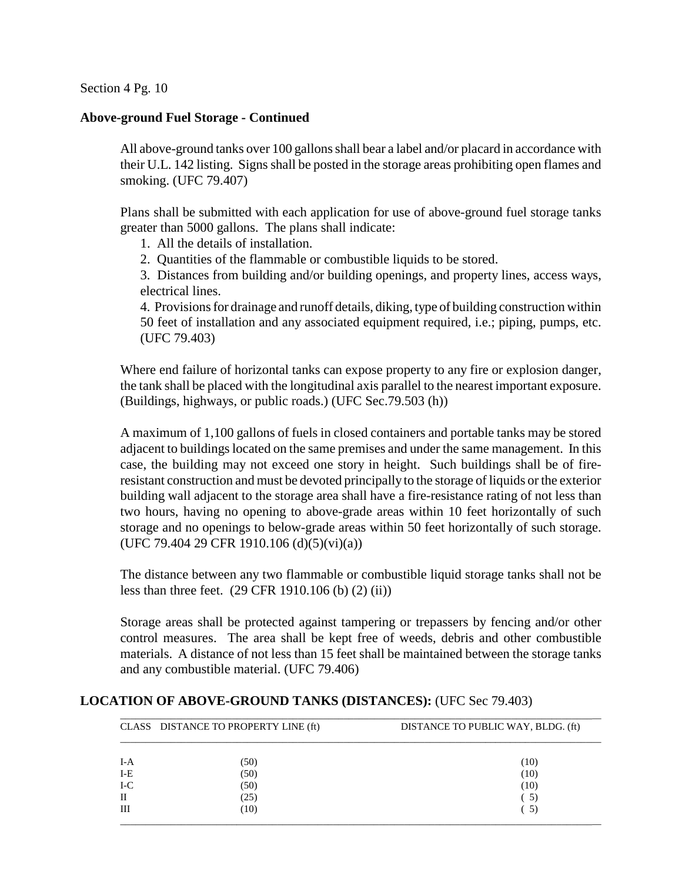Section 4 Pg. 10

#### **Above-ground Fuel Storage - Continued**

All above-ground tanks over 100 gallons shall bear a label and/or placard in accordance with their U.L. 142 listing. Signs shall be posted in the storage areas prohibiting open flames and smoking. (UFC 79.407)

Plans shall be submitted with each application for use of above-ground fuel storage tanks greater than 5000 gallons. The plans shall indicate:

- 1. All the details of installation.
- 2. Quantities of the flammable or combustible liquids to be stored.

3. Distances from building and/or building openings, and property lines, access ways, electrical lines.

4. Provisions for drainage and runoff details, diking, type of building construction within 50 feet of installation and any associated equipment required, i.e.; piping, pumps, etc. (UFC 79.403)

Where end failure of horizontal tanks can expose property to any fire or explosion danger, the tank shall be placed with the longitudinal axis parallel to the nearest important exposure. (Buildings, highways, or public roads.) (UFC Sec.79.503 (h))

A maximum of 1,100 gallons of fuels in closed containers and portable tanks may be stored adjacent to buildings located on the same premises and under the same management. In this case, the building may not exceed one story in height. Such buildings shall be of fireresistant construction and must be devoted principally to the storage of liquids or the exterior building wall adjacent to the storage area shall have a fire-resistance rating of not less than two hours, having no opening to above-grade areas within 10 feet horizontally of such storage and no openings to below-grade areas within 50 feet horizontally of such storage. (UFC 79.404 29 CFR 1910.106 (d)(5)(vi)(a))

The distance between any two flammable or combustible liquid storage tanks shall not be less than three feet. (29 CFR 1910.106 (b) (2) (ii))

Storage areas shall be protected against tampering or trepassers by fencing and/or other control measures. The area shall be kept free of weeds, debris and other combustible materials. A distance of not less than 15 feet shall be maintained between the storage tanks and any combustible material. (UFC 79.406)

#### \_\_\_\_\_\_\_\_\_\_\_\_\_\_\_\_\_\_\_\_\_\_\_\_\_\_\_\_\_\_\_\_\_\_\_\_\_\_\_\_\_\_\_\_\_\_\_\_\_\_\_\_\_\_\_\_\_\_\_\_\_\_\_\_\_\_\_\_\_\_\_\_\_\_\_\_\_\_\_\_\_\_\_\_\_\_\_\_\_\_\_\_\_\_\_ CLASS DISTANCE TO PROPERTY LINE (ft) DISTANCE TO PUBLIC WAY, BLDG. (ft) \_\_\_\_\_\_\_\_\_\_\_\_\_\_\_\_\_\_\_\_\_\_\_\_\_\_\_\_\_\_\_\_\_\_\_\_\_\_\_\_\_\_\_\_\_\_\_\_\_\_\_\_\_\_\_\_\_\_\_\_\_\_\_\_\_\_\_\_\_\_\_\_\_\_\_\_\_\_\_\_\_\_\_\_\_\_\_\_\_\_\_\_\_\_\_  $I-A$  (50) (10)  $I-E$  (50) (10)  $I-C$  (50) (10)  $II$  (25) (3) III  $(10)$ \_\_\_\_\_\_\_\_\_\_\_\_\_\_\_\_\_\_\_\_\_\_\_\_\_\_\_\_\_\_\_\_\_\_\_\_\_\_\_\_\_\_\_\_\_\_\_\_\_\_\_\_\_\_\_\_\_\_\_\_\_\_\_\_\_\_\_\_\_\_\_\_\_\_\_\_\_\_\_\_\_\_\_\_\_\_\_\_\_\_\_\_\_\_\_

#### **LOCATION OF ABOVE-GROUND TANKS (DISTANCES):** (UFC Sec 79.403)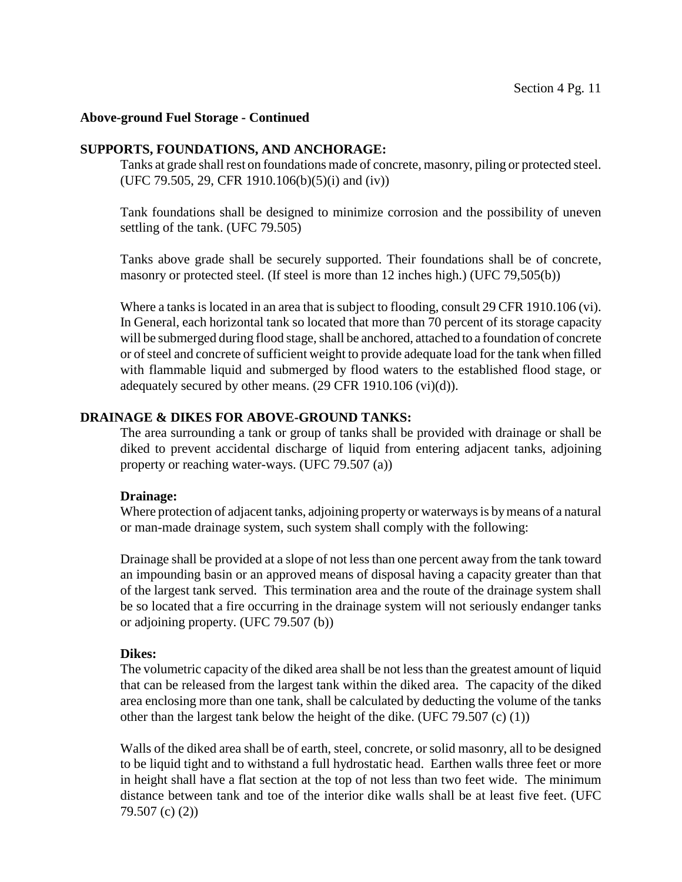#### **Above-ground Fuel Storage - Continued**

#### **SUPPORTS, FOUNDATIONS, AND ANCHORAGE:**

Tanks at grade shall rest on foundations made of concrete, masonry, piling or protected steel. (UFC 79.505, 29, CFR 1910.106(b)(5)(i) and (iv))

Tank foundations shall be designed to minimize corrosion and the possibility of uneven settling of the tank. (UFC 79.505)

Tanks above grade shall be securely supported. Their foundations shall be of concrete, masonry or protected steel. (If steel is more than 12 inches high.) (UFC 79,505(b))

Where a tanks is located in an area that is subject to flooding, consult 29 CFR 1910.106 (vi). In General, each horizontal tank so located that more than 70 percent of its storage capacity will be submerged during flood stage, shall be anchored, attached to a foundation of concrete or of steel and concrete of sufficient weight to provide adequate load for the tank when filled with flammable liquid and submerged by flood waters to the established flood stage, or adequately secured by other means. (29 CFR 1910.106 (vi)(d)).

## **DRAINAGE & DIKES FOR ABOVE-GROUND TANKS:**

The area surrounding a tank or group of tanks shall be provided with drainage or shall be diked to prevent accidental discharge of liquid from entering adjacent tanks, adjoining property or reaching water-ways. (UFC 79.507 (a))

#### **Drainage:**

Where protection of adjacent tanks, adjoining property or waterways is by means of a natural or man-made drainage system, such system shall comply with the following:

Drainage shall be provided at a slope of not less than one percent away from the tank toward an impounding basin or an approved means of disposal having a capacity greater than that of the largest tank served. This termination area and the route of the drainage system shall be so located that a fire occurring in the drainage system will not seriously endanger tanks or adjoining property. (UFC 79.507 (b))

#### **Dikes:**

The volumetric capacity of the diked area shall be not less than the greatest amount of liquid that can be released from the largest tank within the diked area. The capacity of the diked area enclosing more than one tank, shall be calculated by deducting the volume of the tanks other than the largest tank below the height of the dike. (UFC 79.507 (c) (1))

Walls of the diked area shall be of earth, steel, concrete, or solid masonry, all to be designed to be liquid tight and to withstand a full hydrostatic head. Earthen walls three feet or more in height shall have a flat section at the top of not less than two feet wide. The minimum distance between tank and toe of the interior dike walls shall be at least five feet. (UFC 79.507 (c) (2))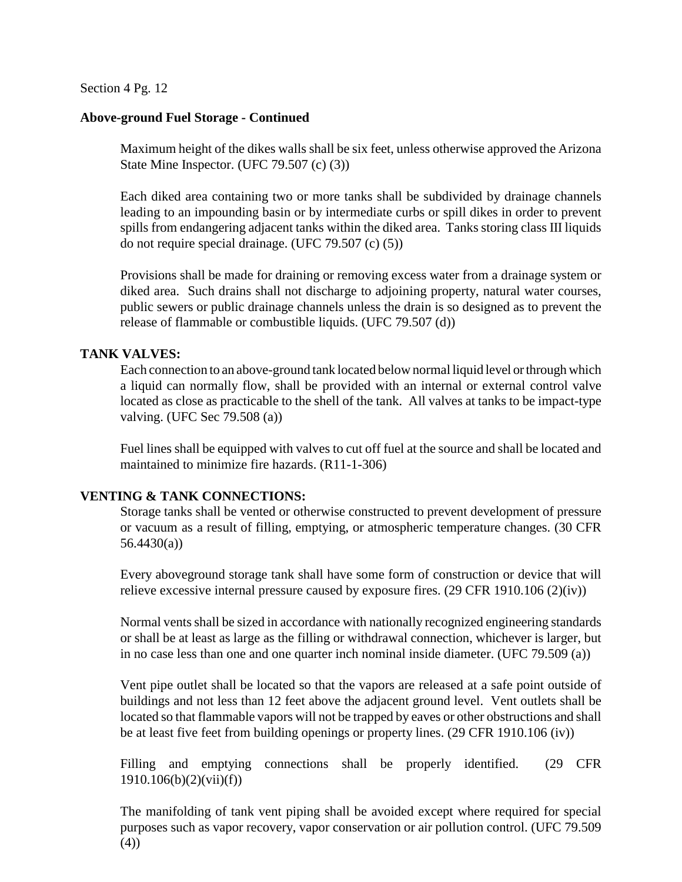## **Above-ground Fuel Storage - Continued**

Maximum height of the dikes walls shall be six feet, unless otherwise approved the Arizona State Mine Inspector. (UFC 79.507 (c) (3))

Each diked area containing two or more tanks shall be subdivided by drainage channels leading to an impounding basin or by intermediate curbs or spill dikes in order to prevent spills from endangering adjacent tanks within the diked area. Tanks storing class III liquids do not require special drainage. (UFC 79.507 (c) (5))

Provisions shall be made for draining or removing excess water from a drainage system or diked area. Such drains shall not discharge to adjoining property, natural water courses, public sewers or public drainage channels unless the drain is so designed as to prevent the release of flammable or combustible liquids. (UFC 79.507 (d))

### **TANK VALVES:**

Each connection to an above-ground tank located below normal liquid level or through which a liquid can normally flow, shall be provided with an internal or external control valve located as close as practicable to the shell of the tank. All valves at tanks to be impact-type valving. (UFC Sec 79.508 (a))

Fuel lines shall be equipped with valves to cut off fuel at the source and shall be located and maintained to minimize fire hazards. (R11-1-306)

# **VENTING & TANK CONNECTIONS:**

Storage tanks shall be vented or otherwise constructed to prevent development of pressure or vacuum as a result of filling, emptying, or atmospheric temperature changes. (30 CFR 56.4430(a))

Every aboveground storage tank shall have some form of construction or device that will relieve excessive internal pressure caused by exposure fires. (29 CFR 1910.106 (2)(iv))

Normal vents shall be sized in accordance with nationally recognized engineering standards or shall be at least as large as the filling or withdrawal connection, whichever is larger, but in no case less than one and one quarter inch nominal inside diameter. (UFC 79.509 (a))

Vent pipe outlet shall be located so that the vapors are released at a safe point outside of buildings and not less than 12 feet above the adjacent ground level. Vent outlets shall be located so that flammable vapors will not be trapped by eaves or other obstructions and shall be at least five feet from building openings or property lines. (29 CFR 1910.106 (iv))

Filling and emptying connections shall be properly identified. (29 CFR 1910.106(b)(2)(vii)(f))

The manifolding of tank vent piping shall be avoided except where required for special purposes such as vapor recovery, vapor conservation or air pollution control. (UFC 79.509 (4))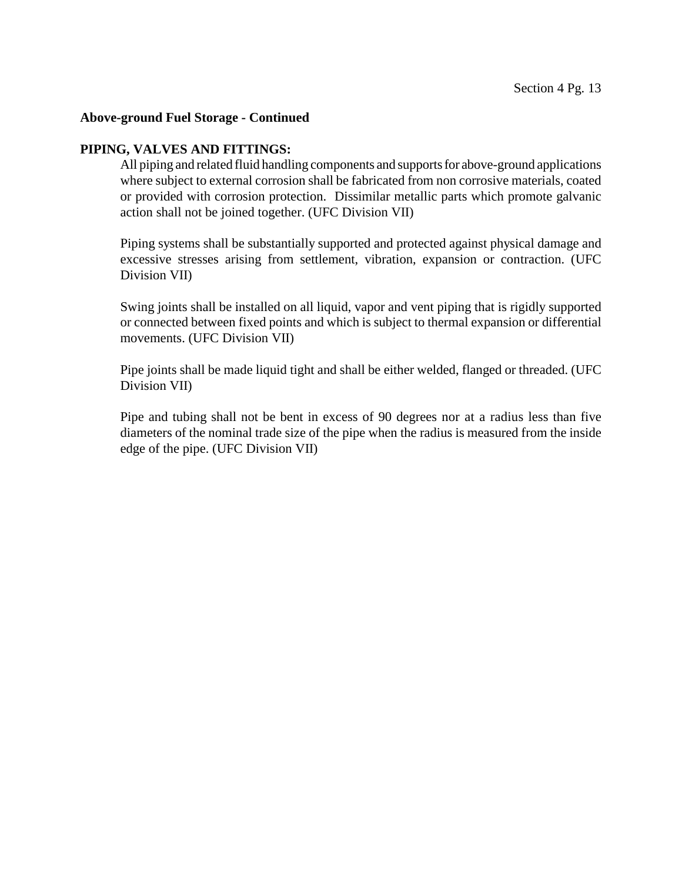### **Above-ground Fuel Storage - Continued**

## **PIPING, VALVES AND FITTINGS:**

All piping and related fluid handling components and supports for above-ground applications where subject to external corrosion shall be fabricated from non corrosive materials, coated or provided with corrosion protection. Dissimilar metallic parts which promote galvanic action shall not be joined together. (UFC Division VII)

Piping systems shall be substantially supported and protected against physical damage and excessive stresses arising from settlement, vibration, expansion or contraction. (UFC Division VII)

Swing joints shall be installed on all liquid, vapor and vent piping that is rigidly supported or connected between fixed points and which is subject to thermal expansion or differential movements. (UFC Division VII)

Pipe joints shall be made liquid tight and shall be either welded, flanged or threaded. (UFC Division VII)

Pipe and tubing shall not be bent in excess of 90 degrees nor at a radius less than five diameters of the nominal trade size of the pipe when the radius is measured from the inside edge of the pipe. (UFC Division VII)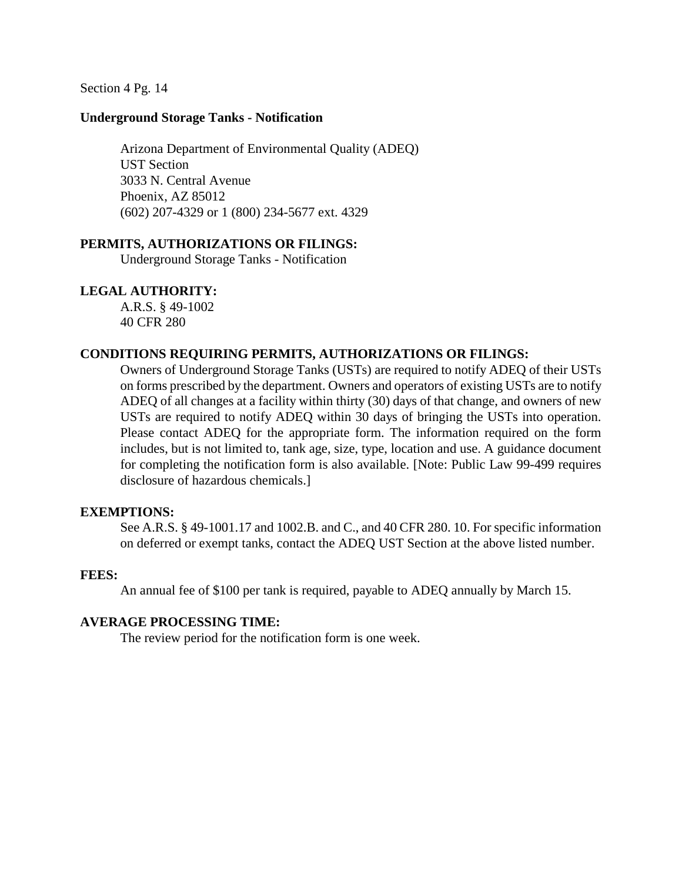#### **Underground Storage Tanks - Notification**

Arizona Department of Environmental Quality (ADEQ) UST Section 3033 N. Central Avenue Phoenix, AZ 85012 (602) 207-4329 or 1 (800) 234-5677 ext. 4329

### **PERMITS, AUTHORIZATIONS OR FILINGS:**

Underground Storage Tanks - Notification

# **LEGAL AUTHORITY:**

A.R.S. § 49-1002 40 CFR 280

### **CONDITIONS REQUIRING PERMITS, AUTHORIZATIONS OR FILINGS:**

Owners of Underground Storage Tanks (USTs) are required to notify ADEQ of their USTs on forms prescribed by the department. Owners and operators of existing USTs are to notify ADEQ of all changes at a facility within thirty (30) days of that change, and owners of new USTs are required to notify ADEQ within 30 days of bringing the USTs into operation. Please contact ADEQ for the appropriate form. The information required on the form includes, but is not limited to, tank age, size, type, location and use. A guidance document for completing the notification form is also available. [Note: Public Law 99-499 requires disclosure of hazardous chemicals.]

#### **EXEMPTIONS:**

See A.R.S. § 49-1001.17 and 1002.B. and C., and 40 CFR 280. 10. For specific information on deferred or exempt tanks, contact the ADEQ UST Section at the above listed number.

### **FEES:**

An annual fee of \$100 per tank is required, payable to ADEQ annually by March 15.

#### **AVERAGE PROCESSING TIME:**

The review period for the notification form is one week.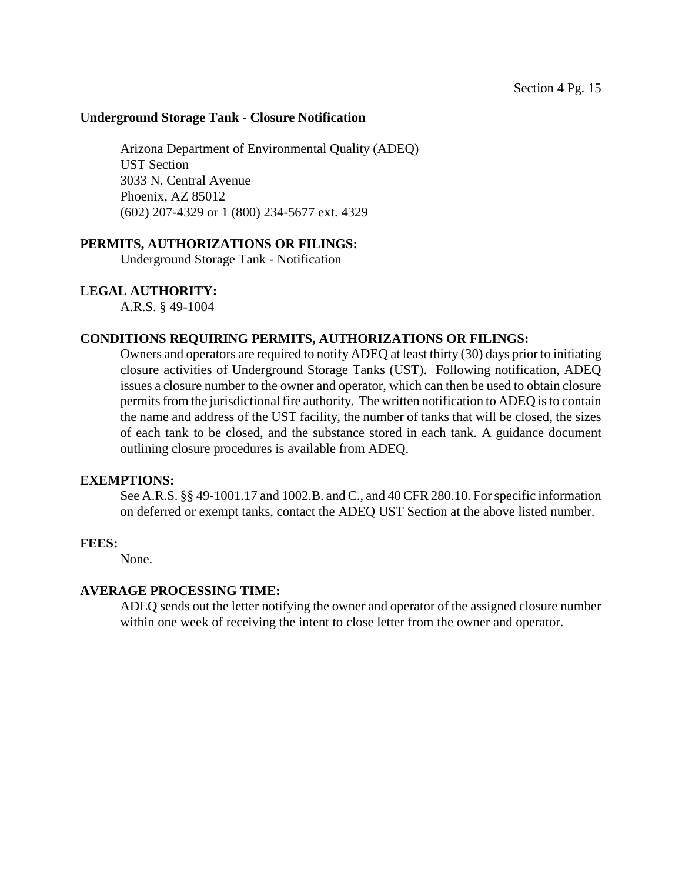#### **Underground Storage Tank - Closure Notification**

Arizona Department of Environmental Quality (ADEQ) UST Section 3033 N. Central Avenue Phoenix, AZ 85012 (602) 207-4329 or 1 (800) 234-5677 ext. 4329

### **PERMITS, AUTHORIZATIONS OR FILINGS:**

Underground Storage Tank - Notification

# **LEGAL AUTHORITY:**

A.R.S. § 49-1004

## **CONDITIONS REQUIRING PERMITS, AUTHORIZATIONS OR FILINGS:**

Owners and operators are required to notify ADEQ at least thirty (30) days prior to initiating closure activities of Underground Storage Tanks (UST). Following notification, ADEQ issues a closure number to the owner and operator, which can then be used to obtain closure permits from the jurisdictional fire authority. The written notification to ADEQ is to contain the name and address of the UST facility, the number of tanks that will be closed, the sizes of each tank to be closed, and the substance stored in each tank. A guidance document outlining closure procedures is available from ADEQ.

#### **EXEMPTIONS:**

See A.R.S. §§ 49-1001.17 and 1002.B. and C., and 40 CFR 280.10. For specific information on deferred or exempt tanks, contact the ADEQ UST Section at the above listed number.

### **FEES:**

None.

#### **AVERAGE PROCESSING TIME:**

ADEQ sends out the letter notifying the owner and operator of the assigned closure number within one week of receiving the intent to close letter from the owner and operator.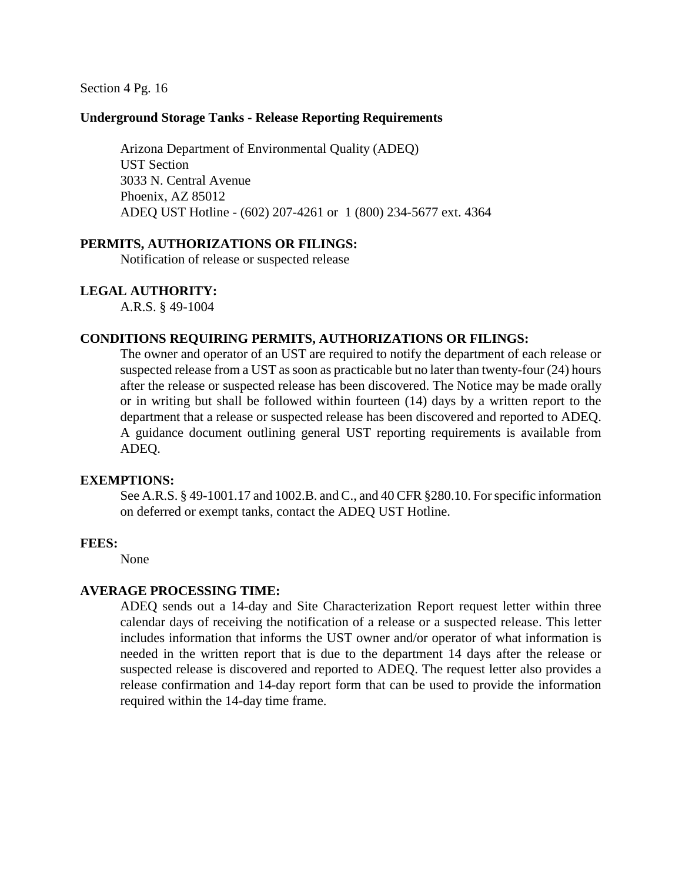### **Underground Storage Tanks - Release Reporting Requirements**

Arizona Department of Environmental Quality (ADEQ) UST Section 3033 N. Central Avenue Phoenix, AZ 85012 ADEQ UST Hotline - (602) 207-4261 or 1 (800) 234-5677 ext. 4364

# **PERMITS, AUTHORIZATIONS OR FILINGS:**

Notification of release or suspected release

# **LEGAL AUTHORITY:**

A.R.S. § 49-1004

# **CONDITIONS REQUIRING PERMITS, AUTHORIZATIONS OR FILINGS:**

The owner and operator of an UST are required to notify the department of each release or suspected release from a UST as soon as practicable but no later than twenty-four (24) hours after the release or suspected release has been discovered. The Notice may be made orally or in writing but shall be followed within fourteen (14) days by a written report to the department that a release or suspected release has been discovered and reported to ADEQ. A guidance document outlining general UST reporting requirements is available from ADEQ.

### **EXEMPTIONS:**

See A.R.S. § 49-1001.17 and 1002.B. and C., and 40 CFR §280.10. For specific information on deferred or exempt tanks, contact the ADEQ UST Hotline.

### **FEES:**

None

# **AVERAGE PROCESSING TIME:**

ADEQ sends out a 14-day and Site Characterization Report request letter within three calendar days of receiving the notification of a release or a suspected release. This letter includes information that informs the UST owner and/or operator of what information is needed in the written report that is due to the department 14 days after the release or suspected release is discovered and reported to ADEQ. The request letter also provides a release confirmation and 14-day report form that can be used to provide the information required within the 14-day time frame.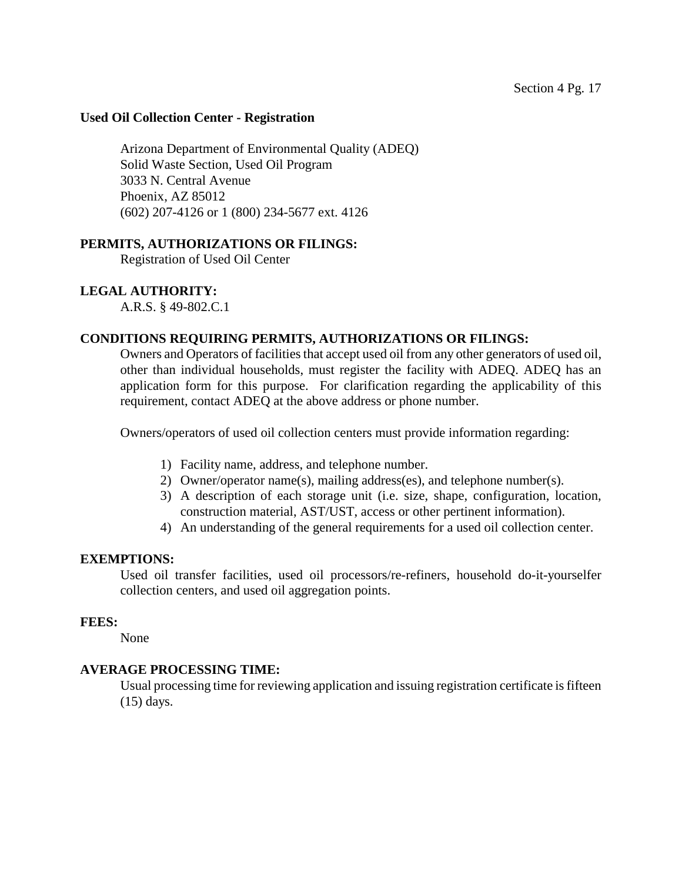### **Used Oil Collection Center - Registration**

Arizona Department of Environmental Quality (ADEQ) Solid Waste Section, Used Oil Program 3033 N. Central Avenue Phoenix, AZ 85012 (602) 207-4126 or 1 (800) 234-5677 ext. 4126

# **PERMITS, AUTHORIZATIONS OR FILINGS:**

Registration of Used Oil Center

# **LEGAL AUTHORITY:**

A.R.S. § 49-802.C.1

## **CONDITIONS REQUIRING PERMITS, AUTHORIZATIONS OR FILINGS:**

Owners and Operators of facilities that accept used oil from any other generators of used oil, other than individual households, must register the facility with ADEQ. ADEQ has an application form for this purpose. For clarification regarding the applicability of this requirement, contact ADEQ at the above address or phone number.

Owners/operators of used oil collection centers must provide information regarding:

- 1) Facility name, address, and telephone number.
- 2) Owner/operator name(s), mailing address(es), and telephone number(s).
- 3) A description of each storage unit (i.e. size, shape, configuration, location, construction material, AST/UST, access or other pertinent information).
- 4) An understanding of the general requirements for a used oil collection center.

### **EXEMPTIONS:**

Used oil transfer facilities, used oil processors/re-refiners, household do-it-yourselfer collection centers, and used oil aggregation points.

### **FEES:**

None

# **AVERAGE PROCESSING TIME:**

Usual processing time for reviewing application and issuing registration certificate is fifteen (15) days.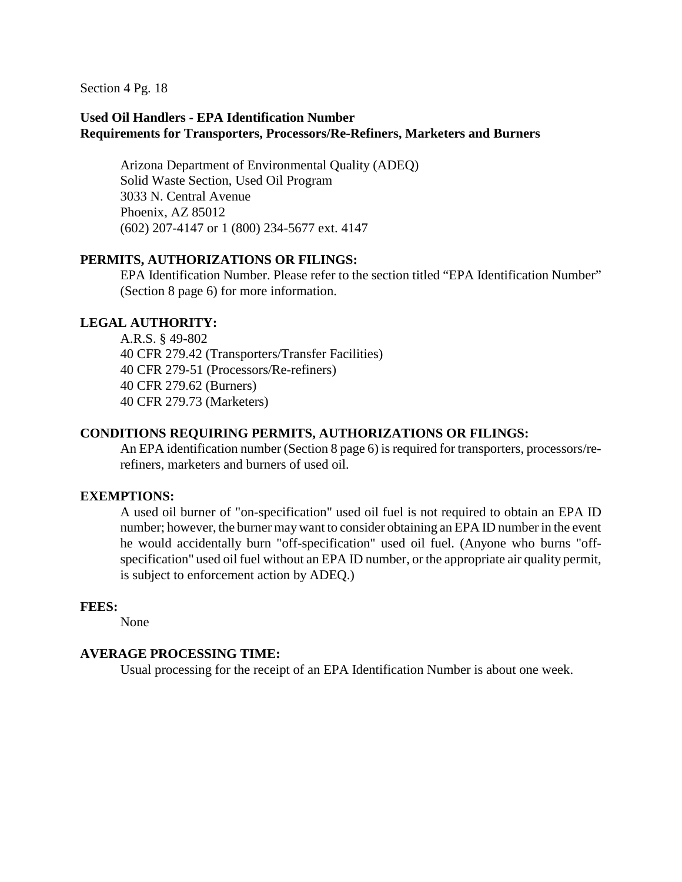# **Used Oil Handlers - EPA Identification Number Requirements for Transporters, Processors/Re-Refiners, Marketers and Burners**

Arizona Department of Environmental Quality (ADEQ) Solid Waste Section, Used Oil Program 3033 N. Central Avenue Phoenix, AZ 85012 (602) 207-4147 or 1 (800) 234-5677 ext. 4147

### **PERMITS, AUTHORIZATIONS OR FILINGS:**

EPA Identification Number. Please refer to the section titled "EPA Identification Number" (Section 8 page 6) for more information.

#### **LEGAL AUTHORITY:**

A.R.S. § 49-802 40 CFR 279.42 (Transporters/Transfer Facilities) 40 CFR 279-51 (Processors/Re-refiners) 40 CFR 279.62 (Burners) 40 CFR 279.73 (Marketers)

#### **CONDITIONS REQUIRING PERMITS, AUTHORIZATIONS OR FILINGS:**

An EPA identification number (Section 8 page 6) is required for transporters, processors/rerefiners, marketers and burners of used oil.

## **EXEMPTIONS:**

A used oil burner of "on-specification" used oil fuel is not required to obtain an EPA ID number; however, the burner may want to consider obtaining an EPA ID number in the event he would accidentally burn "off-specification" used oil fuel. (Anyone who burns "offspecification" used oil fuel without an EPA ID number, or the appropriate air quality permit, is subject to enforcement action by ADEQ.)

#### **FEES:**

None

### **AVERAGE PROCESSING TIME:**

Usual processing for the receipt of an EPA Identification Number is about one week.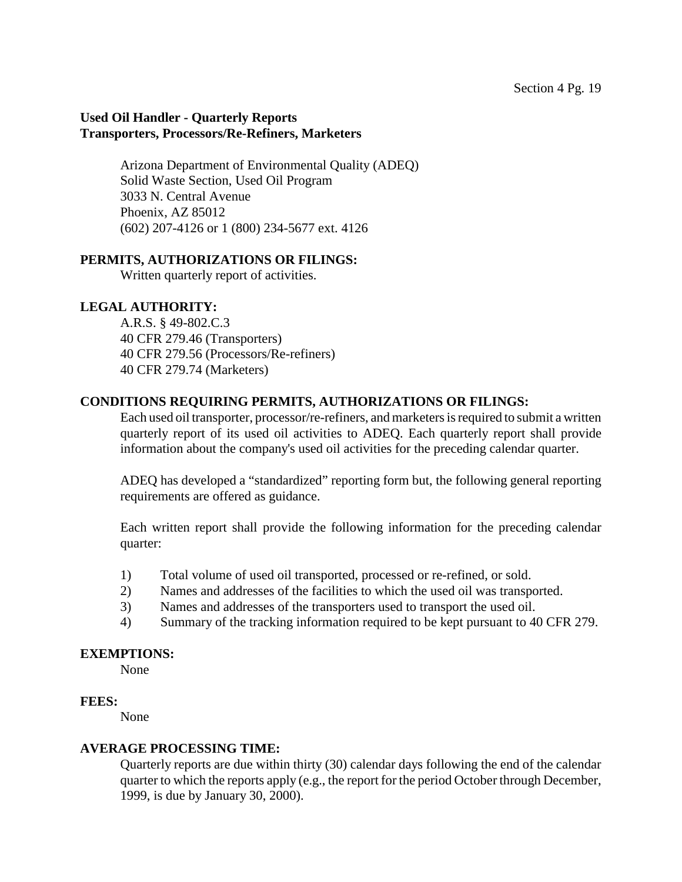# **Used Oil Handler - Quarterly Reports Transporters, Processors/Re-Refiners, Marketers**

Arizona Department of Environmental Quality (ADEQ) Solid Waste Section, Used Oil Program 3033 N. Central Avenue Phoenix, AZ 85012 (602) 207-4126 or 1 (800) 234-5677 ext. 4126

# **PERMITS, AUTHORIZATIONS OR FILINGS:**

Written quarterly report of activities.

# **LEGAL AUTHORITY:**

A.R.S. § 49-802.C.3 40 CFR 279.46 (Transporters) 40 CFR 279.56 (Processors/Re-refiners) 40 CFR 279.74 (Marketers)

# **CONDITIONS REQUIRING PERMITS, AUTHORIZATIONS OR FILINGS:**

Each used oil transporter, processor/re-refiners, and marketers is required to submit a written quarterly report of its used oil activities to ADEQ. Each quarterly report shall provide information about the company's used oil activities for the preceding calendar quarter.

ADEQ has developed a "standardized" reporting form but, the following general reporting requirements are offered as guidance.

Each written report shall provide the following information for the preceding calendar quarter:

- 1) Total volume of used oil transported, processed or re-refined, or sold.
- 2) Names and addresses of the facilities to which the used oil was transported.
- 3) Names and addresses of the transporters used to transport the used oil.
- 4) Summary of the tracking information required to be kept pursuant to 40 CFR 279.

# **EXEMPTIONS:**

None

# **FEES:**

None

# **AVERAGE PROCESSING TIME:**

Quarterly reports are due within thirty (30) calendar days following the end of the calendar quarter to which the reports apply (e.g., the report for the period October through December, 1999, is due by January 30, 2000).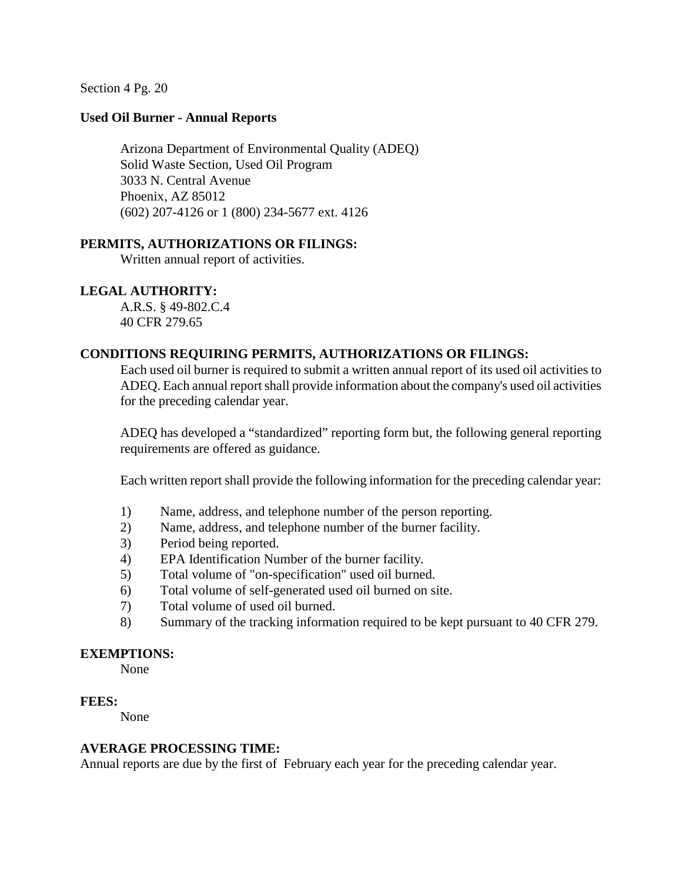## **Used Oil Burner - Annual Reports**

Arizona Department of Environmental Quality (ADEQ) Solid Waste Section, Used Oil Program 3033 N. Central Avenue Phoenix, AZ 85012 (602) 207-4126 or 1 (800) 234-5677 ext. 4126

### **PERMITS, AUTHORIZATIONS OR FILINGS:**

Written annual report of activities.

# **LEGAL AUTHORITY:**

A.R.S. § 49-802.C.4 40 CFR 279.65

### **CONDITIONS REQUIRING PERMITS, AUTHORIZATIONS OR FILINGS:**

Each used oil burner is required to submit a written annual report of its used oil activities to ADEQ. Each annual report shall provide information about the company's used oil activities for the preceding calendar year.

ADEQ has developed a "standardized" reporting form but, the following general reporting requirements are offered as guidance.

Each written report shall provide the following information for the preceding calendar year:

- 1) Name, address, and telephone number of the person reporting.
- 2) Name, address, and telephone number of the burner facility.
- 3) Period being reported.
- 4) EPA Identification Number of the burner facility.
- 5) Total volume of "on-specification" used oil burned.
- 6) Total volume of self-generated used oil burned on site.
- 7) Total volume of used oil burned.
- 8) Summary of the tracking information required to be kept pursuant to 40 CFR 279.

### **EXEMPTIONS:**

None

### **FEES:**

None

# **AVERAGE PROCESSING TIME:**

Annual reports are due by the first of February each year for the preceding calendar year.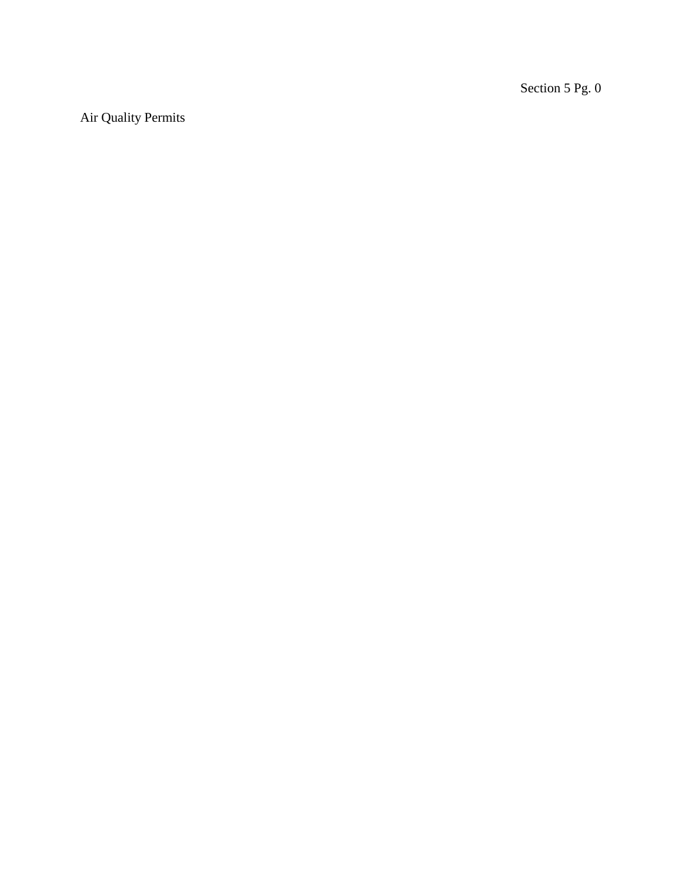Air Quality Permits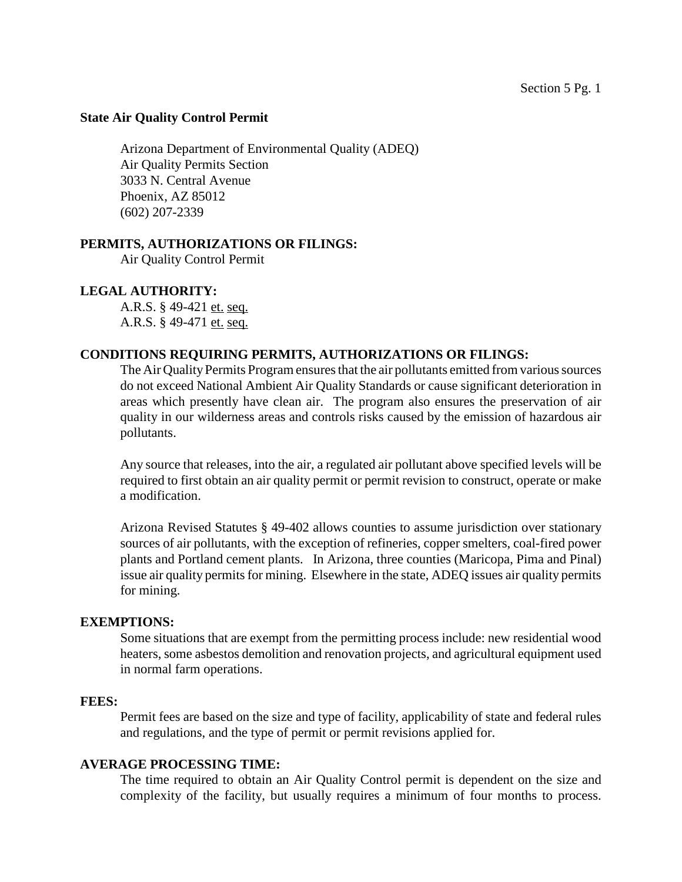### **State Air Quality Control Permit**

Arizona Department of Environmental Quality (ADEQ) Air Quality Permits Section 3033 N. Central Avenue Phoenix, AZ 85012 (602) 207-2339

### **PERMITS, AUTHORIZATIONS OR FILINGS:**

Air Quality Control Permit

### **LEGAL AUTHORITY:**

A.R.S. § 49-421 et. seq. A.R.S. § 49-471 et. seq.

### **CONDITIONS REQUIRING PERMITS, AUTHORIZATIONS OR FILINGS:**

The Air Quality Permits Program ensures that the air pollutants emitted from various sources do not exceed National Ambient Air Quality Standards or cause significant deterioration in areas which presently have clean air. The program also ensures the preservation of air quality in our wilderness areas and controls risks caused by the emission of hazardous air pollutants.

Any source that releases, into the air, a regulated air pollutant above specified levels will be required to first obtain an air quality permit or permit revision to construct, operate or make a modification.

Arizona Revised Statutes § 49-402 allows counties to assume jurisdiction over stationary sources of air pollutants, with the exception of refineries, copper smelters, coal-fired power plants and Portland cement plants. In Arizona, three counties (Maricopa, Pima and Pinal) issue air quality permits for mining. Elsewhere in the state, ADEQ issues air quality permits for mining.

#### **EXEMPTIONS:**

Some situations that are exempt from the permitting process include: new residential wood heaters, some asbestos demolition and renovation projects, and agricultural equipment used in normal farm operations.

#### **FEES:**

Permit fees are based on the size and type of facility, applicability of state and federal rules and regulations, and the type of permit or permit revisions applied for.

#### **AVERAGE PROCESSING TIME:**

The time required to obtain an Air Quality Control permit is dependent on the size and complexity of the facility, but usually requires a minimum of four months to process.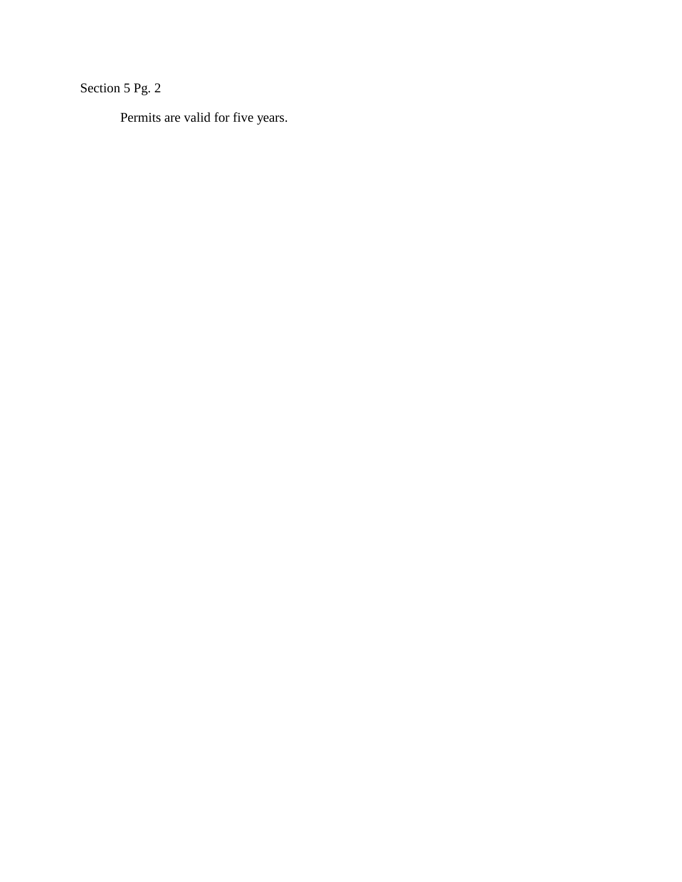Permits are valid for five years.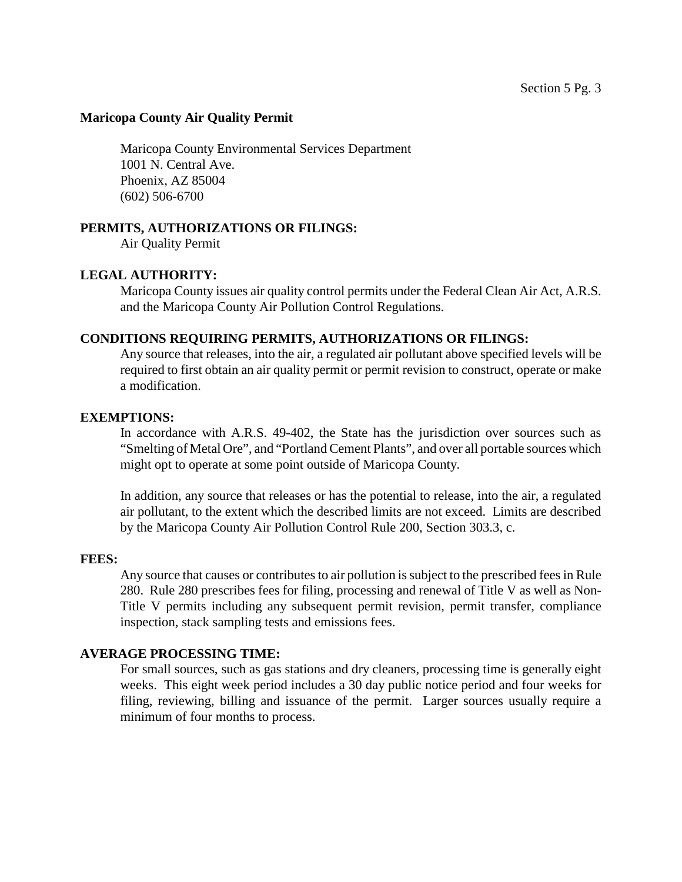### **Maricopa County Air Quality Permit**

Maricopa County Environmental Services Department 1001 N. Central Ave. Phoenix, AZ 85004 (602) 506-6700

### **PERMITS, AUTHORIZATIONS OR FILINGS:**

Air Quality Permit

# **LEGAL AUTHORITY:**

Maricopa County issues air quality control permits under the Federal Clean Air Act, A.R.S. and the Maricopa County Air Pollution Control Regulations.

### **CONDITIONS REQUIRING PERMITS, AUTHORIZATIONS OR FILINGS:**

Any source that releases, into the air, a regulated air pollutant above specified levels will be required to first obtain an air quality permit or permit revision to construct, operate or make a modification.

## **EXEMPTIONS:**

In accordance with A.R.S. 49-402, the State has the jurisdiction over sources such as "Smelting of Metal Ore", and "Portland Cement Plants", and over all portable sources which might opt to operate at some point outside of Maricopa County.

In addition, any source that releases or has the potential to release, into the air, a regulated air pollutant, to the extent which the described limits are not exceed. Limits are described by the Maricopa County Air Pollution Control Rule 200, Section 303.3, c.

### **FEES:**

Any source that causes or contributes to air pollution is subject to the prescribed fees in Rule 280. Rule 280 prescribes fees for filing, processing and renewal of Title V as well as Non-Title V permits including any subsequent permit revision, permit transfer, compliance inspection, stack sampling tests and emissions fees.

# **AVERAGE PROCESSING TIME:**

For small sources, such as gas stations and dry cleaners, processing time is generally eight weeks. This eight week period includes a 30 day public notice period and four weeks for filing, reviewing, billing and issuance of the permit. Larger sources usually require a minimum of four months to process.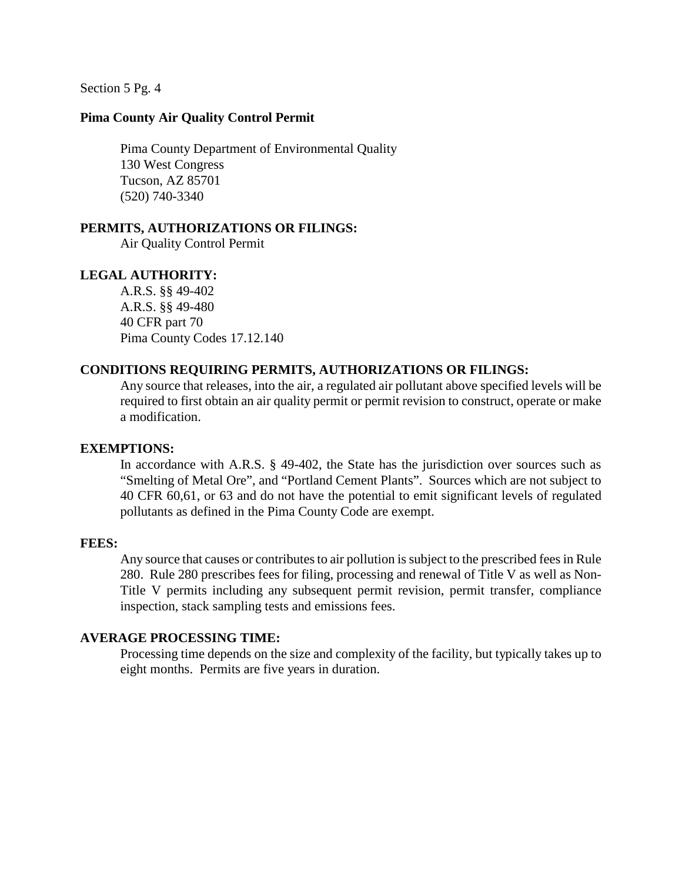#### **Pima County Air Quality Control Permit**

Pima County Department of Environmental Quality 130 West Congress Tucson, AZ 85701 (520) 740-3340

### **PERMITS, AUTHORIZATIONS OR FILINGS:**

Air Quality Control Permit

# **LEGAL AUTHORITY:**

A.R.S. §§ 49-402 A.R.S. §§ 49-480 40 CFR part 70 Pima County Codes 17.12.140

#### **CONDITIONS REQUIRING PERMITS, AUTHORIZATIONS OR FILINGS:**

Any source that releases, into the air, a regulated air pollutant above specified levels will be required to first obtain an air quality permit or permit revision to construct, operate or make a modification.

## **EXEMPTIONS:**

In accordance with A.R.S. § 49-402, the State has the jurisdiction over sources such as "Smelting of Metal Ore", and "Portland Cement Plants". Sources which are not subject to 40 CFR 60,61, or 63 and do not have the potential to emit significant levels of regulated pollutants as defined in the Pima County Code are exempt.

#### **FEES:**

Any source that causes or contributes to air pollution is subject to the prescribed fees in Rule 280. Rule 280 prescribes fees for filing, processing and renewal of Title V as well as Non-Title V permits including any subsequent permit revision, permit transfer, compliance inspection, stack sampling tests and emissions fees.

# **AVERAGE PROCESSING TIME:**

Processing time depends on the size and complexity of the facility, but typically takes up to eight months. Permits are five years in duration.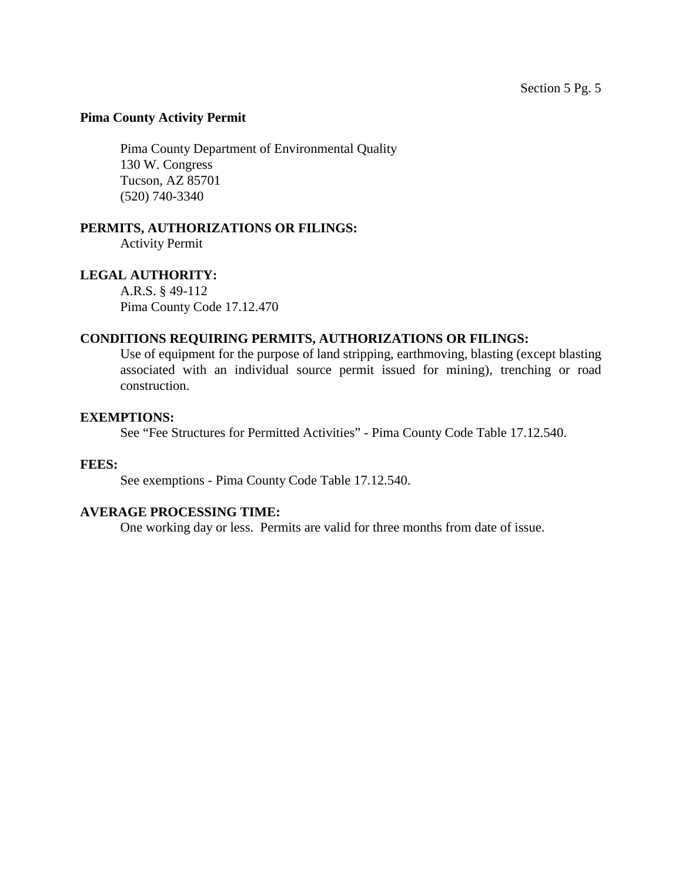### **Pima County Activity Permit**

Pima County Department of Environmental Quality 130 W. Congress Tucson, AZ 85701 (520) 740-3340

# **PERMITS, AUTHORIZATIONS OR FILINGS:**

Activity Permit

# **LEGAL AUTHORITY:**

A.R.S. § 49-112 Pima County Code 17.12.470

## **CONDITIONS REQUIRING PERMITS, AUTHORIZATIONS OR FILINGS:**

Use of equipment for the purpose of land stripping, earthmoving, blasting (except blasting associated with an individual source permit issued for mining), trenching or road construction.

## **EXEMPTIONS:**

See "Fee Structures for Permitted Activities" - Pima County Code Table 17.12.540.

### **FEES:**

See exemptions - Pima County Code Table 17.12.540.

### **AVERAGE PROCESSING TIME:**

One working day or less. Permits are valid for three months from date of issue.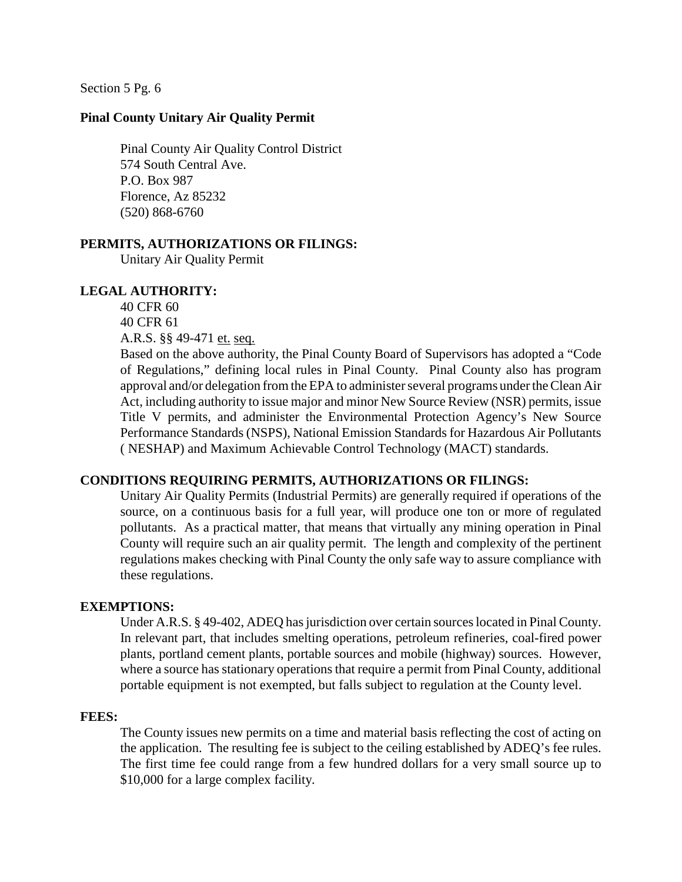#### **Pinal County Unitary Air Quality Permit**

Pinal County Air Quality Control District 574 South Central Ave. P.O. Box 987 Florence, Az 85232 (520) 868-6760

### **PERMITS, AUTHORIZATIONS OR FILINGS:**

Unitary Air Quality Permit

#### **LEGAL AUTHORITY:**

40 CFR 60 40 CFR 61 A.R.S. §§ 49-471 et. seq.

Based on the above authority, the Pinal County Board of Supervisors has adopted a "Code of Regulations," defining local rules in Pinal County. Pinal County also has program approval and/or delegation from the EPA to administer several programs under the Clean Air Act, including authority to issue major and minor New Source Review (NSR) permits, issue Title V permits, and administer the Environmental Protection Agency's New Source Performance Standards (NSPS), National Emission Standards for Hazardous Air Pollutants ( NESHAP) and Maximum Achievable Control Technology (MACT) standards.

### **CONDITIONS REQUIRING PERMITS, AUTHORIZATIONS OR FILINGS:**

Unitary Air Quality Permits (Industrial Permits) are generally required if operations of the source, on a continuous basis for a full year, will produce one ton or more of regulated pollutants. As a practical matter, that means that virtually any mining operation in Pinal County will require such an air quality permit. The length and complexity of the pertinent regulations makes checking with Pinal County the only safe way to assure compliance with these regulations.

## **EXEMPTIONS:**

Under A.R.S. § 49-402, ADEQ has jurisdiction over certain sources located in Pinal County. In relevant part, that includes smelting operations, petroleum refineries, coal-fired power plants, portland cement plants, portable sources and mobile (highway) sources. However, where a source has stationary operations that require a permit from Pinal County, additional portable equipment is not exempted, but falls subject to regulation at the County level.

#### **FEES:**

The County issues new permits on a time and material basis reflecting the cost of acting on the application. The resulting fee is subject to the ceiling established by ADEQ's fee rules. The first time fee could range from a few hundred dollars for a very small source up to \$10,000 for a large complex facility.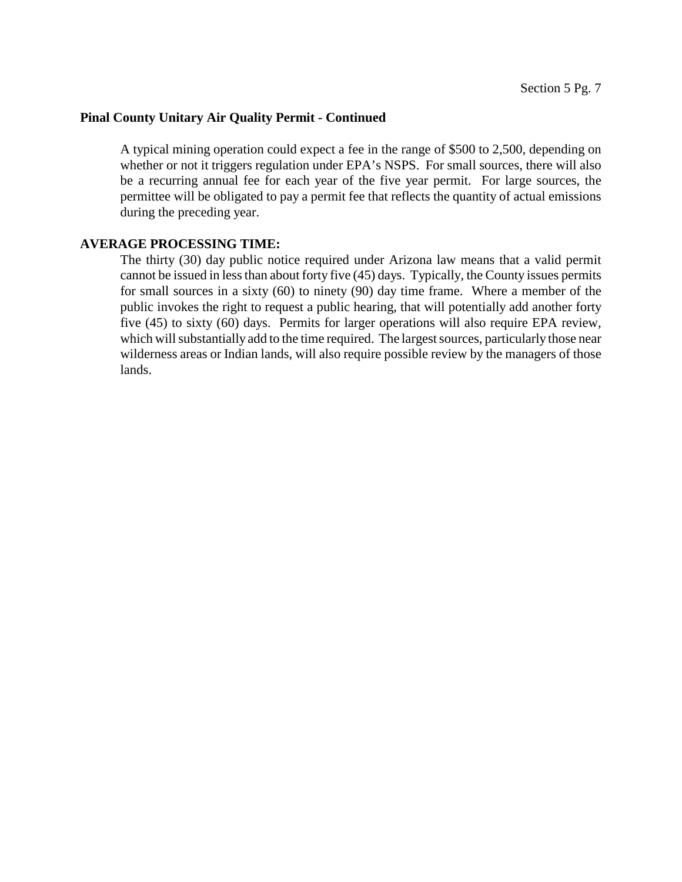### **Pinal County Unitary Air Quality Permit - Continued**

A typical mining operation could expect a fee in the range of \$500 to 2,500, depending on whether or not it triggers regulation under EPA's NSPS. For small sources, there will also be a recurring annual fee for each year of the five year permit. For large sources, the permittee will be obligated to pay a permit fee that reflects the quantity of actual emissions during the preceding year.

# **AVERAGE PROCESSING TIME:**

The thirty (30) day public notice required under Arizona law means that a valid permit cannot be issued in less than about forty five (45) days. Typically, the County issues permits for small sources in a sixty (60) to ninety (90) day time frame. Where a member of the public invokes the right to request a public hearing, that will potentially add another forty five (45) to sixty (60) days. Permits for larger operations will also require EPA review, which will substantially add to the time required. The largest sources, particularly those near wilderness areas or Indian lands, will also require possible review by the managers of those lands.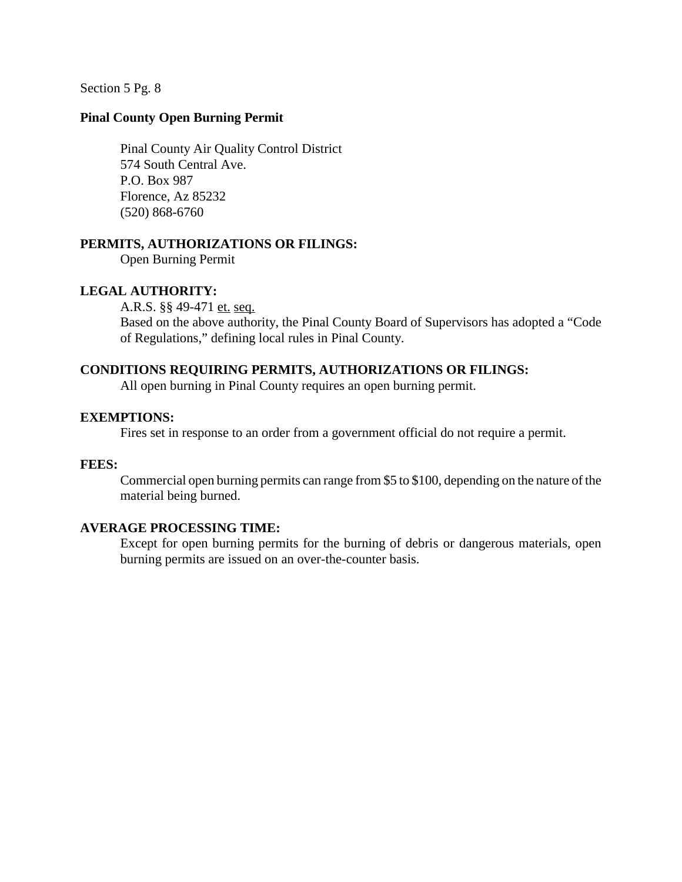### **Pinal County Open Burning Permit**

Pinal County Air Quality Control District 574 South Central Ave. P.O. Box 987 Florence, Az 85232 (520) 868-6760

### **PERMITS, AUTHORIZATIONS OR FILINGS:**

Open Burning Permit

# **LEGAL AUTHORITY:**

A.R.S. §§ 49-471 et. seq.

Based on the above authority, the Pinal County Board of Supervisors has adopted a "Code of Regulations," defining local rules in Pinal County.

# **CONDITIONS REQUIRING PERMITS, AUTHORIZATIONS OR FILINGS:**

All open burning in Pinal County requires an open burning permit.

### **EXEMPTIONS:**

Fires set in response to an order from a government official do not require a permit.

### **FEES:**

Commercial open burning permits can range from \$5 to \$100, depending on the nature of the material being burned.

### **AVERAGE PROCESSING TIME:**

Except for open burning permits for the burning of debris or dangerous materials, open burning permits are issued on an over-the-counter basis.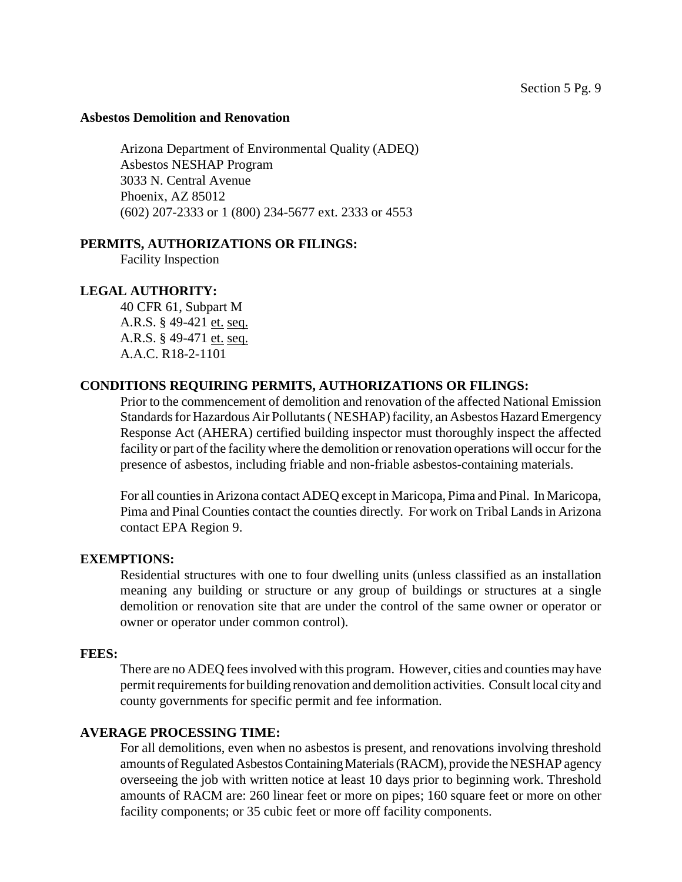### **Asbestos Demolition and Renovation**

Arizona Department of Environmental Quality (ADEQ) Asbestos NESHAP Program 3033 N. Central Avenue Phoenix, AZ 85012 (602) 207-2333 or 1 (800) 234-5677 ext. 2333 or 4553

### **PERMITS, AUTHORIZATIONS OR FILINGS:**

Facility Inspection

### **LEGAL AUTHORITY:**

40 CFR 61, Subpart M A.R.S. § 49-421 et. seq. A.R.S. § 49-471 et. seq. A.A.C. R18-2-1101

#### **CONDITIONS REQUIRING PERMITS, AUTHORIZATIONS OR FILINGS:**

Prior to the commencement of demolition and renovation of the affected National Emission Standards for Hazardous Air Pollutants ( NESHAP) facility, an Asbestos Hazard Emergency Response Act (AHERA) certified building inspector must thoroughly inspect the affected facility or part of the facility where the demolition or renovation operations will occur for the presence of asbestos, including friable and non-friable asbestos-containing materials.

For all counties in Arizona contact ADEQ except in Maricopa, Pima and Pinal. In Maricopa, Pima and Pinal Counties contact the counties directly. For work on Tribal Lands in Arizona contact EPA Region 9.

#### **EXEMPTIONS:**

Residential structures with one to four dwelling units (unless classified as an installation meaning any building or structure or any group of buildings or structures at a single demolition or renovation site that are under the control of the same owner or operator or owner or operator under common control).

#### **FEES:**

There are no ADEQ fees involved with this program. However, cities and counties may have permit requirements for building renovation and demolition activities. Consult local city and county governments for specific permit and fee information.

#### **AVERAGE PROCESSING TIME:**

For all demolitions, even when no asbestos is present, and renovations involving threshold amounts of Regulated Asbestos Containing Materials (RACM), provide the NESHAP agency overseeing the job with written notice at least 10 days prior to beginning work. Threshold amounts of RACM are: 260 linear feet or more on pipes; 160 square feet or more on other facility components; or 35 cubic feet or more off facility components.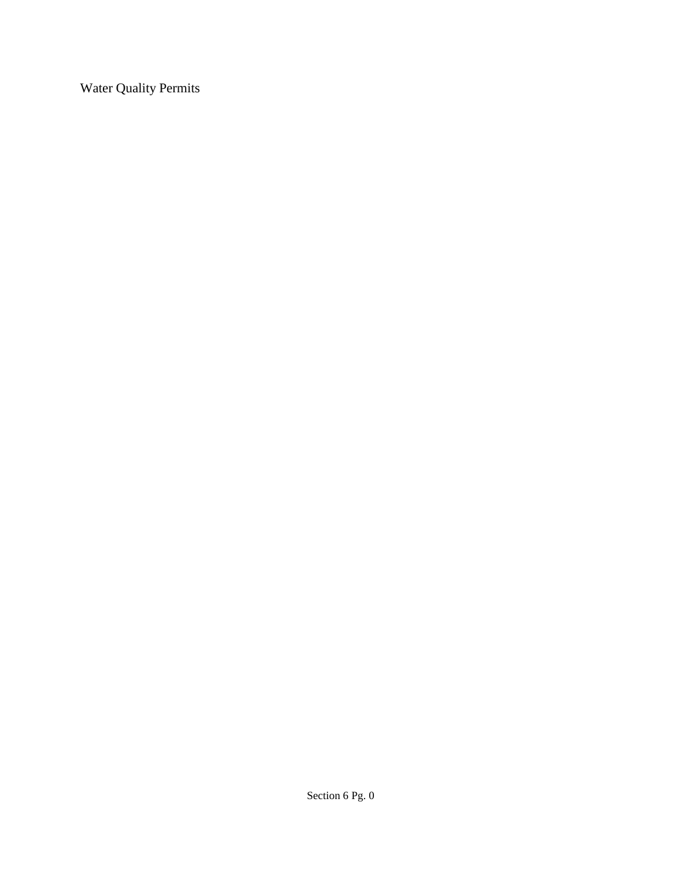Water Quality Permits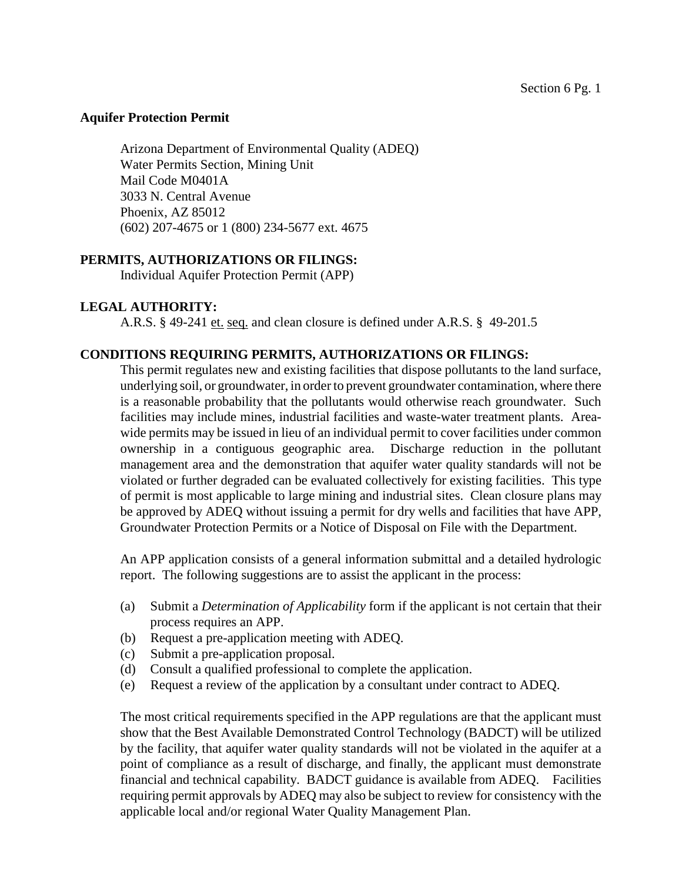### **Aquifer Protection Permit**

Arizona Department of Environmental Quality (ADEQ) Water Permits Section, Mining Unit Mail Code M0401A 3033 N. Central Avenue Phoenix, AZ 85012 (602) 207-4675 or 1 (800) 234-5677 ext. 4675

# **PERMITS, AUTHORIZATIONS OR FILINGS:**

Individual Aquifer Protection Permit (APP)

# **LEGAL AUTHORITY:**

A.R.S. § 49-241 et. seq. and clean closure is defined under A.R.S. § 49-201.5

### **CONDITIONS REQUIRING PERMITS, AUTHORIZATIONS OR FILINGS:**

This permit regulates new and existing facilities that dispose pollutants to the land surface, underlying soil, or groundwater, in order to prevent groundwater contamination, where there is a reasonable probability that the pollutants would otherwise reach groundwater. Such facilities may include mines, industrial facilities and waste-water treatment plants. Areawide permits may be issued in lieu of an individual permit to cover facilities under common ownership in a contiguous geographic area. Discharge reduction in the pollutant management area and the demonstration that aquifer water quality standards will not be violated or further degraded can be evaluated collectively for existing facilities. This type of permit is most applicable to large mining and industrial sites. Clean closure plans may be approved by ADEQ without issuing a permit for dry wells and facilities that have APP, Groundwater Protection Permits or a Notice of Disposal on File with the Department.

An APP application consists of a general information submittal and a detailed hydrologic report. The following suggestions are to assist the applicant in the process:

- (a) Submit a *Determination of Applicability* form if the applicant is not certain that their process requires an APP.
- (b) Request a pre-application meeting with ADEQ.
- (c) Submit a pre-application proposal.
- (d) Consult a qualified professional to complete the application.
- (e) Request a review of the application by a consultant under contract to ADEQ.

The most critical requirements specified in the APP regulations are that the applicant must show that the Best Available Demonstrated Control Technology (BADCT) will be utilized by the facility, that aquifer water quality standards will not be violated in the aquifer at a point of compliance as a result of discharge, and finally, the applicant must demonstrate financial and technical capability. BADCT guidance is available from ADEQ. Facilities requiring permit approvals by ADEQ may also be subject to review for consistency with the applicable local and/or regional Water Quality Management Plan.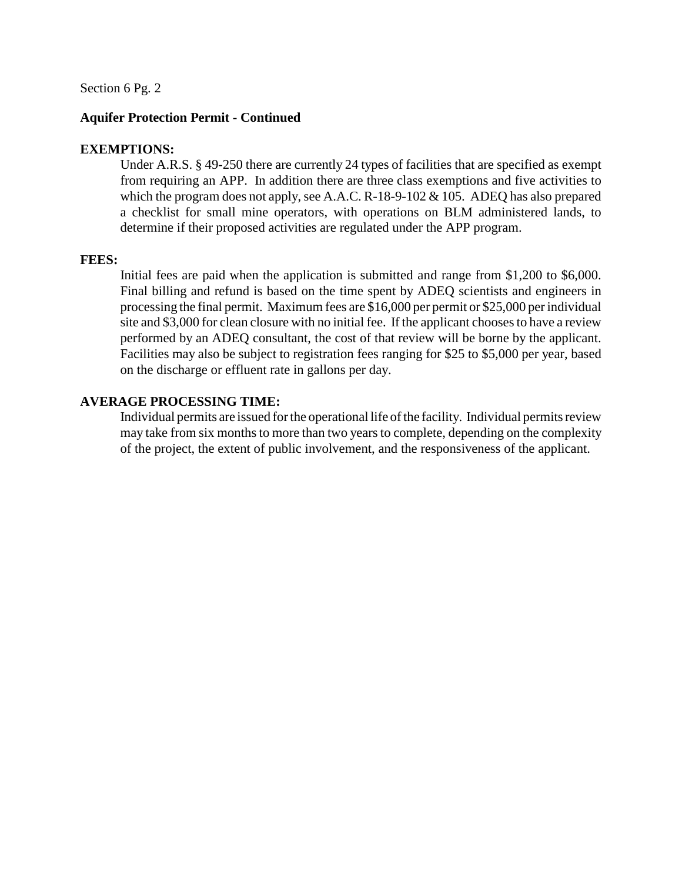### **Aquifer Protection Permit - Continued**

#### **EXEMPTIONS:**

Under A.R.S. § 49-250 there are currently 24 types of facilities that are specified as exempt from requiring an APP. In addition there are three class exemptions and five activities to which the program does not apply, see A.A.C. R-18-9-102 & 105. ADEQ has also prepared a checklist for small mine operators, with operations on BLM administered lands, to determine if their proposed activities are regulated under the APP program.

#### **FEES:**

Initial fees are paid when the application is submitted and range from \$1,200 to \$6,000. Final billing and refund is based on the time spent by ADEQ scientists and engineers in processing the final permit. Maximum fees are \$16,000 per permit or \$25,000 per individual site and \$3,000 for clean closure with no initial fee. If the applicant chooses to have a review performed by an ADEQ consultant, the cost of that review will be borne by the applicant. Facilities may also be subject to registration fees ranging for \$25 to \$5,000 per year, based on the discharge or effluent rate in gallons per day.

#### **AVERAGE PROCESSING TIME:**

Individual permits are issued for the operational life of the facility. Individual permits review may take from six months to more than two years to complete, depending on the complexity of the project, the extent of public involvement, and the responsiveness of the applicant.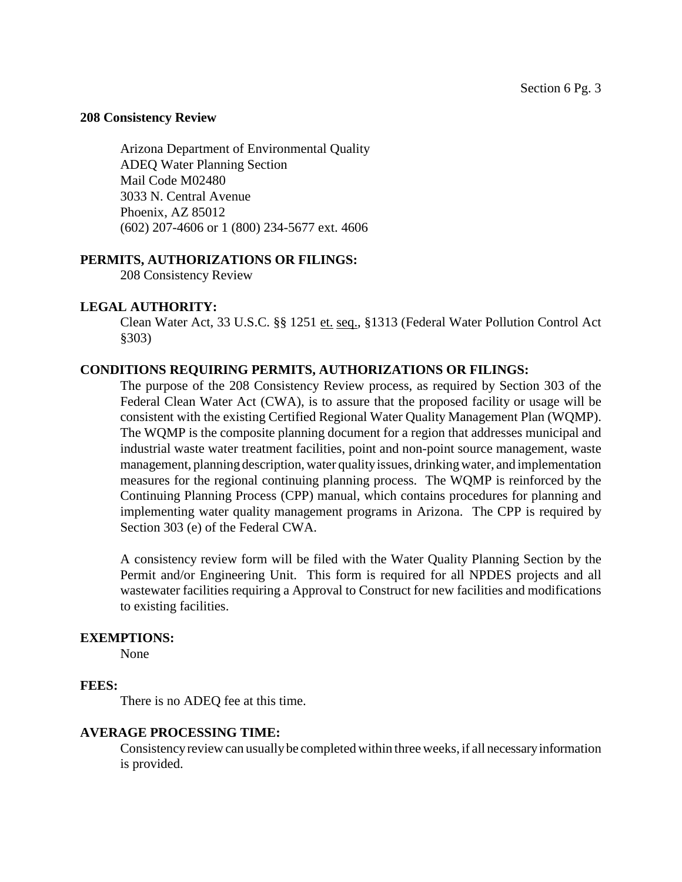### **208 Consistency Review**

Arizona Department of Environmental Quality ADEQ Water Planning Section Mail Code M02480 3033 N. Central Avenue Phoenix, AZ 85012 (602) 207-4606 or 1 (800) 234-5677 ext. 4606

### **PERMITS, AUTHORIZATIONS OR FILINGS:**

208 Consistency Review

## **LEGAL AUTHORITY:**

Clean Water Act, 33 U.S.C. §§ 1251 et. seq., §1313 (Federal Water Pollution Control Act §303)

### **CONDITIONS REQUIRING PERMITS, AUTHORIZATIONS OR FILINGS:**

The purpose of the 208 Consistency Review process, as required by Section 303 of the Federal Clean Water Act (CWA), is to assure that the proposed facility or usage will be consistent with the existing Certified Regional Water Quality Management Plan (WQMP). The WQMP is the composite planning document for a region that addresses municipal and industrial waste water treatment facilities, point and non-point source management, waste management, planning description, water quality issues, drinking water, and implementation measures for the regional continuing planning process. The WQMP is reinforced by the Continuing Planning Process (CPP) manual, which contains procedures for planning and implementing water quality management programs in Arizona. The CPP is required by Section 303 (e) of the Federal CWA.

A consistency review form will be filed with the Water Quality Planning Section by the Permit and/or Engineering Unit. This form is required for all NPDES projects and all wastewater facilities requiring a Approval to Construct for new facilities and modifications to existing facilities.

### **EXEMPTIONS:**

None

## **FEES:**

There is no ADEQ fee at this time.

### **AVERAGE PROCESSING TIME:**

Consistency review can usually be completed within three weeks, if all necessary information is provided.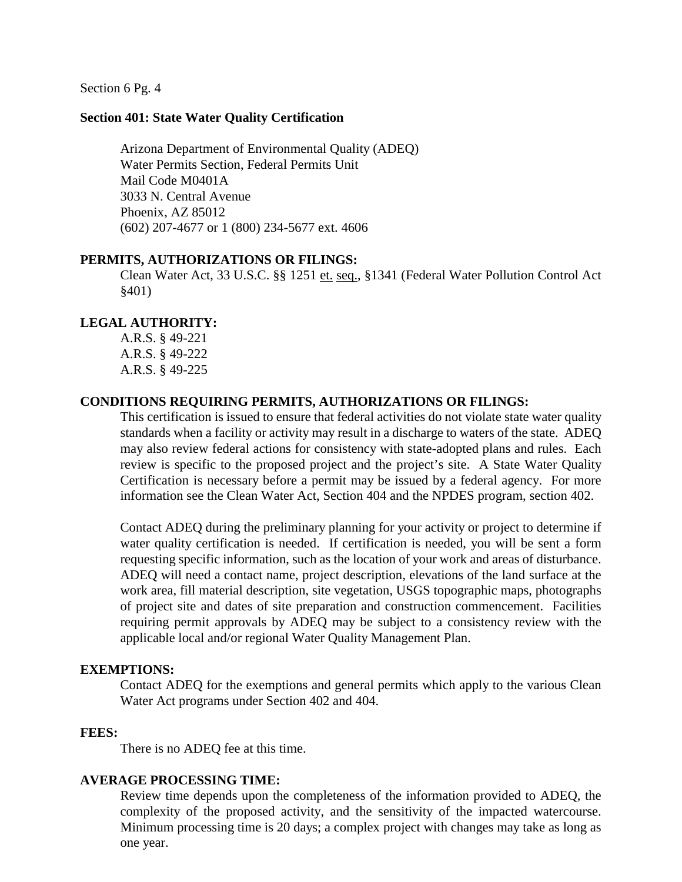#### **Section 401: State Water Quality Certification**

Arizona Department of Environmental Quality (ADEQ) Water Permits Section, Federal Permits Unit Mail Code M0401A 3033 N. Central Avenue Phoenix, AZ 85012 (602) 207-4677 or 1 (800) 234-5677 ext. 4606

### **PERMITS, AUTHORIZATIONS OR FILINGS:**

Clean Water Act, 33 U.S.C. §§ 1251 et. seq., §1341 (Federal Water Pollution Control Act §401)

### **LEGAL AUTHORITY:**

A.R.S. § 49-221 A.R.S. § 49-222 A.R.S. § 49-225

#### **CONDITIONS REQUIRING PERMITS, AUTHORIZATIONS OR FILINGS:**

This certification is issued to ensure that federal activities do not violate state water quality standards when a facility or activity may result in a discharge to waters of the state. ADEQ may also review federal actions for consistency with state-adopted plans and rules. Each review is specific to the proposed project and the project's site. A State Water Quality Certification is necessary before a permit may be issued by a federal agency. For more information see the Clean Water Act, Section 404 and the NPDES program, section 402.

Contact ADEQ during the preliminary planning for your activity or project to determine if water quality certification is needed. If certification is needed, you will be sent a form requesting specific information, such as the location of your work and areas of disturbance. ADEQ will need a contact name, project description, elevations of the land surface at the work area, fill material description, site vegetation, USGS topographic maps, photographs of project site and dates of site preparation and construction commencement. Facilities requiring permit approvals by ADEQ may be subject to a consistency review with the applicable local and/or regional Water Quality Management Plan.

### **EXEMPTIONS:**

Contact ADEQ for the exemptions and general permits which apply to the various Clean Water Act programs under Section 402 and 404.

### **FEES:**

There is no ADEQ fee at this time.

### **AVERAGE PROCESSING TIME:**

Review time depends upon the completeness of the information provided to ADEQ, the complexity of the proposed activity, and the sensitivity of the impacted watercourse. Minimum processing time is 20 days; a complex project with changes may take as long as one year.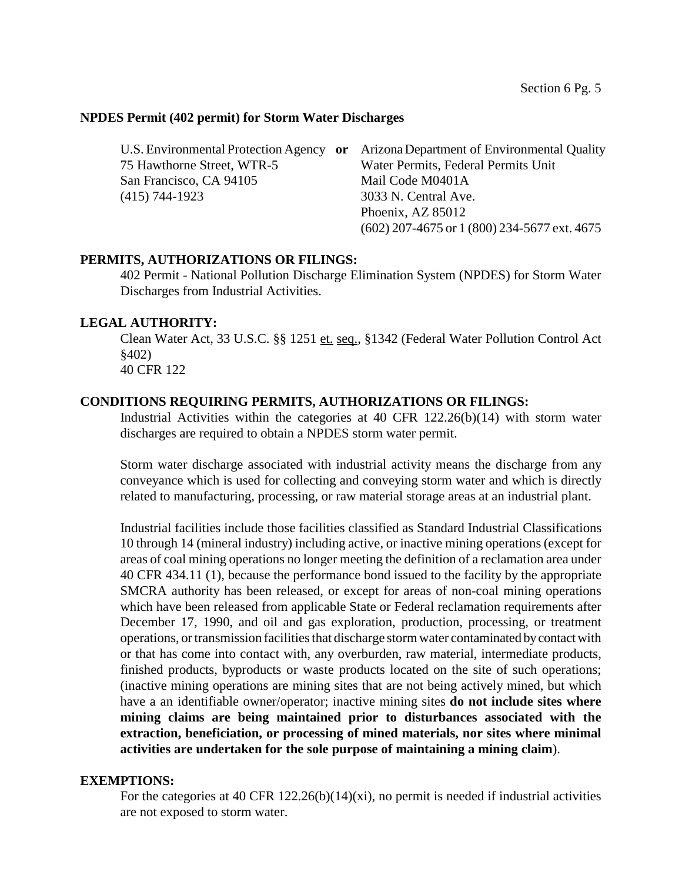### **NPDES Permit (402 permit) for Storm Water Discharges**

|                            | U.S. Environmental Protection Agency or Arizona Department of Environmental Quality |
|----------------------------|-------------------------------------------------------------------------------------|
| 75 Hawthorne Street, WTR-5 | Water Permits, Federal Permits Unit                                                 |
| San Francisco, CA 94105    | Mail Code M0401A                                                                    |
| $(415)$ 744-1923           | 3033 N. Central Ave.                                                                |
|                            | Phoenix, AZ 85012                                                                   |
|                            | $(602)$ 207-4675 or 1 (800) 234-5677 ext. 4675                                      |

### **PERMITS, AUTHORIZATIONS OR FILINGS:**

402 Permit - National Pollution Discharge Elimination System (NPDES) for Storm Water Discharges from Industrial Activities.

#### **LEGAL AUTHORITY:**

Clean Water Act, 33 U.S.C. §§ 1251 et. seq., §1342 (Federal Water Pollution Control Act §402)

40 CFR 122

#### **CONDITIONS REQUIRING PERMITS, AUTHORIZATIONS OR FILINGS:**

Industrial Activities within the categories at 40 CFR 122.26(b)(14) with storm water discharges are required to obtain a NPDES storm water permit.

Storm water discharge associated with industrial activity means the discharge from any conveyance which is used for collecting and conveying storm water and which is directly related to manufacturing, processing, or raw material storage areas at an industrial plant.

Industrial facilities include those facilities classified as Standard Industrial Classifications 10 through 14 (mineral industry) including active, or inactive mining operations (except for areas of coal mining operations no longer meeting the definition of a reclamation area under 40 CFR 434.11 (1), because the performance bond issued to the facility by the appropriate SMCRA authority has been released, or except for areas of non-coal mining operations which have been released from applicable State or Federal reclamation requirements after December 17, 1990, and oil and gas exploration, production, processing, or treatment operations, or transmission facilities that discharge storm water contaminated by contact with or that has come into contact with, any overburden, raw material, intermediate products, finished products, byproducts or waste products located on the site of such operations; (inactive mining operations are mining sites that are not being actively mined, but which have a an identifiable owner/operator; inactive mining sites **do not include sites where mining claims are being maintained prior to disturbances associated with the extraction, beneficiation, or processing of mined materials, nor sites where minimal activities are undertaken for the sole purpose of maintaining a mining claim**).

#### **EXEMPTIONS:**

For the categories at 40 CFR 122.26(b)(14)(xi), no permit is needed if industrial activities are not exposed to storm water.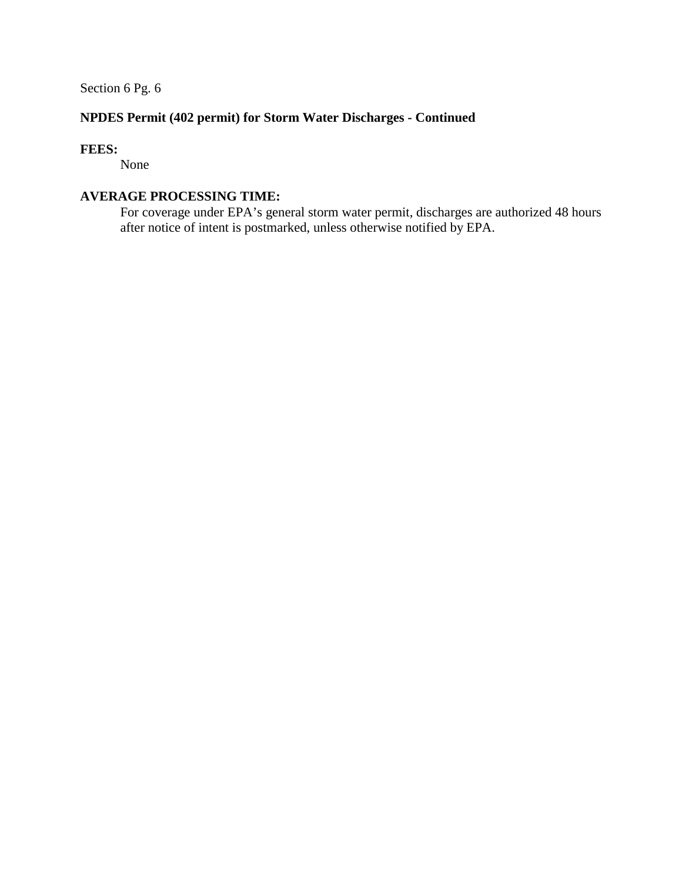# **NPDES Permit (402 permit) for Storm Water Discharges - Continued**

# **FEES:**

None

# **AVERAGE PROCESSING TIME:**

For coverage under EPA's general storm water permit, discharges are authorized 48 hours after notice of intent is postmarked, unless otherwise notified by EPA.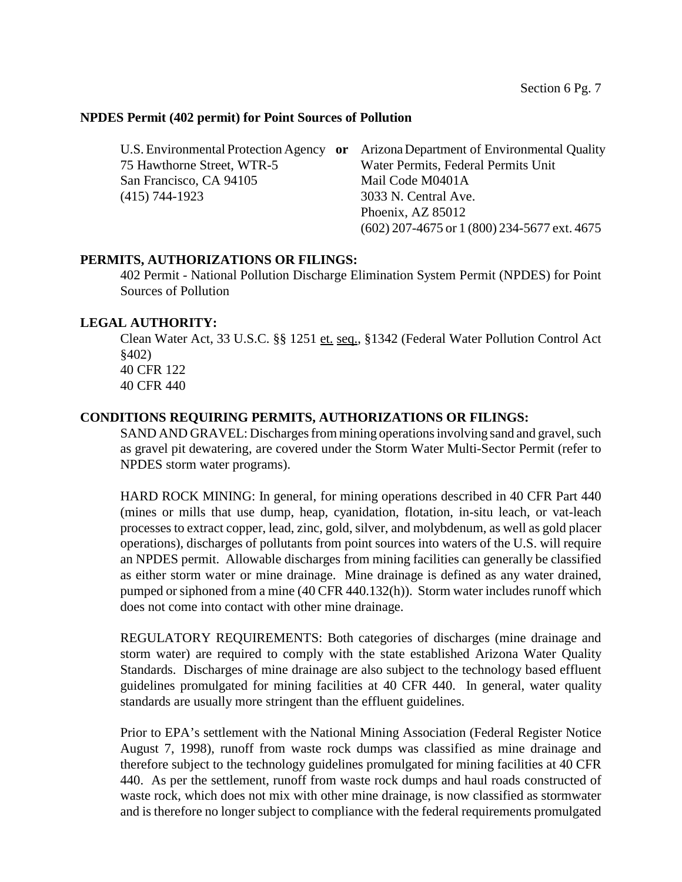### **NPDES Permit (402 permit) for Point Sources of Pollution**

|                            | U.S. Environmental Protection Agency or Arizona Department of Environmental Quality |
|----------------------------|-------------------------------------------------------------------------------------|
| 75 Hawthorne Street, WTR-5 | Water Permits, Federal Permits Unit                                                 |
| San Francisco, CA 94105    | Mail Code M0401A                                                                    |
| $(415)$ 744-1923           | 3033 N. Central Ave.                                                                |
|                            | Phoenix, AZ 85012                                                                   |
|                            | $(602)$ 207-4675 or 1 (800) 234-5677 ext. 4675                                      |

### **PERMITS, AUTHORIZATIONS OR FILINGS:**

402 Permit - National Pollution Discharge Elimination System Permit (NPDES) for Point Sources of Pollution

#### **LEGAL AUTHORITY:**

Clean Water Act, 33 U.S.C. §§ 1251 et. seq., §1342 (Federal Water Pollution Control Act §402) 40 CFR 122 40 CFR 440

### **CONDITIONS REQUIRING PERMITS, AUTHORIZATIONS OR FILINGS:**

SAND AND GRAVEL: Discharges from mining operations involving sand and gravel, such as gravel pit dewatering, are covered under the Storm Water Multi-Sector Permit (refer to NPDES storm water programs).

HARD ROCK MINING: In general, for mining operations described in 40 CFR Part 440 (mines or mills that use dump, heap, cyanidation, flotation, in-situ leach, or vat-leach processes to extract copper, lead, zinc, gold, silver, and molybdenum, as well as gold placer operations), discharges of pollutants from point sources into waters of the U.S. will require an NPDES permit. Allowable discharges from mining facilities can generally be classified as either storm water or mine drainage. Mine drainage is defined as any water drained, pumped or siphoned from a mine (40 CFR 440.132(h)). Storm water includes runoff which does not come into contact with other mine drainage.

REGULATORY REQUIREMENTS: Both categories of discharges (mine drainage and storm water) are required to comply with the state established Arizona Water Quality Standards. Discharges of mine drainage are also subject to the technology based effluent guidelines promulgated for mining facilities at 40 CFR 440. In general, water quality standards are usually more stringent than the effluent guidelines.

Prior to EPA's settlement with the National Mining Association (Federal Register Notice August 7, 1998), runoff from waste rock dumps was classified as mine drainage and therefore subject to the technology guidelines promulgated for mining facilities at 40 CFR 440. As per the settlement, runoff from waste rock dumps and haul roads constructed of waste rock, which does not mix with other mine drainage, is now classified as stormwater and is therefore no longer subject to compliance with the federal requirements promulgated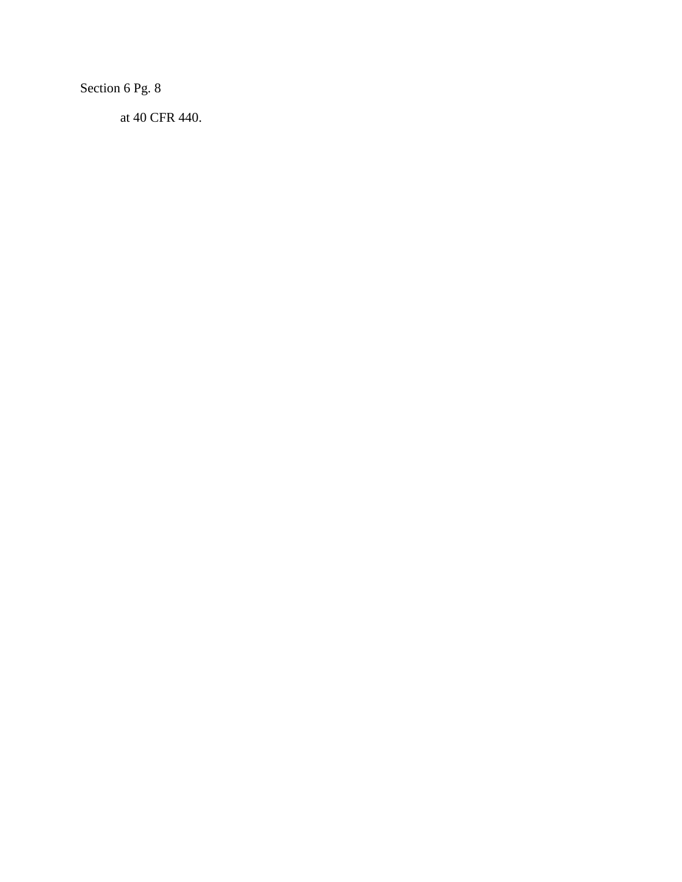at 40 CFR 440.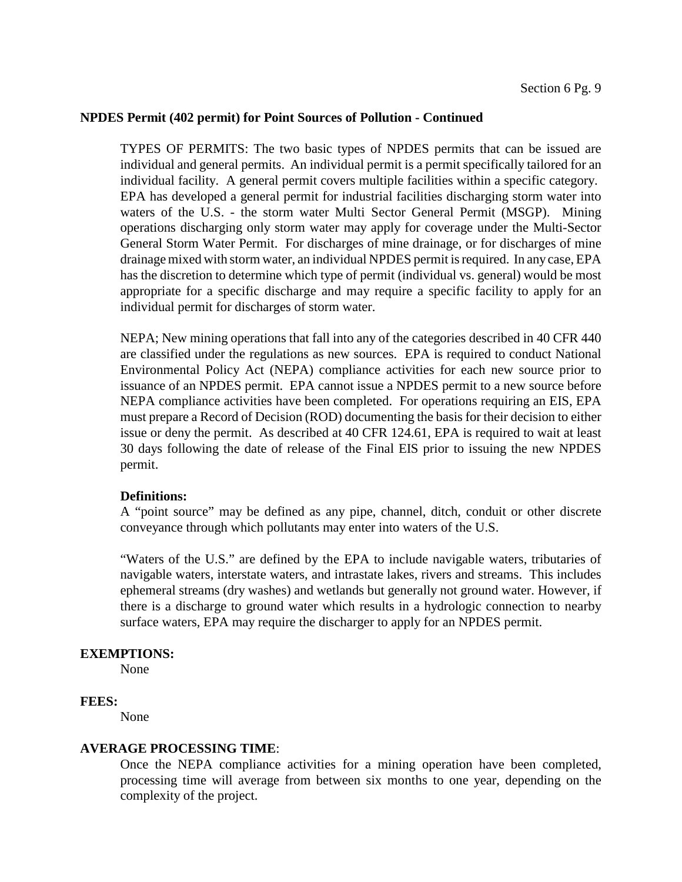### **NPDES Permit (402 permit) for Point Sources of Pollution - Continued**

TYPES OF PERMITS: The two basic types of NPDES permits that can be issued are individual and general permits. An individual permit is a permit specifically tailored for an individual facility. A general permit covers multiple facilities within a specific category. EPA has developed a general permit for industrial facilities discharging storm water into waters of the U.S. - the storm water Multi Sector General Permit (MSGP). Mining operations discharging only storm water may apply for coverage under the Multi-Sector General Storm Water Permit. For discharges of mine drainage, or for discharges of mine drainage mixed with storm water, an individual NPDES permit is required. In any case, EPA has the discretion to determine which type of permit (individual vs. general) would be most appropriate for a specific discharge and may require a specific facility to apply for an individual permit for discharges of storm water.

NEPA; New mining operations that fall into any of the categories described in 40 CFR 440 are classified under the regulations as new sources. EPA is required to conduct National Environmental Policy Act (NEPA) compliance activities for each new source prior to issuance of an NPDES permit. EPA cannot issue a NPDES permit to a new source before NEPA compliance activities have been completed. For operations requiring an EIS, EPA must prepare a Record of Decision (ROD) documenting the basis for their decision to either issue or deny the permit. As described at 40 CFR 124.61, EPA is required to wait at least 30 days following the date of release of the Final EIS prior to issuing the new NPDES permit.

### **Definitions:**

A "point source" may be defined as any pipe, channel, ditch, conduit or other discrete conveyance through which pollutants may enter into waters of the U.S.

"Waters of the U.S." are defined by the EPA to include navigable waters, tributaries of navigable waters, interstate waters, and intrastate lakes, rivers and streams. This includes ephemeral streams (dry washes) and wetlands but generally not ground water. However, if there is a discharge to ground water which results in a hydrologic connection to nearby surface waters, EPA may require the discharger to apply for an NPDES permit.

### **EXEMPTIONS:**

None

### **FEES:**

None

### **AVERAGE PROCESSING TIME**:

Once the NEPA compliance activities for a mining operation have been completed, processing time will average from between six months to one year, depending on the complexity of the project.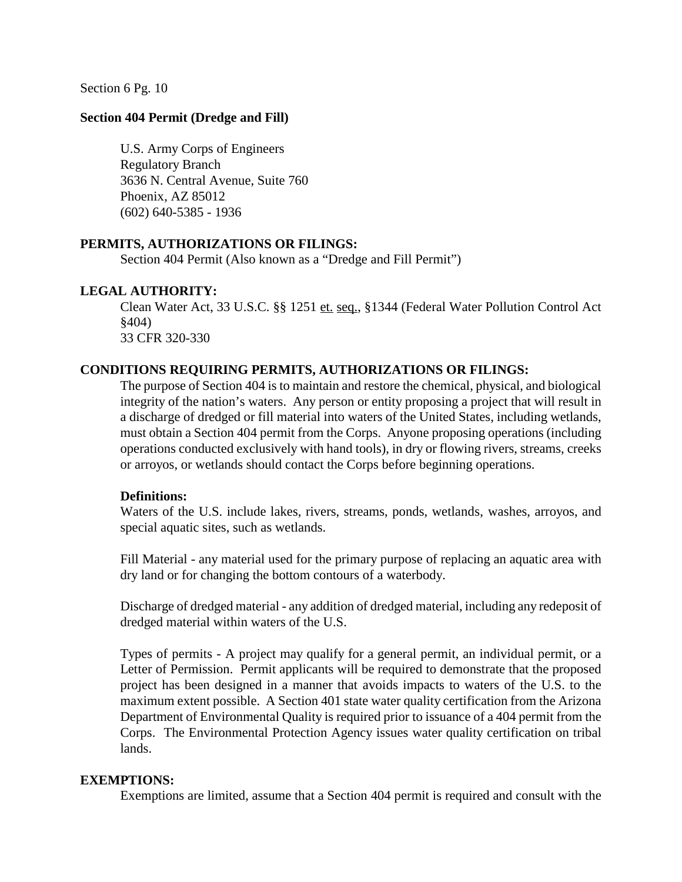### **Section 404 Permit (Dredge and Fill)**

U.S. Army Corps of Engineers Regulatory Branch 3636 N. Central Avenue, Suite 760 Phoenix, AZ 85012 (602) 640-5385 - 1936

### **PERMITS, AUTHORIZATIONS OR FILINGS:**

Section 404 Permit (Also known as a "Dredge and Fill Permit")

# **LEGAL AUTHORITY:**

Clean Water Act, 33 U.S.C. §§ 1251 et. seq., §1344 (Federal Water Pollution Control Act §404) 33 CFR 320-330

# **CONDITIONS REQUIRING PERMITS, AUTHORIZATIONS OR FILINGS:**

The purpose of Section 404 is to maintain and restore the chemical, physical, and biological integrity of the nation's waters. Any person or entity proposing a project that will result in a discharge of dredged or fill material into waters of the United States, including wetlands, must obtain a Section 404 permit from the Corps. Anyone proposing operations (including operations conducted exclusively with hand tools), in dry or flowing rivers, streams, creeks or arroyos, or wetlands should contact the Corps before beginning operations.

# **Definitions:**

Waters of the U.S. include lakes, rivers, streams, ponds, wetlands, washes, arroyos, and special aquatic sites, such as wetlands.

Fill Material - any material used for the primary purpose of replacing an aquatic area with dry land or for changing the bottom contours of a waterbody.

Discharge of dredged material - any addition of dredged material, including any redeposit of dredged material within waters of the U.S.

Types of permits - A project may qualify for a general permit, an individual permit, or a Letter of Permission. Permit applicants will be required to demonstrate that the proposed project has been designed in a manner that avoids impacts to waters of the U.S. to the maximum extent possible. A Section 401 state water quality certification from the Arizona Department of Environmental Quality is required prior to issuance of a 404 permit from the Corps. The Environmental Protection Agency issues water quality certification on tribal lands.

### **EXEMPTIONS:**

Exemptions are limited, assume that a Section 404 permit is required and consult with the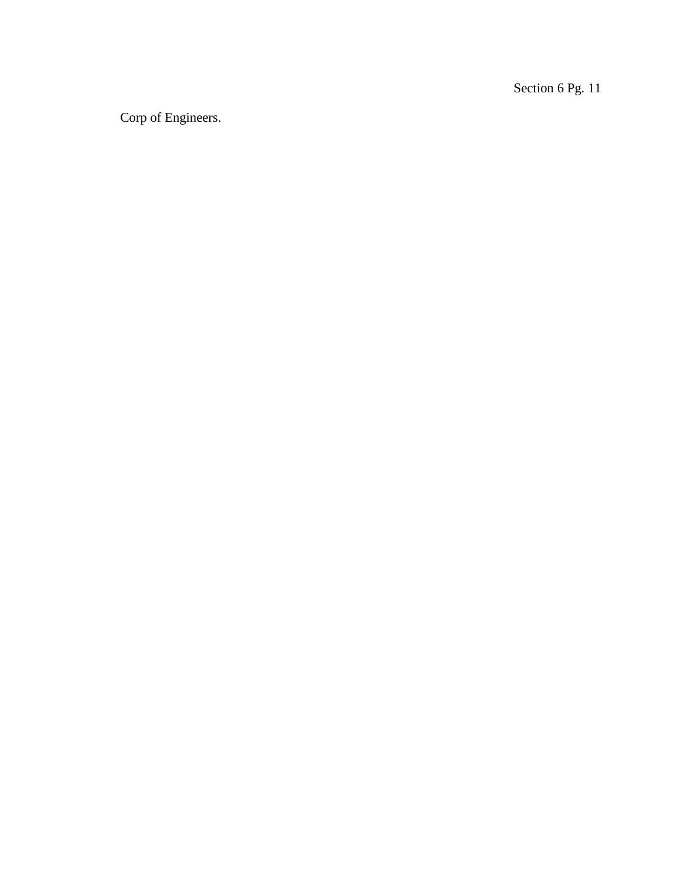Corp of Engineers.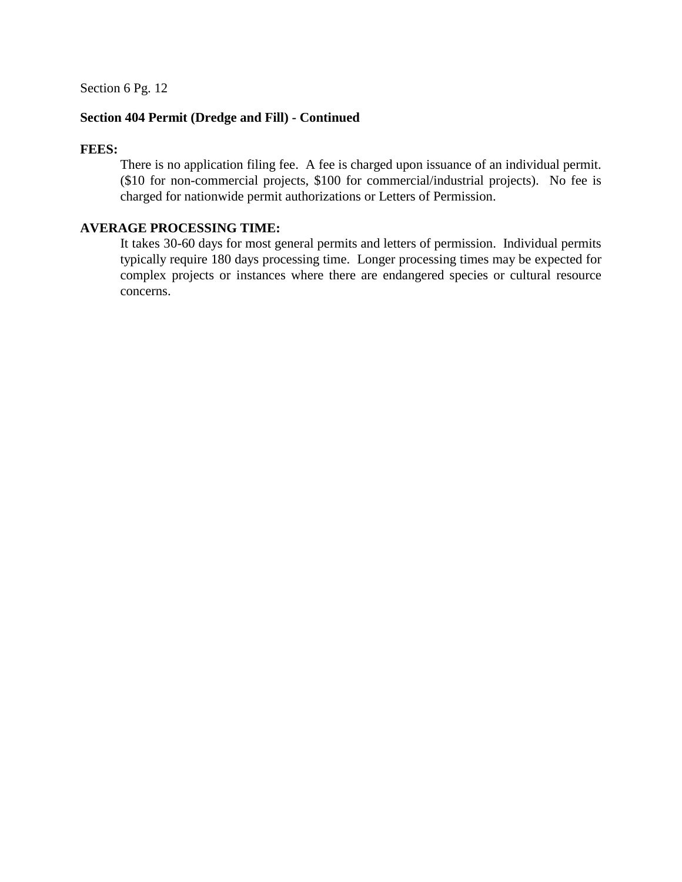# **Section 404 Permit (Dredge and Fill) - Continued**

### **FEES:**

There is no application filing fee. A fee is charged upon issuance of an individual permit. (\$10 for non-commercial projects, \$100 for commercial/industrial projects). No fee is charged for nationwide permit authorizations or Letters of Permission.

## **AVERAGE PROCESSING TIME:**

It takes 30-60 days for most general permits and letters of permission. Individual permits typically require 180 days processing time. Longer processing times may be expected for complex projects or instances where there are endangered species or cultural resource concerns.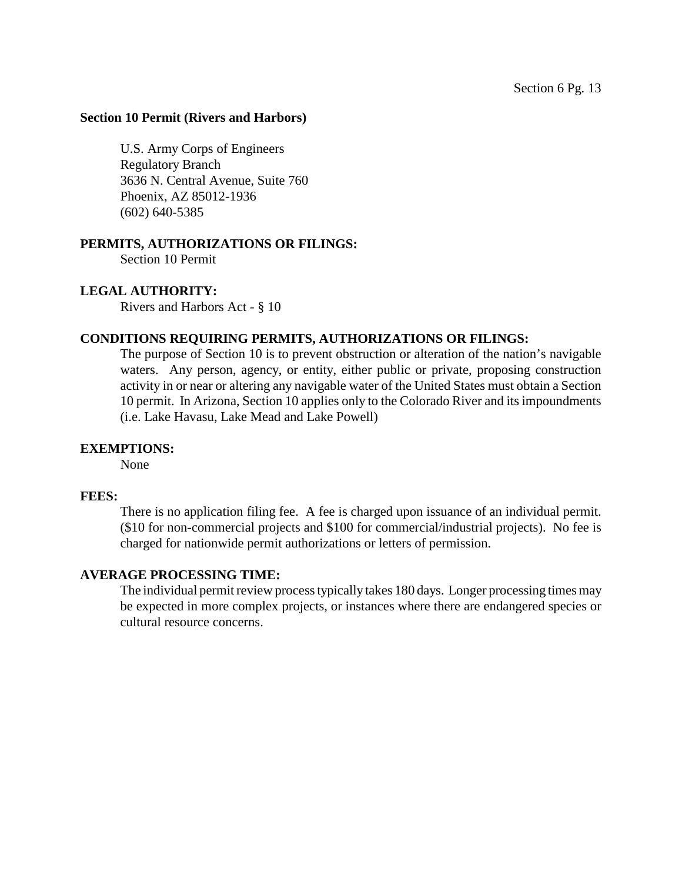### **Section 10 Permit (Rivers and Harbors)**

U.S. Army Corps of Engineers Regulatory Branch 3636 N. Central Avenue, Suite 760 Phoenix, AZ 85012-1936 (602) 640-5385

### **PERMITS, AUTHORIZATIONS OR FILINGS:**

Section 10 Permit

### **LEGAL AUTHORITY:**

Rivers and Harbors Act - § 10

## **CONDITIONS REQUIRING PERMITS, AUTHORIZATIONS OR FILINGS:**

The purpose of Section 10 is to prevent obstruction or alteration of the nation's navigable waters. Any person, agency, or entity, either public or private, proposing construction activity in or near or altering any navigable water of the United States must obtain a Section 10 permit. In Arizona, Section 10 applies only to the Colorado River and its impoundments (i.e. Lake Havasu, Lake Mead and Lake Powell)

### **EXEMPTIONS:**

None

## **FEES:**

There is no application filing fee. A fee is charged upon issuance of an individual permit. (\$10 for non-commercial projects and \$100 for commercial/industrial projects). No fee is charged for nationwide permit authorizations or letters of permission.

#### **AVERAGE PROCESSING TIME:**

The individual permit review process typically takes 180 days. Longer processing times may be expected in more complex projects, or instances where there are endangered species or cultural resource concerns.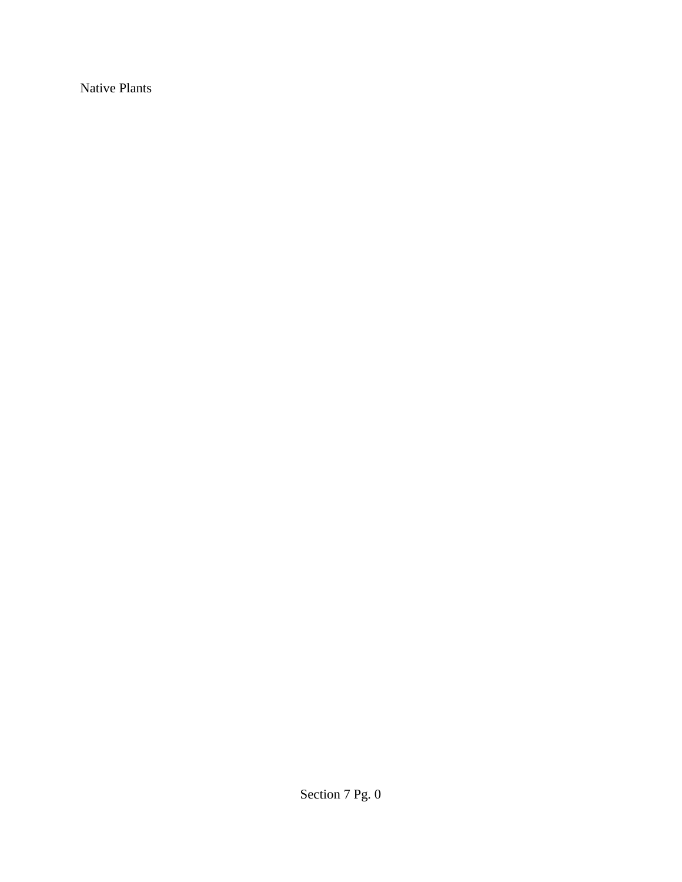Native Plants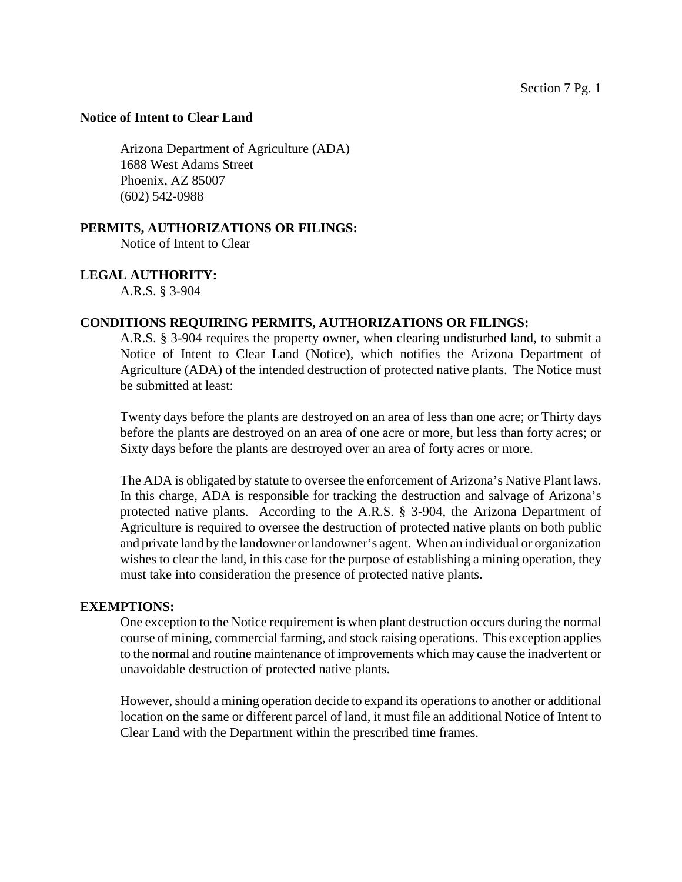### **Notice of Intent to Clear Land**

Arizona Department of Agriculture (ADA) 1688 West Adams Street Phoenix, AZ 85007 (602) 542-0988

# **PERMITS, AUTHORIZATIONS OR FILINGS:**

Notice of Intent to Clear

# **LEGAL AUTHORITY:**

A.R.S. § 3-904

## **CONDITIONS REQUIRING PERMITS, AUTHORIZATIONS OR FILINGS:**

A.R.S. § 3-904 requires the property owner, when clearing undisturbed land, to submit a Notice of Intent to Clear Land (Notice), which notifies the Arizona Department of Agriculture (ADA) of the intended destruction of protected native plants. The Notice must be submitted at least:

Twenty days before the plants are destroyed on an area of less than one acre; or Thirty days before the plants are destroyed on an area of one acre or more, but less than forty acres; or Sixty days before the plants are destroyed over an area of forty acres or more.

The ADA is obligated by statute to oversee the enforcement of Arizona's Native Plant laws. In this charge, ADA is responsible for tracking the destruction and salvage of Arizona's protected native plants. According to the A.R.S. § 3-904, the Arizona Department of Agriculture is required to oversee the destruction of protected native plants on both public and private land by the landowner or landowner's agent. When an individual or organization wishes to clear the land, in this case for the purpose of establishing a mining operation, they must take into consideration the presence of protected native plants.

### **EXEMPTIONS:**

One exception to the Notice requirement is when plant destruction occurs during the normal course of mining, commercial farming, and stock raising operations. This exception applies to the normal and routine maintenance of improvements which may cause the inadvertent or unavoidable destruction of protected native plants.

However, should a mining operation decide to expand its operations to another or additional location on the same or different parcel of land, it must file an additional Notice of Intent to Clear Land with the Department within the prescribed time frames.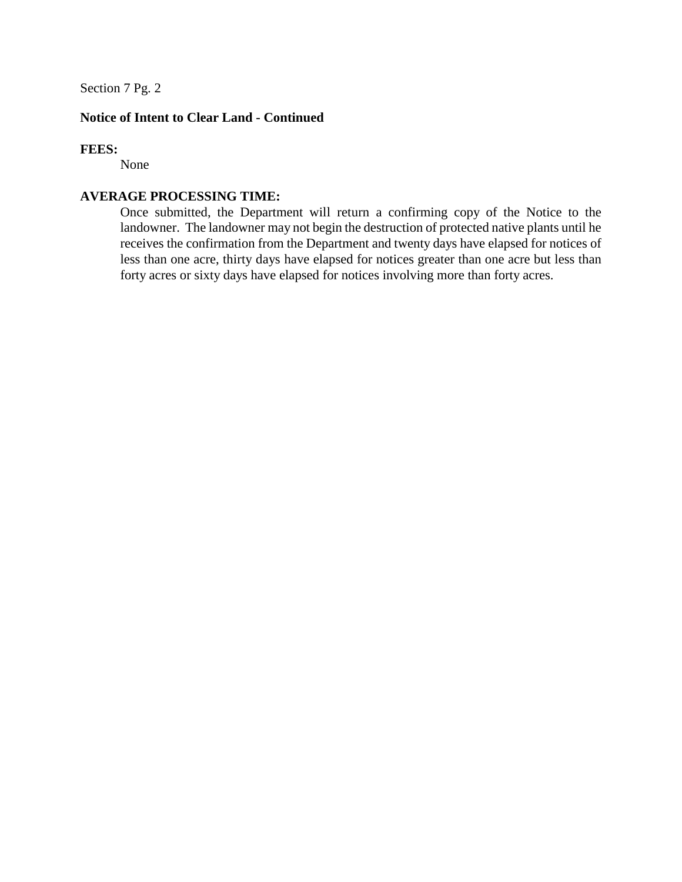# **Notice of Intent to Clear Land - Continued**

# **FEES:**

None

# **AVERAGE PROCESSING TIME:**

Once submitted, the Department will return a confirming copy of the Notice to the landowner. The landowner may not begin the destruction of protected native plants until he receives the confirmation from the Department and twenty days have elapsed for notices of less than one acre, thirty days have elapsed for notices greater than one acre but less than forty acres or sixty days have elapsed for notices involving more than forty acres.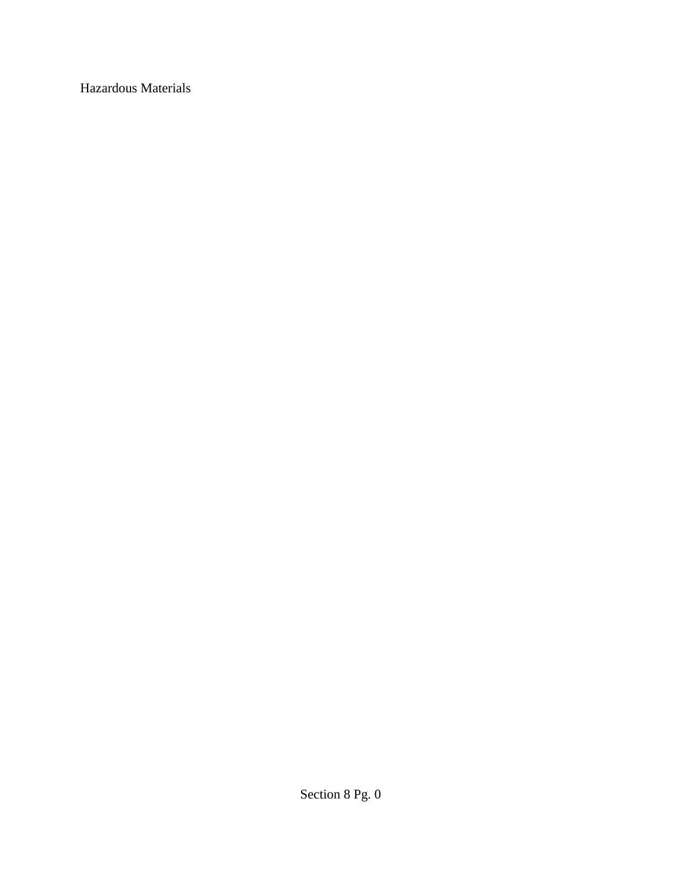Hazardous Materials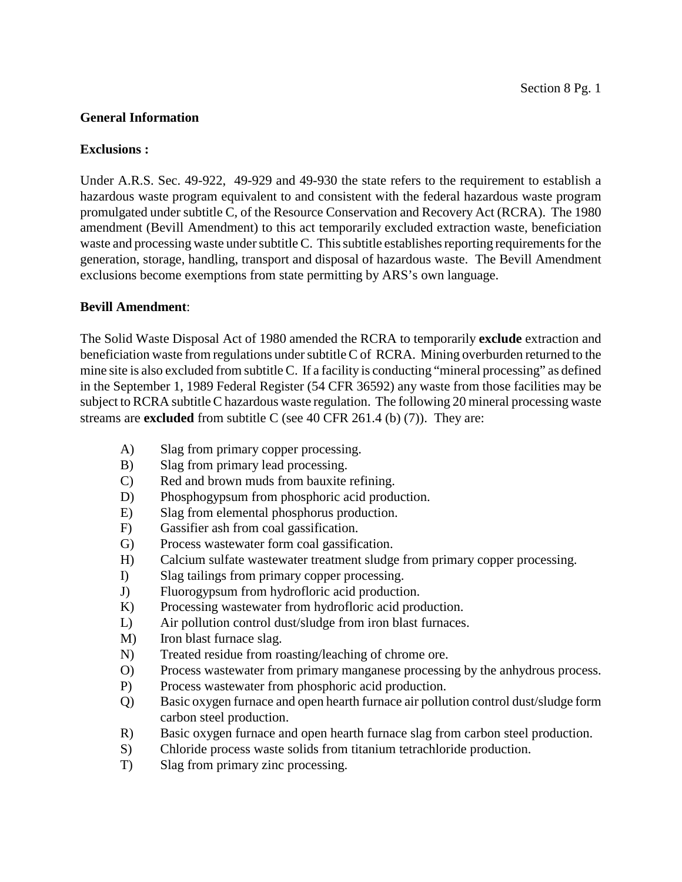# **General Information**

# **Exclusions :**

Under A.R.S. Sec. 49-922, 49-929 and 49-930 the state refers to the requirement to establish a hazardous waste program equivalent to and consistent with the federal hazardous waste program promulgated under subtitle C, of the Resource Conservation and Recovery Act (RCRA). The 1980 amendment (Bevill Amendment) to this act temporarily excluded extraction waste, beneficiation waste and processing waste under subtitle C. This subtitle establishes reporting requirements for the generation, storage, handling, transport and disposal of hazardous waste. The Bevill Amendment exclusions become exemptions from state permitting by ARS's own language.

# **Bevill Amendment**:

The Solid Waste Disposal Act of 1980 amended the RCRA to temporarily **exclude** extraction and beneficiation waste from regulations under subtitle C of RCRA. Mining overburden returned to the mine site is also excluded from subtitle C. If a facility is conducting "mineral processing" as defined in the September 1, 1989 Federal Register (54 CFR 36592) any waste from those facilities may be subject to RCRA subtitle C hazardous waste regulation. The following 20 mineral processing waste streams are **excluded** from subtitle C (see 40 CFR 261.4 (b) (7)). They are:

- A) Slag from primary copper processing.
- B) Slag from primary lead processing.
- C) Red and brown muds from bauxite refining.
- D) Phosphogypsum from phosphoric acid production.
- E) Slag from elemental phosphorus production.
- F) Gassifier ash from coal gassification.
- G) Process wastewater form coal gassification.
- H) Calcium sulfate wastewater treatment sludge from primary copper processing.
- I) Slag tailings from primary copper processing.
- J) Fluorogypsum from hydrofloric acid production.
- K) Processing wastewater from hydrofloric acid production.
- L) Air pollution control dust/sludge from iron blast furnaces.
- M) Iron blast furnace slag.
- N) Treated residue from roasting/leaching of chrome ore.
- O) Process wastewater from primary manganese processing by the anhydrous process.
- P) Process wastewater from phosphoric acid production.
- Q) Basic oxygen furnace and open hearth furnace air pollution control dust/sludge form carbon steel production.
- R) Basic oxygen furnace and open hearth furnace slag from carbon steel production.
- S) Chloride process waste solids from titanium tetrachloride production.
- T) Slag from primary zinc processing.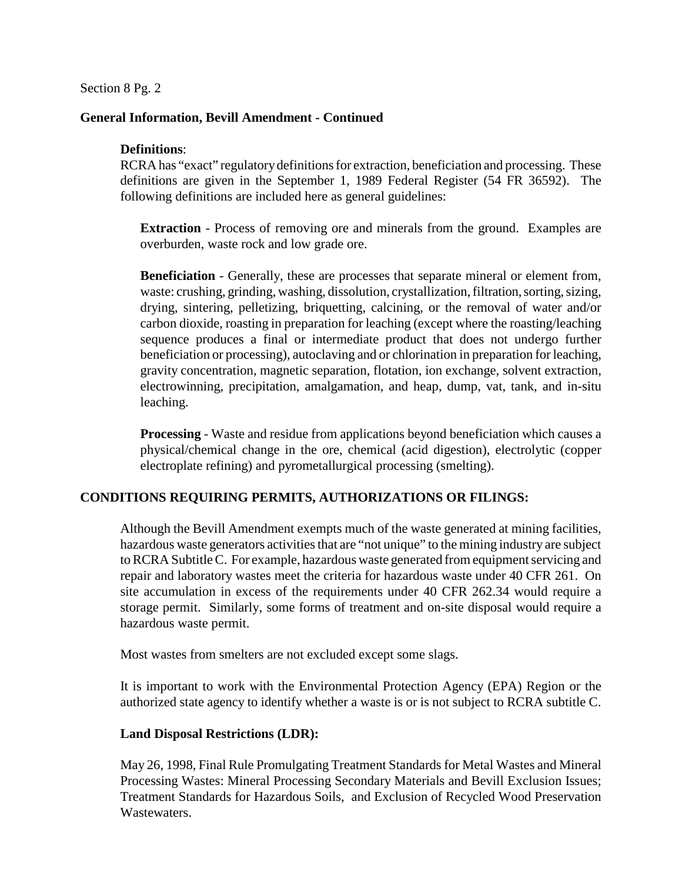# **General Information, Bevill Amendment - Continued**

### **Definitions**:

RCRA has "exact" regulatory definitions for extraction, beneficiation and processing. These definitions are given in the September 1, 1989 Federal Register (54 FR 36592). The following definitions are included here as general guidelines:

**Extraction** - Process of removing ore and minerals from the ground. Examples are overburden, waste rock and low grade ore.

**Beneficiation** - Generally, these are processes that separate mineral or element from, waste: crushing, grinding, washing, dissolution, crystallization, filtration, sorting, sizing, drying, sintering, pelletizing, briquetting, calcining, or the removal of water and/or carbon dioxide, roasting in preparation for leaching (except where the roasting/leaching sequence produces a final or intermediate product that does not undergo further beneficiation or processing), autoclaving and or chlorination in preparation for leaching, gravity concentration, magnetic separation, flotation, ion exchange, solvent extraction, electrowinning, precipitation, amalgamation, and heap, dump, vat, tank, and in-situ leaching.

**Processing** - Waste and residue from applications beyond beneficiation which causes a physical/chemical change in the ore, chemical (acid digestion), electrolytic (copper electroplate refining) and pyrometallurgical processing (smelting).

# **CONDITIONS REQUIRING PERMITS, AUTHORIZATIONS OR FILINGS:**

Although the Bevill Amendment exempts much of the waste generated at mining facilities, hazardous waste generators activities that are "not unique" to the mining industry are subject to RCRA Subtitle C. For example, hazardous waste generated from equipment servicing and repair and laboratory wastes meet the criteria for hazardous waste under 40 CFR 261. On site accumulation in excess of the requirements under 40 CFR 262.34 would require a storage permit. Similarly, some forms of treatment and on-site disposal would require a hazardous waste permit.

Most wastes from smelters are not excluded except some slags.

It is important to work with the Environmental Protection Agency (EPA) Region or the authorized state agency to identify whether a waste is or is not subject to RCRA subtitle C.

# **Land Disposal Restrictions (LDR):**

May 26, 1998, Final Rule Promulgating Treatment Standards for Metal Wastes and Mineral Processing Wastes: Mineral Processing Secondary Materials and Bevill Exclusion Issues; Treatment Standards for Hazardous Soils, and Exclusion of Recycled Wood Preservation Wastewaters.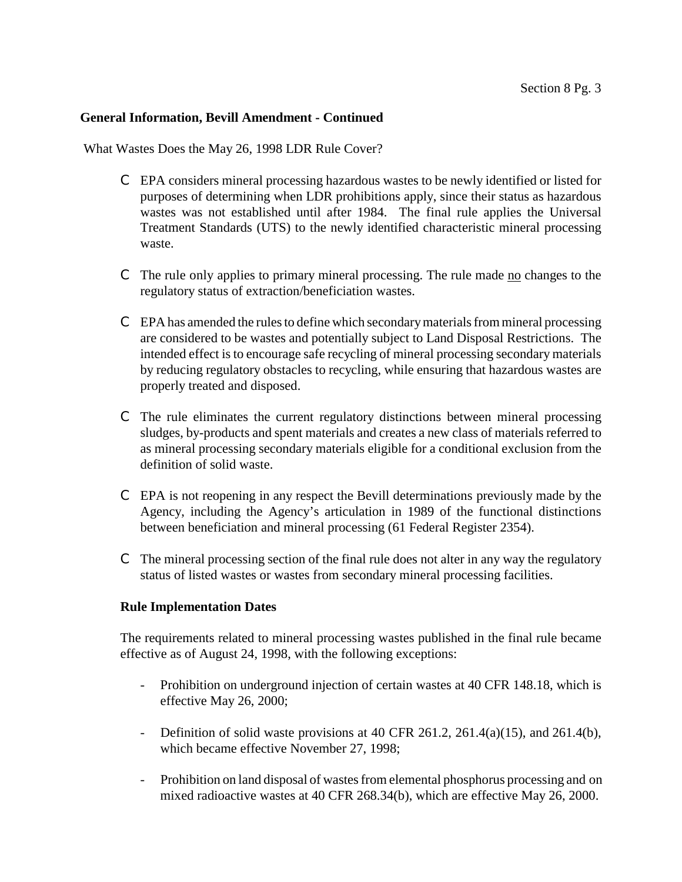# **General Information, Bevill Amendment - Continued**

What Wastes Does the May 26, 1998 LDR Rule Cover?

- C EPA considers mineral processing hazardous wastes to be newly identified or listed for purposes of determining when LDR prohibitions apply, since their status as hazardous wastes was not established until after 1984. The final rule applies the Universal Treatment Standards (UTS) to the newly identified characteristic mineral processing waste.
- C The rule only applies to primary mineral processing. The rule made  $\underline{no}$  changes to the regulatory status of extraction/beneficiation wastes.
- C EPA has amended the rules to define which secondary materials from mineral processing are considered to be wastes and potentially subject to Land Disposal Restrictions. The intended effect is to encourage safe recycling of mineral processing secondary materials by reducing regulatory obstacles to recycling, while ensuring that hazardous wastes are properly treated and disposed.
- C The rule eliminates the current regulatory distinctions between mineral processing sludges, by-products and spent materials and creates a new class of materials referred to as mineral processing secondary materials eligible for a conditional exclusion from the definition of solid waste.
- C EPA is not reopening in any respect the Bevill determinations previously made by the Agency, including the Agency's articulation in 1989 of the functional distinctions between beneficiation and mineral processing (61 Federal Register 2354).
- C The mineral processing section of the final rule does not alter in any way the regulatory status of listed wastes or wastes from secondary mineral processing facilities.

# **Rule Implementation Dates**

The requirements related to mineral processing wastes published in the final rule became effective as of August 24, 1998, with the following exceptions:

- Prohibition on underground injection of certain wastes at 40 CFR 148.18, which is effective May 26, 2000;
- Definition of solid waste provisions at 40 CFR 261.2, 261.4(a)(15), and 261.4(b), which became effective November 27, 1998;
- Prohibition on land disposal of wastes from elemental phosphorus processing and on mixed radioactive wastes at 40 CFR 268.34(b), which are effective May 26, 2000.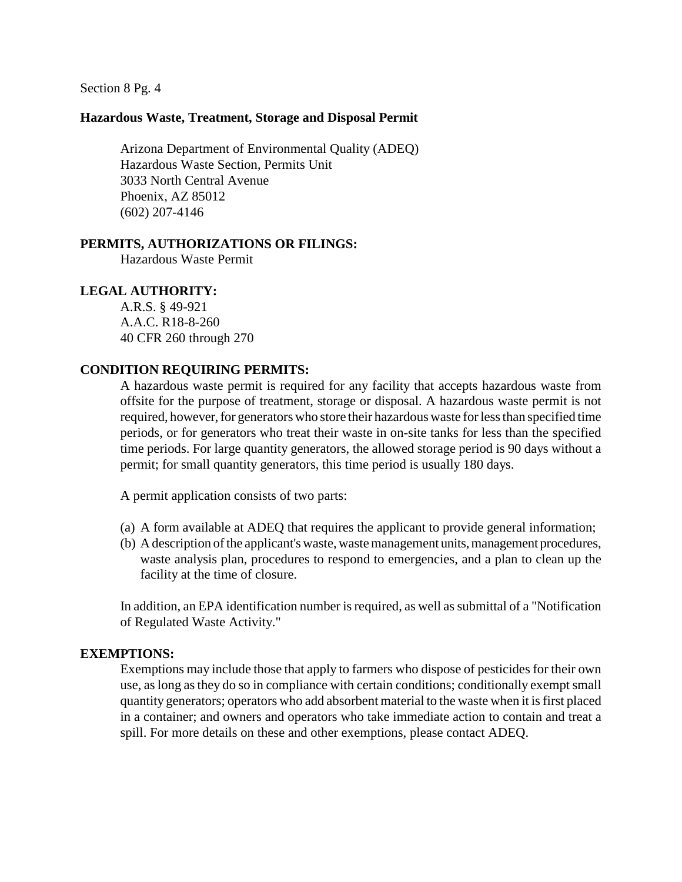### **Hazardous Waste, Treatment, Storage and Disposal Permit**

Arizona Department of Environmental Quality (ADEQ) Hazardous Waste Section, Permits Unit 3033 North Central Avenue Phoenix, AZ 85012 (602) 207-4146

### **PERMITS, AUTHORIZATIONS OR FILINGS:**

Hazardous Waste Permit

# **LEGAL AUTHORITY:**

A.R.S. § 49-921 A.A.C. R18-8-260 40 CFR 260 through 270

### **CONDITION REQUIRING PERMITS:**

A hazardous waste permit is required for any facility that accepts hazardous waste from offsite for the purpose of treatment, storage or disposal. A hazardous waste permit is not required, however, for generators who store their hazardous waste for less than specified time periods, or for generators who treat their waste in on-site tanks for less than the specified time periods. For large quantity generators, the allowed storage period is 90 days without a permit; for small quantity generators, this time period is usually 180 days.

A permit application consists of two parts:

- (a) A form available at ADEQ that requires the applicant to provide general information;
- (b) A description of the applicant's waste, waste management units, management procedures, waste analysis plan, procedures to respond to emergencies, and a plan to clean up the facility at the time of closure.

In addition, an EPA identification number is required, as well as submittal of a "Notification of Regulated Waste Activity."

### **EXEMPTIONS:**

Exemptions may include those that apply to farmers who dispose of pesticides for their own use, as long as they do so in compliance with certain conditions; conditionally exempt small quantity generators; operators who add absorbent material to the waste when it is first placed in a container; and owners and operators who take immediate action to contain and treat a spill. For more details on these and other exemptions, please contact ADEQ.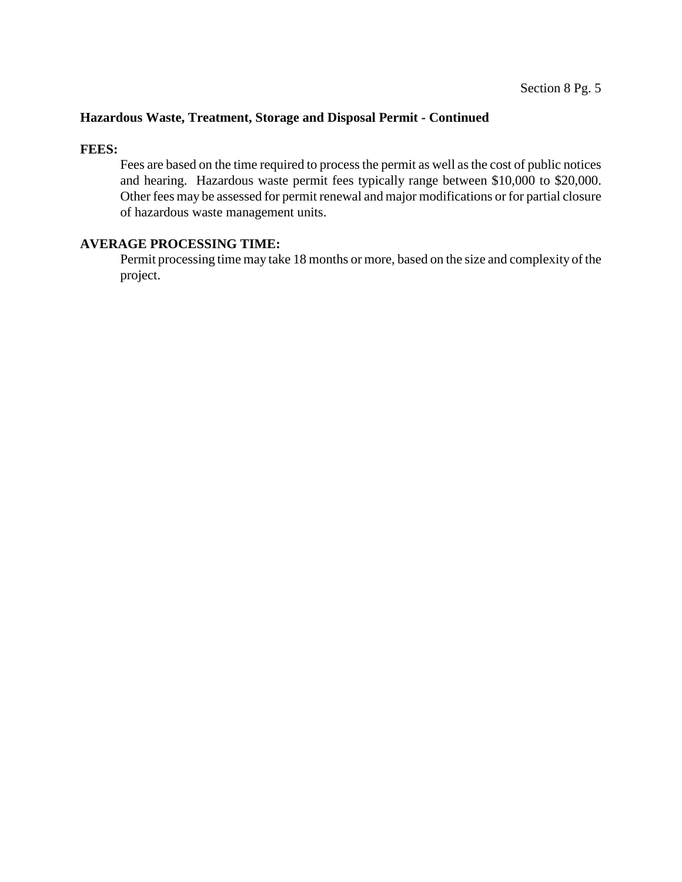# **Hazardous Waste, Treatment, Storage and Disposal Permit - Continued**

# **FEES:**

Fees are based on the time required to process the permit as well as the cost of public notices and hearing. Hazardous waste permit fees typically range between \$10,000 to \$20,000. Other fees may be assessed for permit renewal and major modifications or for partial closure of hazardous waste management units.

# **AVERAGE PROCESSING TIME:**

Permit processing time may take 18 months or more, based on the size and complexity of the project.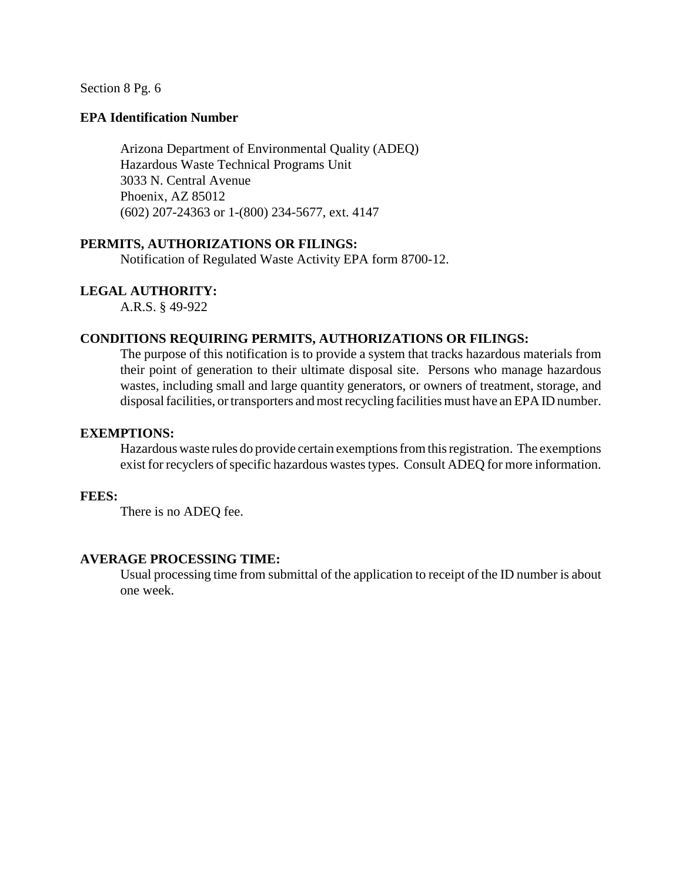## **EPA Identification Number**

Arizona Department of Environmental Quality (ADEQ) Hazardous Waste Technical Programs Unit 3033 N. Central Avenue Phoenix, AZ 85012 (602) 207-24363 or 1-(800) 234-5677, ext. 4147

### **PERMITS, AUTHORIZATIONS OR FILINGS:**

Notification of Regulated Waste Activity EPA form 8700-12.

### **LEGAL AUTHORITY:**

A.R.S. § 49-922

# **CONDITIONS REQUIRING PERMITS, AUTHORIZATIONS OR FILINGS:**

The purpose of this notification is to provide a system that tracks hazardous materials from their point of generation to their ultimate disposal site. Persons who manage hazardous wastes, including small and large quantity generators, or owners of treatment, storage, and disposal facilities, or transporters and most recycling facilities must have an EPA ID number.

#### **EXEMPTIONS:**

Hazardous waste rules do provide certain exemptions from this registration. The exemptions exist for recyclers of specific hazardous wastes types. Consult ADEQ for more information.

## **FEES:**

There is no ADEQ fee.

### **AVERAGE PROCESSING TIME:**

Usual processing time from submittal of the application to receipt of the ID number is about one week.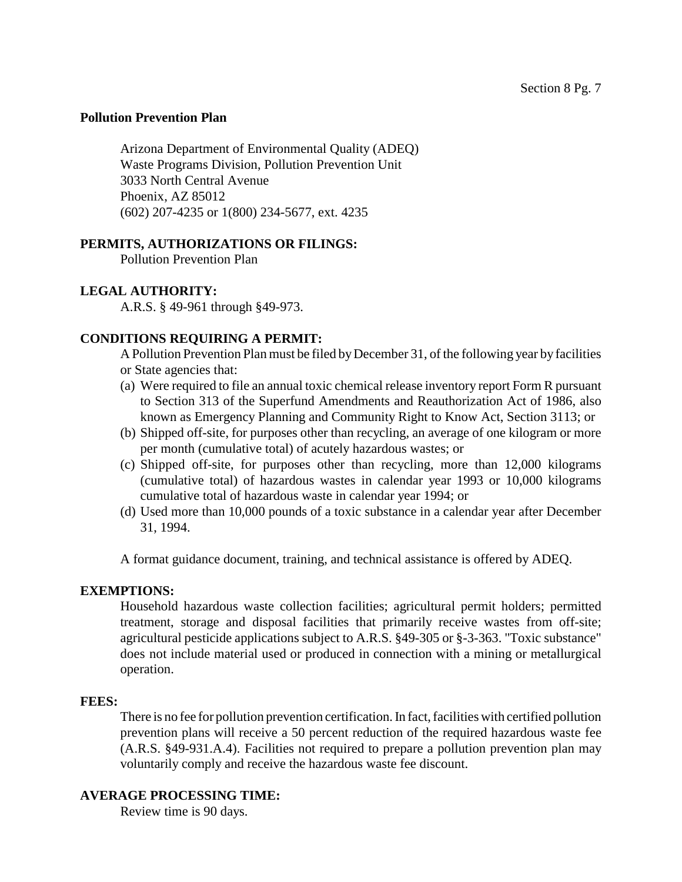### **Pollution Prevention Plan**

Arizona Department of Environmental Quality (ADEQ) Waste Programs Division, Pollution Prevention Unit 3033 North Central Avenue Phoenix, AZ 85012 (602) 207-4235 or 1(800) 234-5677, ext. 4235

### **PERMITS, AUTHORIZATIONS OR FILINGS:**

Pollution Prevention Plan

# **LEGAL AUTHORITY:**

A.R.S. § 49-961 through §49-973.

# **CONDITIONS REQUIRING A PERMIT:**

A Pollution Prevention Plan must be filed by December 31, of the following year by facilities or State agencies that:

- (a) Were required to file an annual toxic chemical release inventory report Form R pursuant to Section 313 of the Superfund Amendments and Reauthorization Act of 1986, also known as Emergency Planning and Community Right to Know Act, Section 3113; or
- (b) Shipped off-site, for purposes other than recycling, an average of one kilogram or more per month (cumulative total) of acutely hazardous wastes; or
- (c) Shipped off-site, for purposes other than recycling, more than 12,000 kilograms (cumulative total) of hazardous wastes in calendar year 1993 or 10,000 kilograms cumulative total of hazardous waste in calendar year 1994; or
- (d) Used more than 10,000 pounds of a toxic substance in a calendar year after December 31, 1994.

A format guidance document, training, and technical assistance is offered by ADEQ.

### **EXEMPTIONS:**

Household hazardous waste collection facilities; agricultural permit holders; permitted treatment, storage and disposal facilities that primarily receive wastes from off-site; agricultural pesticide applications subject to A.R.S. §49-305 or §-3-363. "Toxic substance" does not include material used or produced in connection with a mining or metallurgical operation.

### **FEES:**

There is no fee for pollution prevention certification. In fact, facilities with certified pollution prevention plans will receive a 50 percent reduction of the required hazardous waste fee (A.R.S. §49-931.A.4). Facilities not required to prepare a pollution prevention plan may voluntarily comply and receive the hazardous waste fee discount.

# **AVERAGE PROCESSING TIME:**

Review time is 90 days.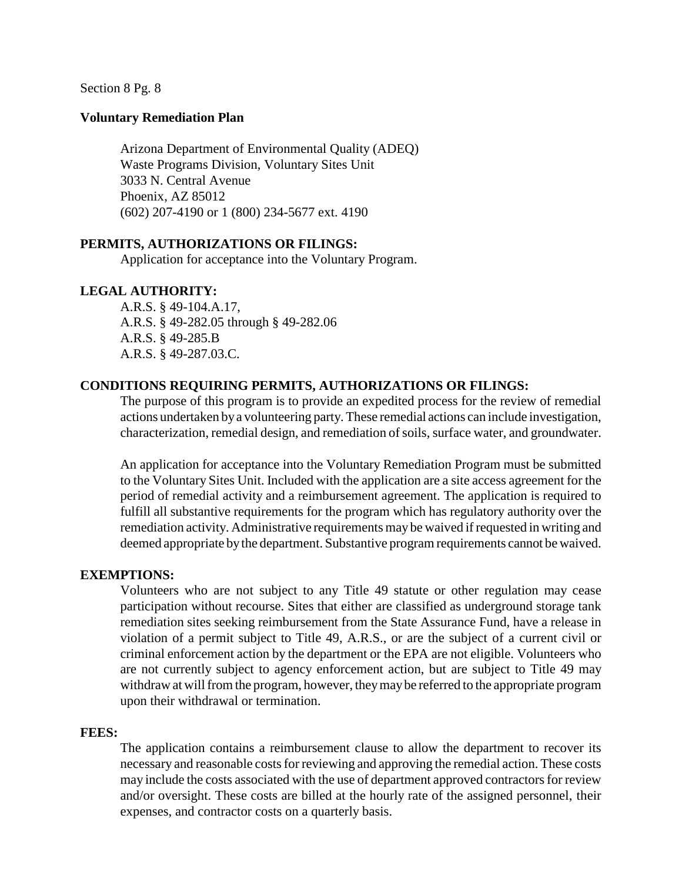### **Voluntary Remediation Plan**

Arizona Department of Environmental Quality (ADEQ) Waste Programs Division, Voluntary Sites Unit 3033 N. Central Avenue Phoenix, AZ 85012 (602) 207-4190 or 1 (800) 234-5677 ext. 4190

### **PERMITS, AUTHORIZATIONS OR FILINGS:**

Application for acceptance into the Voluntary Program.

### **LEGAL AUTHORITY:**

A.R.S. § 49-104.A.17, A.R.S. § 49-282.05 through § 49-282.06 A.R.S. § 49-285.B A.R.S. § 49-287.03.C.

### **CONDITIONS REQUIRING PERMITS, AUTHORIZATIONS OR FILINGS:**

The purpose of this program is to provide an expedited process for the review of remedial actions undertaken by a volunteering party. These remedial actions can include investigation, characterization, remedial design, and remediation of soils, surface water, and groundwater.

An application for acceptance into the Voluntary Remediation Program must be submitted to the Voluntary Sites Unit. Included with the application are a site access agreement for the period of remedial activity and a reimbursement agreement. The application is required to fulfill all substantive requirements for the program which has regulatory authority over the remediation activity. Administrative requirements may be waived if requested in writing and deemed appropriate by the department. Substantive program requirements cannot be waived.

### **EXEMPTIONS:**

Volunteers who are not subject to any Title 49 statute or other regulation may cease participation without recourse. Sites that either are classified as underground storage tank remediation sites seeking reimbursement from the State Assurance Fund, have a release in violation of a permit subject to Title 49, A.R.S., or are the subject of a current civil or criminal enforcement action by the department or the EPA are not eligible. Volunteers who are not currently subject to agency enforcement action, but are subject to Title 49 may withdraw at will from the program, however, they may be referred to the appropriate program upon their withdrawal or termination.

#### **FEES:**

The application contains a reimbursement clause to allow the department to recover its necessary and reasonable costs for reviewing and approving the remedial action. These costs may include the costs associated with the use of department approved contractors for review and/or oversight. These costs are billed at the hourly rate of the assigned personnel, their expenses, and contractor costs on a quarterly basis.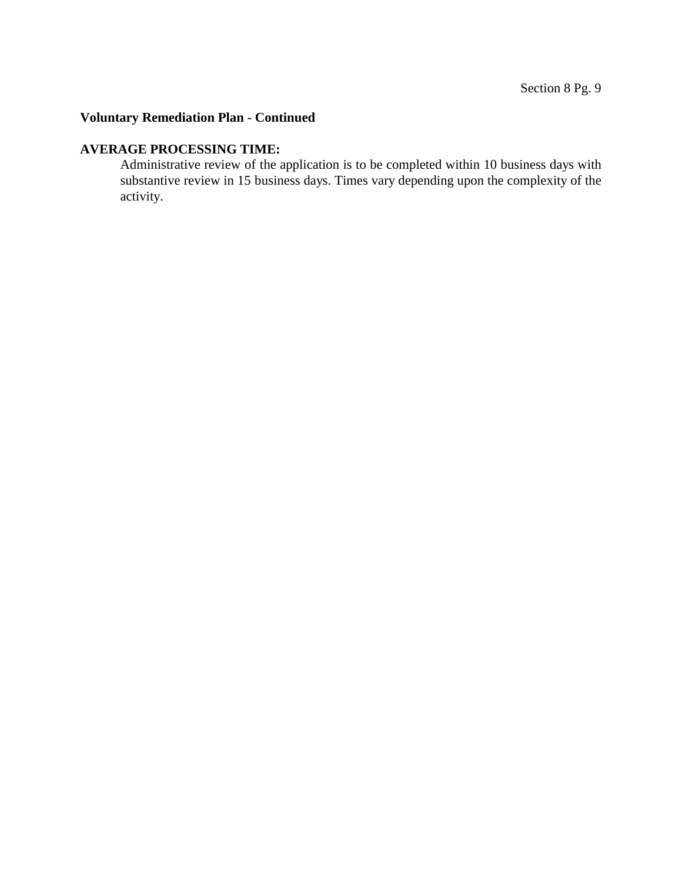# **Voluntary Remediation Plan - Continued**

# **AVERAGE PROCESSING TIME:**

Administrative review of the application is to be completed within 10 business days with substantive review in 15 business days. Times vary depending upon the complexity of the activity.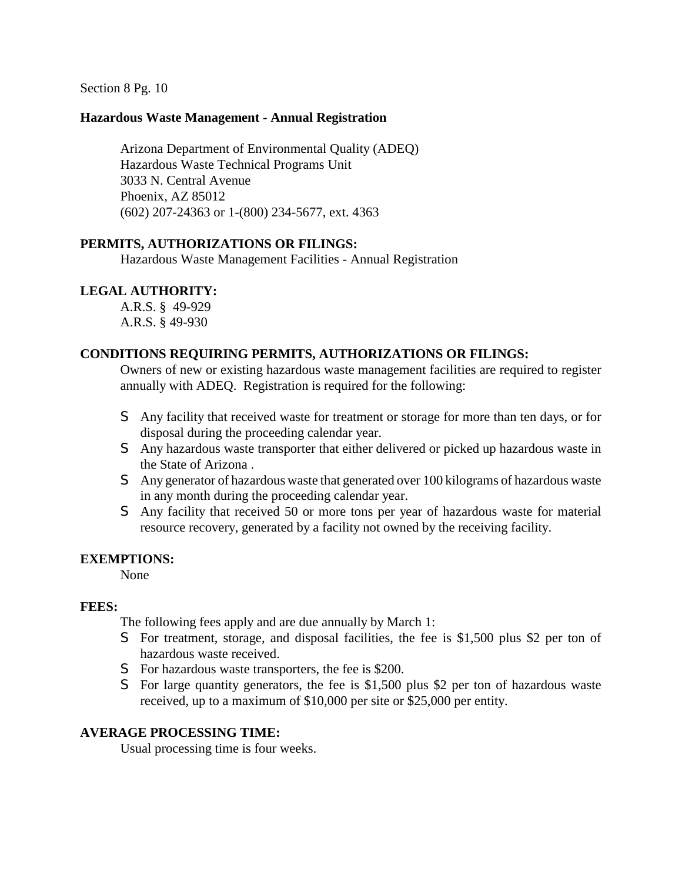### **Hazardous Waste Management - Annual Registration**

Arizona Department of Environmental Quality (ADEQ) Hazardous Waste Technical Programs Unit 3033 N. Central Avenue Phoenix, AZ 85012 (602) 207-24363 or 1-(800) 234-5677, ext. 4363

# **PERMITS, AUTHORIZATIONS OR FILINGS:**

Hazardous Waste Management Facilities - Annual Registration

# **LEGAL AUTHORITY:**

A.R.S. § 49-929 A.R.S. § 49-930

### **CONDITIONS REQUIRING PERMITS, AUTHORIZATIONS OR FILINGS:**

Owners of new or existing hazardous waste management facilities are required to register annually with ADEQ. Registration is required for the following:

- S Any facility that received waste for treatment or storage for more than ten days, or for disposal during the proceeding calendar year.
- S Any hazardous waste transporter that either delivered or picked up hazardous waste in the State of Arizona .
- S Any generator of hazardous waste that generated over 100 kilograms of hazardous waste in any month during the proceeding calendar year.
- S Any facility that received 50 or more tons per year of hazardous waste for material resource recovery, generated by a facility not owned by the receiving facility.

### **EXEMPTIONS:**

None

# **FEES:**

The following fees apply and are due annually by March 1:

- S For treatment, storage, and disposal facilities, the fee is \$1,500 plus \$2 per ton of hazardous waste received.
- S For hazardous waste transporters, the fee is \$200.
- S For large quantity generators, the fee is \$1,500 plus \$2 per ton of hazardous waste received, up to a maximum of \$10,000 per site or \$25,000 per entity.

### **AVERAGE PROCESSING TIME:**

Usual processing time is four weeks.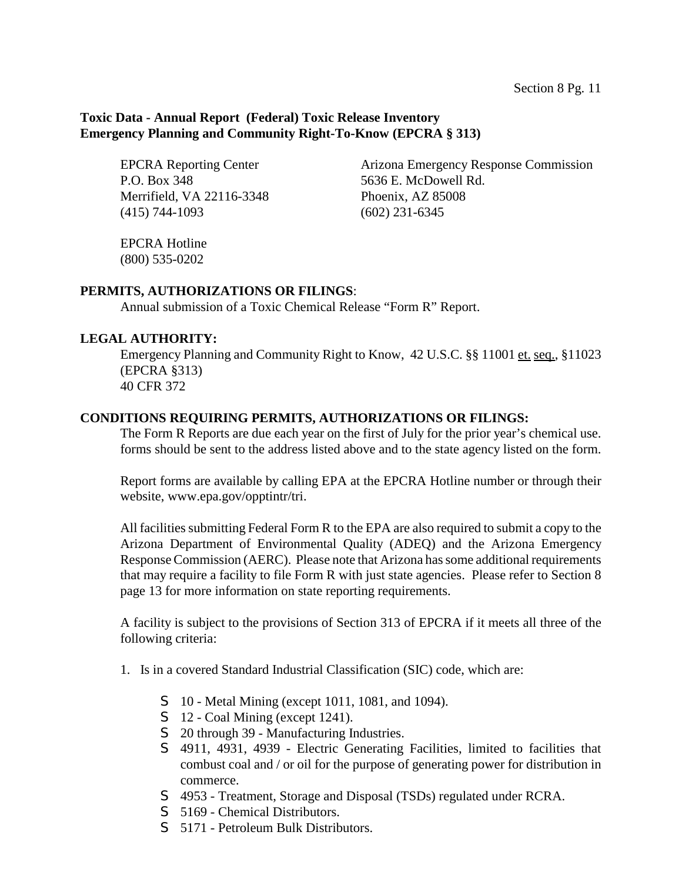# **Toxic Data - Annual Report (Federal) Toxic Release Inventory Emergency Planning and Community Right-To-Know (EPCRA § 313)**

P.O. Box 348 5636 E. McDowell Rd. Merrifield, VA 22116-3348 Phoenix, AZ 85008 (415) 744-1093 (602) 231-6345

EPCRA Reporting Center Arizona Emergency Response Commission

EPCRA Hotline (800) 535-0202

# **PERMITS, AUTHORIZATIONS OR FILINGS**:

Annual submission of a Toxic Chemical Release "Form R" Report.

### **LEGAL AUTHORITY:**

Emergency Planning and Community Right to Know, 42 U.S.C. §§ 11001 et. seq., §11023 (EPCRA §313) 40 CFR 372

### **CONDITIONS REQUIRING PERMITS, AUTHORIZATIONS OR FILINGS:**

The Form R Reports are due each year on the first of July for the prior year's chemical use. forms should be sent to the address listed above and to the state agency listed on the form.

Report forms are available by calling EPA at the EPCRA Hotline number or through their website, www.epa.gov/opptintr/tri.

All facilities submitting Federal Form R to the EPA are also required to submit a copy to the Arizona Department of Environmental Quality (ADEQ) and the Arizona Emergency Response Commission (AERC). Please note that Arizona has some additional requirements that may require a facility to file Form R with just state agencies. Please refer to Section 8 page 13 for more information on state reporting requirements.

A facility is subject to the provisions of Section 313 of EPCRA if it meets all three of the following criteria:

- 1. Is in a covered Standard Industrial Classification (SIC) code, which are:
	- S 10 Metal Mining (except 1011, 1081, and 1094).
	- S 12 Coal Mining (except 1241).
	- S 20 through 39 Manufacturing Industries.
	- S 4911, 4931, 4939 Electric Generating Facilities, limited to facilities that combust coal and / or oil for the purpose of generating power for distribution in commerce.
	- S 4953 Treatment, Storage and Disposal (TSDs) regulated under RCRA.
	- S 5169 Chemical Distributors.
	- S 5171 Petroleum Bulk Distributors.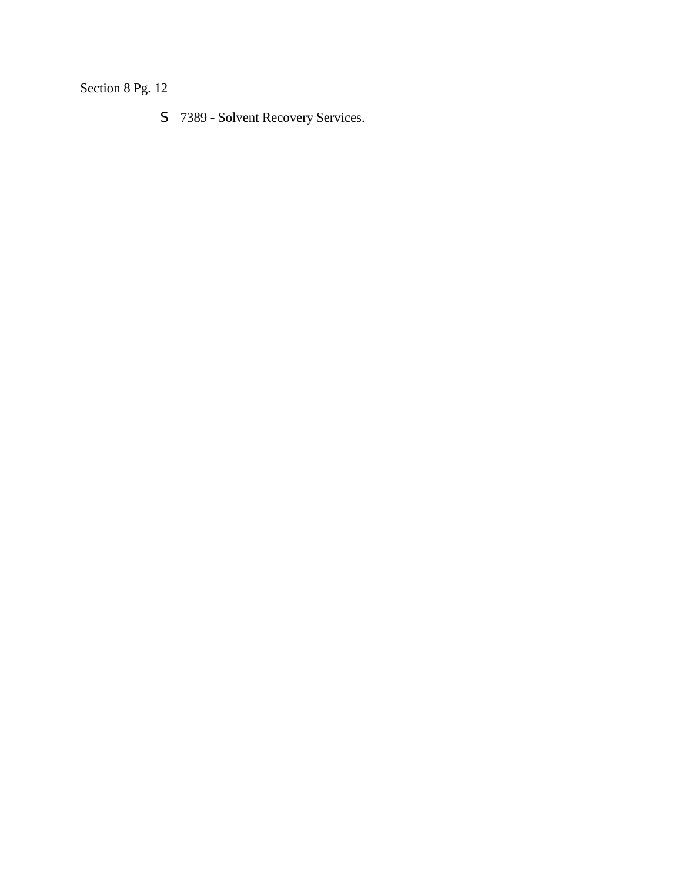S 7389 - Solvent Recovery Services.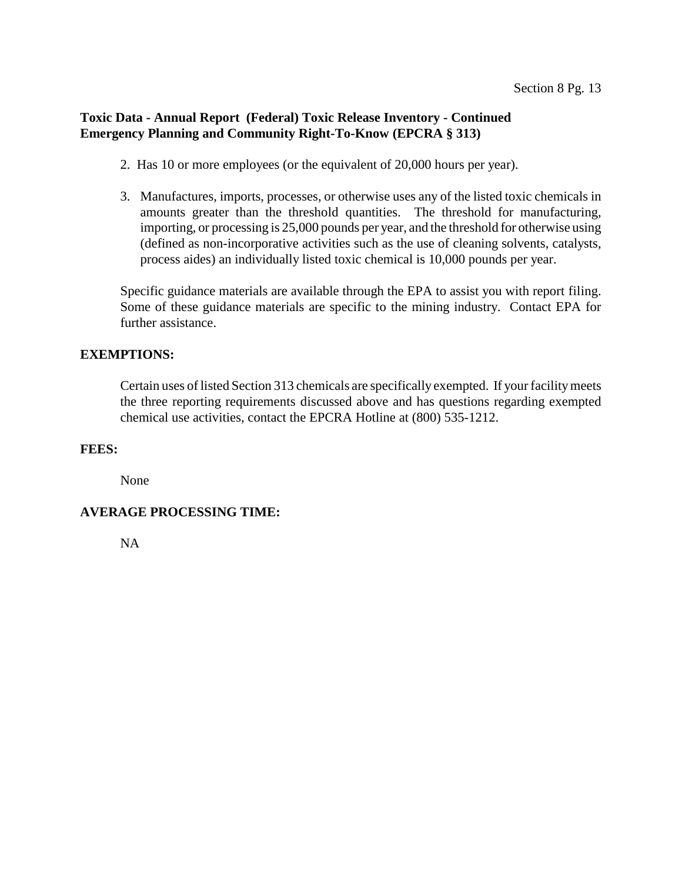# **Toxic Data - Annual Report (Federal) Toxic Release Inventory - Continued Emergency Planning and Community Right-To-Know (EPCRA § 313)**

- 2. Has 10 or more employees (or the equivalent of 20,000 hours per year).
- 3. Manufactures, imports, processes, or otherwise uses any of the listed toxic chemicals in amounts greater than the threshold quantities. The threshold for manufacturing, importing, or processing is 25,000 pounds per year, and the threshold for otherwise using (defined as non-incorporative activities such as the use of cleaning solvents, catalysts, process aides) an individually listed toxic chemical is 10,000 pounds per year.

Specific guidance materials are available through the EPA to assist you with report filing. Some of these guidance materials are specific to the mining industry. Contact EPA for further assistance.

# **EXEMPTIONS:**

Certain uses of listed Section 313 chemicals are specifically exempted. If your facility meets the three reporting requirements discussed above and has questions regarding exempted chemical use activities, contact the EPCRA Hotline at (800) 535-1212.

# **FEES:**

None

# **AVERAGE PROCESSING TIME:**

NA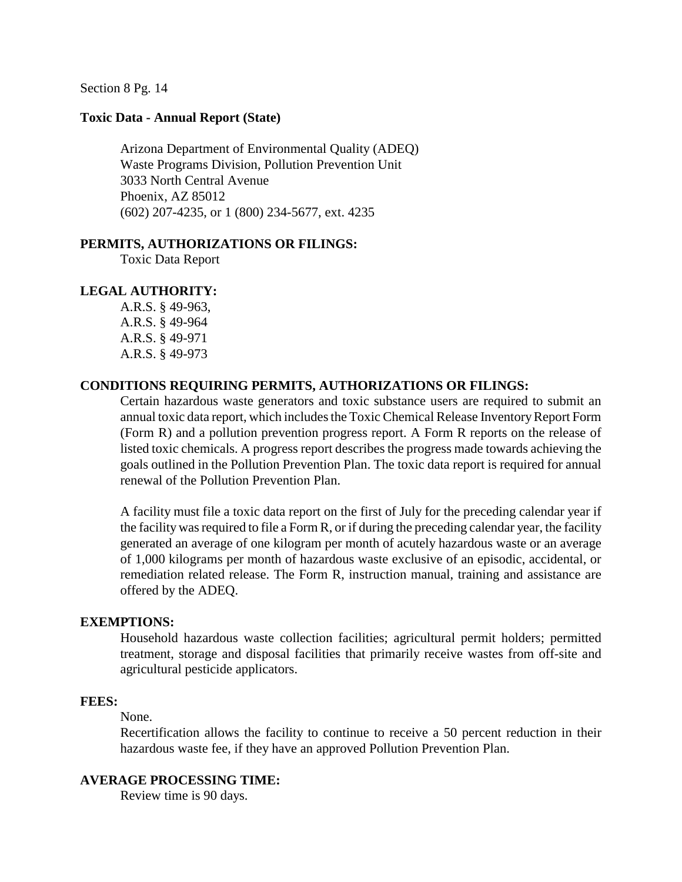### **Toxic Data - Annual Report (State)**

Arizona Department of Environmental Quality (ADEQ) Waste Programs Division, Pollution Prevention Unit 3033 North Central Avenue Phoenix, AZ 85012 (602) 207-4235, or 1 (800) 234-5677, ext. 4235

### **PERMITS, AUTHORIZATIONS OR FILINGS:**

Toxic Data Report

### **LEGAL AUTHORITY:**

A.R.S. § 49-963, A.R.S. § 49-964 A.R.S. § 49-971 A.R.S. § 49-973

#### **CONDITIONS REQUIRING PERMITS, AUTHORIZATIONS OR FILINGS:**

Certain hazardous waste generators and toxic substance users are required to submit an annual toxic data report, which includes the Toxic Chemical Release Inventory Report Form (Form R) and a pollution prevention progress report. A Form R reports on the release of listed toxic chemicals. A progress report describes the progress made towards achieving the goals outlined in the Pollution Prevention Plan. The toxic data report is required for annual renewal of the Pollution Prevention Plan.

A facility must file a toxic data report on the first of July for the preceding calendar year if the facility was required to file a Form R, or if during the preceding calendar year, the facility generated an average of one kilogram per month of acutely hazardous waste or an average of 1,000 kilograms per month of hazardous waste exclusive of an episodic, accidental, or remediation related release. The Form R, instruction manual, training and assistance are offered by the ADEQ.

### **EXEMPTIONS:**

Household hazardous waste collection facilities; agricultural permit holders; permitted treatment, storage and disposal facilities that primarily receive wastes from off-site and agricultural pesticide applicators.

### **FEES:**

None.

Recertification allows the facility to continue to receive a 50 percent reduction in their hazardous waste fee, if they have an approved Pollution Prevention Plan.

### **AVERAGE PROCESSING TIME:**

Review time is 90 days.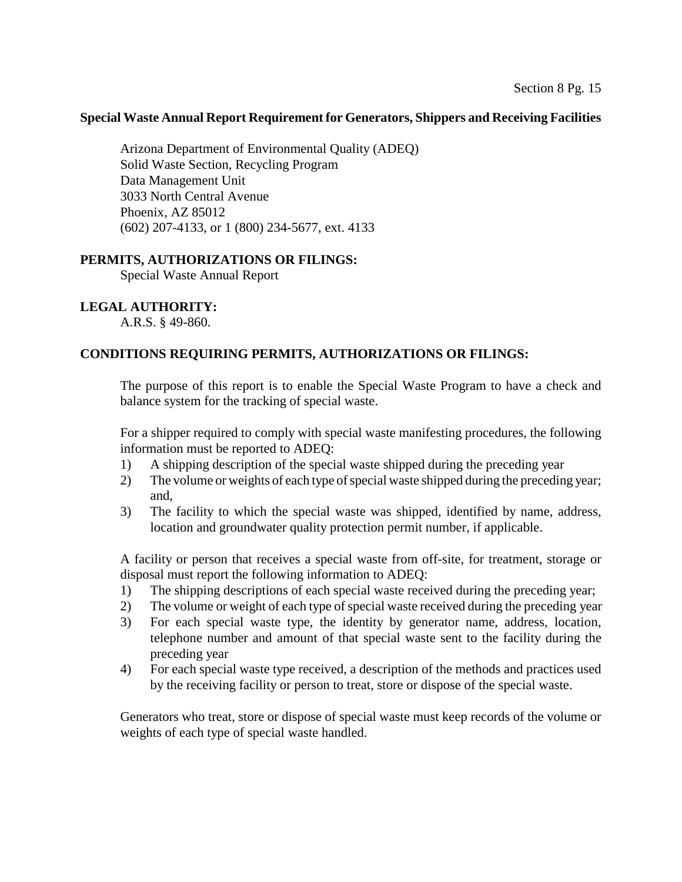## **Special Waste Annual Report Requirement for Generators, Shippers and Receiving Facilities**

Arizona Department of Environmental Quality (ADEQ) Solid Waste Section, Recycling Program Data Management Unit 3033 North Central Avenue Phoenix, AZ 85012 (602) 207-4133, or 1 (800) 234-5677, ext. 4133

# **PERMITS, AUTHORIZATIONS OR FILINGS:**

Special Waste Annual Report

# **LEGAL AUTHORITY:**

A.R.S. § 49-860.

# **CONDITIONS REQUIRING PERMITS, AUTHORIZATIONS OR FILINGS:**

The purpose of this report is to enable the Special Waste Program to have a check and balance system for the tracking of special waste.

For a shipper required to comply with special waste manifesting procedures, the following information must be reported to ADEQ:

- 1) A shipping description of the special waste shipped during the preceding year
- 2) The volume or weights of each type of special waste shipped during the preceding year; and,
- 3) The facility to which the special waste was shipped, identified by name, address, location and groundwater quality protection permit number, if applicable.

A facility or person that receives a special waste from off-site, for treatment, storage or disposal must report the following information to ADEQ:

- 1) The shipping descriptions of each special waste received during the preceding year;
- 2) The volume or weight of each type of special waste received during the preceding year
- 3) For each special waste type, the identity by generator name, address, location, telephone number and amount of that special waste sent to the facility during the preceding year
- 4) For each special waste type received, a description of the methods and practices used by the receiving facility or person to treat, store or dispose of the special waste.

Generators who treat, store or dispose of special waste must keep records of the volume or weights of each type of special waste handled.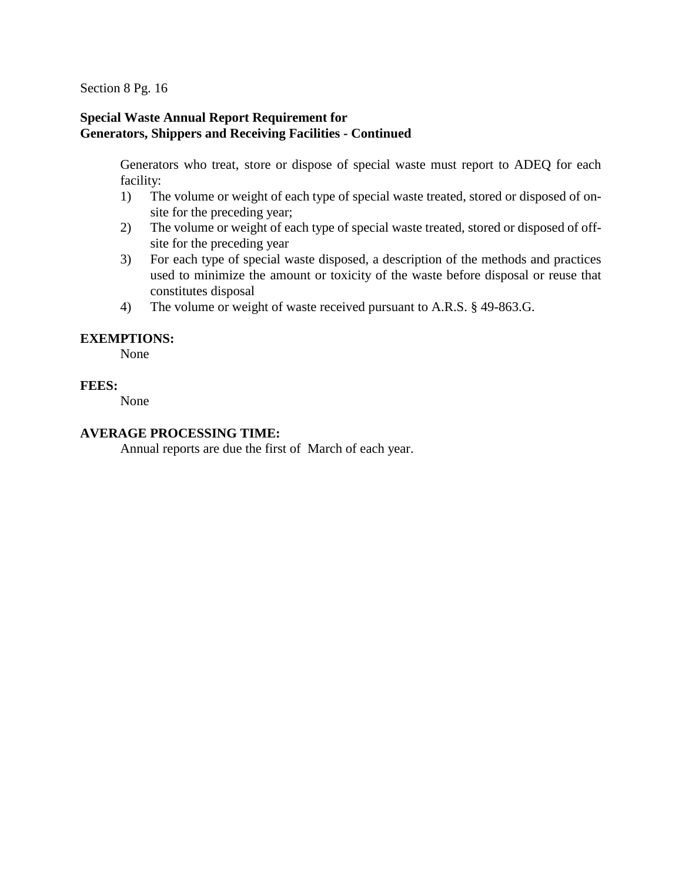# **Special Waste Annual Report Requirement for Generators, Shippers and Receiving Facilities - Continued**

Generators who treat, store or dispose of special waste must report to ADEQ for each facility:

- 1) The volume or weight of each type of special waste treated, stored or disposed of onsite for the preceding year;
- 2) The volume or weight of each type of special waste treated, stored or disposed of offsite for the preceding year
- 3) For each type of special waste disposed, a description of the methods and practices used to minimize the amount or toxicity of the waste before disposal or reuse that constitutes disposal
- 4) The volume or weight of waste received pursuant to A.R.S. § 49-863.G.

# **EXEMPTIONS:**

None

# **FEES:**

None

# **AVERAGE PROCESSING TIME:**

Annual reports are due the first of March of each year.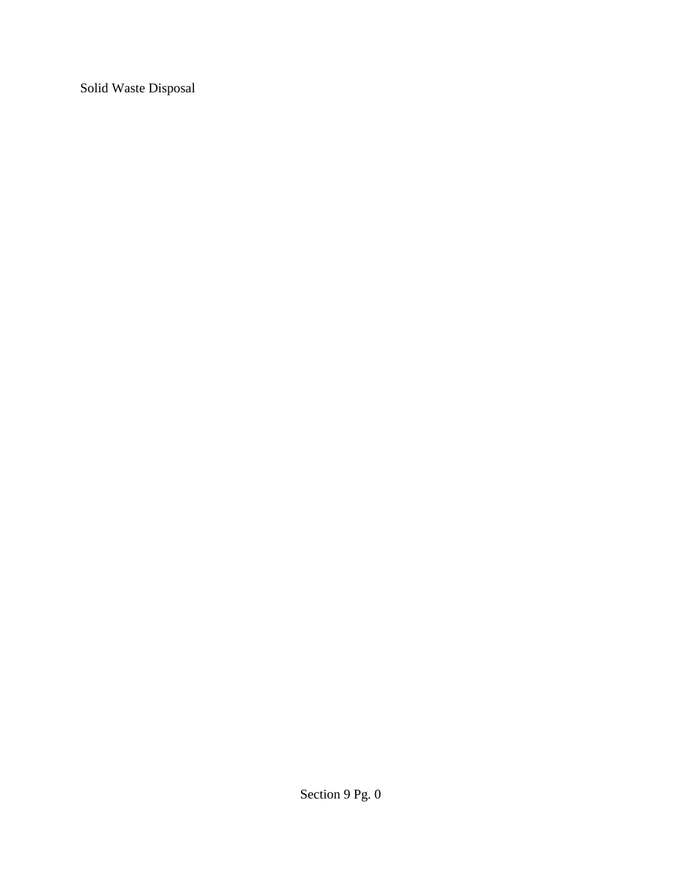Solid Waste Disposal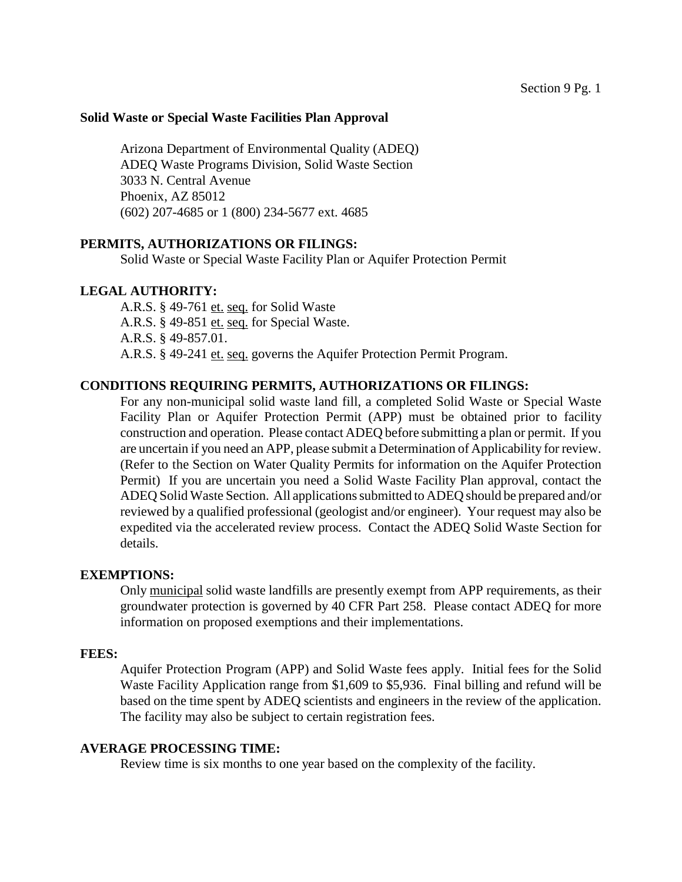### **Solid Waste or Special Waste Facilities Plan Approval**

Arizona Department of Environmental Quality (ADEQ) ADEQ Waste Programs Division, Solid Waste Section 3033 N. Central Avenue Phoenix, AZ 85012 (602) 207-4685 or 1 (800) 234-5677 ext. 4685

### **PERMITS, AUTHORIZATIONS OR FILINGS:**

Solid Waste or Special Waste Facility Plan or Aquifer Protection Permit

### **LEGAL AUTHORITY:**

A.R.S. § 49-761 et. seq. for Solid Waste A.R.S. § 49-851 et. seq. for Special Waste. A.R.S. § 49-857.01. A.R.S. § 49-241 et. seq. governs the Aquifer Protection Permit Program.

### **CONDITIONS REQUIRING PERMITS, AUTHORIZATIONS OR FILINGS:**

For any non-municipal solid waste land fill, a completed Solid Waste or Special Waste Facility Plan or Aquifer Protection Permit (APP) must be obtained prior to facility construction and operation. Please contact ADEQ before submitting a plan or permit. If you are uncertain if you need an APP, please submit a Determination of Applicability for review. (Refer to the Section on Water Quality Permits for information on the Aquifer Protection Permit) If you are uncertain you need a Solid Waste Facility Plan approval, contact the ADEQ Solid Waste Section. All applications submitted to ADEQ should be prepared and/or reviewed by a qualified professional (geologist and/or engineer). Your request may also be expedited via the accelerated review process. Contact the ADEQ Solid Waste Section for details.

### **EXEMPTIONS:**

Only municipal solid waste landfills are presently exempt from APP requirements, as their groundwater protection is governed by 40 CFR Part 258. Please contact ADEQ for more information on proposed exemptions and their implementations.

#### **FEES:**

Aquifer Protection Program (APP) and Solid Waste fees apply. Initial fees for the Solid Waste Facility Application range from \$1,609 to \$5,936. Final billing and refund will be based on the time spent by ADEQ scientists and engineers in the review of the application. The facility may also be subject to certain registration fees.

### **AVERAGE PROCESSING TIME:**

Review time is six months to one year based on the complexity of the facility.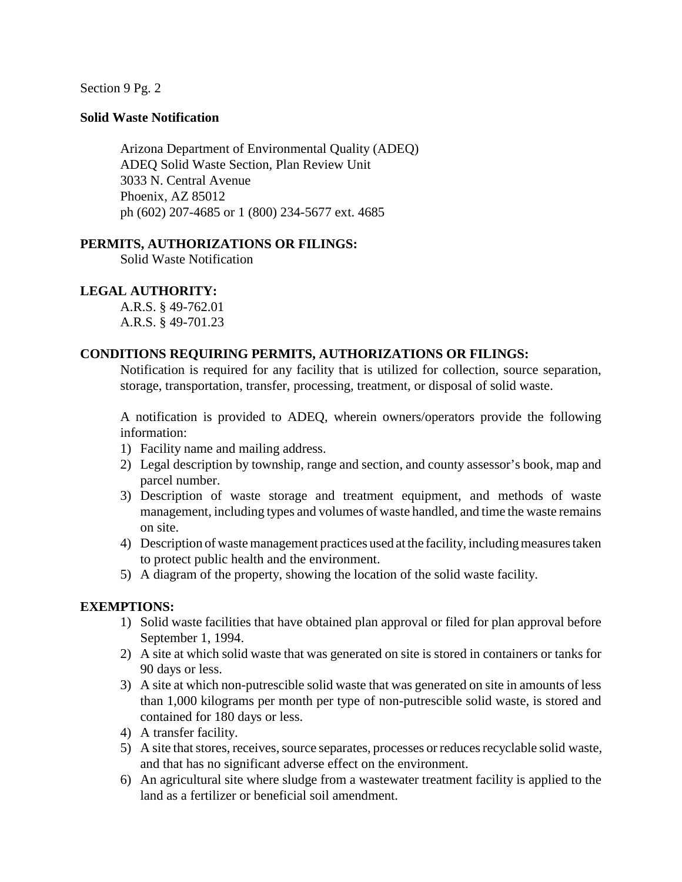# **Solid Waste Notification**

Arizona Department of Environmental Quality (ADEQ) ADEQ Solid Waste Section, Plan Review Unit 3033 N. Central Avenue Phoenix, AZ 85012 ph (602) 207-4685 or 1 (800) 234-5677 ext. 4685

# **PERMITS, AUTHORIZATIONS OR FILINGS:**

Solid Waste Notification

# **LEGAL AUTHORITY:**

A.R.S. § 49-762.01 A.R.S. § 49-701.23

# **CONDITIONS REQUIRING PERMITS, AUTHORIZATIONS OR FILINGS:**

Notification is required for any facility that is utilized for collection, source separation, storage, transportation, transfer, processing, treatment, or disposal of solid waste.

A notification is provided to ADEQ, wherein owners/operators provide the following information:

- 1) Facility name and mailing address.
- 2) Legal description by township, range and section, and county assessor's book, map and parcel number.
- 3) Description of waste storage and treatment equipment, and methods of waste management, including types and volumes of waste handled, and time the waste remains on site.
- 4) Description of waste management practices used at the facility, including measures taken to protect public health and the environment.
- 5) A diagram of the property, showing the location of the solid waste facility.

# **EXEMPTIONS:**

- 1) Solid waste facilities that have obtained plan approval or filed for plan approval before September 1, 1994.
- 2) A site at which solid waste that was generated on site is stored in containers or tanks for 90 days or less.
- 3) A site at which non-putrescible solid waste that was generated on site in amounts of less than 1,000 kilograms per month per type of non-putrescible solid waste, is stored and contained for 180 days or less.
- 4) A transfer facility.
- 5) A site that stores, receives, source separates, processes or reduces recyclable solid waste, and that has no significant adverse effect on the environment.
- 6) An agricultural site where sludge from a wastewater treatment facility is applied to the land as a fertilizer or beneficial soil amendment.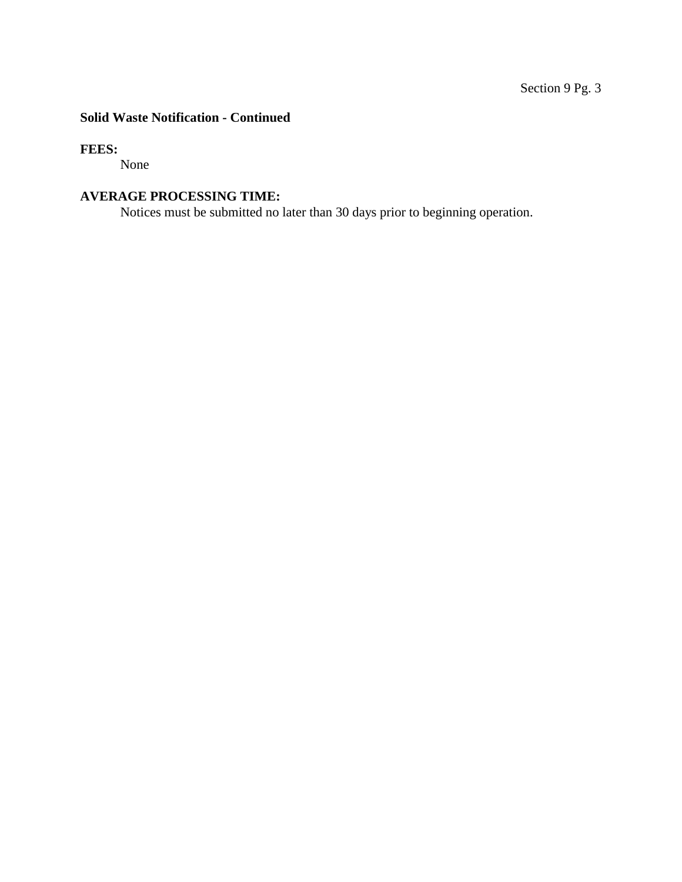# **Solid Waste Notification - Continued**

# **FEES:**

None

# **AVERAGE PROCESSING TIME:**

Notices must be submitted no later than 30 days prior to beginning operation.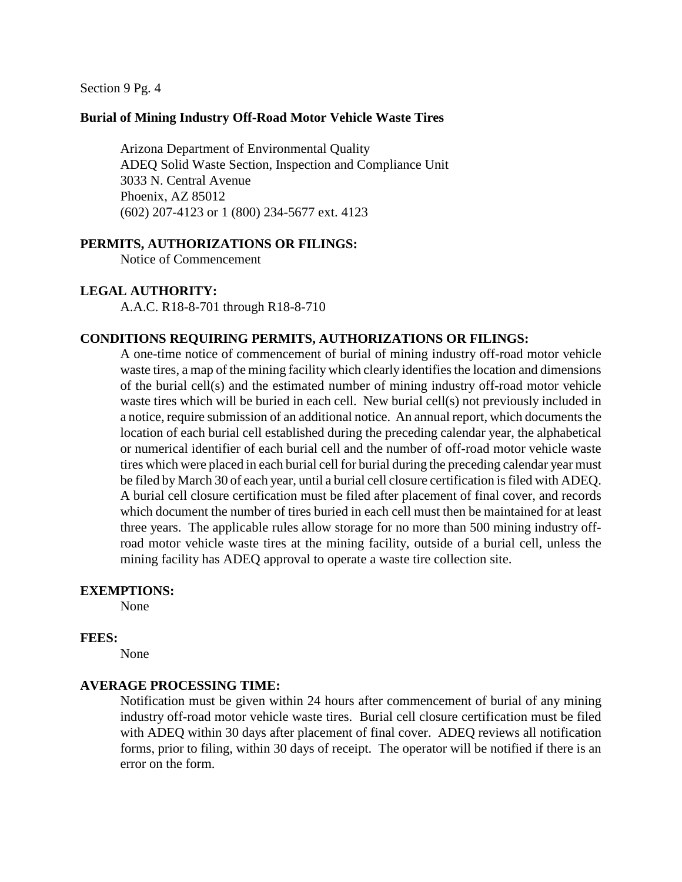### **Burial of Mining Industry Off-Road Motor Vehicle Waste Tires**

Arizona Department of Environmental Quality ADEQ Solid Waste Section, Inspection and Compliance Unit 3033 N. Central Avenue Phoenix, AZ 85012 (602) 207-4123 or 1 (800) 234-5677 ext. 4123

### **PERMITS, AUTHORIZATIONS OR FILINGS:**

Notice of Commencement

### **LEGAL AUTHORITY:**

A.A.C. R18-8-701 through R18-8-710

# **CONDITIONS REQUIRING PERMITS, AUTHORIZATIONS OR FILINGS:**

A one-time notice of commencement of burial of mining industry off-road motor vehicle waste tires, a map of the mining facility which clearly identifies the location and dimensions of the burial cell(s) and the estimated number of mining industry off-road motor vehicle waste tires which will be buried in each cell. New burial cell(s) not previously included in a notice, require submission of an additional notice. An annual report, which documents the location of each burial cell established during the preceding calendar year, the alphabetical or numerical identifier of each burial cell and the number of off-road motor vehicle waste tires which were placed in each burial cell for burial during the preceding calendar year must be filed by March 30 of each year, until a burial cell closure certification is filed with ADEQ. A burial cell closure certification must be filed after placement of final cover, and records which document the number of tires buried in each cell must then be maintained for at least three years. The applicable rules allow storage for no more than 500 mining industry offroad motor vehicle waste tires at the mining facility, outside of a burial cell, unless the mining facility has ADEQ approval to operate a waste tire collection site.

### **EXEMPTIONS:**

None

### **FEES:**

None

### **AVERAGE PROCESSING TIME:**

Notification must be given within 24 hours after commencement of burial of any mining industry off-road motor vehicle waste tires. Burial cell closure certification must be filed with ADEQ within 30 days after placement of final cover. ADEQ reviews all notification forms, prior to filing, within 30 days of receipt. The operator will be notified if there is an error on the form.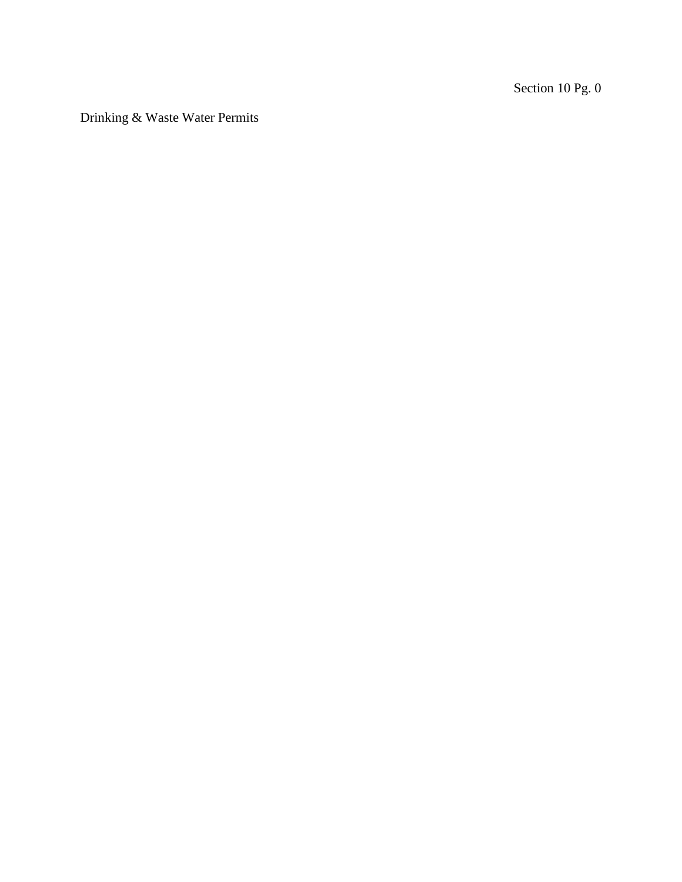Section 10 Pg. 0

Drinking & Waste Water Permits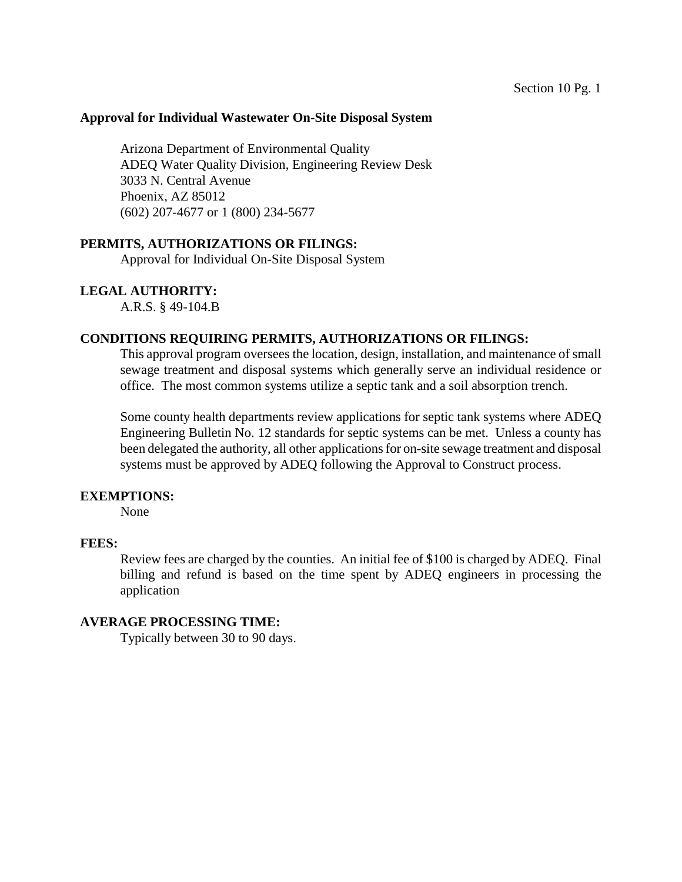### **Approval for Individual Wastewater On-Site Disposal System**

Arizona Department of Environmental Quality ADEQ Water Quality Division, Engineering Review Desk 3033 N. Central Avenue Phoenix, AZ 85012 (602) 207-4677 or 1 (800) 234-5677

### **PERMITS, AUTHORIZATIONS OR FILINGS:**

Approval for Individual On-Site Disposal System

# **LEGAL AUTHORITY:**

A.R.S. § 49-104.B

# **CONDITIONS REQUIRING PERMITS, AUTHORIZATIONS OR FILINGS:**

This approval program oversees the location, design, installation, and maintenance of small sewage treatment and disposal systems which generally serve an individual residence or office. The most common systems utilize a septic tank and a soil absorption trench.

Some county health departments review applications for septic tank systems where ADEQ Engineering Bulletin No. 12 standards for septic systems can be met. Unless a county has been delegated the authority, all other applications for on-site sewage treatment and disposal systems must be approved by ADEQ following the Approval to Construct process.

# **EXEMPTIONS:**

None

### **FEES:**

Review fees are charged by the counties. An initial fee of \$100 is charged by ADEQ. Final billing and refund is based on the time spent by ADEQ engineers in processing the application

### **AVERAGE PROCESSING TIME:**

Typically between 30 to 90 days.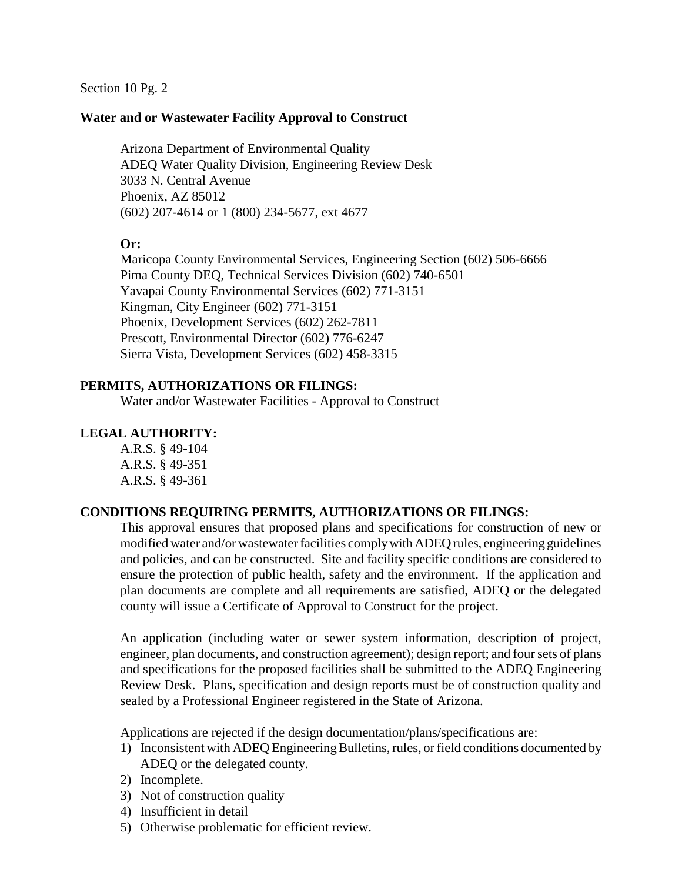Section 10 Pg. 2

## **Water and or Wastewater Facility Approval to Construct**

Arizona Department of Environmental Quality ADEQ Water Quality Division, Engineering Review Desk 3033 N. Central Avenue Phoenix, AZ 85012 (602) 207-4614 or 1 (800) 234-5677, ext 4677

### **Or:**

Maricopa County Environmental Services, Engineering Section (602) 506-6666 Pima County DEQ, Technical Services Division (602) 740-6501 Yavapai County Environmental Services (602) 771-3151 Kingman, City Engineer (602) 771-3151 Phoenix, Development Services (602) 262-7811 Prescott, Environmental Director (602) 776-6247 Sierra Vista, Development Services (602) 458-3315

# **PERMITS, AUTHORIZATIONS OR FILINGS:**

Water and/or Wastewater Facilities - Approval to Construct

# **LEGAL AUTHORITY:**

A.R.S. § 49-104 A.R.S. § 49-351 A.R.S. § 49-361

# **CONDITIONS REQUIRING PERMITS, AUTHORIZATIONS OR FILINGS:**

This approval ensures that proposed plans and specifications for construction of new or modified water and/or wastewater facilities comply with ADEQ rules, engineering guidelines and policies, and can be constructed. Site and facility specific conditions are considered to ensure the protection of public health, safety and the environment. If the application and plan documents are complete and all requirements are satisfied, ADEQ or the delegated county will issue a Certificate of Approval to Construct for the project.

An application (including water or sewer system information, description of project, engineer, plan documents, and construction agreement); design report; and four sets of plans and specifications for the proposed facilities shall be submitted to the ADEQ Engineering Review Desk. Plans, specification and design reports must be of construction quality and sealed by a Professional Engineer registered in the State of Arizona.

Applications are rejected if the design documentation/plans/specifications are:

- 1) Inconsistent with ADEQ Engineering Bulletins, rules, or field conditions documented by ADEQ or the delegated county.
- 2) Incomplete.
- 3) Not of construction quality
- 4) Insufficient in detail
- 5) Otherwise problematic for efficient review.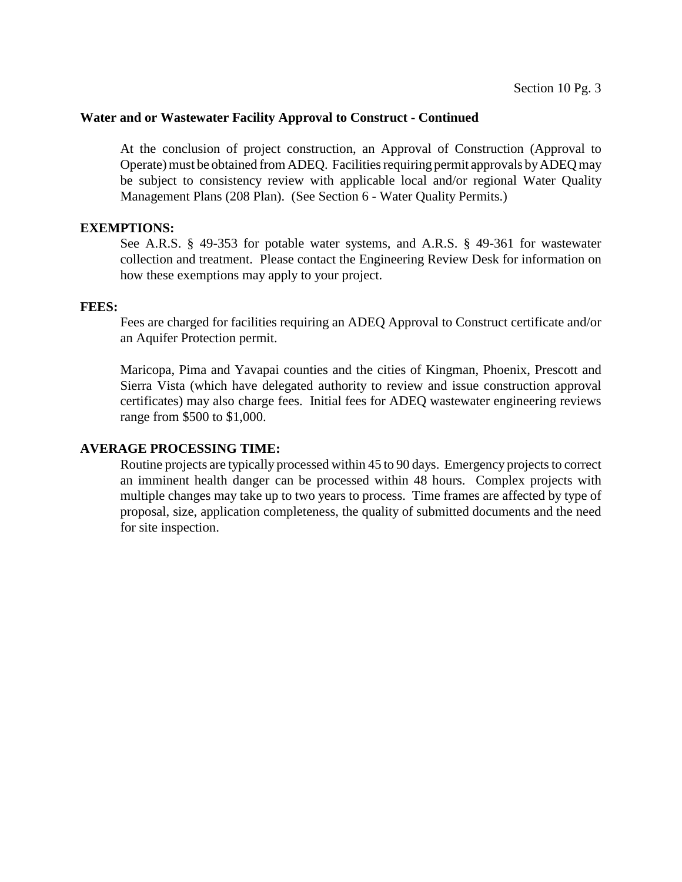### **Water and or Wastewater Facility Approval to Construct - Continued**

At the conclusion of project construction, an Approval of Construction (Approval to Operate) must be obtained from ADEQ. Facilities requiring permit approvals by ADEQ may be subject to consistency review with applicable local and/or regional Water Quality Management Plans (208 Plan). (See Section 6 - Water Quality Permits.)

#### **EXEMPTIONS:**

See A.R.S. § 49-353 for potable water systems, and A.R.S. § 49-361 for wastewater collection and treatment. Please contact the Engineering Review Desk for information on how these exemptions may apply to your project.

### **FEES:**

Fees are charged for facilities requiring an ADEQ Approval to Construct certificate and/or an Aquifer Protection permit.

Maricopa, Pima and Yavapai counties and the cities of Kingman, Phoenix, Prescott and Sierra Vista (which have delegated authority to review and issue construction approval certificates) may also charge fees. Initial fees for ADEQ wastewater engineering reviews range from \$500 to \$1,000.

### **AVERAGE PROCESSING TIME:**

Routine projects are typically processed within 45 to 90 days. Emergency projects to correct an imminent health danger can be processed within 48 hours. Complex projects with multiple changes may take up to two years to process. Time frames are affected by type of proposal, size, application completeness, the quality of submitted documents and the need for site inspection.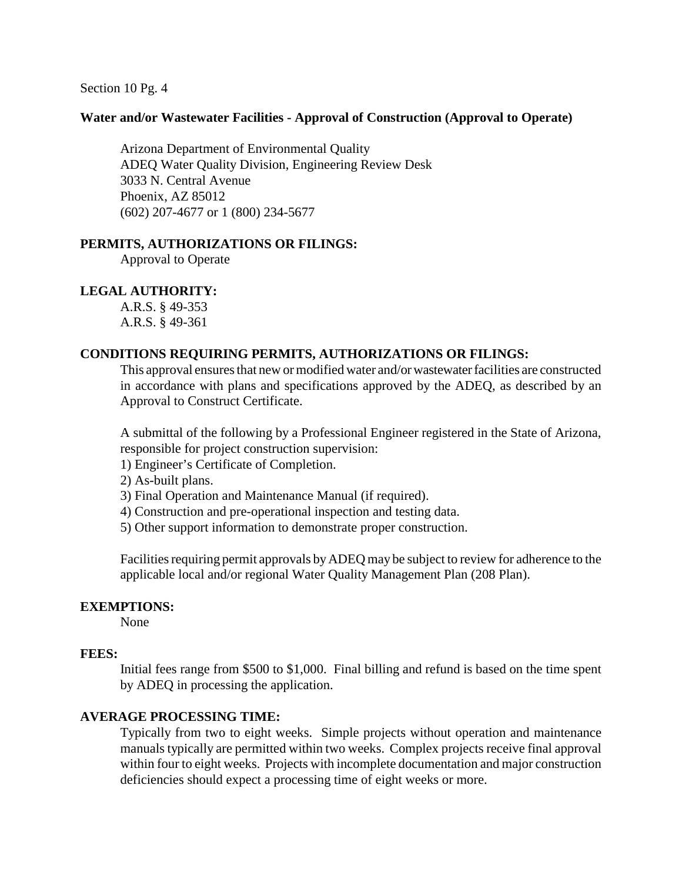Section 10 Pg. 4

### **Water and/or Wastewater Facilities - Approval of Construction (Approval to Operate)**

Arizona Department of Environmental Quality ADEQ Water Quality Division, Engineering Review Desk 3033 N. Central Avenue Phoenix, AZ 85012 (602) 207-4677 or 1 (800) 234-5677

### **PERMITS, AUTHORIZATIONS OR FILINGS:**

Approval to Operate

# **LEGAL AUTHORITY:**

A.R.S. § 49-353 A.R.S. § 49-361

### **CONDITIONS REQUIRING PERMITS, AUTHORIZATIONS OR FILINGS:**

This approval ensures that new or modified water and/or wastewater facilities are constructed in accordance with plans and specifications approved by the ADEQ, as described by an Approval to Construct Certificate.

A submittal of the following by a Professional Engineer registered in the State of Arizona, responsible for project construction supervision:

1) Engineer's Certificate of Completion.

2) As-built plans.

3) Final Operation and Maintenance Manual (if required).

4) Construction and pre-operational inspection and testing data.

5) Other support information to demonstrate proper construction.

Facilities requiring permit approvals by ADEQ may be subject to review for adherence to the applicable local and/or regional Water Quality Management Plan (208 Plan).

# **EXEMPTIONS:**

None

### **FEES:**

Initial fees range from \$500 to \$1,000. Final billing and refund is based on the time spent by ADEQ in processing the application.

# **AVERAGE PROCESSING TIME:**

Typically from two to eight weeks. Simple projects without operation and maintenance manuals typically are permitted within two weeks. Complex projects receive final approval within four to eight weeks. Projects with incomplete documentation and major construction deficiencies should expect a processing time of eight weeks or more.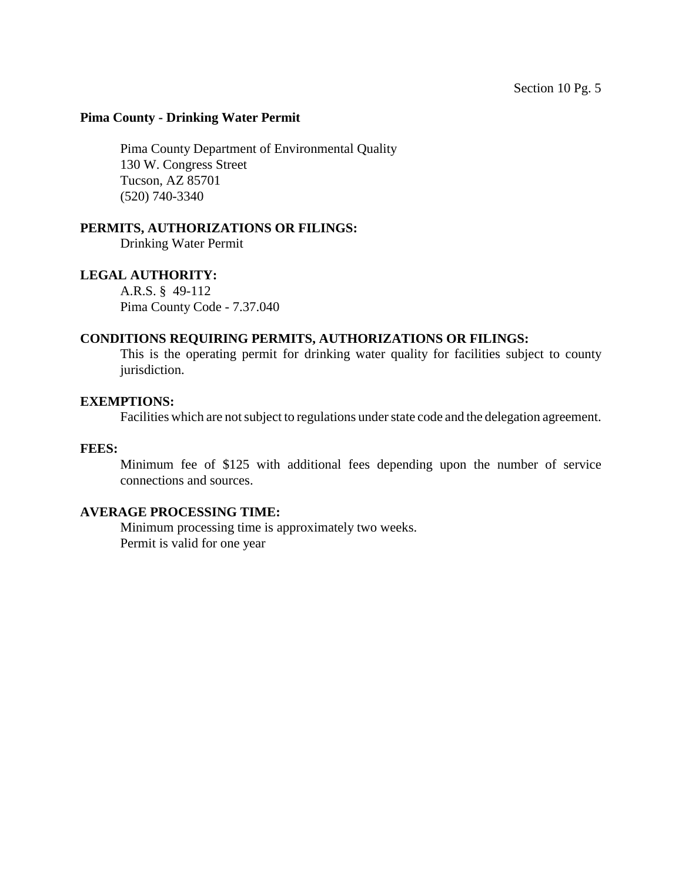### **Pima County - Drinking Water Permit**

Pima County Department of Environmental Quality 130 W. Congress Street Tucson, AZ 85701 (520) 740-3340

## **PERMITS, AUTHORIZATIONS OR FILINGS:**

Drinking Water Permit

# **LEGAL AUTHORITY:**

A.R.S. § 49-112 Pima County Code - 7.37.040

# **CONDITIONS REQUIRING PERMITS, AUTHORIZATIONS OR FILINGS:**

This is the operating permit for drinking water quality for facilities subject to county jurisdiction.

### **EXEMPTIONS:**

Facilities which are not subject to regulations under state code and the delegation agreement.

### **FEES:**

Minimum fee of \$125 with additional fees depending upon the number of service connections and sources.

# **AVERAGE PROCESSING TIME:**

Minimum processing time is approximately two weeks. Permit is valid for one year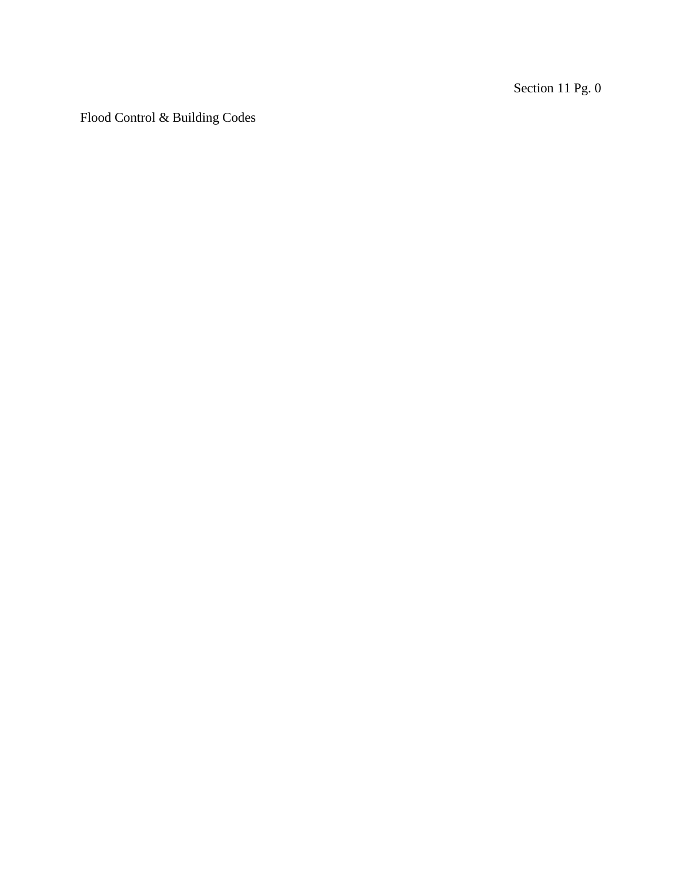Section 11 Pg. 0

Flood Control & Building Codes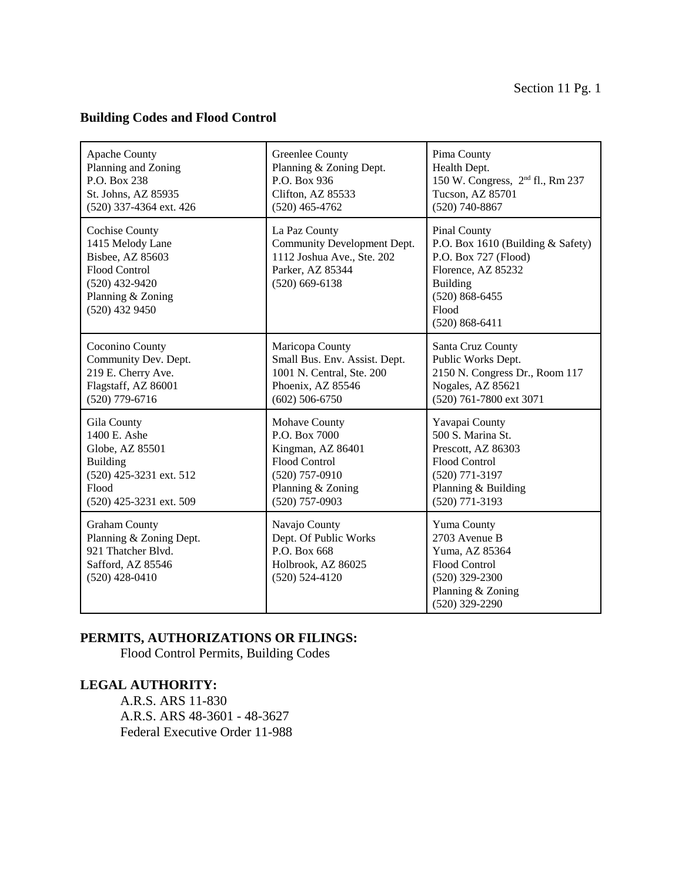# **Building Codes and Flood Control**

| <b>Apache County</b>                                                                                                                        | <b>Greenlee County</b>                                                                                             | Pima County                                                                                                                                                                    |
|---------------------------------------------------------------------------------------------------------------------------------------------|--------------------------------------------------------------------------------------------------------------------|--------------------------------------------------------------------------------------------------------------------------------------------------------------------------------|
| Planning and Zoning                                                                                                                         | Planning & Zoning Dept.                                                                                            | Health Dept.                                                                                                                                                                   |
| P.O. Box 238                                                                                                                                | P.O. Box 936                                                                                                       | 150 W. Congress, 2 <sup>nd</sup> fl., Rm 237                                                                                                                                   |
| St. Johns, AZ 85935                                                                                                                         | Clifton, AZ 85533                                                                                                  | Tucson, AZ 85701                                                                                                                                                               |
| (520) 337-4364 ext. 426                                                                                                                     | $(520)$ 465-4762                                                                                                   | $(520)$ 740-8867                                                                                                                                                               |
| <b>Cochise County</b><br>1415 Melody Lane<br>Bisbee, AZ 85603<br>Flood Control<br>$(520)$ 432-9420<br>Planning & Zoning<br>$(520)$ 432 9450 | La Paz County<br>Community Development Dept.<br>1112 Joshua Ave., Ste. 202<br>Parker, AZ 85344<br>$(520)$ 669-6138 | <b>Pinal County</b><br>P.O. Box 1610 (Building & Safety)<br>P.O. Box 727 (Flood)<br>Florence, AZ 85232<br><b>Building</b><br>$(520) 868 - 6455$<br>Flood<br>$(520) 868 - 6411$ |
| Coconino County                                                                                                                             | Maricopa County                                                                                                    | Santa Cruz County                                                                                                                                                              |
| Community Dev. Dept.                                                                                                                        | Small Bus. Env. Assist. Dept.                                                                                      | Public Works Dept.                                                                                                                                                             |
| 219 E. Cherry Ave.                                                                                                                          | 1001 N. Central, Ste. 200                                                                                          | 2150 N. Congress Dr., Room 117                                                                                                                                                 |
| Flagstaff, AZ 86001                                                                                                                         | Phoenix, AZ 85546                                                                                                  | Nogales, AZ 85621                                                                                                                                                              |
| $(520)$ 779-6716                                                                                                                            | $(602) 506 - 6750$                                                                                                 | (520) 761-7800 ext 3071                                                                                                                                                        |
| Gila County                                                                                                                                 | <b>Mohave County</b>                                                                                               | Yavapai County                                                                                                                                                                 |
| 1400 E. Ashe                                                                                                                                | P.O. Box 7000                                                                                                      | 500 S. Marina St.                                                                                                                                                              |
| Globe, AZ 85501                                                                                                                             | Kingman, AZ 86401                                                                                                  | Prescott, AZ 86303                                                                                                                                                             |
| <b>Building</b>                                                                                                                             | <b>Flood Control</b>                                                                                               | Flood Control                                                                                                                                                                  |
| (520) 425-3231 ext. 512                                                                                                                     | $(520)$ 757-0910                                                                                                   | $(520)$ 771-3197                                                                                                                                                               |
| Flood                                                                                                                                       | Planning & Zoning                                                                                                  | Planning & Building                                                                                                                                                            |
| (520) 425-3231 ext. 509                                                                                                                     | $(520)$ 757-0903                                                                                                   | $(520)$ 771-3193                                                                                                                                                               |
| <b>Graham County</b><br>Planning & Zoning Dept.<br>921 Thatcher Blvd.<br>Safford, AZ 85546<br>$(520)$ 428-0410                              | Navajo County<br>Dept. Of Public Works<br>P.O. Box 668<br>Holbrook, AZ 86025<br>$(520) 524 - 4120$                 | Yuma County<br>2703 Avenue B<br>Yuma, AZ 85364<br>Flood Control<br>$(520)$ 329-2300<br>Planning & Zoning<br>$(520)$ 329-2290                                                   |

# **PERMITS, AUTHORIZATIONS OR FILINGS:**

Flood Control Permits, Building Codes

# **LEGAL AUTHORITY:**

A.R.S. ARS 11-830 A.R.S. ARS 48-3601 - 48-3627 Federal Executive Order 11-988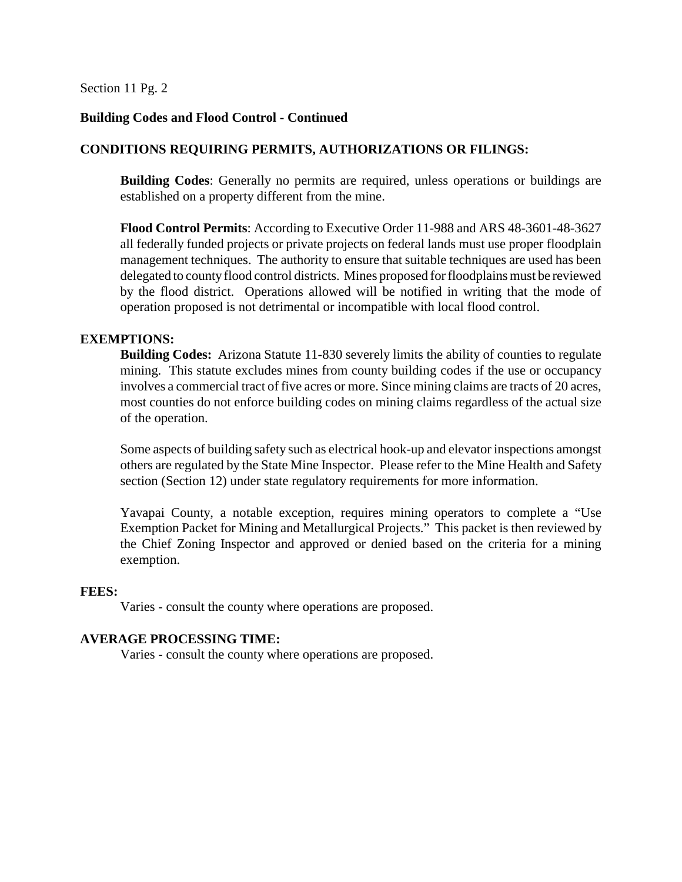Section 11 Pg. 2

### **Building Codes and Flood Control - Continued**

### **CONDITIONS REQUIRING PERMITS, AUTHORIZATIONS OR FILINGS:**

**Building Codes**: Generally no permits are required, unless operations or buildings are established on a property different from the mine.

**Flood Control Permits**: According to Executive Order 11-988 and ARS 48-3601-48-3627 all federally funded projects or private projects on federal lands must use proper floodplain management techniques. The authority to ensure that suitable techniques are used has been delegated to county flood control districts. Mines proposed for floodplains must be reviewed by the flood district. Operations allowed will be notified in writing that the mode of operation proposed is not detrimental or incompatible with local flood control.

### **EXEMPTIONS:**

**Building Codes:** Arizona Statute 11-830 severely limits the ability of counties to regulate mining. This statute excludes mines from county building codes if the use or occupancy involves a commercial tract of five acres or more. Since mining claims are tracts of 20 acres, most counties do not enforce building codes on mining claims regardless of the actual size of the operation.

Some aspects of building safety such as electrical hook-up and elevator inspections amongst others are regulated by the State Mine Inspector. Please refer to the Mine Health and Safety section (Section 12) under state regulatory requirements for more information.

Yavapai County, a notable exception, requires mining operators to complete a "Use Exemption Packet for Mining and Metallurgical Projects." This packet is then reviewed by the Chief Zoning Inspector and approved or denied based on the criteria for a mining exemption.

### **FEES:**

Varies - consult the county where operations are proposed.

### **AVERAGE PROCESSING TIME:**

Varies - consult the county where operations are proposed.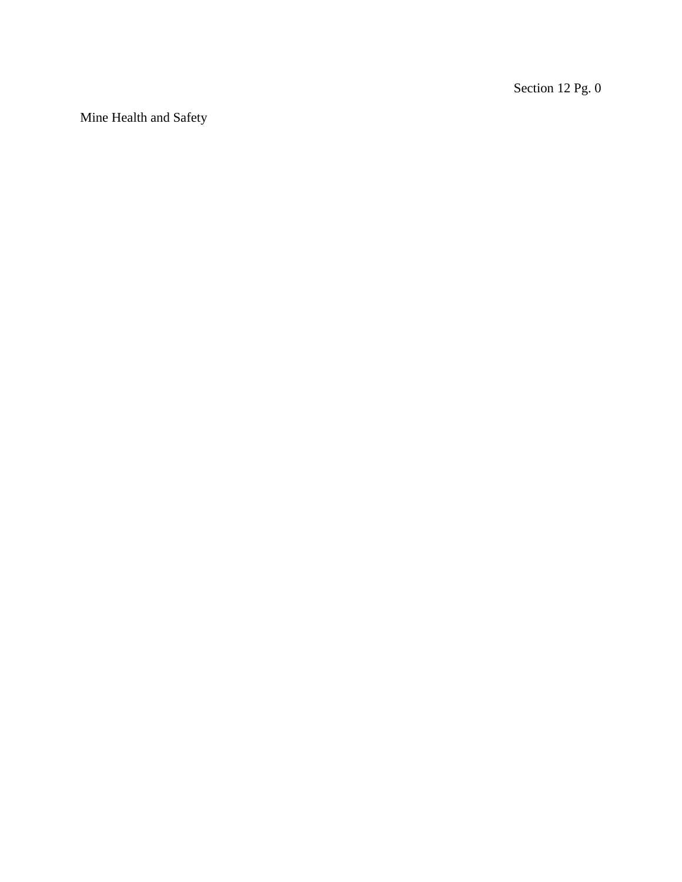Section 12 Pg. 0

Mine Health and Safety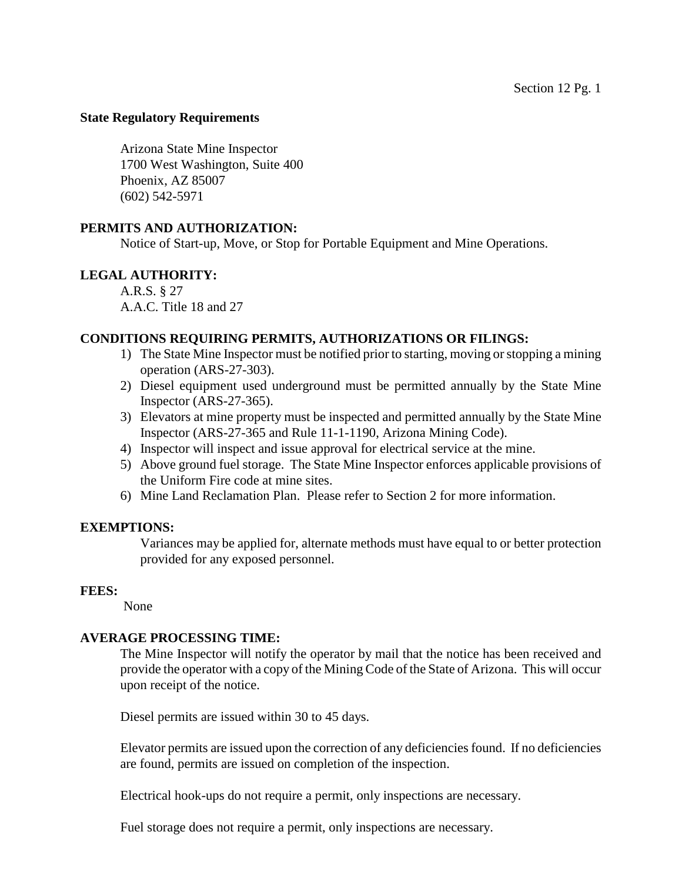### **State Regulatory Requirements**

Arizona State Mine Inspector 1700 West Washington, Suite 400 Phoenix, AZ 85007 (602) 542-5971

# **PERMITS AND AUTHORIZATION:**

Notice of Start-up, Move, or Stop for Portable Equipment and Mine Operations.

# **LEGAL AUTHORITY:**

A.R.S. § 27 A.A.C. Title 18 and 27

# **CONDITIONS REQUIRING PERMITS, AUTHORIZATIONS OR FILINGS:**

- 1) The State Mine Inspector must be notified prior to starting, moving or stopping a mining operation (ARS-27-303).
- 2) Diesel equipment used underground must be permitted annually by the State Mine Inspector (ARS-27-365).
- 3) Elevators at mine property must be inspected and permitted annually by the State Mine Inspector (ARS-27-365 and Rule 11-1-1190, Arizona Mining Code).
- 4) Inspector will inspect and issue approval for electrical service at the mine.
- 5) Above ground fuel storage. The State Mine Inspector enforces applicable provisions of the Uniform Fire code at mine sites.
- 6) Mine Land Reclamation Plan. Please refer to Section 2 for more information.

# **EXEMPTIONS:**

Variances may be applied for, alternate methods must have equal to or better protection provided for any exposed personnel.

### **FEES:**

None

# **AVERAGE PROCESSING TIME:**

The Mine Inspector will notify the operator by mail that the notice has been received and provide the operator with a copy of the Mining Code of the State of Arizona. This will occur upon receipt of the notice.

Diesel permits are issued within 30 to 45 days.

Elevator permits are issued upon the correction of any deficiencies found. If no deficiencies are found, permits are issued on completion of the inspection.

Electrical hook-ups do not require a permit, only inspections are necessary.

Fuel storage does not require a permit, only inspections are necessary.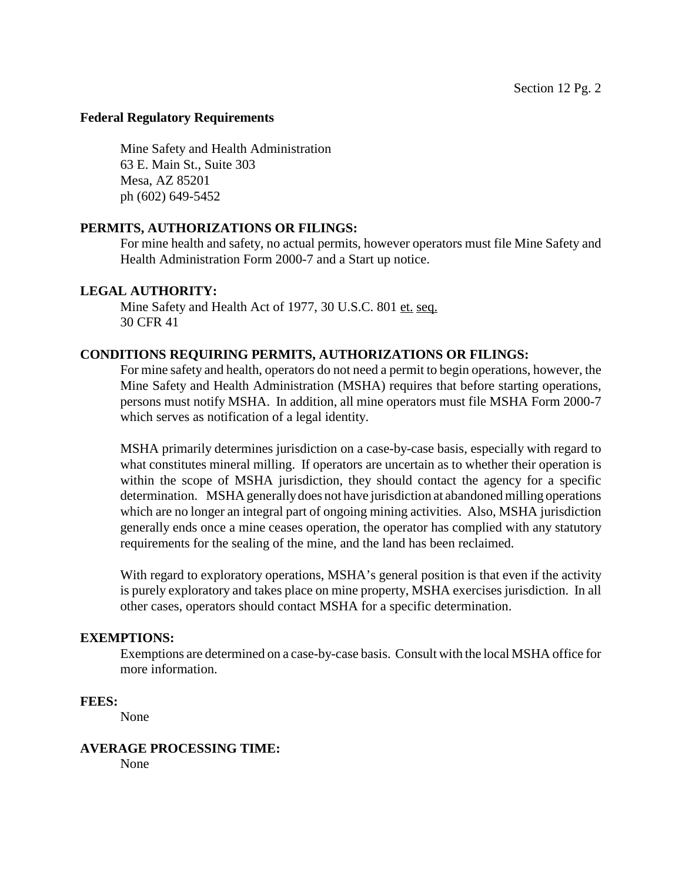### **Federal Regulatory Requirements**

Mine Safety and Health Administration 63 E. Main St., Suite 303 Mesa, AZ 85201 ph (602) 649-5452

# **PERMITS, AUTHORIZATIONS OR FILINGS:**

For mine health and safety, no actual permits, however operators must file Mine Safety and Health Administration Form 2000-7 and a Start up notice.

### **LEGAL AUTHORITY:**

Mine Safety and Health Act of 1977, 30 U.S.C. 801 et. seq. 30 CFR 41

### **CONDITIONS REQUIRING PERMITS, AUTHORIZATIONS OR FILINGS:**

For mine safety and health, operators do not need a permit to begin operations, however, the Mine Safety and Health Administration (MSHA) requires that before starting operations, persons must notify MSHA. In addition, all mine operators must file MSHA Form 2000-7 which serves as notification of a legal identity.

MSHA primarily determines jurisdiction on a case-by-case basis, especially with regard to what constitutes mineral milling. If operators are uncertain as to whether their operation is within the scope of MSHA jurisdiction, they should contact the agency for a specific determination. MSHA generally does not have jurisdiction at abandoned milling operations which are no longer an integral part of ongoing mining activities. Also, MSHA jurisdiction generally ends once a mine ceases operation, the operator has complied with any statutory requirements for the sealing of the mine, and the land has been reclaimed.

With regard to exploratory operations, MSHA's general position is that even if the activity is purely exploratory and takes place on mine property, MSHA exercises jurisdiction. In all other cases, operators should contact MSHA for a specific determination.

# **EXEMPTIONS:**

Exemptions are determined on a case-by-case basis. Consult with the local MSHA office for more information.

### **FEES:**

None

# **AVERAGE PROCESSING TIME:**

None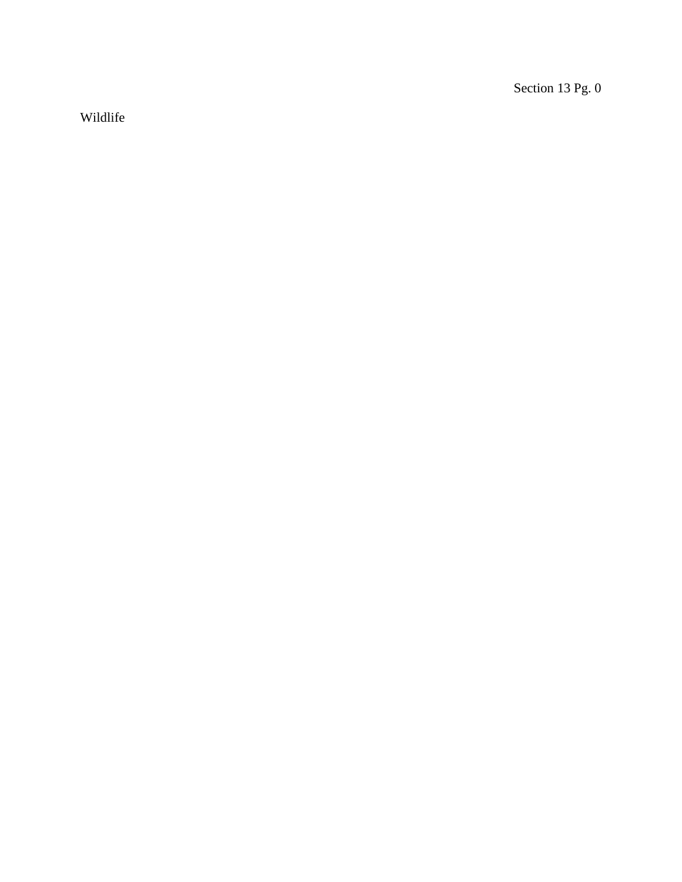Section 13 Pg. 0

Wildlife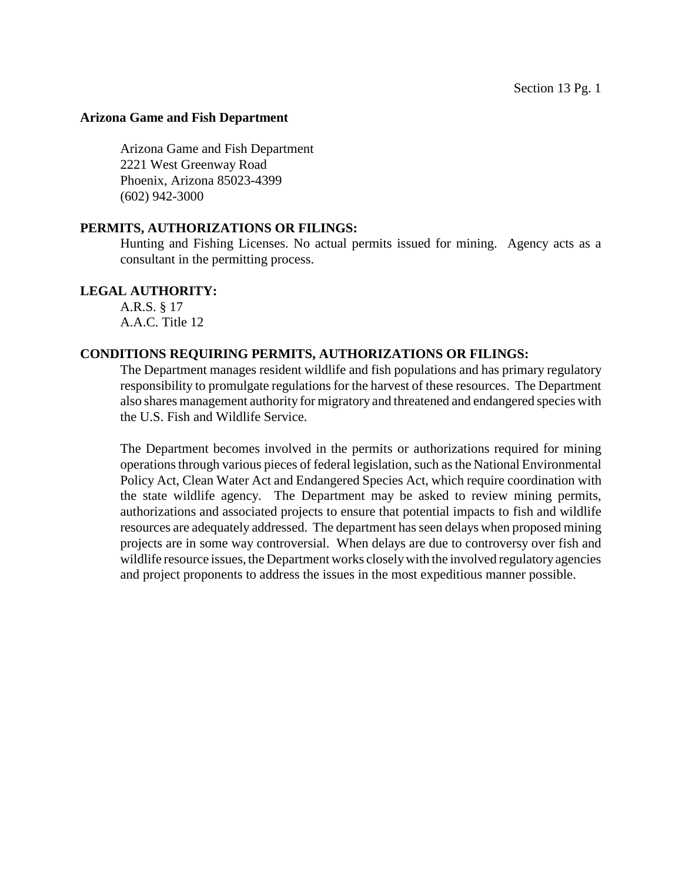### **Arizona Game and Fish Department**

Arizona Game and Fish Department 2221 West Greenway Road Phoenix, Arizona 85023-4399 (602) 942-3000

# **PERMITS, AUTHORIZATIONS OR FILINGS:**

Hunting and Fishing Licenses. No actual permits issued for mining. Agency acts as a consultant in the permitting process.

### **LEGAL AUTHORITY:**

A.R.S. § 17 A.A.C. Title 12

### **CONDITIONS REQUIRING PERMITS, AUTHORIZATIONS OR FILINGS:**

The Department manages resident wildlife and fish populations and has primary regulatory responsibility to promulgate regulations for the harvest of these resources. The Department also shares management authority for migratory and threatened and endangered species with the U.S. Fish and Wildlife Service.

The Department becomes involved in the permits or authorizations required for mining operations through various pieces of federal legislation, such as the National Environmental Policy Act, Clean Water Act and Endangered Species Act, which require coordination with the state wildlife agency. The Department may be asked to review mining permits, authorizations and associated projects to ensure that potential impacts to fish and wildlife resources are adequately addressed. The department has seen delays when proposed mining projects are in some way controversial. When delays are due to controversy over fish and wildlife resource issues, the Department works closely with the involved regulatory agencies and project proponents to address the issues in the most expeditious manner possible.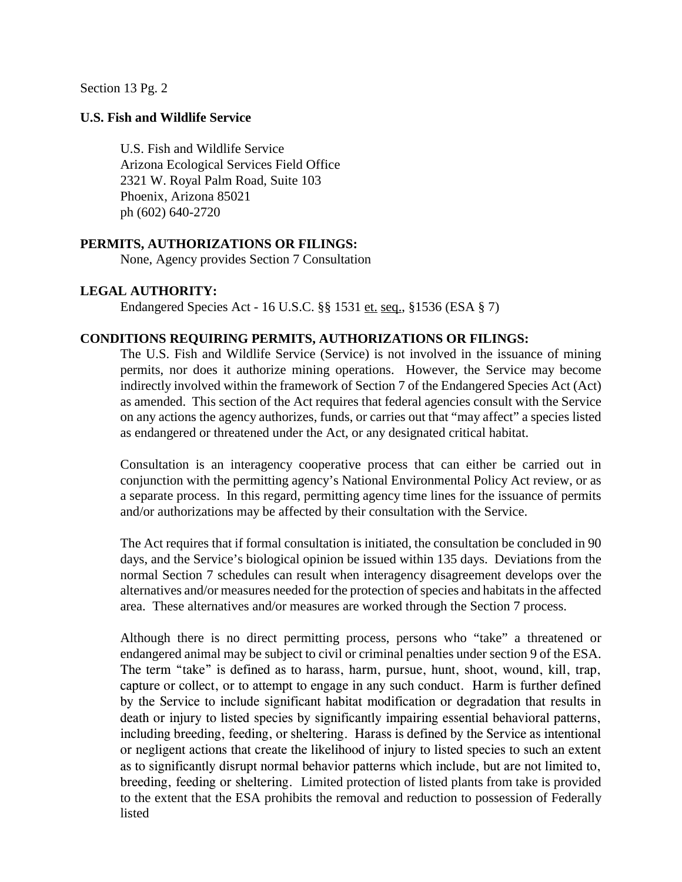Section 13 Pg. 2

## **U.S. Fish and Wildlife Service**

U.S. Fish and Wildlife Service Arizona Ecological Services Field Office 2321 W. Royal Palm Road, Suite 103 Phoenix, Arizona 85021 ph (602) 640-2720

## **PERMITS, AUTHORIZATIONS OR FILINGS:**

None, Agency provides Section 7 Consultation

## **LEGAL AUTHORITY:**

Endangered Species Act - 16 U.S.C. §§ 1531 et. seq., §1536 (ESA § 7)

## **CONDITIONS REQUIRING PERMITS, AUTHORIZATIONS OR FILINGS:**

The U.S. Fish and Wildlife Service (Service) is not involved in the issuance of mining permits, nor does it authorize mining operations. However, the Service may become indirectly involved within the framework of Section 7 of the Endangered Species Act (Act) as amended. This section of the Act requires that federal agencies consult with the Service on any actions the agency authorizes, funds, or carries out that "may affect" a species listed as endangered or threatened under the Act, or any designated critical habitat.

Consultation is an interagency cooperative process that can either be carried out in conjunction with the permitting agency's National Environmental Policy Act review, or as a separate process. In this regard, permitting agency time lines for the issuance of permits and/or authorizations may be affected by their consultation with the Service.

The Act requires that if formal consultation is initiated, the consultation be concluded in 90 days, and the Service's biological opinion be issued within 135 days. Deviations from the normal Section 7 schedules can result when interagency disagreement develops over the alternatives and/or measures needed for the protection of species and habitats in the affected area. These alternatives and/or measures are worked through the Section 7 process.

Although there is no direct permitting process, persons who "take" a threatened or endangered animal may be subject to civil or criminal penalties under section 9 of the ESA. The term "take" is defined as to harass, harm, pursue, hunt, shoot, wound, kill, trap, capture or collect, or to attempt to engage in any such conduct. Harm is further defined by the Service to include significant habitat modification or degradation that results in death or injury to listed species by significantly impairing essential behavioral patterns, including breeding, feeding, or sheltering. Harass is defined by the Service as intentional or negligent actions that create the likelihood of injury to listed species to such an extent as to significantly disrupt normal behavior patterns which include, but are not limited to, breeding, feeding or sheltering. Limited protection of listed plants from take is provided to the extent that the ESA prohibits the removal and reduction to possession of Federally listed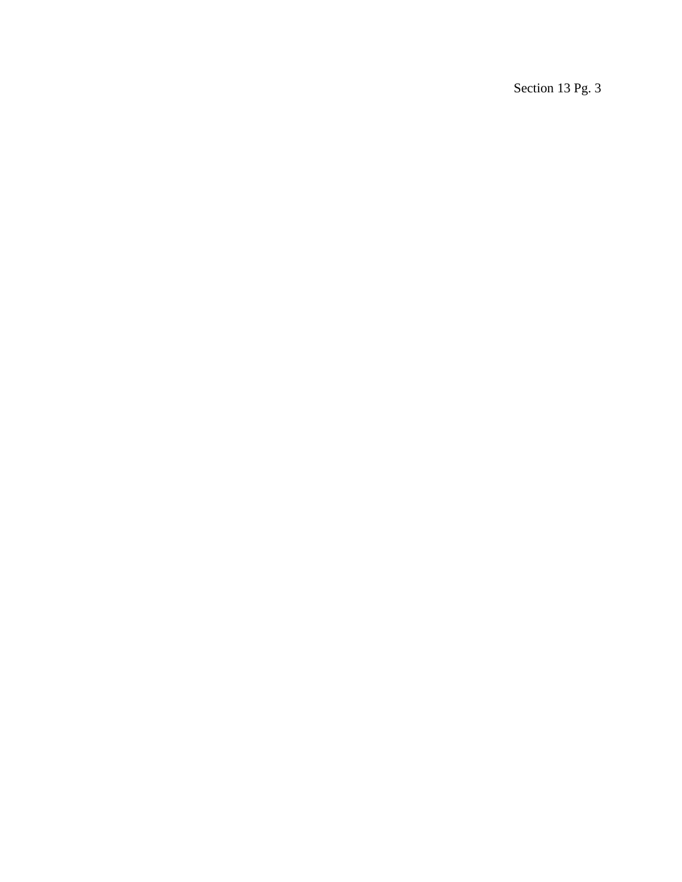Section 13 Pg. 3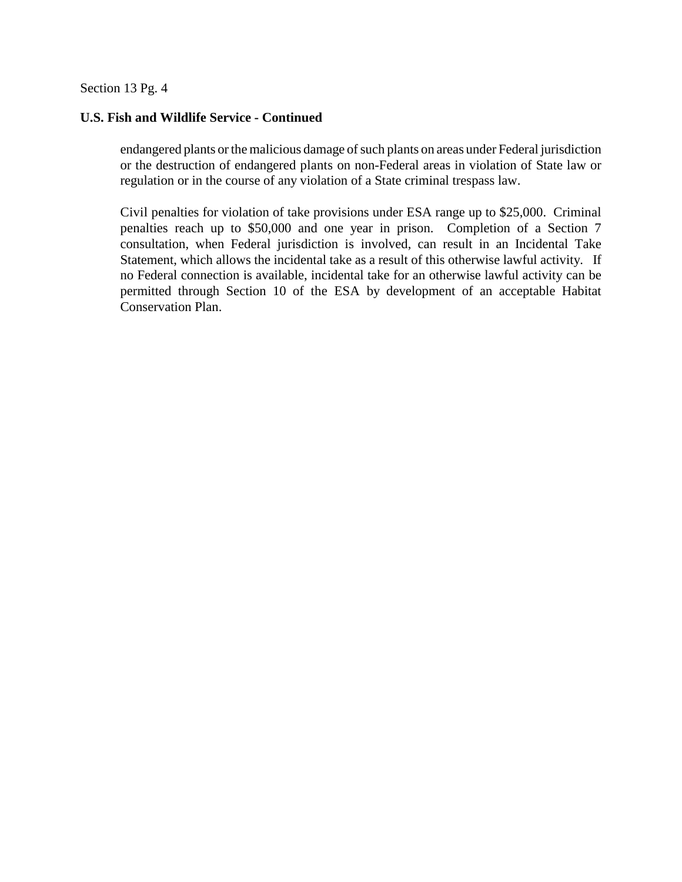Section 13 Pg. 4

## **U.S. Fish and Wildlife Service - Continued**

endangered plants or the malicious damage of such plants on areas under Federal jurisdiction or the destruction of endangered plants on non-Federal areas in violation of State law or regulation or in the course of any violation of a State criminal trespass law.

Civil penalties for violation of take provisions under ESA range up to \$25,000. Criminal penalties reach up to \$50,000 and one year in prison. Completion of a Section 7 consultation, when Federal jurisdiction is involved, can result in an Incidental Take Statement, which allows the incidental take as a result of this otherwise lawful activity. If no Federal connection is available, incidental take for an otherwise lawful activity can be permitted through Section 10 of the ESA by development of an acceptable Habitat Conservation Plan.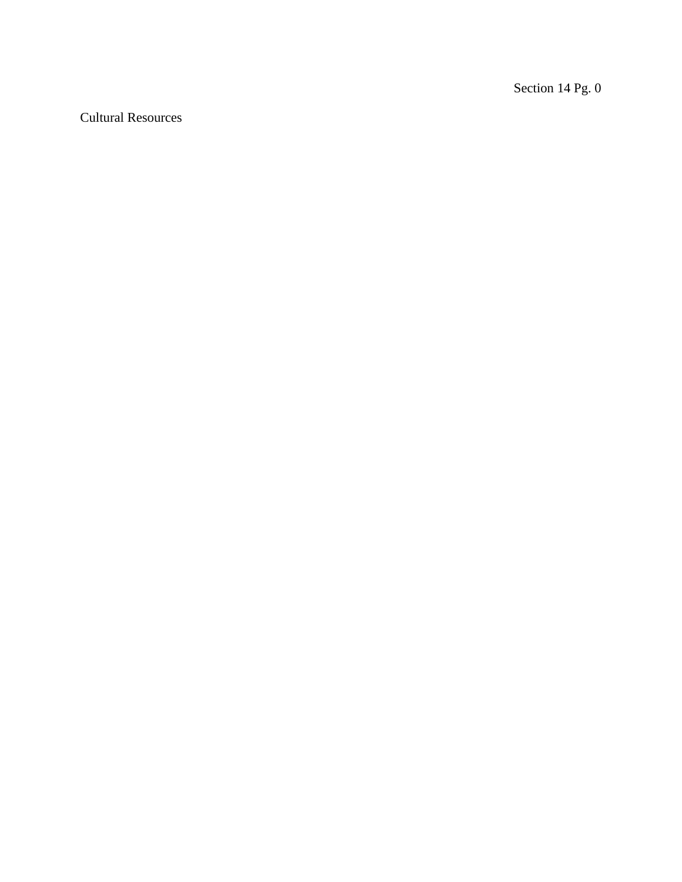Section 14 Pg. 0

Cultural Resources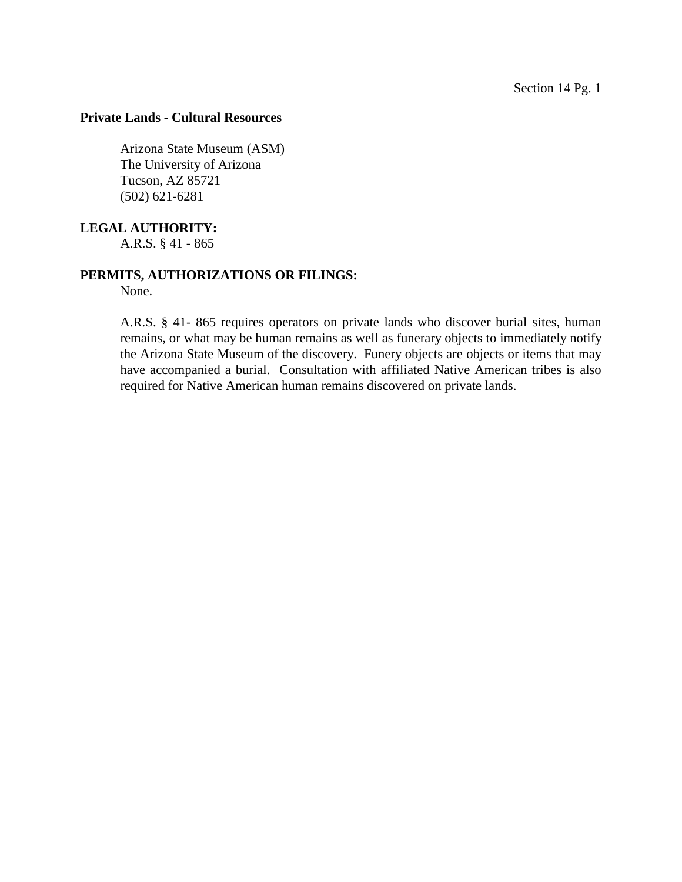## **Private Lands - Cultural Resources**

Arizona State Museum (ASM) The University of Arizona Tucson, AZ 85721 (502) 621-6281

### **LEGAL AUTHORITY:**

A.R.S. § 41 - 865

# **PERMITS, AUTHORIZATIONS OR FILINGS:**

None.

A.R.S. § 41- 865 requires operators on private lands who discover burial sites, human remains, or what may be human remains as well as funerary objects to immediately notify the Arizona State Museum of the discovery. Funery objects are objects or items that may have accompanied a burial. Consultation with affiliated Native American tribes is also required for Native American human remains discovered on private lands.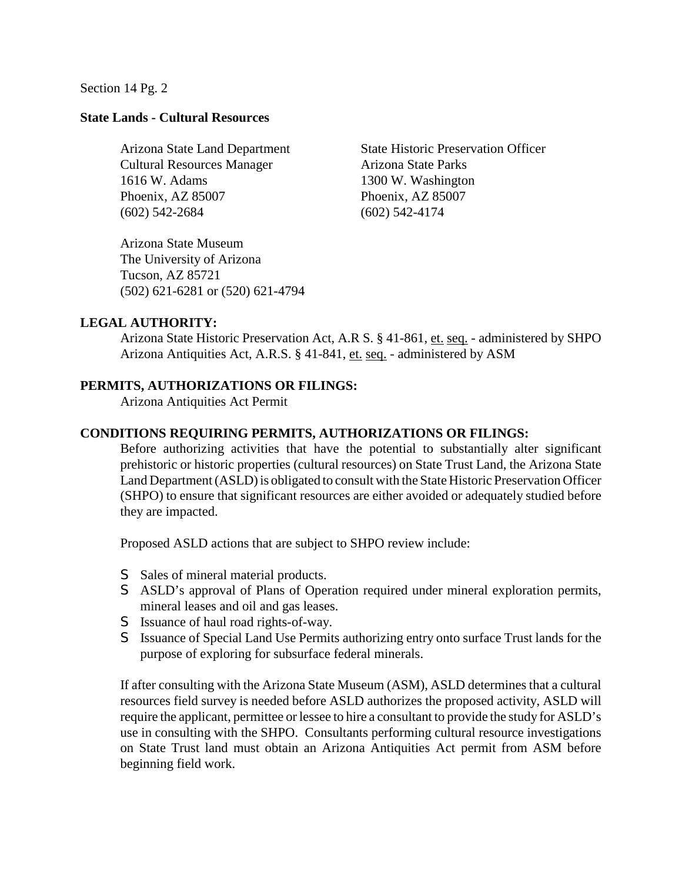Section 14 Pg. 2

### **State Lands - Cultural Resources**

Cultural Resources Manager Arizona State Parks 1616 W. Adams 1300 W. Washington Phoenix, AZ 85007 Phoenix, AZ 85007 (602) 542-2684 (602) 542-4174

Arizona State Land Department State Historic Preservation Officer

Arizona State Museum The University of Arizona Tucson, AZ 85721 (502) 621-6281 or (520) 621-4794

### **LEGAL AUTHORITY:**

Arizona State Historic Preservation Act, A.R S. § 41-861, et. seq. - administered by SHPO Arizona Antiquities Act, A.R.S. § 41-841, et. seq. - administered by ASM

## **PERMITS, AUTHORIZATIONS OR FILINGS:**

Arizona Antiquities Act Permit

### **CONDITIONS REQUIRING PERMITS, AUTHORIZATIONS OR FILINGS:**

Before authorizing activities that have the potential to substantially alter significant prehistoric or historic properties (cultural resources) on State Trust Land, the Arizona State Land Department (ASLD) is obligated to consult with the State Historic Preservation Officer (SHPO) to ensure that significant resources are either avoided or adequately studied before they are impacted.

Proposed ASLD actions that are subject to SHPO review include:

- S Sales of mineral material products.
- S ASLD's approval of Plans of Operation required under mineral exploration permits, mineral leases and oil and gas leases.
- S Issuance of haul road rights-of-way.
- S Issuance of Special Land Use Permits authorizing entry onto surface Trust lands for the purpose of exploring for subsurface federal minerals.

If after consulting with the Arizona State Museum (ASM), ASLD determines that a cultural resources field survey is needed before ASLD authorizes the proposed activity, ASLD will require the applicant, permittee or lessee to hire a consultant to provide the study for ASLD's use in consulting with the SHPO. Consultants performing cultural resource investigations on State Trust land must obtain an Arizona Antiquities Act permit from ASM before beginning field work.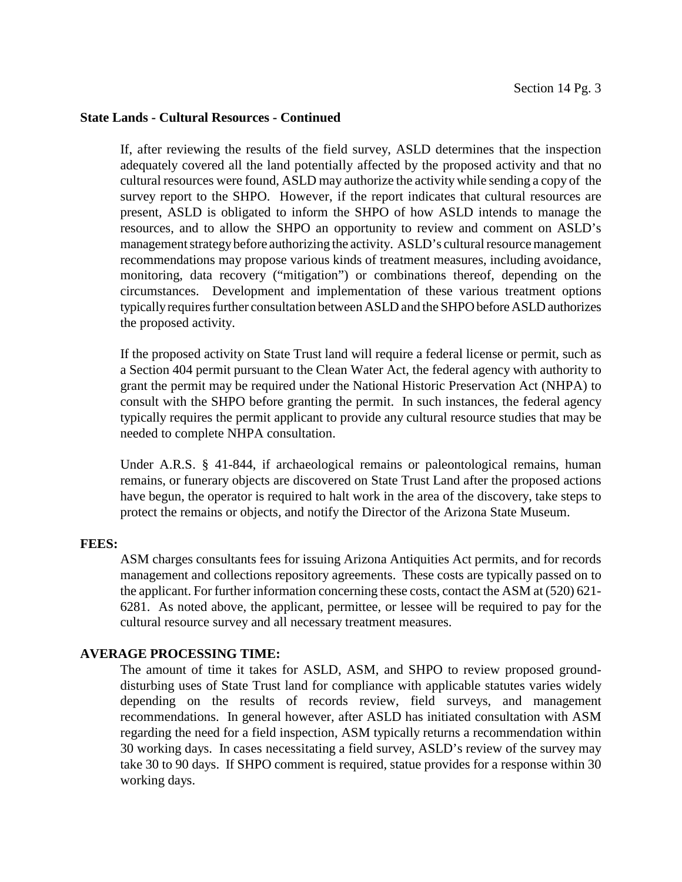#### **State Lands - Cultural Resources - Continued**

If, after reviewing the results of the field survey, ASLD determines that the inspection adequately covered all the land potentially affected by the proposed activity and that no cultural resources were found, ASLD may authorize the activity while sending a copy of the survey report to the SHPO. However, if the report indicates that cultural resources are present, ASLD is obligated to inform the SHPO of how ASLD intends to manage the resources, and to allow the SHPO an opportunity to review and comment on ASLD's management strategy before authorizing the activity. ASLD's cultural resource management recommendations may propose various kinds of treatment measures, including avoidance, monitoring, data recovery ("mitigation") or combinations thereof, depending on the circumstances. Development and implementation of these various treatment options typically requires further consultation between ASLD and the SHPO before ASLD authorizes the proposed activity.

If the proposed activity on State Trust land will require a federal license or permit, such as a Section 404 permit pursuant to the Clean Water Act, the federal agency with authority to grant the permit may be required under the National Historic Preservation Act (NHPA) to consult with the SHPO before granting the permit. In such instances, the federal agency typically requires the permit applicant to provide any cultural resource studies that may be needed to complete NHPA consultation.

Under A.R.S. § 41-844, if archaeological remains or paleontological remains, human remains, or funerary objects are discovered on State Trust Land after the proposed actions have begun, the operator is required to halt work in the area of the discovery, take steps to protect the remains or objects, and notify the Director of the Arizona State Museum.

#### **FEES:**

ASM charges consultants fees for issuing Arizona Antiquities Act permits, and for records management and collections repository agreements. These costs are typically passed on to the applicant. For further information concerning these costs, contact the ASM at (520) 621- 6281. As noted above, the applicant, permittee, or lessee will be required to pay for the cultural resource survey and all necessary treatment measures.

### **AVERAGE PROCESSING TIME:**

The amount of time it takes for ASLD, ASM, and SHPO to review proposed grounddisturbing uses of State Trust land for compliance with applicable statutes varies widely depending on the results of records review, field surveys, and management recommendations. In general however, after ASLD has initiated consultation with ASM regarding the need for a field inspection, ASM typically returns a recommendation within 30 working days. In cases necessitating a field survey, ASLD's review of the survey may take 30 to 90 days. If SHPO comment is required, statue provides for a response within 30 working days.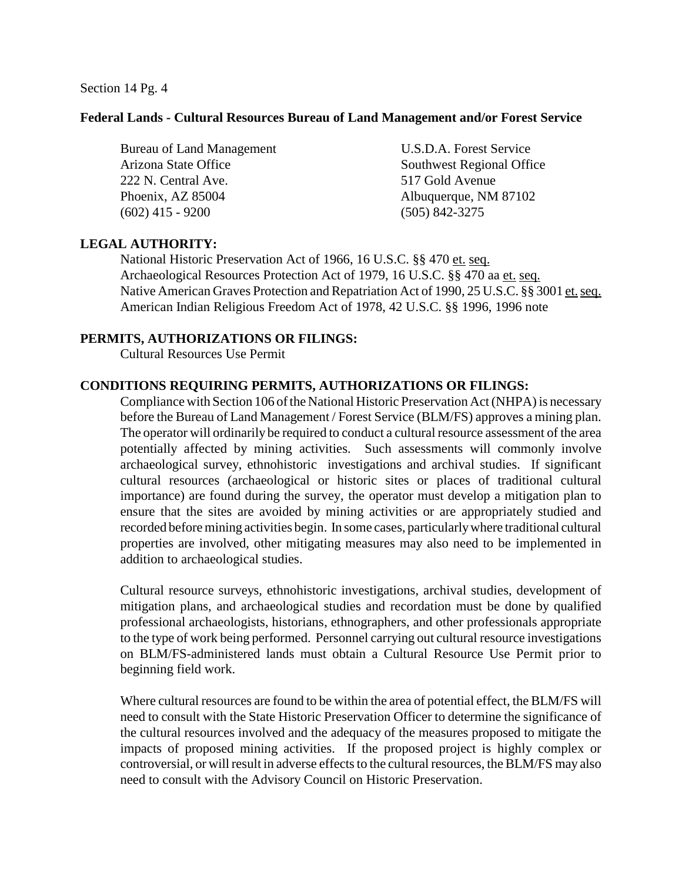Section 14 Pg. 4

### **Federal Lands - Cultural Resources Bureau of Land Management and/or Forest Service**

Bureau of Land Management U.S.D.A. Forest Service Arizona State Office Southwest Regional Office 222 N. Central Ave. 517 Gold Avenue Phoenix, AZ 85004 Albuquerque, NM 87102 (602) 415 - 9200 (505) 842-3275

## **LEGAL AUTHORITY:**

National Historic Preservation Act of 1966, 16 U.S.C. §§ 470 et. seq. Archaeological Resources Protection Act of 1979, 16 U.S.C. §§ 470 aa et. seq. Native American Graves Protection and Repatriation Act of 1990, 25 U.S.C. §§ 3001 et. seq. American Indian Religious Freedom Act of 1978, 42 U.S.C. §§ 1996, 1996 note

## **PERMITS, AUTHORIZATIONS OR FILINGS:**

Cultural Resources Use Permit

## **CONDITIONS REQUIRING PERMITS, AUTHORIZATIONS OR FILINGS:**

Compliance with Section 106 of the National Historic Preservation Act (NHPA) is necessary before the Bureau of Land Management / Forest Service (BLM/FS) approves a mining plan. The operator will ordinarily be required to conduct a cultural resource assessment of the area potentially affected by mining activities. Such assessments will commonly involve archaeological survey, ethnohistoric investigations and archival studies. If significant cultural resources (archaeological or historic sites or places of traditional cultural importance) are found during the survey, the operator must develop a mitigation plan to ensure that the sites are avoided by mining activities or are appropriately studied and recorded before mining activities begin. In some cases, particularly where traditional cultural properties are involved, other mitigating measures may also need to be implemented in addition to archaeological studies.

Cultural resource surveys, ethnohistoric investigations, archival studies, development of mitigation plans, and archaeological studies and recordation must be done by qualified professional archaeologists, historians, ethnographers, and other professionals appropriate to the type of work being performed. Personnel carrying out cultural resource investigations on BLM/FS-administered lands must obtain a Cultural Resource Use Permit prior to beginning field work.

Where cultural resources are found to be within the area of potential effect, the BLM/FS will need to consult with the State Historic Preservation Officer to determine the significance of the cultural resources involved and the adequacy of the measures proposed to mitigate the impacts of proposed mining activities. If the proposed project is highly complex or controversial, or will result in adverse effects to the cultural resources, the BLM/FS may also need to consult with the Advisory Council on Historic Preservation.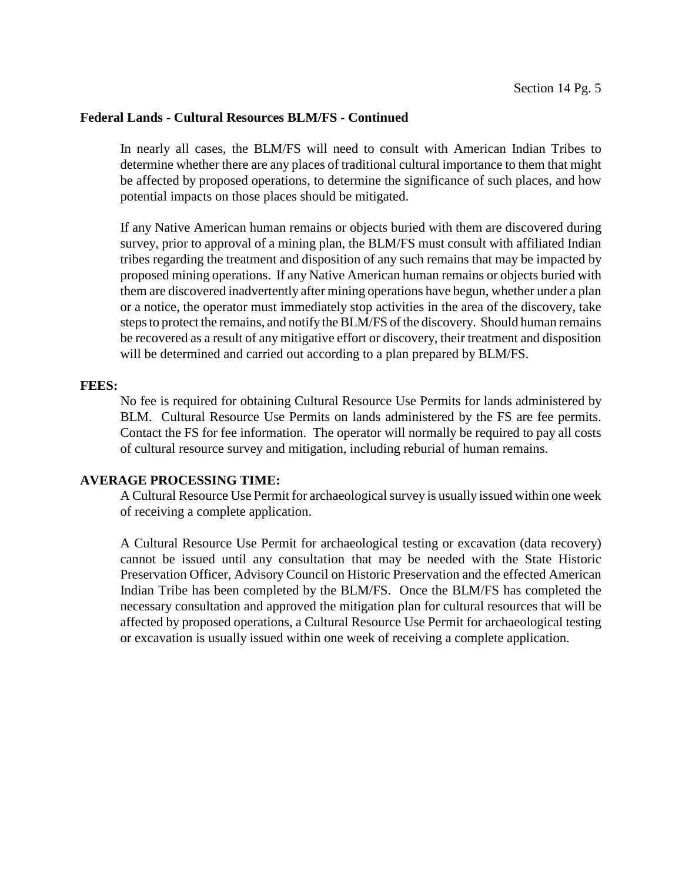#### **Federal Lands - Cultural Resources BLM/FS - Continued**

In nearly all cases, the BLM/FS will need to consult with American Indian Tribes to determine whether there are any places of traditional cultural importance to them that might be affected by proposed operations, to determine the significance of such places, and how potential impacts on those places should be mitigated.

If any Native American human remains or objects buried with them are discovered during survey, prior to approval of a mining plan, the BLM/FS must consult with affiliated Indian tribes regarding the treatment and disposition of any such remains that may be impacted by proposed mining operations. If any Native American human remains or objects buried with them are discovered inadvertently after mining operations have begun, whether under a plan or a notice, the operator must immediately stop activities in the area of the discovery, take steps to protect the remains, and notify the BLM/FS of the discovery. Should human remains be recovered as a result of any mitigative effort or discovery, their treatment and disposition will be determined and carried out according to a plan prepared by BLM/FS.

#### **FEES:**

No fee is required for obtaining Cultural Resource Use Permits for lands administered by BLM. Cultural Resource Use Permits on lands administered by the FS are fee permits. Contact the FS for fee information. The operator will normally be required to pay all costs of cultural resource survey and mitigation, including reburial of human remains.

#### **AVERAGE PROCESSING TIME:**

A Cultural Resource Use Permit for archaeological survey is usually issued within one week of receiving a complete application.

A Cultural Resource Use Permit for archaeological testing or excavation (data recovery) cannot be issued until any consultation that may be needed with the State Historic Preservation Officer, Advisory Council on Historic Preservation and the effected American Indian Tribe has been completed by the BLM/FS. Once the BLM/FS has completed the necessary consultation and approved the mitigation plan for cultural resources that will be affected by proposed operations, a Cultural Resource Use Permit for archaeological testing or excavation is usually issued within one week of receiving a complete application.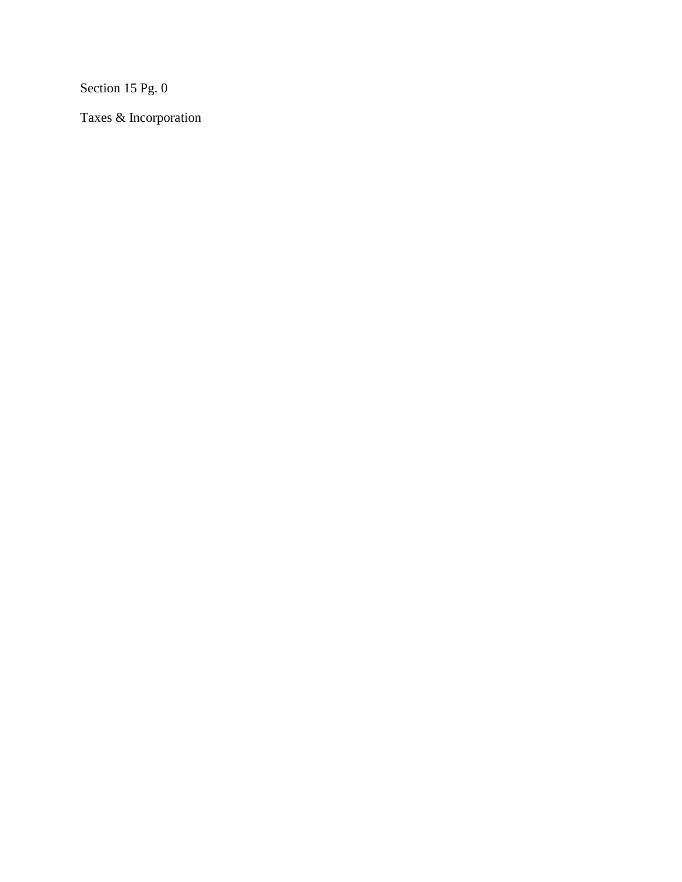Section 15 Pg. 0

Taxes & Incorporation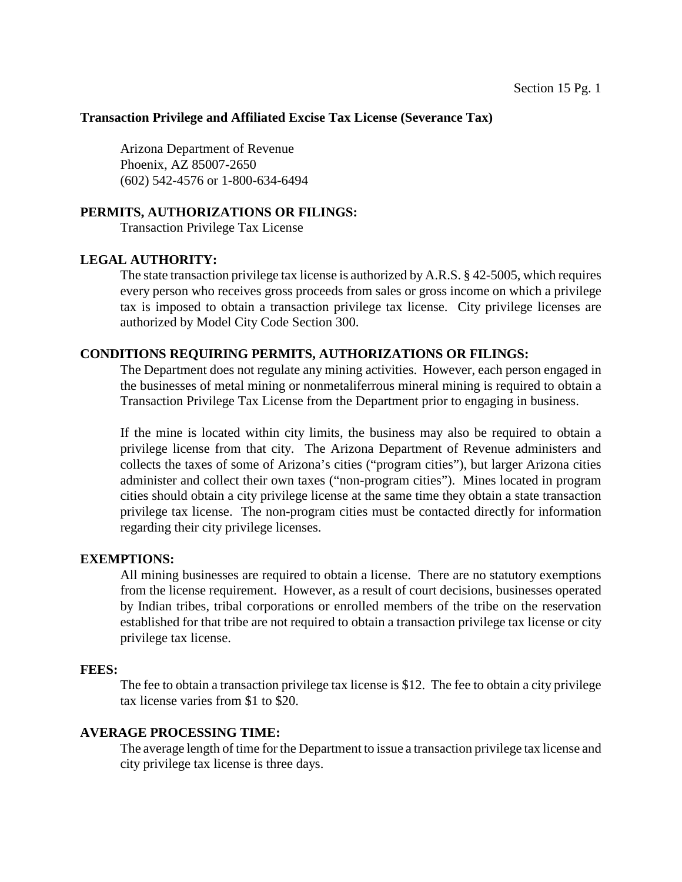### **Transaction Privilege and Affiliated Excise Tax License (Severance Tax)**

Arizona Department of Revenue Phoenix, AZ 85007-2650 (602) 542-4576 or 1-800-634-6494

#### **PERMITS, AUTHORIZATIONS OR FILINGS:**

Transaction Privilege Tax License

### **LEGAL AUTHORITY:**

The state transaction privilege tax license is authorized by A.R.S. § 42-5005, which requires every person who receives gross proceeds from sales or gross income on which a privilege tax is imposed to obtain a transaction privilege tax license. City privilege licenses are authorized by Model City Code Section 300.

#### **CONDITIONS REQUIRING PERMITS, AUTHORIZATIONS OR FILINGS:**

The Department does not regulate any mining activities. However, each person engaged in the businesses of metal mining or nonmetaliferrous mineral mining is required to obtain a Transaction Privilege Tax License from the Department prior to engaging in business.

If the mine is located within city limits, the business may also be required to obtain a privilege license from that city. The Arizona Department of Revenue administers and collects the taxes of some of Arizona's cities ("program cities"), but larger Arizona cities administer and collect their own taxes ("non-program cities"). Mines located in program cities should obtain a city privilege license at the same time they obtain a state transaction privilege tax license. The non-program cities must be contacted directly for information regarding their city privilege licenses.

### **EXEMPTIONS:**

All mining businesses are required to obtain a license. There are no statutory exemptions from the license requirement. However, as a result of court decisions, businesses operated by Indian tribes, tribal corporations or enrolled members of the tribe on the reservation established for that tribe are not required to obtain a transaction privilege tax license or city privilege tax license.

## **FEES:**

The fee to obtain a transaction privilege tax license is \$12. The fee to obtain a city privilege tax license varies from \$1 to \$20.

#### **AVERAGE PROCESSING TIME:**

The average length of time for the Department to issue a transaction privilege tax license and city privilege tax license is three days.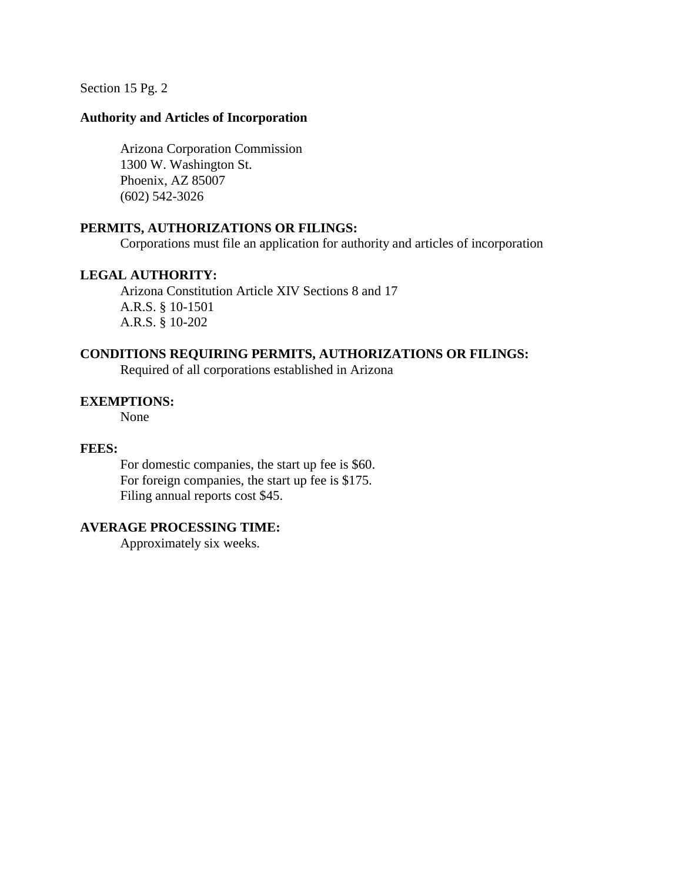Section 15 Pg. 2

### **Authority and Articles of Incorporation**

Arizona Corporation Commission 1300 W. Washington St. Phoenix, AZ 85007 (602) 542-3026

### **PERMITS, AUTHORIZATIONS OR FILINGS:**

Corporations must file an application for authority and articles of incorporation

## **LEGAL AUTHORITY:**

Arizona Constitution Article XIV Sections 8 and 17 A.R.S. § 10-1501 A.R.S. § 10-202

### **CONDITIONS REQUIRING PERMITS, AUTHORIZATIONS OR FILINGS:**

Required of all corporations established in Arizona

### **EXEMPTIONS:**

None

### **FEES:**

For domestic companies, the start up fee is \$60. For foreign companies, the start up fee is \$175. Filing annual reports cost \$45.

## **AVERAGE PROCESSING TIME:**

Approximately six weeks.